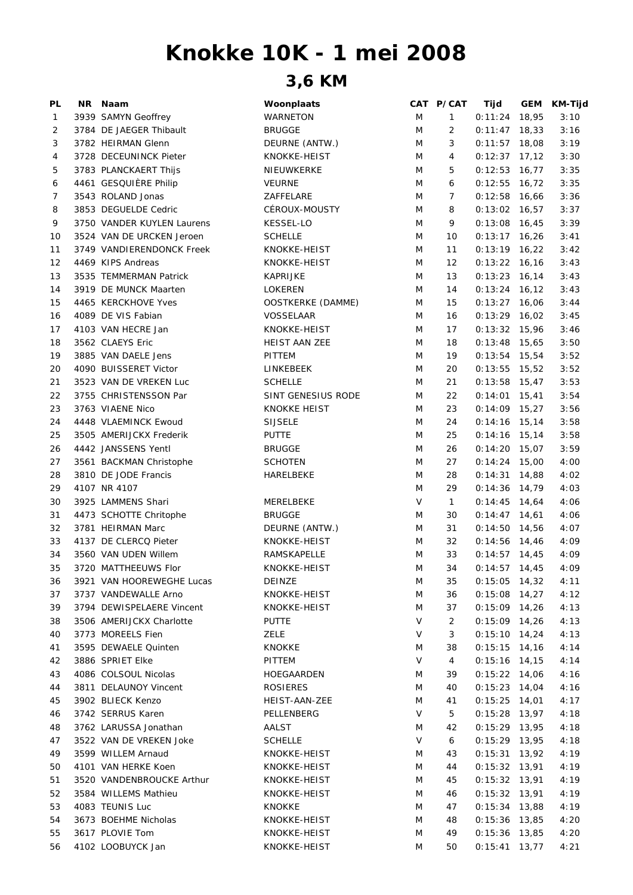## **Knokke 10K - 1 mei 2008**

## **3,6 KM**

| PL | NR Naam                    | Woonplaats               |        | CAT P/CAT      | Tijd            | GEM | KM-Tijd |
|----|----------------------------|--------------------------|--------|----------------|-----------------|-----|---------|
| 1  | 3939 SAMYN Geoffrey        | WARNETON                 | M      | 1              | $0:11:24$ 18,95 |     | 3:10    |
| 2  | 3784 DE JAEGER Thibault    | <b>BRUGGE</b>            | M      | $\overline{2}$ | $0:11:47$ 18,33 |     | 3:16    |
| 3  | 3782 HEIRMAN Glenn         | DEURNE (ANTW.)           | M      | 3              | $0:11:57$ 18,08 |     | 3:19    |
| 4  | 3728 DECEUNINCK Pieter     | KNOKKE-HEIST             | M      | 4              | $0:12:37$ 17,12 |     | 3:30    |
| 5  | 3783 PLANCKAERT Thijs      | NIEUWKERKE               | M      | 5              | $0:12:53$ 16,77 |     | 3:35    |
| 6  | 4461 GESQUIÈRE Philip      | <b>VEURNE</b>            | M      | 6              | $0:12:55$ 16,72 |     | 3:35    |
| 7  | 3543 ROLAND Jonas          | ZAFFELARE                | M      | 7              | $0:12:58$ 16,66 |     | 3:36    |
| 8  | 3853 DEGUELDE Cedric       | CÉROUX-MOUSTY            | M      | 8              | $0:13:02$ 16,57 |     | 3:37    |
| 9  | 3750 VANDER KUYLEN Laurens | <b>KESSEL-LO</b>         | M      | 9              | $0:13:08$ 16,45 |     | 3:39    |
| 10 | 3524 VAN DE URCKEN Jeroen  | <b>SCHELLE</b>           | M      | 10             | $0:13:17$ 16,26 |     | 3:41    |
| 11 | 3749 VANDIERENDONCK Freek  | KNOKKE-HEIST             | M      | 11             | $0:13:19$ 16,22 |     | 3:42    |
| 12 | 4469 KIPS Andreas          | KNOKKE-HEIST             | M      | 12             | $0:13:22$ 16,16 |     | 3:43    |
| 13 | 3535 TEMMERMAN Patrick     | KAPRIJKE                 | M      | 13             | $0:13:23$ 16,14 |     | 3:43    |
| 14 | 3919 DE MUNCK Maarten      | LOKEREN                  | M      | 14             | $0:13:24$ 16,12 |     | 3:43    |
| 15 | 4465 KERCKHOVE Yves        | <b>OOSTKERKE (DAMME)</b> | M      | 15             | $0:13:27$ 16,06 |     | 3:44    |
| 16 | 4089 DE VIS Fabian         | <b>VOSSELAAR</b>         | M      | 16             | $0:13:29$ 16,02 |     | 3:45    |
| 17 | 4103 VAN HECRE Jan         | KNOKKE-HEIST             | M      | 17             | $0:13:32$ 15,96 |     | 3:46    |
| 18 | 3562 CLAEYS Eric           | HEIST AAN ZEE            | M      | 18             | $0:13:48$ 15,65 |     | 3:50    |
| 19 | 3885 VAN DAELE Jens        | PITTEM                   | M      | 19             | $0:13:54$ 15,54 |     | 3:52    |
| 20 | 4090 BUISSERET Victor      | LINKEBEEK                | M      | 20             | $0:13:55$ 15,52 |     | 3:52    |
| 21 | 3523 VAN DE VREKEN Luc     | <b>SCHELLE</b>           | M      | 21             | $0:13:58$ 15,47 |     | 3:53    |
| 22 | 3755 CHRISTENSSON Par      | SINT GENESIUS RODE       | M      | 22             | $0:14:01$ 15,41 |     | 3:54    |
| 23 | 3763 VIAENE Nico           | <b>KNOKKE HEIST</b>      | M      | 23             | $0:14:09$ 15,27 |     | 3:56    |
| 24 | 4448 VLAEMINCK Ewoud       | <b>SIJSELE</b>           | M      | 24             | $0:14:16$ 15,14 |     | 3:58    |
| 25 | 3505 AMERIJCKX Frederik    | <b>PUTTE</b>             | M      | 25             | $0:14:16$ 15,14 |     | 3:58    |
| 26 | 4442 JANSSENS Yentl        | <b>BRUGGE</b>            | M      | 26             | $0:14:20$ 15,07 |     | 3:59    |
| 27 | 3561 BACKMAN Christophe    | <b>SCHOTEN</b>           | M      | 27             | $0:14:24$ 15,00 |     | 4:00    |
| 28 | 3810 DE JODE Francis       | HARELBEKE                | M      | 28             | $0:14:31$ 14,88 |     | 4:02    |
| 29 | 4107 NR 4107               |                          | M      | 29             | $0:14:36$ 14,79 |     | 4:03    |
| 30 | 3925 LAMMENS Shari         | MERELBEKE                | $\vee$ | $\mathbf{1}$   | $0:14:45$ 14,64 |     | 4:06    |
| 31 | 4473 SCHOTTE Chritophe     | <b>BRUGGE</b>            | M      | 30             | $0:14:47$ 14,61 |     | 4:06    |
| 32 | 3781 HEIRMAN Marc          | DEURNE (ANTW.)           | M      | 31             | $0:14:50$ 14,56 |     | 4:07    |
| 33 | 4137 DE CLERCQ Pieter      | KNOKKE-HEIST             | M      | 32             | $0:14:56$ 14,46 |     | 4:09    |
| 34 | 3560 VAN UDEN Willem       | RAMSKAPELLE              | M      | 33             | $0:14:57$ 14,45 |     | 4:09    |
| 35 | 3720 MATTHEEUWS Flor       | KNOKKE-HEIST             | M      | 34             | $0:14:57$ 14,45 |     | 4:09    |
| 36 | 3921 VAN HOOREWEGHE Lucas  | DEINZE                   | M      | 35             | $0:15:05$ 14,32 |     | 4:11    |
| 37 | 3737 VANDEWALLE Arno       | KNOKKE-HEIST             | M      | 36             | $0:15:08$ 14,27 |     | 4:12    |
| 39 | 3794 DEWISPELAERE Vincent  | KNOKKE-HEIST             | M      | 37             | $0:15:09$ 14,26 |     | 4:13    |
| 38 | 3506 AMERIJCKX Charlotte   | <b>PUTTE</b>             | V      | 2              | $0:15:09$ 14,26 |     | 4:13    |
| 40 | 3773 MOREELS Fien          | <b>ZELE</b>              | V      | 3              | $0:15:10$ 14,24 |     | 4:13    |
| 41 | 3595 DEWAELE Quinten       | <b>KNOKKE</b>            | M      | 38             | $0:15:15$ 14,16 |     | 4:14    |
| 42 | 3886 SPRIET Elke           | PITTEM                   | V      | 4              | $0:15:16$ 14,15 |     | 4:14    |
| 43 | 4086 COLSOUL Nicolas       | HOEGAARDEN               | M      | 39             | $0:15:22$ 14,06 |     | 4:16    |
| 44 | 3811 DELAUNOY Vincent      | <b>ROSIERES</b>          | M      | 40             | $0:15:23$ 14,04 |     | 4:16    |
| 45 | 3902 BLIECK Kenzo          | HEIST-AAN-ZEE            | M      | 41             | $0:15:25$ 14,01 |     | 4:17    |
| 46 | 3742 SERRUS Karen          | PELLENBERG               | V      | 5              | $0:15:28$ 13,97 |     | 4:18    |
| 48 | 3762 LARUSSA Jonathan      | AALST                    | M      | 42             | $0:15:29$ 13,95 |     | 4:18    |
| 47 | 3522 VAN DE VREKEN Joke    | <b>SCHELLE</b>           | V      | 6              | $0:15:29$ 13,95 |     | 4:18    |
| 49 | 3599 WILLEM Arnaud         | KNOKKE-HEIST             | M      | 43             | $0:15:31$ 13,92 |     | 4:19    |
| 50 | 4101 VAN HERKE Koen        | KNOKKE-HEIST             | M      | 44             | $0:15:32$ 13,91 |     | 4:19    |
| 51 | 3520 VANDENBROUCKE Arthur  | KNOKKE-HEIST             | M      | 45             | $0:15:32$ 13,91 |     | 4:19    |
| 52 | 3584 WILLEMS Mathieu       | KNOKKE-HEIST             | M      | 46             | $0:15:32$ 13,91 |     | 4:19    |
| 53 | 4083 TEUNIS Luc            | <b>KNOKKE</b>            | M      | 47             | $0:15:34$ 13,88 |     | 4:19    |
| 54 | 3673 BOEHME Nicholas       | KNOKKE-HEIST             | M      | 48             | $0:15:36$ 13,85 |     | 4:20    |
| 55 | 3617 PLOVIE Tom            | KNOKKE-HEIST             | M      | 49             | $0:15:36$ 13,85 |     | 4:20    |
| 56 | 4102 LOOBUYCK Jan          | KNOKKE-HEIST             | M      | 50             | $0:15:41$ 13,77 |     | 4:21    |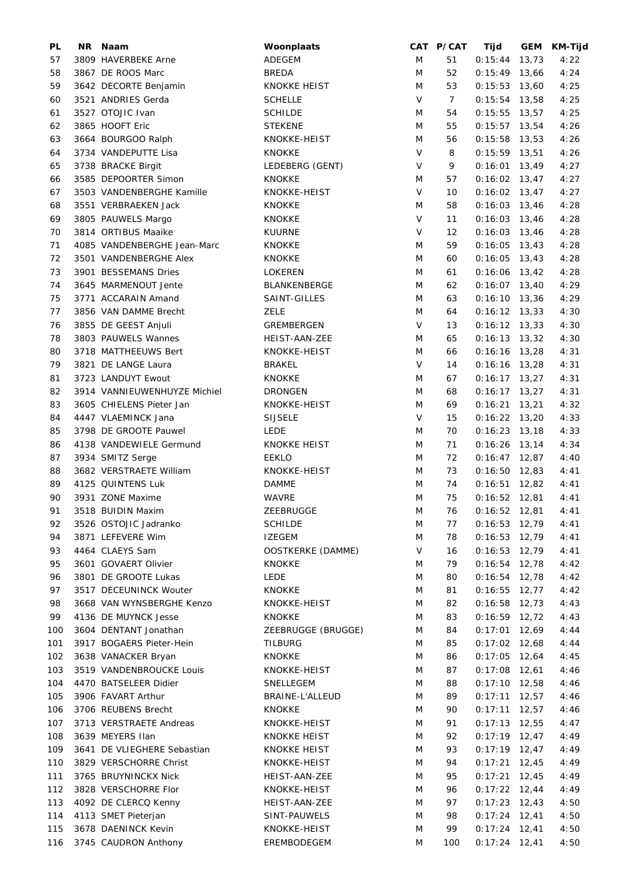| PL  | NR Naam                      | Woonplaats          |        | CAT P/CAT      | Tijd            |       | GEM KM-Tijd |
|-----|------------------------------|---------------------|--------|----------------|-----------------|-------|-------------|
| 57  | 3809 HAVERBEKE Arne          | ADEGEM              | M      | 51             | 0:15:44         | 13,73 | 4:22        |
| 58  | 3867 DE ROOS Marc            | <b>BREDA</b>        | M      | 52             | $0:15:49$ 13,66 |       | 4:24        |
| 59  | 3642 DECORTE Benjamin        | <b>KNOKKE HEIST</b> | M      | 53             | $0:15:53$ 13,60 |       | 4:25        |
| 60  | 3521 ANDRIES Gerda           | <b>SCHELLE</b>      | $\vee$ | $\overline{7}$ | $0:15:54$ 13,58 |       | 4:25        |
| 61  | 3527 OTOJIC Ivan             | <b>SCHILDE</b>      | M      | 54             | $0:15:55$ 13,57 |       | 4:25        |
| 62  | 3865 HOOFT Eric              | <b>STEKENE</b>      | M      | 55             | $0:15:57$ 13,54 |       | 4:26        |
|     |                              |                     |        |                |                 |       |             |
| 63  | 3664 BOURGOO Ralph           | KNOKKE-HEIST        | M      | 56             | $0:15:58$ 13,53 |       | 4:26        |
| 64  | 3734 VANDEPUTTE Lisa         | <b>KNOKKE</b>       | V      | 8              | $0:15:59$ 13,51 |       | 4:26        |
| 65  | 3738 BRACKE Birgit           | LEDEBERG (GENT)     | V      | 9              | $0:16:01$ 13,49 |       | 4:27        |
| 66  | 3585 DEPOORTER Simon         | <b>KNOKKE</b>       | M      | 57             | $0:16:02$ 13,47 |       | 4:27        |
| 67  | 3503 VANDENBERGHE Kamille    | KNOKKE-HEIST        | V      | 10             | $0:16:02$ 13,47 |       | 4:27        |
| 68  | 3551 VERBRAEKEN Jack         | <b>KNOKKE</b>       | M      | 58             | $0:16:03$ 13,46 |       | 4:28        |
| 69  | 3805 PAUWELS Margo           | <b>KNOKKE</b>       | $\vee$ | 11             | $0:16:03$ 13,46 |       | 4:28        |
| 70  | 3814 ORTIBUS Maaike          | <b>KUURNE</b>       | V      | 12             | $0:16:03$ 13,46 |       | 4:28        |
| 71  | 4085 VANDENBERGHE Jean-Marc  | <b>KNOKKE</b>       | M      | 59             | $0:16:05$ 13,43 |       | 4:28        |
| 72  | 3501 VANDENBERGHE Alex       | <b>KNOKKE</b>       | M      | 60             | $0:16:05$ 13,43 |       | 4:28        |
| 73  | 3901 BESSEMANS Dries         | <b>LOKEREN</b>      | M      | 61             | $0:16:06$ 13,42 |       | 4:28        |
| 74  | 3645 MARMENOUT Jente         | BLANKENBERGE        | M      | 62             | $0:16:07$ 13,40 |       | 4:29        |
|     | 3771 ACCARAIN Amand          | SAINT-GILLES        | M      | 63             | $0:16:10$ 13,36 |       |             |
| 75  |                              |                     |        |                |                 |       | 4:29        |
| 77  | 3856 VAN DAMME Brecht        | <b>ZELE</b>         | M      | 64             | $0:16:12$ 13,33 |       | 4:30        |
| 76  | 3855 DE GEEST Anjuli         | GREMBERGEN          | V      | 13             | $0:16:12$ 13,33 |       | 4:30        |
| 78  | 3803 PAUWELS Wannes          | HEIST-AAN-ZEE       | M      | 65             | $0:16:13$ 13,32 |       | 4:30        |
| 80  | 3718 MATTHEEUWS Bert         | KNOKKE-HEIST        | M      | 66             | $0:16:16$ 13,28 |       | 4:31        |
| 79  | 3821 DE LANGE Laura          | <b>BRAKEL</b>       | V      | 14             | $0:16:16$ 13,28 |       | 4:31        |
| 81  | 3723 LANDUYT Ewout           | <b>KNOKKE</b>       | M      | 67             | $0:16:17$ 13,27 |       | 4:31        |
| 82  | 3914 VANNIEUWENHUYZE Michiel | <b>DRONGEN</b>      | M      | 68             | $0:16:17$ 13,27 |       | 4:31        |
| 83  | 3605 CHIELENS Pieter Jan     | KNOKKE-HEIST        | M      | 69             | $0:16:21$ 13,21 |       | 4:32        |
| 84  | 4447 VLAEMINCK Jana          | <b>SIJSELE</b>      | $\vee$ | 15             | $0:16:22$ 13,20 |       | 4:33        |
| 85  | 3798 DE GROOTE Pauwel        | <b>LEDE</b>         | M      | 70             | $0:16:23$ 13,18 |       | 4:33        |
| 86  | 4138 VANDEWIELE Germund      | KNOKKE HEIST        | M      | 71             | $0:16:26$ 13,14 |       | 4:34        |
| 87  |                              | <b>EEKLO</b>        | M      | 72             | $0:16:47$ 12,87 |       | 4:40        |
|     | 3934 SMITZ Serge             |                     |        |                |                 |       |             |
| 88  | 3682 VERSTRAETE William      | KNOKKE-HEIST        | M      | 73             | $0:16:50$ 12,83 |       | 4:41        |
| 89  | 4125 QUINTENS Luk            | <b>DAMME</b>        | M      | 74             | $0:16:51$ 12,82 |       | 4:41        |
| 90  | 3931 ZONE Maxime             | <b>WAVRE</b>        | M      | 75             | $0:16:52$ 12,81 |       | 4:41        |
| 91  | 3518 BUIDIN Maxim            | ZEEBRUGGE           | M      | 76             | $0:16:52$ 12,81 |       | 4:41        |
| 92  | 3526 OSTOJIC Jadranko        | <b>SCHILDE</b>      | Μ      | 77             | $0:16:53$ 12,79 |       | 4:41        |
| 94  | 3871 LEFEVERE Wim            | <b>IZEGEM</b>       | M      | 78             | $0:16:53$ 12,79 |       | 4:41        |
| 93  | 4464 CLAEYS Sam              | OOSTKERKE (DAMME)   | V      | 16             | $0:16:53$ 12,79 |       | 4:41        |
| 95  | 3601 GOVAERT Olivier         | <b>KNOKKE</b>       | M      | 79             | $0:16:54$ 12,78 |       | 4:42        |
| 96  | 3801 DE GROOTE Lukas         | LEDE                | M      | 80             | $0:16:54$ 12,78 |       | 4:42        |
| 97  | 3517 DECEUNINCK Wouter       | <b>KNOKKE</b>       | M      | 81             | $0:16:55$ 12,77 |       | 4:42        |
| 98  | 3668 VAN WYNSBERGHE Kenzo    | KNOKKE-HEIST        | M      | 82             | $0:16:58$ 12,73 |       | 4:43        |
| 99  | 4136 DE MUYNCK Jesse         | <b>KNOKKE</b>       | M      | 83             | $0:16:59$ 12,72 |       | 4:43        |
| 100 | 3604 DENTANT Jonathan        | ZEEBRUGGE (BRUGGE)  | M      | 84             | $0:17:01$ 12,69 |       | 4:44        |
|     |                              |                     |        |                |                 |       |             |
| 101 | 3917 BOGAERS Pieter-Hein     | <b>TILBURG</b>      | M      | 85             | $0:17:02$ 12,68 |       | 4:44        |
| 102 | 3638 VANACKER Bryan          | <b>KNOKKE</b>       | M      | 86             | $0:17:05$ 12,64 |       | 4:45        |
| 103 | 3519 VANDENBROUCKE Louis     | KNOKKE-HEIST        | M      | 87             | $0:17:08$ 12,61 |       | 4:46        |
| 104 | 4470 BATSELEER Didier        | SNELLEGEM           | M      | 88             | $0:17:10$ 12,58 |       | 4:46        |
| 105 | 3906 FAVART Arthur           | BRAINE-L'ALLEUD     | M      | 89             | $0:17:11$ 12,57 |       | 4:46        |
| 106 | 3706 REUBENS Brecht          | <b>KNOKKE</b>       | M      | 90             | $0:17:11$ 12,57 |       | 4:46        |
| 107 | 3713 VERSTRAETE Andreas      | KNOKKE-HEIST        | M      | 91             | $0:17:13$ 12,55 |       | 4:47        |
| 108 | 3639 MEYERS Ilan             | <b>KNOKKE HEIST</b> | M      | 92             | $0:17:19$ 12,47 |       | 4:49        |
| 109 | 3641 DE VLIEGHERE Sebastian  | <b>KNOKKE HEIST</b> | M      | 93             | $0:17:19$ 12,47 |       | 4:49        |
| 110 | 3829 VERSCHORRE Christ       | KNOKKE-HEIST        | M      | 94             | $0:17:21$ 12,45 |       | 4:49        |
| 111 | 3765 BRUYNINCKX Nick         | HEIST-AAN-ZEE       | M      | 95             | $0:17:21$ 12,45 |       | 4:49        |
| 112 | 3828 VERSCHORRE Flor         | KNOKKE-HEIST        | M      | 96             | $0:17:22$ 12,44 |       | 4:49        |
| 113 |                              | HEIST-AAN-ZEE       | M      | 97             | $0:17:23$ 12,43 |       | 4:50        |
|     | 4092 DE CLERCQ Kenny         |                     |        |                |                 |       |             |
| 114 | 4113 SMET Pieterjan          | SINT-PAUWELS        | M      | 98             | $0:17:24$ 12,41 |       | 4:50        |
| 115 | 3678 DAENINCK Kevin          | KNOKKE-HEIST        | M      | 99             | $0:17:24$ 12,41 |       | 4:50        |
| 116 | 3745 CAUDRON Anthony         | EREMBODEGEM         | M      | 100            | $0:17:24$ 12,41 |       | 4:50        |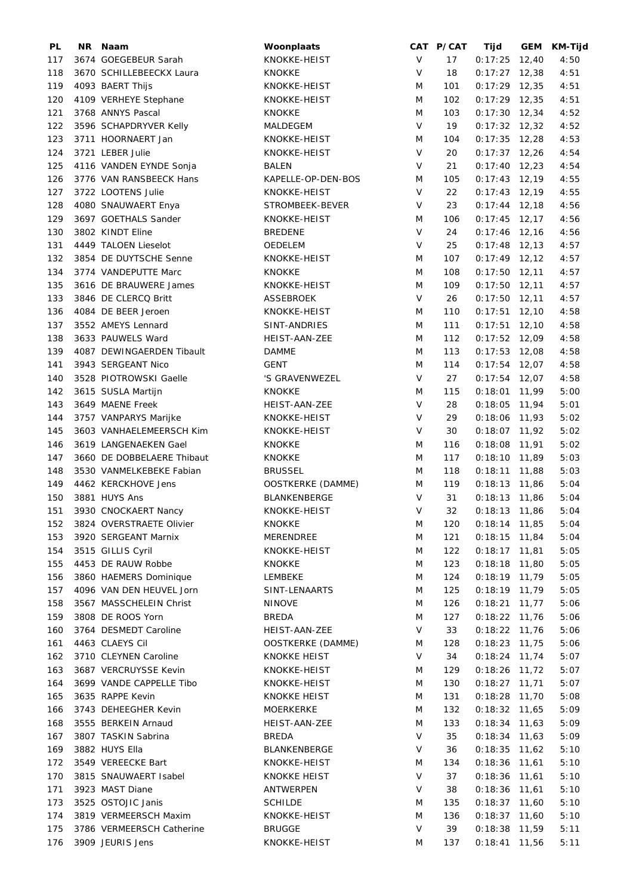| PL  | NR Naam                    | Woonplaats               |         | CAT P/CAT | Tijd            |       | GEM KM-Tijd |
|-----|----------------------------|--------------------------|---------|-----------|-----------------|-------|-------------|
| 117 | 3674 GOEGEBEUR Sarah       | KNOKKE-HEIST             | V       | 17        | $0:17:25$ 12,40 |       | 4:50        |
| 118 | 3670 SCHILLEBEECKX Laura   | <b>KNOKKE</b>            | $\vee$  | 18        | $0:17:27$ 12,38 |       | 4:51        |
| 119 | 4093 BAERT Thijs           | KNOKKE-HEIST             | M       | 101       | $0:17:29$ 12,35 |       | 4:51        |
| 120 | 4109 VERHEYE Stephane      | KNOKKE-HEIST             | M       | 102       | $0:17:29$ 12,35 |       | 4:51        |
| 121 | 3768 ANNYS Pascal          | <b>KNOKKE</b>            | M       | 103       | $0:17:30$ 12,34 |       | 4:52        |
| 122 | 3596 SCHAPDRYVER Kelly     | MALDEGEM                 | $\vee$  | 19        | $0:17:32$ 12,32 |       | 4:52        |
| 123 | 3711 HOORNAERT Jan         | KNOKKE-HEIST             | M       | 104       | $0:17:35$ 12,28 |       | 4:53        |
| 124 | 3721 LEBER Julie           | KNOKKE-HEIST             | V       | 20        | $0:17:37$ 12,26 |       | 4:54        |
|     |                            |                          |         |           |                 |       |             |
| 125 | 4116 VANDEN EYNDE Sonja    | BALEN                    | V       | 21        | $0:17:40$ 12,23 |       | 4:54        |
| 126 | 3776 VAN RANSBEECK Hans    | KAPELLE-OP-DEN-BOS       | M       | 105       | $0:17:43$ 12,19 |       | 4:55        |
| 127 | 3722 LOOTENS Julie         | KNOKKE-HEIST             | $\vee$  | 22        | $0:17:43$ 12,19 |       | 4:55        |
| 128 | 4080 SNAUWAERT Enya        | STROMBEEK-BEVER          | $\vee$  | 23        | $0:17:44$ 12,18 |       | 4:56        |
| 129 | 3697 GOETHALS Sander       | KNOKKE-HEIST             | M       | 106       | $0:17:45$ 12,17 |       | 4:56        |
| 130 | 3802 KINDT Eline           | <b>BREDENE</b>           | $\vee$  | 24        | $0:17:46$ 12,16 |       | 4:56        |
| 131 | 4449 TALOEN Lieselot       | OEDELEM                  | $\vee$  | 25        | $0:17:48$ 12,13 |       | 4:57        |
| 132 | 3854 DE DUYTSCHE Senne     | KNOKKE-HEIST             | M       | 107       | $0:17:49$ 12,12 |       | 4:57        |
| 134 | 3774 VANDEPUTTE Marc       | <b>KNOKKE</b>            | M       | 108       | $0:17:50$ 12,11 |       | 4:57        |
| 135 | 3616 DE BRAUWERE James     | KNOKKE-HEIST             | M       | 109       | $0:17:50$ 12,11 |       | 4:57        |
| 133 | 3846 DE CLERCQ Britt       | <b>ASSEBROEK</b>         | $\vee$  | 26        | $0:17:50$ 12,11 |       | 4:57        |
| 136 | 4084 DE BEER Jeroen        | KNOKKE-HEIST             | M       | 110       | $0:17:51$ 12,10 |       | 4:58        |
| 137 | 3552 AMEYS Lennard         | SINT-ANDRIES             | M       | 111       | $0:17:51$ 12,10 |       | 4:58        |
|     | 3633 PAUWELS Ward          |                          |         |           | $0:17:52$ 12,09 |       |             |
| 138 |                            | HEIST-AAN-ZEE            | M       | 112       |                 |       | 4:58        |
| 139 | 4087 DEWINGAERDEN Tibault  | <b>DAMME</b>             | M       | 113       | $0:17:53$ 12,08 |       | 4:58        |
| 141 | 3943 SERGEANT Nico         | <b>GENT</b>              | M       | 114       | $0:17:54$ 12,07 |       | 4:58        |
| 140 | 3528 PIOTROWSKI Gaelle     | 'S GRAVENWEZEL           | $\vee$  | 27        | $0:17:54$ 12,07 |       | 4:58        |
| 142 | 3615 SUSLA Martijn         | <b>KNOKKE</b>            | M       | 115       | $0:18:01$ 11,99 |       | 5:00        |
| 143 | 3649 MAENE Freek           | HEIST-AAN-ZEE            | $\vee$  | 28        | $0:18:05$ 11,94 |       | 5:01        |
| 144 | 3757 VANPARYS Marijke      | KNOKKE-HEIST             | $\sf V$ | 29        | $0:18:06$ 11,93 |       | 5:02        |
| 145 | 3603 VANHAELEMEERSCH Kim   | KNOKKE-HEIST             | $\vee$  | 30        | $0:18:07$ 11,92 |       | 5:02        |
| 146 | 3619 LANGENAEKEN Gael      | <b>KNOKKE</b>            | M       | 116       | $0:18:08$ 11,91 |       | 5:02        |
| 147 | 3660 DE DOBBELAERE Thibaut | <b>KNOKKE</b>            | M       | 117       | $0:18:10$ 11,89 |       | 5:03        |
| 148 | 3530 VANMELKEBEKE Fabian   | <b>BRUSSEL</b>           | M       | 118       | $0:18:11$ 11,88 |       | 5:03        |
| 149 | 4462 KERCKHOVE Jens        | OOSTKERKE (DAMME)        | M       | 119       | $0:18:13$ 11,86 |       | 5:04        |
| 150 | 3881 HUYS Ans              | BLANKENBERGE             | V       | 31        | $0:18:13$ 11,86 |       | 5:04        |
| 151 | 3930 CNOCKAERT Nancy       | KNOKKE-HEIST             | V       | 32        | $0:18:13$ 11,86 |       | 5:04        |
|     | 3824 OVERSTRAETE Olivier   | <b>KNOKKE</b>            | M       | 120       | $0:18:14$ 11,85 |       | 5:04        |
| 152 |                            | <b>MERENDREE</b>         |         |           |                 |       |             |
| 153 | 3920 SERGEANT Marnix       |                          | M       | 121       | $0:18:15$ 11,84 |       | 5:04        |
| 154 | 3515 GILLIS Cyril          | KNOKKE-HEIST             | M       | 122       | $0:18:17$ 11,81 |       | 5:05        |
| 155 | 4453 DE RAUW Robbe         | KNOKKE                   | M       | 123       | $0:18:18$ 11,80 |       | 5:05        |
| 156 | 3860 HAEMERS Dominique     | LEMBEKE                  | M       | 124       | $0:18:19$ 11,79 |       | 5:05        |
| 157 | 4096 VAN DEN HEUVEL Jorn   | SINT-LENAARTS            | M       | 125       | $0:18:19$ 11,79 |       | 5:05        |
| 158 | 3567 MASSCHELEIN Christ    | <b>NINOVE</b>            | M       | 126       | 0:18:21         | 11,77 | 5:06        |
| 159 | 3808 DE ROOS Yorn          | <b>BREDA</b>             | M       | 127       | $0:18:22$ 11,76 |       | 5:06        |
| 160 | 3764 DESMEDT Caroline      | HEIST-AAN-ZEE            | $\vee$  | 33        | $0:18:22$ 11,76 |       | 5:06        |
| 161 | 4463 CLAEYS Cil            | <b>OOSTKERKE (DAMME)</b> | M       | 128       | $0:18:23$ 11,75 |       | 5:06        |
| 162 | 3710 CLEYNEN Caroline      | <b>KNOKKE HEIST</b>      | V       | 34        | $0:18:24$ 11,74 |       | 5:07        |
| 163 | 3687 VERCRUYSSE Kevin      | KNOKKE-HEIST             | M       | 129       | $0:18:26$ 11,72 |       | 5:07        |
| 164 | 3699 VANDE CAPPELLE Tibo   | KNOKKE-HEIST             | M       | 130       | $0:18:27$ 11,71 |       | 5:07        |
| 165 | 3635 RAPPE Kevin           | <b>KNOKKE HEIST</b>      | M       | 131       | $0:18:28$ 11,70 |       | 5:08        |
| 166 | 3743 DEHEEGHER Kevin       | MOERKERKE                | M       | 132       | $0:18:32$ 11,65 |       | 5:09        |
| 168 | 3555 BERKEIN Arnaud        | HEIST-AAN-ZEE            | M       | 133       | $0:18:34$ 11,63 |       | 5:09        |
|     |                            |                          |         |           |                 |       |             |
| 167 | 3807 TASKIN Sabrina        | BREDA                    | V       | 35        | $0:18:34$ 11,63 |       | 5:09        |
| 169 | 3882 HUYS Ella             | BLANKENBERGE             | V       | 36        | $0:18:35$ 11,62 |       | 5:10        |
| 172 | 3549 VEREECKE Bart         | KNOKKE-HEIST             | M       | 134       | $0:18:36$ 11,61 |       | 5:10        |
| 170 | 3815 SNAUWAERT Isabel      | <b>KNOKKE HEIST</b>      | V       | 37        | $0:18:36$ 11,61 |       | 5:10        |
| 171 | 3923 MAST Diane            | ANTWERPEN                | V       | 38        | $0:18:36$ 11,61 |       | 5:10        |
| 173 | 3525 OSTOJIC Janis         | <b>SCHILDE</b>           | M       | 135       | $0:18:37$ 11,60 |       | 5:10        |
| 174 | 3819 VERMEERSCH Maxim      | KNOKKE-HEIST             | M       | 136       | $0:18:37$ 11,60 |       | 5:10        |
| 175 | 3786 VERMEERSCH Catherine  | <b>BRUGGE</b>            | V       | 39        | $0:18:38$ 11,59 |       | 5:11        |
| 176 | 3909 JEURIS Jens           | KNOKKE-HEIST             | M       | 137       | $0:18:41$ 11,56 |       | 5:11        |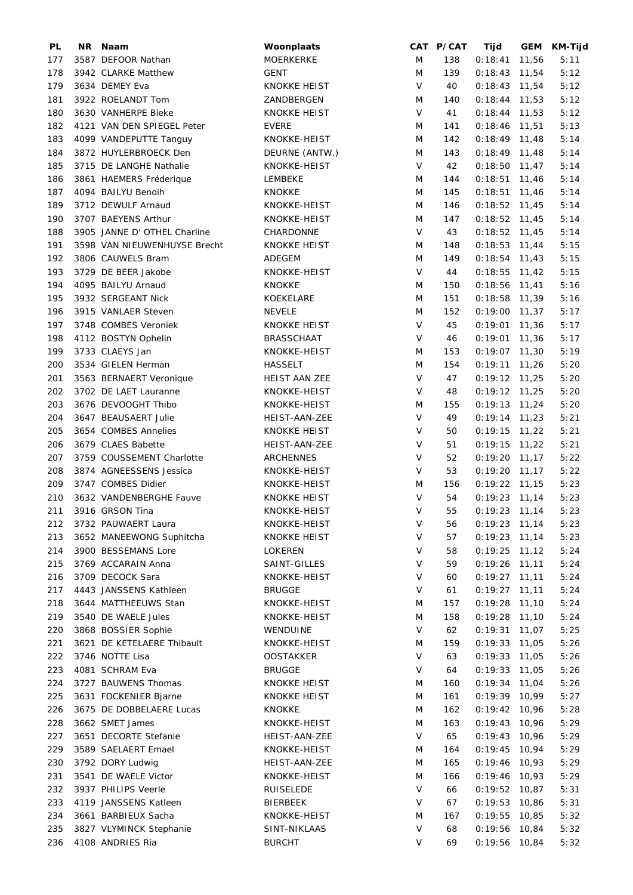| PL  | NR Naam                      | Woonplaats          |        | CAT P/CAT | Tijd                               |       | GEM KM-Tijd |
|-----|------------------------------|---------------------|--------|-----------|------------------------------------|-------|-------------|
| 177 | 3587 DEFOOR Nathan           | MOERKERKE           | M      | 138       | $0:18:41$ 11,56                    |       | 5:11        |
| 178 | 3942 CLARKE Matthew          | <b>GENT</b>         | M      | 139       | $0:18:43$ 11,54                    |       | 5:12        |
| 179 | 3634 DEMEY Eva               | <b>KNOKKE HEIST</b> | $\vee$ | 40        | $0:18:43$ 11,54                    |       | 5:12        |
| 181 | 3922 ROELANDT Tom            | ZANDBERGEN          | M      | 140       | $0:18:44$ 11,53                    |       | 5:12        |
| 180 | 3630 VANHERPE Bieke          | <b>KNOKKE HEIST</b> | $\vee$ | 41        | $0:18:44$ 11,53                    |       | 5:12        |
| 182 | 4121 VAN DEN SPIEGEL Peter   | <b>EVERE</b>        | M      | 141       | $0:18:46$ 11,51                    |       | 5:13        |
| 183 | 4099 VANDEPUTTE Tanguy       | KNOKKE-HEIST        | M      | 142       | $0:18:49$ 11,48                    |       | 5:14        |
| 184 | 3872 HUYLERBROECK Den        | DEURNE (ANTW.)      | M      | 143       | $0:18:49$ 11,48                    |       | 5:14        |
| 185 | 3715 DE LANGHE Nathalie      | KNOKKE-HEIST        | V      | 42        | $0:18:50$ 11,47                    |       | 5:14        |
| 186 | 3861 HAEMERS Fréderique      | LEMBEKE             | M      | 144       | $0:18:51$ 11,46                    |       | 5:14        |
| 187 | 4094 BAILYU Benoih           | <b>KNOKKE</b>       | M      | 145       | $0:18:51$ 11,46                    |       | 5:14        |
| 189 | 3712 DEWULF Arnaud           | KNOKKE-HEIST        | M      | 146       | $0:18:52$ 11,45                    |       | 5:14        |
| 190 | 3707 BAEYENS Arthur          | KNOKKE-HEIST        | M      | 147       | $0:18:52$ 11,45                    |       | 5:14        |
| 188 | 3905 JANNE D' OTHEL Charline | CHARDONNE           | V      | 43        | $0:18:52$ 11,45                    |       | 5:14        |
| 191 | 3598 VAN NIEUWENHUYSE Brecht | <b>KNOKKE HEIST</b> | M      | 148       | $0:18:53$ 11,44                    |       | 5:15        |
| 192 | 3806 CAUWELS Bram            | ADEGEM              | M      | 149       | $0:18:54$ 11,43                    |       | 5:15        |
| 193 | 3729 DE BEER Jakobe          | KNOKKE-HEIST        | V      | 44        | $0:18:55$ 11,42                    |       | 5:15        |
|     | 4095 BAILYU Arnaud           |                     |        |           |                                    |       |             |
| 194 | 3932 SERGEANT Nick           | <b>KNOKKE</b>       | M      | 150       | $0:18:56$ 11,41<br>$0:18:58$ 11,39 |       | 5:16        |
| 195 |                              | KOEKELARE           | M      | 151       |                                    |       | 5:16        |
| 196 | 3915 VANLAER Steven          | <b>NEVELE</b>       | M      | 152       | $0:19:00$ 11,37                    |       | 5:17        |
| 197 | 3748 COMBES Veroniek         | <b>KNOKKE HEIST</b> | V      | 45        | $0:19:01$ 11,36                    |       | 5:17        |
| 198 | 4112 BOSTYN Ophelin          | <b>BRASSCHAAT</b>   | V      | 46        | $0:19:01$ 11,36                    |       | 5:17        |
| 199 | 3733 CLAEYS Jan              | KNOKKE-HEIST        | M      | 153       | $0:19:07$ 11,30                    |       | 5:19        |
| 200 | 3534 GIELEN Herman           | <b>HASSELT</b>      | M      | 154       | $0:19:11$ 11,26                    |       | 5:20        |
| 201 | 3563 BERNAERT Veronique      | HEIST AAN ZEE       | $\vee$ | 47        | $0:19:12$ 11,25                    |       | 5:20        |
| 202 | 3702 DE LAET Lauranne        | KNOKKE-HEIST        | V      | 48        | $0:19:12$ 11,25                    |       | 5:20        |
| 203 | 3676 DEVOOGHT Thibo          | KNOKKE-HEIST        | M      | 155       | $0:19:13$ 11,24                    |       | 5:20        |
| 204 | 3647 BEAUSAERT Julie         | HEIST-AAN-ZEE       | $\vee$ | 49        | $0:19:14$ 11,23                    |       | 5:21        |
| 205 | 3654 COMBES Annelies         | <b>KNOKKE HEIST</b> | $\vee$ | 50        | $0:19:15$ 11,22                    |       | 5:21        |
| 206 | 3679 CLAES Babette           | HEIST-AAN-ZEE       | $\vee$ | 51        | $0:19:15$ 11,22                    |       | 5:21        |
| 207 | 3759 COUSSEMENT Charlotte    | ARCHENNES           | $\vee$ | 52        | $0:19:20$ 11,17                    |       | 5:22        |
| 208 | 3874 AGNEESSENS Jessica      | KNOKKE-HEIST        | V      | 53        | $0:19:20$ 11,17                    |       | 5:22        |
| 209 | 3747 COMBES Didier           | KNOKKE-HEIST        | M      | 156       | $0:19:22$ 11,15                    |       | 5:23        |
| 210 | 3632 VANDENBERGHE Fauve      | <b>KNOKKE HEIST</b> | V      | 54        | $0:19:23$ 11,14                    |       | 5:23        |
| 211 | 3916 GRSON Tina              | KNOKKE-HEIST        | V      | 55        | $0:19:23$ 11,14                    |       | 5:23        |
| 212 | 3732 PAUWAERT Laura          | KNOKKE-HEIST        | $\vee$ | 56        | $0:19:23$ 11,14                    |       | 5:23        |
| 213 | 3652 MANEEWONG Suphitcha     | KNOKKE HEIST        | V      | 57        | $0:19:23$ 11,14                    |       | 5:23        |
| 214 | 3900 BESSEMANS Lore          | <b>LOKEREN</b>      | V      | 58        | $0:19:25$ 11,12                    |       | 5:24        |
| 215 | 3769 ACCARAIN Anna           | SAINT-GILLES        | V      | 59        | $0:19:26$ 11,11                    |       | 5:24        |
| 216 | 3709 DECOCK Sara             | KNOKKE-HEIST        | V      | 60        | $0:19:27$ 11,11                    |       | 5:24        |
| 217 | 4443 JANSSENS Kathleen       | <b>BRUGGE</b>       | $\vee$ | 61        | 0:19:27                            | 11,11 | 5:24        |
| 218 | 3644 MATTHEEUWS Stan         | KNOKKE-HEIST        | M      | 157       | 0:19:28                            | 11,10 | 5:24        |
| 219 | 3540 DE WAELE Jules          | KNOKKE-HEIST        | M      | 158       | $0:19:28$ 11,10                    |       | 5:24        |
| 220 | 3868 BOSSIER Sophie          | WENDUINE            | V      | 62        | $0:19:31$ 11,07                    |       | 5:25        |
| 221 | 3621 DE KETELAERE Thibault   | KNOKKE-HEIST        | M      | 159       | $0:19:33$ 11,05                    |       | 5:26        |
| 222 | 3746 NOTTE Lisa              | <b>OOSTAKKER</b>    | V      | 63        | $0:19:33$ 11,05                    |       | 5:26        |
| 223 | 4081 SCHRAM Eva              | <b>BRUGGE</b>       | V      | 64        | $0:19:33$ 11,05                    |       | 5:26        |
| 224 | 3727 BAUWENS Thomas          | <b>KNOKKE HEIST</b> | M      | 160       | 0:19:34                            | 11,04 | 5:26        |
| 225 | 3631 FOCKENIER Bjarne        | <b>KNOKKE HEIST</b> | M      | 161       | $0:19:39$ 10,99                    |       | 5:27        |
| 226 | 3675 DE DOBBELAERE Lucas     | KNOKKE              | M      | 162       | $0:19:42$ 10,96                    |       | 5:28        |
| 228 | 3662 SMET James              | KNOKKE-HEIST        | M      | 163       | $0:19:43$ 10,96                    |       | 5:29        |
| 227 | 3651 DECORTE Stefanie        | HEIST-AAN-ZEE       | V      | 65        | $0:19:43$ 10,96                    |       | 5:29        |
| 229 | 3589 SAELAERT Emael          | KNOKKE-HEIST        | M      | 164       | $0:19:45$ 10,94                    |       | 5:29        |
|     |                              | HEIST-AAN-ZEE       | M      |           | $0:19:46$ 10,93                    |       |             |
| 230 | 3792 DORY Ludwig             |                     |        | 165       |                                    |       | 5:29        |
| 231 | 3541 DE WAELE Victor         | KNOKKE-HEIST        | M      | 166       | $0:19:46$ 10,93                    |       | 5:29        |
| 232 | 3937 PHILIPS Veerle          | RUISELEDE           | V      | 66        | $0:19:52$ 10,87                    |       | 5:31        |
| 233 | 4119 JANSSENS Katleen        | <b>BIERBEEK</b>     | V      | 67        | $0:19:53$ 10,86                    |       | 5:31        |
| 234 | 3661 BARBIEUX Sacha          | KNOKKE-HEIST        | M      | 167       | $0:19:55$ 10,85                    |       | 5:32        |
| 235 | 3827 VLYMINCK Stephanie      | SINT-NIKLAAS        | V      | 68        | 0:19:56                            | 10,84 | 5:32        |
| 236 | 4108 ANDRIES Ria             | <b>BURCHT</b>       | V      | 69        | $0:19:56$ 10,84                    |       | 5:32        |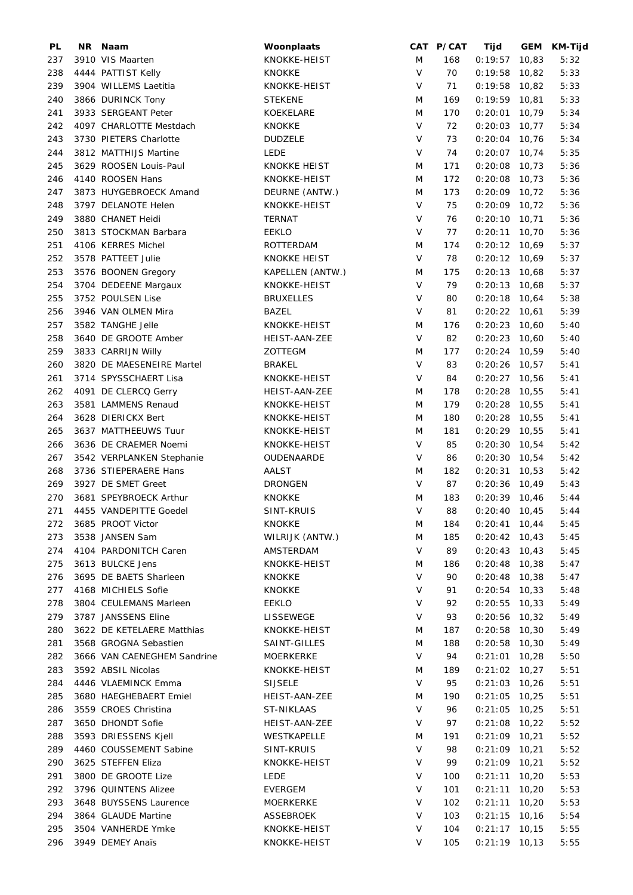| PL  | NR Naam                     | Woonplaats                   |        | CAT P/CAT | Tijd            |       | GEM KM-Tijd |
|-----|-----------------------------|------------------------------|--------|-----------|-----------------|-------|-------------|
| 237 | 3910 VIS Maarten            | KNOKKE-HEIST                 | M      | 168       | 0:19:57         | 10,83 | 5:32        |
| 238 | 4444 PATTIST Kelly          | <b>KNOKKE</b>                | $\vee$ | 70        | $0:19:58$ 10,82 |       | 5:33        |
| 239 | 3904 WILLEMS Laetitia       | KNOKKE-HEIST                 | $\vee$ | 71        | $0:19:58$ 10,82 |       | 5:33        |
| 240 | 3866 DURINCK Tony           | <b>STEKENE</b>               | M      | 169       | $0:19:59$ 10,81 |       | 5:33        |
| 241 | 3933 SERGEANT Peter         | <b>KOEKELARE</b>             | M      | 170       | 0:20:01         | 10,79 | 5:34        |
| 242 | 4097 CHARLOTTE Mestdach     | <b>KNOKKE</b>                | $\vee$ | 72        | $0:20:03$ 10,77 |       | 5:34        |
| 243 | 3730 PIETERS Charlotte      | <b>DUDZELE</b>               | $\vee$ | 73        | $0:20:04$ 10,76 |       | 5:34        |
| 244 | 3812 MATTHIJS Martine       | LEDE                         | V      | 74        | $0:20:07$ 10,74 |       | 5:35        |
| 245 | 3629 ROOSEN Louis-Paul      | <b>KNOKKE HEIST</b>          | M      | 171       | $0:20:08$ 10,73 |       | 5:36        |
|     |                             |                              |        |           |                 |       |             |
| 246 | 4140 ROOSEN Hans            | KNOKKE-HEIST                 | M      | 172       | $0:20:08$ 10,73 |       | 5:36        |
| 247 | 3873 HUYGEBROECK Amand      | DEURNE (ANTW.)               | M      | 173       | $0:20:09$ 10,72 |       | 5:36        |
| 248 | 3797 DELANOTE Helen         | KNOKKE-HEIST                 | $\vee$ | 75        | $0:20:09$ 10,72 |       | 5:36        |
| 249 | 3880 CHANET Heidi           | <b>TERNAT</b>                | $\vee$ | 76        | $0:20:10$ 10,71 |       | 5:36        |
| 250 | 3813 STOCKMAN Barbara       | EEKLO                        | $\vee$ | 77        | $0:20:11$ 10,70 |       | 5:36        |
| 251 | 4106 KERRES Michel          | ROTTERDAM                    | M      | 174       | $0:20:12$ 10,69 |       | 5:37        |
| 252 | 3578 PATTEET Julie          | <b>KNOKKE HEIST</b>          | $\vee$ | 78        | $0:20:12$ 10,69 |       | 5:37        |
| 253 | 3576 BOONEN Gregory         | KAPELLEN (ANTW.)             | M      | 175       | $0:20:13$ 10,68 |       | 5:37        |
| 254 | 3704 DEDEENE Margaux        | KNOKKE-HEIST                 | $\vee$ | 79        | $0:20:13$ 10,68 |       | 5:37        |
| 255 | 3752 POULSEN Lise           | <b>BRUXELLES</b>             | $\vee$ | 80        | $0:20:18$ 10,64 |       | 5:38        |
| 256 | 3946 VAN OLMEN Mira         | BAZEL                        | $\vee$ | 81        | $0:20:22$ 10,61 |       | 5:39        |
| 257 | 3582 TANGHE Jelle           | KNOKKE-HEIST                 | M      | 176       | $0:20:23$ 10,60 |       | 5:40        |
| 258 | 3640 DE GROOTE Amber        | HEIST-AAN-ZEE                | $\vee$ | 82        | $0:20:23$ 10,60 |       | 5:40        |
| 259 | 3833 CARRIJN Willy          | ZOTTEGM                      | M      | 177       | $0:20:24$ 10,59 |       | 5:40        |
| 260 | 3820 DE MAESENEIRE Martel   | <b>BRAKEL</b>                | $\vee$ | 83        | $0:20:26$ 10,57 |       | 5:41        |
| 261 | 3714 SPYSSCHAERT Lisa       | KNOKKE-HEIST                 | $\vee$ | 84        | $0:20:27$ 10,56 |       | 5:41        |
| 262 | 4091 DE CLERCQ Gerry        | HEIST-AAN-ZEE                | M      | 178       | $0:20:28$ 10,55 |       | 5:41        |
| 263 | 3581 LAMMENS Renaud         | KNOKKE-HEIST                 | M      | 179       | $0:20:28$ 10,55 |       | 5:41        |
| 264 | 3628 DIERICKX Bert          | KNOKKE-HEIST                 | M      | 180       | $0:20:28$ 10,55 |       | 5:41        |
| 265 | 3637 MATTHEEUWS Tuur        |                              | M      | 181       | $0:20:29$ 10,55 |       |             |
|     | 3636 DE CRAEMER Noemi       | KNOKKE-HEIST<br>KNOKKE-HEIST | $\vee$ | 85        |                 |       | 5:41        |
| 266 |                             |                              | $\vee$ |           | $0:20:30$ 10,54 |       | 5:42        |
| 267 | 3542 VERPLANKEN Stephanie   | OUDENAARDE                   |        | 86        | $0:20:30$ 10,54 |       | 5:42        |
| 268 | 3736 STIEPERAERE Hans       | AALST                        | M      | 182       | $0:20:31$ 10,53 |       | 5:42        |
| 269 | 3927 DE SMET Greet          | <b>DRONGEN</b>               | V      | 87        | $0:20:36$ 10,49 |       | 5:43        |
| 270 | 3681 SPEYBROECK Arthur      | <b>KNOKKE</b>                | M      | 183       | $0:20:39$ 10,46 |       | 5:44        |
| 271 | 4455 VANDEPITTE Goedel      | SINT-KRUIS                   | V      | 88        | $0:20:40$ 10,45 |       | 5:44        |
| 272 | 3685 PROOT Victor           | <b>KNOKKE</b>                | M      | 184       | $0:20:41$ 10,44 |       | 5:45        |
| 273 | 3538 JANSEN Sam             | WILRIJK (ANTW.)              | M      | 185       | $0:20:42$ 10,43 |       | 5:45        |
| 274 | 4104 PARDONITCH Caren       | AMSTERDAM                    | V      | 89        | $0:20:43$ 10,43 |       | 5:45        |
| 275 | 3613 BULCKE Jens            | KNOKKE-HEIST                 | M      | 186       | $0:20:48$ 10,38 |       | 5:47        |
| 276 | 3695 DE BAETS Sharleen      | KNOKKE                       | V      | 90        | $0:20:48$ 10,38 |       | 5:47        |
| 277 | 4168 MICHIELS Sofie         | KNOKKE                       | V      | 91        | $0:20:54$ 10,33 |       | 5:48        |
| 278 | 3804 CEULEMANS Marleen      | <b>EEKLO</b>                 | V      | 92        | $0:20:55$ 10,33 |       | 5:49        |
| 279 | 3787 JANSSENS Eline         | LISSEWEGE                    | V      | 93        | $0:20:56$ 10,32 |       | 5:49        |
| 280 | 3622 DE KETELAERE Matthias  | KNOKKE-HEIST                 | M      | 187       | $0:20:58$ 10,30 |       | 5:49        |
| 281 | 3568 GROGNA Sebastien       | SAINT-GILLES                 | M      | 188       | $0:20:58$ 10,30 |       | 5:49        |
| 282 | 3666 VAN CAENEGHEM Sandrine | MOERKERKE                    | V      | 94        | $0:21:01$ 10,28 |       | 5:50        |
| 283 | 3592 ABSIL Nicolas          | KNOKKE-HEIST                 | M      | 189       | $0:21:02$ 10,27 |       | 5:51        |
| 284 | 4446 VLAEMINCK Emma         | <b>SIJSELE</b>               | V      | 95        | $0:21:03$ 10,26 |       | 5:51        |
| 285 | 3680 HAEGHEBAERT Emiel      |                              | M      | 190       | $0:21:05$ 10,25 |       |             |
|     |                             | HEIST-AAN-ZEE                | $\vee$ |           |                 |       | 5:51        |
| 286 | 3559 CROES Christina        | ST-NIKLAAS                   |        | 96        | $0:21:05$ 10,25 |       | 5:51        |
| 287 | 3650 DHONDT Sofie           | HEIST-AAN-ZEE                | V      | 97        | $0:21:08$ 10,22 |       | 5:52        |
| 288 | 3593 DRIESSENS Kjell        | WESTKAPELLE                  | M      | 191       | $0:21:09$ 10,21 |       | 5:52        |
| 289 | 4460 COUSSEMENT Sabine      | SINT-KRUIS                   | V      | 98        | $0:21:09$ 10,21 |       | 5:52        |
| 290 | 3625 STEFFEN Eliza          | KNOKKE-HEIST                 | V      | 99        | $0:21:09$ 10,21 |       | 5:52        |
| 291 | 3800 DE GROOTE Lize         | <b>LEDE</b>                  | $\vee$ | 100       | $0:21:11$ 10,20 |       | 5:53        |
| 292 | 3796 QUINTENS Alizee        | <b>EVERGEM</b>               | $\vee$ | 101       | $0:21:11$ 10,20 |       | 5:53        |
| 293 | 3648 BUYSSENS Laurence      | MOERKERKE                    | $\vee$ | 102       | $0:21:11$ 10,20 |       | 5:53        |
| 294 | 3864 GLAUDE Martine         | ASSEBROEK                    | V      | 103       | $0:21:15$ 10,16 |       | 5:54        |
| 295 | 3504 VANHERDE Ymke          | KNOKKE-HEIST                 | V      | 104       | $0:21:17$ 10,15 |       | 5:55        |
| 296 | 3949 DEMEY Anaïs            | KNOKKE-HEIST                 | V      | 105       | $0:21:19$ 10,13 |       | 5:55        |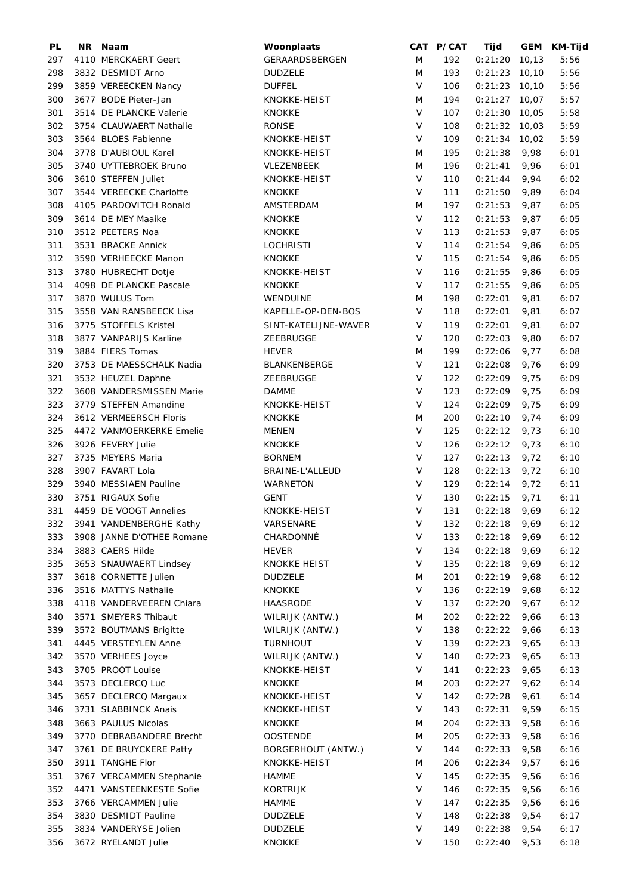| PL  | NR | Naam                      | Woonplaats           |              | CAT P/CAT | Tijd            | GEM    | KM-Tijd |
|-----|----|---------------------------|----------------------|--------------|-----------|-----------------|--------|---------|
| 297 |    | 4110 MERCKAERT Geert      | GERAARDSBERGEN       | M            | 192       | 0:21:20         | 10, 13 | 5:56    |
| 298 |    | 3832 DESMIDT Arno         | <b>DUDZELE</b>       | M            | 193       | $0:21:23$ 10,10 |        | 5:56    |
| 299 |    | 3859 VEREECKEN Nancy      | <b>DUFFEL</b>        | $\vee$       | 106       | $0:21:23$ 10,10 |        | 5:56    |
| 300 |    | 3677 BODE Pieter-Jan      | KNOKKE-HEIST         | M            | 194       | $0:21:27$ 10,07 |        | 5:57    |
| 301 |    | 3514 DE PLANCKE Valerie   | <b>KNOKKE</b>        | $\vee$       | 107       | $0:21:30$ 10,05 |        | 5:58    |
| 302 |    | 3754 CLAUWAERT Nathalie   | <b>RONSE</b>         | $\vee$       | 108       | $0:21:32$ 10,03 |        | 5:59    |
| 303 |    | 3564 BLOES Fabienne       | KNOKKE-HEIST         | $\vee$       | 109       | $0:21:34$ 10,02 |        | 5:59    |
|     |    | 3778 D'AUBIOUL Karel      | KNOKKE-HEIST         |              |           |                 |        |         |
| 304 |    |                           |                      | M            | 195       | 0:21:38         | 9,98   | 6:01    |
| 305 |    | 3740 UYTTEBROEK Bruno     | VLEZENBEEK           | M            | 196       | 0:21:41         | 9,96   | 6:01    |
| 306 |    | 3610 STEFFEN Juliet       | KNOKKE-HEIST         | V            | 110       | 0:21:44         | 9,94   | 6:02    |
| 307 |    | 3544 VEREECKE Charlotte   | <b>KNOKKE</b>        | V            | 111       | 0:21:50         | 9,89   | 6:04    |
| 308 |    | 4105 PARDOVITCH Ronald    | AMSTERDAM            | M            | 197       | 0:21:53         | 9,87   | 6:05    |
| 309 |    | 3614 DE MEY Maaike        | <b>KNOKKE</b>        | V            | 112       | 0:21:53         | 9,87   | 6:05    |
| 310 |    | 3512 PEETERS Noa          | <b>KNOKKE</b>        | V            | 113       | 0:21:53         | 9,87   | 6:05    |
| 311 |    | 3531 BRACKE Annick        | <b>LOCHRISTI</b>     | $\vee$       | 114       | 0:21:54         | 9,86   | 6:05    |
| 312 |    | 3590 VERHEECKE Manon      | <b>KNOKKE</b>        | V            | 115       | 0:21:54         | 9,86   | 6:05    |
| 313 |    | 3780 HUBRECHT Dotje       | KNOKKE-HEIST         | $\vee$       | 116       | 0:21:55         | 9,86   | 6:05    |
| 314 |    | 4098 DE PLANCKE Pascale   | <b>KNOKKE</b>        | $\vee$       | 117       | 0:21:55         | 9,86   | 6:05    |
| 317 |    | 3870 WULUS Tom            | WENDUINE             | M            | 198       | 0:22:01         | 9,81   | 6:07    |
| 315 |    | 3558 VAN RANSBEECK Lisa   | KAPELLE-OP-DEN-BOS   | $\vee$       | 118       | 0:22:01         | 9,81   | 6:07    |
| 316 |    | 3775 STOFFELS Kristel     | SINT-KATELIJNE-WAVER | V            | 119       | 0:22:01         | 9,81   | 6:07    |
|     |    |                           |                      | V            |           |                 |        |         |
| 318 |    | 3877 VANPARIJS Karline    | ZEEBRUGGE            |              | 120       | 0:22:03         | 9,80   | 6:07    |
| 319 |    | 3884 FIERS Tomas          | <b>HEVER</b>         | M            | 199       | 0:22:06         | 9,77   | 6:08    |
| 320 |    | 3753 DE MAESSCHALK Nadia  | BLANKENBERGE         | V            | 121       | 0:22:08         | 9,76   | 6:09    |
| 321 |    | 3532 HEUZEL Daphne        | ZEEBRUGGE            | V            | 122       | 0:22:09         | 9,75   | 6:09    |
| 322 |    | 3608 VANDERSMISSEN Marie  | <b>DAMME</b>         | $\vee$       | 123       | 0:22:09         | 9,75   | 6:09    |
| 323 |    | 3779 STEFFEN Amandine     | KNOKKE-HEIST         | $\vee$       | 124       | 0:22:09         | 9,75   | 6:09    |
| 324 |    | 3612 VERMEERSCH Floris    | <b>KNOKKE</b>        | M            | 200       | 0:22:10         | 9,74   | 6:09    |
| 325 |    | 4472 VANMOERKERKE Emelie  | <b>MENEN</b>         | $\vee$       | 125       | 0:22:12         | 9,73   | 6:10    |
| 326 |    | 3926 FEVERY Julie         | KNOKKE               | $\vee$       | 126       | 0:22:12         | 9,73   | 6:10    |
| 327 |    | 3735 MEYERS Maria         | <b>BORNEM</b>        | $\vee$       | 127       | 0:22:13         | 9,72   | 6:10    |
| 328 |    | 3907 FAVART Lola          | BRAINE-L'ALLEUD      | $\vee$       | 128       | 0:22:13         | 9,72   | 6:10    |
| 329 |    | 3940 MESSIAEN Pauline     | <b>WARNETON</b>      | V            | 129       | 0:22:14         | 9,72   | 6:11    |
| 330 |    | 3751 RIGAUX Sofie         | <b>GENT</b>          | V            | 130       | 0:22:15         | 9,71   | 6:11    |
| 331 |    | 4459 DE VOOGT Annelies    | KNOKKE-HEIST         | $\vee$       | 131       | 0:22:18         | 9,69   | 6:12    |
| 332 |    | 3941 VANDENBERGHE Kathy   | VARSENARE            | $\mathsf{V}$ | 132       | 0:22:18         | 9,69   | 6:12    |
| 333 |    |                           | CHARDONNÉ            | V            | 133       |                 |        | 6:12    |
|     |    | 3908 JANNE D'OTHEE Romane |                      |              |           | 0:22:18         | 9,69   |         |
| 334 |    | 3883 CAERS Hilde          | <b>HEVER</b>         | $\vee$       | 134       | 0:22:18         | 9,69   | 6:12    |
| 335 |    | 3653 SNAUWAERT Lindsey    | KNOKKE HEIST         | V            | 135       | 0:22:18         | 9,69   | 6:12    |
| 337 |    | 3618 CORNETTE Julien      | <b>DUDZELE</b>       | M            | 201       | 0:22:19         | 9,68   | 6:12    |
| 336 |    | 3516 MATTYS Nathalie      | <b>KNOKKE</b>        | V            | 136       | 0:22:19         | 9,68   | 6:12    |
| 338 |    | 4118 VANDERVEEREN Chiara  | <b>HAASRODE</b>      | V            | 137       | 0:22:20         | 9,67   | 6:12    |
| 340 |    | 3571 SMEYERS Thibaut      | WILRIJK (ANTW.)      | M            | 202       | 0:22:22         | 9,66   | 6:13    |
| 339 |    | 3572 BOUTMANS Brigitte    | WILRIJK (ANTW.)      | V            | 138       | 0:22:22         | 9,66   | 6:13    |
| 341 |    | 4445 VERSTEYLEN Anne      | <b>TURNHOUT</b>      | V            | 139       | 0:22:23         | 9,65   | 6:13    |
| 342 |    | 3570 VERHEES Joyce        | WILRIJK (ANTW.)      | V            | 140       | 0:22:23         | 9,65   | 6:13    |
| 343 |    | 3705 PROOT Louise         | KNOKKE-HEIST         | V            | 141       | 0:22:23         | 9,65   | 6:13    |
| 344 |    | 3573 DECLERCQ Luc         | KNOKKE               | M            | 203       | 0:22:27         | 9,62   | 6:14    |
| 345 |    | 3657 DECLERCQ Margaux     | KNOKKE-HEIST         | V            | 142       | 0:22:28         | 9,61   | 6:14    |
| 346 |    | 3731 SLABBINCK Anais      | KNOKKE-HEIST         | V            | 143       | 0:22:31         | 9,59   | 6:15    |
| 348 |    | 3663 PAULUS Nicolas       | <b>KNOKKE</b>        | M            | 204       | 0:22:33         | 9,58   | 6:16    |
| 349 |    | 3770 DEBRABANDERE Brecht  | <b>OOSTENDE</b>      | M            |           | 0:22:33         | 9,58   | 6:16    |
|     |    |                           |                      | V            | 205       |                 |        |         |
| 347 |    | 3761 DE BRUYCKERE Patty   | BORGERHOUT (ANTW.)   |              | 144       | 0:22:33         | 9,58   | 6:16    |
| 350 |    | 3911 TANGHE Flor          | KNOKKE-HEIST         | M            | 206       | 0:22:34         | 9,57   | 6:16    |
| 351 |    | 3767 VERCAMMEN Stephanie  | HAMME                | V            | 145       | 0:22:35         | 9,56   | 6:16    |
| 352 |    | 4471 VANSTEENKESTE Sofie  | <b>KORTRIJK</b>      | V            | 146       | 0:22:35         | 9,56   | 6:16    |
| 353 |    | 3766 VERCAMMEN Julie      | HAMME                | V            | 147       | 0:22:35         | 9,56   | 6:16    |
| 354 |    | 3830 DESMIDT Pauline      | <b>DUDZELE</b>       | V            | 148       | 0:22:38         | 9,54   | 6:17    |
| 355 |    | 3834 VANDERYSE Jolien     | <b>DUDZELE</b>       | V            | 149       | 0:22:38         | 9,54   | 6:17    |
| 356 |    | 3672 RYELANDT Julie       | <b>KNOKKE</b>        | $\vee$       | 150       | 0:22:40         | 9,53   | 6:18    |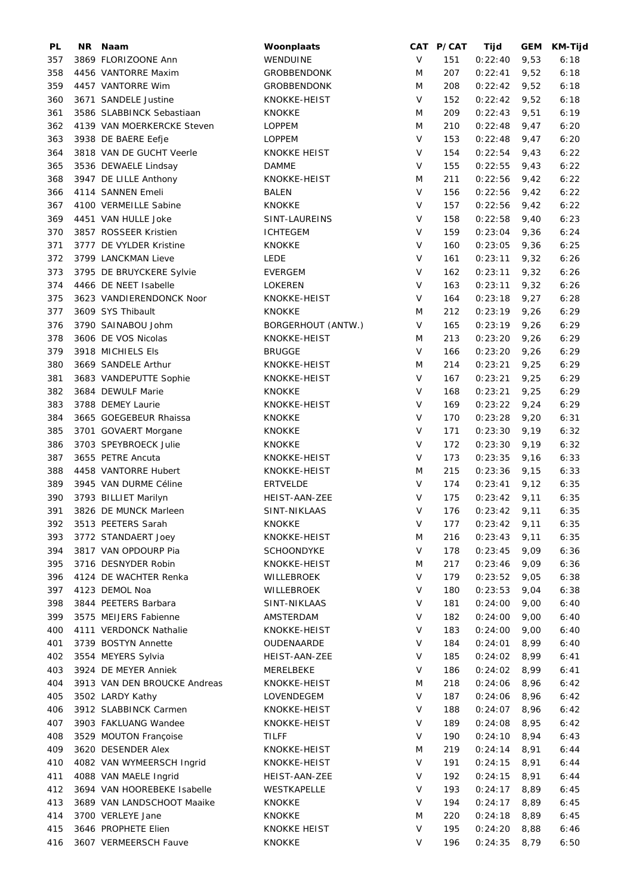| PL  | NR Naam                      | Woonplaats          |         | CAT P/CAT | Tijd    | <b>GEM</b> | KM-Tijd |
|-----|------------------------------|---------------------|---------|-----------|---------|------------|---------|
| 357 | 3869 FLORIZOONE Ann          | WENDUINE            | $\vee$  | 151       | 0:22:40 | 9,53       | 6:18    |
| 358 | 4456 VANTORRE Maxim          | <b>GROBBENDONK</b>  | M       | 207       | 0:22:41 | 9,52       | 6:18    |
| 359 | 4457 VANTORRE Wim            | <b>GROBBENDONK</b>  | M       | 208       | 0:22:42 | 9,52       | 6:18    |
| 360 | 3671 SANDELE Justine         | KNOKKE-HEIST        | $\vee$  | 152       | 0:22:42 | 9,52       | 6:18    |
| 361 | 3586 SLABBINCK Sebastiaan    | <b>KNOKKE</b>       | M       | 209       | 0:22:43 | 9,51       | 6:19    |
| 362 | 4139 VAN MOERKERCKE Steven   | <b>LOPPEM</b>       | M       | 210       | 0:22:48 | 9,47       | 6:20    |
| 363 | 3938 DE BAERE Eefje          | <b>LOPPEM</b>       | V       | 153       | 0:22:48 | 9,47       | 6:20    |
| 364 | 3818 VAN DE GUCHT Veerle     | <b>KNOKKE HEIST</b> | V       | 154       | 0:22:54 | 9,43       | 6:22    |
| 365 | 3536 DEWAELE Lindsay         | <b>DAMME</b>        | $\vee$  | 155       | 0:22:55 | 9,43       | 6:22    |
| 368 | 3947 DE LILLE Anthony        | KNOKKE-HEIST        | M       | 211       | 0:22:56 | 9,42       | 6:22    |
| 366 | 4114 SANNEN Emeli            | <b>BALEN</b>        | V       | 156       | 0:22:56 | 9,42       | 6:22    |
| 367 | 4100 VERMEILLE Sabine        | <b>KNOKKE</b>       | $\vee$  | 157       | 0:22:56 | 9,42       | 6:22    |
| 369 | 4451 VAN HULLE Joke          | SINT-LAUREINS       | $\vee$  | 158       | 0:22:58 | 9,40       | 6:23    |
| 370 | 3857 ROSSEER Kristien        | <b>ICHTEGEM</b>     | V       | 159       | 0:23:04 | 9,36       | 6:24    |
| 371 | 3777 DE VYLDER Kristine      | <b>KNOKKE</b>       | $\vee$  | 160       | 0:23:05 | 9,36       | 6:25    |
| 372 | 3799 LANCKMAN Lieve          | <b>LEDE</b>         | $\sf V$ | 161       | 0:23:11 | 9,32       | 6:26    |
| 373 | 3795 DE BRUYCKERE Sylvie     | <b>EVERGEM</b>      | $\vee$  | 162       | 0:23:11 | 9,32       | 6:26    |
| 374 | 4466 DE NEET Isabelle        | <b>LOKEREN</b>      | $\vee$  | 163       | 0:23:11 | 9,32       | 6:26    |
| 375 | 3623 VANDIERENDONCK Noor     | KNOKKE-HEIST        | $\vee$  | 164       | 0:23:18 |            | 6:28    |
|     |                              |                     |         |           |         | 9,27       |         |
| 377 | 3609 SYS Thibault            | <b>KNOKKE</b>       | M       | 212       | 0:23:19 | 9,26       | 6:29    |
| 376 | 3790 SAINABOU Johm           | BORGERHOUT (ANTW.)  | V       | 165       | 0:23:19 | 9,26       | 6:29    |
| 378 | 3606 DE VOS Nicolas          | KNOKKE-HEIST        | M       | 213       | 0:23:20 | 9,26       | 6:29    |
| 379 | 3918 MICHIELS Els            | <b>BRUGGE</b>       | V       | 166       | 0:23:20 | 9,26       | 6:29    |
| 380 | 3669 SANDELE Arthur          | KNOKKE-HEIST        | M       | 214       | 0:23:21 | 9,25       | 6:29    |
| 381 | 3683 VANDEPUTTE Sophie       | KNOKKE-HEIST        | $\vee$  | 167       | 0:23:21 | 9,25       | 6:29    |
| 382 | 3684 DEWULF Marie            | <b>KNOKKE</b>       | $\vee$  | 168       | 0:23:21 | 9,25       | 6:29    |
| 383 | 3788 DEMEY Laurie            | KNOKKE-HEIST        | $\vee$  | 169       | 0:23:22 | 9,24       | 6:29    |
| 384 | 3665 GOEGEBEUR Rhaissa       | <b>KNOKKE</b>       | $\vee$  | 170       | 0:23:28 | 9,20       | 6:31    |
| 385 | 3701 GOVAERT Morgane         | <b>KNOKKE</b>       | $\vee$  | 171       | 0:23:30 | 9,19       | 6:32    |
| 386 | 3703 SPEYBROECK Julie        | <b>KNOKKE</b>       | $\vee$  | 172       | 0:23:30 | 9,19       | 6:32    |
| 387 | 3655 PETRE Ancuta            | KNOKKE-HEIST        | $\vee$  | 173       | 0:23:35 | 9,16       | 6:33    |
| 388 | 4458 VANTORRE Hubert         | KNOKKE-HEIST        | M       | 215       | 0:23:36 | 9,15       | 6:33    |
| 389 | 3945 VAN DURME Céline        | <b>ERTVELDE</b>     | V       | 174       | 0:23:41 | 9,12       | 6:35    |
| 390 | 3793 BILLIET Marilyn         | HEIST-AAN-ZEE       | V       | 175       | 0:23:42 | 9,11       | 6:35    |
| 391 | 3826 DE MUNCK Marleen        | SINT-NIKLAAS        | V       | 176       | 0:23:42 | 9,11       | 6:35    |
| 392 | 3513 PEETERS Sarah           | <b>KNOKKE</b>       | $\vee$  | 177       | 0:23:42 | 9,11       | 6:35    |
| 393 | 3772 STANDAERT Joey          | KNOKKE-HEIST        | M       | 216       | 0:23:43 | 9,11       | 6:35    |
| 394 | 3817 VAN OPDOURP Pia         | <b>SCHOONDYKE</b>   | V       | 178       | 0:23:45 | 9,09       | 6:36    |
| 395 | 3716 DESNYDER Robin          | KNOKKE-HEIST        | M       | 217       | 0:23:46 | 9,09       | 6:36    |
| 396 | 4124 DE WACHTER Renka        | WILLEBROEK          | $\vee$  | 179       | 0:23:52 | 9,05       | 6:38    |
| 397 | 4123 DEMOL Noa               | WILLEBROEK          | $\vee$  | 180       | 0:23:53 | 9,04       | 6:38    |
| 398 | 3844 PEETERS Barbara         | SINT-NIKLAAS        | V       | 181       | 0:24:00 | 9,00       | 6:40    |
| 399 | 3575 MEIJERS Fabienne        | AMSTERDAM           | V       | 182       | 0:24:00 | 9,00       | 6:40    |
| 400 | 4111 VERDONCK Nathalie       | KNOKKE-HEIST        | V       | 183       | 0:24:00 | 9,00       | 6:40    |
| 401 | 3739 BOSTYN Annette          | OUDENAARDE          | V       | 184       | 0:24:01 | 8,99       | 6:40    |
| 402 | 3554 MEYERS Sylvia           |                     | V       |           | 0:24:02 |            |         |
|     |                              | HEIST-AAN-ZEE       | V       | 185       |         | 8,99       | 6:41    |
| 403 | 3924 DE MEYER Anniek         | MERELBEKE           |         | 186       | 0:24:02 | 8,99       | 6:41    |
| 404 | 3913 VAN DEN BROUCKE Andreas | KNOKKE-HEIST        | M       | 218       | 0:24:06 | 8,96       | 6:42    |
| 405 | 3502 LARDY Kathy             | LOVENDEGEM          | V       | 187       | 0:24:06 | 8,96       | 6:42    |
| 406 | 3912 SLABBINCK Carmen        | KNOKKE-HEIST        | V       | 188       | 0:24:07 | 8,96       | 6:42    |
| 407 | 3903 FAKLUANG Wandee         | KNOKKE-HEIST        | V       | 189       | 0:24:08 | 8,95       | 6:42    |
| 408 | 3529 MOUTON Françoise        | TILFF               | V       | 190       | 0:24:10 | 8,94       | 6:43    |
| 409 | 3620 DESENDER Alex           | KNOKKE-HEIST        | M       | 219       | 0:24:14 | 8,91       | 6:44    |
| 410 | 4082 VAN WYMEERSCH Ingrid    | KNOKKE-HEIST        | V       | 191       | 0:24:15 | 8,91       | 6:44    |
| 411 | 4088 VAN MAELE Ingrid        | HEIST-AAN-ZEE       | V       | 192       | 0:24:15 | 8,91       | 6:44    |
| 412 | 3694 VAN HOOREBEKE Isabelle  | WESTKAPELLE         | $\vee$  | 193       | 0:24:17 | 8,89       | 6:45    |
| 413 | 3689 VAN LANDSCHOOT Maaike   | KNOKKE              | V       | 194       | 0:24:17 | 8,89       | 6:45    |
| 414 | 3700 VERLEYE Jane            | KNOKKE              | M       | 220       | 0:24:18 | 8,89       | 6:45    |
| 415 | 3646 PROPHETE Elien          | <b>KNOKKE HEIST</b> | V       | 195       | 0:24:20 | 8,88       | 6:46    |
| 416 | 3607 VERMEERSCH Fauve        | <b>KNOKKE</b>       | V       | 196       | 0:24:35 | 8,79       | 6:50    |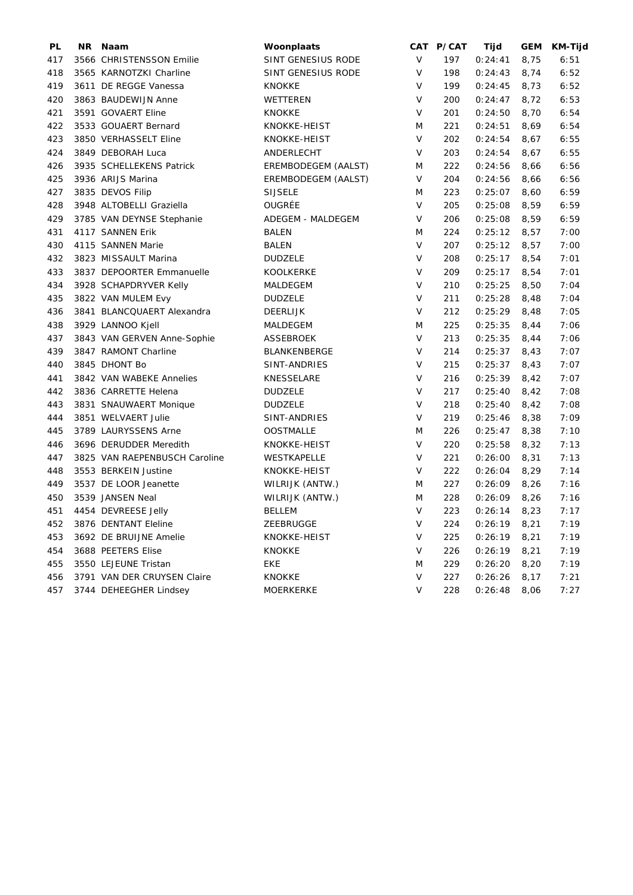| PL  | NR Naam                       | Woonplaats          |        | CAT P/CAT | Tijd    | GEM  | <b>KM-Tijd</b> |
|-----|-------------------------------|---------------------|--------|-----------|---------|------|----------------|
| 417 | 3566 CHRISTENSSON Emilie      | SINT GENESIUS RODE  | V      | 197       | 0:24:41 | 8,75 | 6:51           |
| 418 | 3565 KARNOTZKI Charline       | SINT GENESIUS RODE  | V      | 198       | 0:24:43 | 8,74 | 6:52           |
| 419 | 3611 DE REGGE Vanessa         | <b>KNOKKE</b>       | $\vee$ | 199       | 0:24:45 | 8,73 | 6:52           |
| 420 | 3863 BAUDEWIJN Anne           | WETTEREN            | $\vee$ | 200       | 0:24:47 | 8,72 | 6:53           |
| 421 | 3591 GOVAERT Eline            | <b>KNOKKE</b>       | $\vee$ | 201       | 0:24:50 | 8,70 | 6:54           |
| 422 | 3533 GOUAERT Bernard          | KNOKKE-HEIST        | M      | 221       | 0:24:51 | 8,69 | 6:54           |
| 423 | 3850 VERHASSELT Eline         | KNOKKE-HEIST        | V      | 202       | 0:24:54 | 8,67 | 6:55           |
| 424 | 3849 DEBORAH Luca             | ANDERLECHT          | V      | 203       | 0:24:54 | 8,67 | 6:55           |
| 426 | 3935 SCHELLEKENS Patrick      | EREMBODEGEM (AALST) | M      | 222       | 0:24:56 | 8,66 | 6:56           |
| 425 | 3936 ARIJS Marina             | EREMBODEGEM (AALST) | V      | 204       | 0:24:56 | 8,66 | 6:56           |
| 427 | 3835 DEVOS Filip              | <b>SIJSELE</b>      | M      | 223       | 0:25:07 | 8,60 | 6:59           |
| 428 | 3948 ALTOBELLI Graziella      | OUGRÉE              | V      | 205       | 0:25:08 | 8,59 | 6:59           |
| 429 | 3785 VAN DEYNSE Stephanie     | ADEGEM - MALDEGEM   | $\vee$ | 206       | 0:25:08 | 8,59 | 6:59           |
| 431 | 4117 SANNEN Erik              | BALEN               | M      | 224       | 0:25:12 | 8,57 | 7:00           |
| 430 | 4115 SANNEN Marie             | BALEN               | V      | 207       | 0:25:12 | 8,57 | 7:00           |
| 432 | 3823 MISSAULT Marina          | <b>DUDZELE</b>      | V      | 208       | 0:25:17 | 8,54 | 7:01           |
| 433 | 3837 DEPOORTER Emmanuelle     | <b>KOOLKERKE</b>    | V      | 209       | 0:25:17 | 8,54 | 7:01           |
| 434 | 3928 SCHAPDRYVER Kelly        | MALDEGEM            | V      | 210       | 0:25:25 | 8,50 | 7:04           |
| 435 | 3822 VAN MULEM Evy            | <b>DUDZELE</b>      | $\vee$ | 211       | 0:25:28 | 8,48 | 7:04           |
| 436 | 3841 BLANCQUAERT Alexandra    | <b>DEERLIJK</b>     | $\vee$ | 212       | 0:25:29 | 8,48 | 7:05           |
| 438 | 3929 LANNOO Kjell             | MALDEGEM            | M      | 225       | 0:25:35 | 8,44 | 7:06           |
| 437 | 3843 VAN GERVEN Anne-Sophie   | ASSEBROEK           | $\vee$ | 213       | 0:25:35 | 8,44 | 7:06           |
| 439 | 3847 RAMONT Charline          | BLANKENBERGE        | V      | 214       | 0:25:37 | 8,43 | 7:07           |
| 440 | 3845 DHONT Bo                 | SINT-ANDRIES        | $\vee$ | 215       | 0:25:37 | 8,43 | 7:07           |
| 441 | 3842 VAN WABEKE Annelies      | KNESSELARE          | V      | 216       | 0:25:39 | 8,42 | 7:07           |
| 442 | 3836 CARRETTE Helena          | <b>DUDZELE</b>      | V      | 217       | 0:25:40 | 8,42 | 7:08           |
| 443 | 3831 SNAUWAERT Monique        | <b>DUDZELE</b>      | V      | 218       | 0:25:40 | 8,42 | 7:08           |
| 444 | 3851 WELVAERT Julie           | SINT-ANDRIES        | V      | 219       | 0:25:46 | 8,38 | 7:09           |
| 445 | 3789 LAURYSSENS Arne          | <b>OOSTMALLE</b>    | M      | 226       | 0:25:47 | 8,38 | 7:10           |
| 446 | 3696 DERUDDER Meredith        | KNOKKE-HEIST        | V      | 220       | 0:25:58 | 8,32 | 7:13           |
| 447 | 3825 VAN RAEPENBUSCH Caroline | WESTKAPELLE         | V      | 221       | 0:26:00 | 8,31 | 7:13           |
| 448 | 3553 BERKEIN Justine          | KNOKKE-HEIST        | $\vee$ | 222       | 0:26:04 | 8,29 | 7:14           |
| 449 | 3537 DE LOOR Jeanette         | WILRIJK (ANTW.)     | M      | 227       | 0:26:09 | 8,26 | 7:16           |
| 450 | 3539 JANSEN Neal              | WILRIJK (ANTW.)     | M      | 228       | 0:26:09 | 8,26 | 7:16           |
| 451 | 4454 DEVREESE Jelly           | <b>BELLEM</b>       | V      | 223       | 0:26:14 | 8,23 | 7:17           |
| 452 | 3876 DENTANT Eleline          | ZEEBRUGGE           | V      | 224       | 0:26:19 | 8,21 | 7:19           |
| 453 | 3692 DE BRUIJNE Amelie        | KNOKKE-HEIST        | V      | 225       | 0:26:19 | 8,21 | 7:19           |
| 454 | 3688 PEETERS Elise            | <b>KNOKKE</b>       | $\vee$ | 226       | 0:26:19 | 8,21 | 7:19           |
| 455 | 3550 LEJEUNE Tristan          | EKE                 | M      | 229       | 0:26:20 | 8,20 | 7:19           |
| 456 | 3791 VAN DER CRUYSEN Claire   | <b>KNOKKE</b>       | V      | 227       | 0:26:26 | 8,17 | 7:21           |
| 457 | 3744 DEHEEGHER Lindsey        | <b>MOERKERKE</b>    | $\vee$ | 228       | 0:26:48 | 8,06 | 7:27           |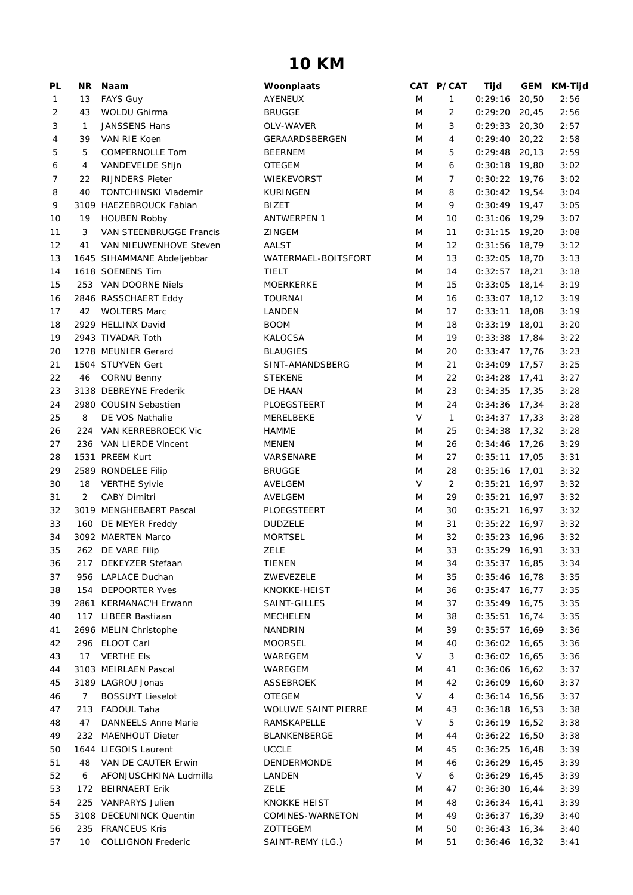## **10 KM**

| PL             | ΝR  | Naam                       | Woonplaats                 |   | CAT P/CAT      | Tijd            | <b>GEM</b> | <b>KM-Tijd</b> |
|----------------|-----|----------------------------|----------------------------|---|----------------|-----------------|------------|----------------|
| 1              | 13  | <b>FAYS Guy</b>            | AYENEUX                    | M | 1              | 0:29:16         | 20,50      | 2:56           |
| 2              | 43  | WOLDU Ghirma               | <b>BRUGGE</b>              | M | 2              | $0:29:20$ 20,45 |            | 2:56           |
| 3              | 1   | <b>JANSSENS Hans</b>       | OLV-WAVER                  | M | 3              | $0:29:33$ 20,30 |            | 2:57           |
| 4              | 39  | VAN RIE Koen               | GERAARDSBERGEN             | M | 4              | $0:29:40$ 20,22 |            | 2:58           |
| 5              | 5   | COMPERNOLLE Tom            | <b>BEERNEM</b>             | M | 5              | $0:29:48$ 20,13 |            | 2:59           |
| 6              | 4   | VANDEVELDE Stijn           | <b>OTEGEM</b>              | M | 6              | $0:30:18$ 19,80 |            | 3:02           |
| $\overline{7}$ | 22  | <b>RIJNDERS Pieter</b>     | <b>WIEKEVORST</b>          | M | $\overline{7}$ | $0:30:22$ 19,76 |            | 3:02           |
| 8              | 40  | TONTCHINSKI Vlademir       | <b>KURINGEN</b>            | M | 8              | $0:30:42$ 19,54 |            | 3:04           |
| 9              |     | 3109 HAEZEBROUCK Fabian    | BIZET                      | M | 9              | $0:30:49$ 19,47 |            | 3:05           |
| 10             | 19  | <b>HOUBEN Robby</b>        | <b>ANTWERPEN 1</b>         | M | 10             | $0:31:06$ 19,29 |            | 3:07           |
| 11             | 3   | VAN STEENBRUGGE Francis    | ZINGEM                     | M | 11             | $0:31:15$ 19,20 |            | 3:08           |
| 12             | 41  | VAN NIEUWENHOVE Steven     | AALST                      | M | 12             | $0:31:56$ 18,79 |            | 3:12           |
| 13             |     | 1645 SIHAMMANE Abdeljebbar | WATERMAEL-BOITSFORT        | M | 13             | $0:32:05$ 18,70 |            | 3:13           |
| 14             |     | 1618 SOENENS Tim           | TIELT                      | M | 14             | $0:32:57$ 18,21 |            | 3:18           |
| 15             |     | 253 VAN DOORNE Niels       | <b>MOERKERKE</b>           | M | 15             | $0:33:05$ 18,14 |            | 3:19           |
| 16             |     | 2846 RASSCHAERT Eddy       | <b>TOURNAI</b>             | M | 16             | $0:33:07$ 18,12 |            | 3:19           |
| 17             | 42  | <b>WOLTERS Marc</b>        | LANDEN                     | M | 17             | 0:33:11         | 18,08      | 3:19           |
| 18             |     | 2929 HELLINX David         | <b>BOOM</b>                | M | 18             | 0:33:19         | 18,01      | 3:20           |
| 19             |     | 2943 TIVADAR Toth          | KALOCSA                    | M | 19             | $0:33:38$ 17,84 |            | 3:22           |
| 20             |     | 1278 MEUNIER Gerard        | <b>BLAUGIES</b>            | M | 20             | $0:33:47$ 17,76 |            | 3:23           |
| 21             |     | 1504 STUYVEN Gert          | SINT-AMANDSBERG            | M | 21             | $0:34:09$ 17,57 |            | 3:25           |
| 22             |     | 46 CORNU Benny             | <b>STEKENE</b>             | M | 22             | $0:34:28$ 17,41 |            | 3:27           |
| 23             |     | 3138 DEBREYNE Frederik     | DE HAAN                    | M | 23             | $0:34:35$ 17,35 |            | 3:28           |
| 24             |     | 2980 COUSIN Sebastien      | PLOEGSTEERT                | M | 24             | $0:34:36$ 17,34 |            | 3:28           |
| 25             | 8   | DE VOS Nathalie            | MERELBEKE                  | V | $\mathbf{1}$   | $0:34:37$ 17,33 |            | 3:28           |
| 26             |     | 224 VAN KERREBROECK Vic    | <b>HAMME</b>               | M | 25             | $0:34:38$ 17,32 |            | 3:28           |
| 27             |     | 236 VAN LIERDE Vincent     | <b>MENEN</b>               | M | 26             | $0:34:46$ 17,26 |            | 3:29           |
| 28             |     | 1531 PREEM Kurt            | VARSENARE                  | M | 27             | $0:35:11$ 17,05 |            | 3:31           |
| 29             |     | 2589 RONDELEE Filip        | <b>BRUGGE</b>              | M | 28             | $0:35:16$ 17,01 |            | 3:32           |
| 30             | 18  | <b>VERTHE Sylvie</b>       | AVELGEM                    | V | $\overline{2}$ | 0:35:21         | 16,97      | 3:32           |
| 31             | 2   | <b>CABY Dimitri</b>        | AVELGEM                    | M | 29             | 0:35:21         | 16,97      | 3:32           |
| 32             |     | 3019 MENGHEBAERT Pascal    | PLOEGSTEERT                | M | 30             | 0:35:21         | 16,97      | 3:32           |
| 33             |     | 160 DE MEYER Freddy        | <b>DUDZELE</b>             | M | 31             | $0:35:22$ 16,97 |            | 3:32           |
| 34             |     | 3092 MAERTEN Marco         | <b>MORTSEL</b>             | M | 32             | $0:35:23$ 16,96 |            | 3:32           |
| 35             |     | 262 DE VARE Filip          | <b>ZELE</b>                | M | 33             | $0:35:29$ 16,91 |            | 3:33           |
| 36             |     | 217 DEKEYZER Stefaan       | <b>TIENEN</b>              | M | 34             | $0:35:37$ 16,85 |            | 3:34           |
| 37             |     | 956 LAPLACE Duchan         | ZWEVEZELE                  | M | 35             | 0:35:46         | 16,78      | 3:35           |
| 38             | 154 | <b>DEPOORTER Yves</b>      | KNOKKE-HEIST               | M | 36             | $0:35:47$ 16,77 |            | 3:35           |
| 39             |     | 2861 KERMANAC'H Erwann     | SAINT-GILLES               | M | 37             | $0:35:49$ 16,75 |            | 3:35           |
| 40             |     | 117 LIBEER Bastiaan        | <b>MECHELEN</b>            | M | 38             | $0:35:51$ 16,74 |            | 3:35           |
| 41             |     | 2696 MELIN Christophe      | NANDRIN                    | M | 39             | $0:35:57$ 16,69 |            | 3:36           |
| 42             |     | 296 ELOOT Carl             | <b>MOORSEL</b>             | M | 40             | $0:36:02$ 16,65 |            | 3:36           |
| 43             | 17  | <b>VERTHE EIS</b>          | WAREGEM                    | V | 3              | $0:36:02$ 16,65 |            | 3:36           |
| 44             |     | 3103 MEIRLAEN Pascal       | WAREGEM                    | M | 41             | $0:36:06$ 16,62 |            | 3:37           |
| 45             |     | 3189 LAGROU Jonas          | ASSEBROEK                  | M | 42             | $0:36:09$ 16,60 |            | 3:37           |
| 46             | 7   | <b>BOSSUYT Lieselot</b>    | <b>OTEGEM</b>              | V | 4              | $0:36:14$ 16,56 |            | 3:37           |
| 47             |     | 213 FADOUL Taha            | <b>WOLUWE SAINT PIERRE</b> | M | 43             | $0:36:18$ 16,53 |            | 3:38           |
| 48             | 47  | <b>DANNEELS Anne Marie</b> | RAMSKAPELLE                | V | 5              | $0:36:19$ 16,52 |            | 3:38           |
| 49             | 232 | <b>MAENHOUT Dieter</b>     | BLANKENBERGE               | M | 44             | $0:36:22$ 16,50 |            | 3:38           |
| 50             |     | 1644 LIEGOIS Laurent       | <b>UCCLE</b>               | M | 45             | $0:36:25$ 16,48 |            | 3:39           |
| 51             | 48  | VAN DE CAUTER Erwin        | DENDERMONDE                | M | 46             | $0:36:29$ 16,45 |            | 3:39           |
| 52             | 6   | AFONJUSCHKINA Ludmilla     | LANDEN                     | V | 6              | $0:36:29$ 16,45 |            | 3:39           |
| 53             |     | 172 BEIRNAERT Erik         | <b>ZELE</b>                | M | 47             | $0:36:30$ 16,44 |            | 3:39           |
| 54             |     | 225 VANPARYS Julien        | <b>KNOKKE HEIST</b>        | M | 48             | $0:36:34$ 16,41 |            | 3:39           |
| 55             |     | 3108 DECEUNINCK Quentin    | COMINES-WARNETON           | M | 49             | $0:36:37$ 16,39 |            | 3:40           |
| 56             | 235 | <b>FRANCEUS Kris</b>       | ZOTTEGEM                   | M | 50             | $0:36:43$ 16,34 |            | 3:40           |
| 57             | 10  | <b>COLLIGNON Frederic</b>  | SAINT-REMY (LG.)           | M | 51             | $0:36:46$ 16,32 |            | 3:41           |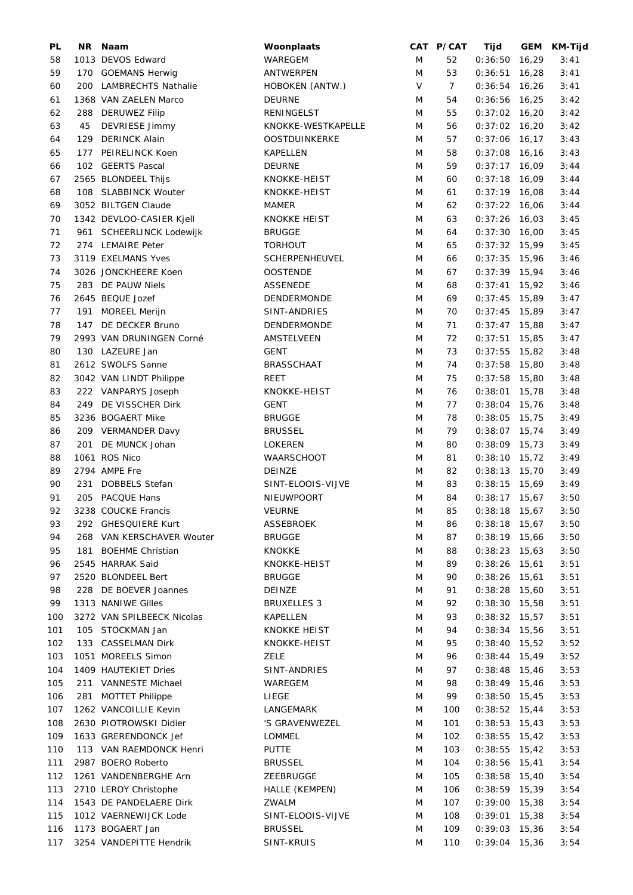| PL  | NR. | Naam                       | Woonplaats          |        | CAT P/CAT      | Tijd            |       | GEM KM-Tijd |
|-----|-----|----------------------------|---------------------|--------|----------------|-----------------|-------|-------------|
| 58  |     | 1013 DEVOS Edward          | WAREGEM             | M      | 52             | 0:36:50         | 16,29 | 3:41        |
| 59  |     | 170 GOEMANS Herwig         | ANTWERPEN           | M      | 53             | 0:36:51         | 16,28 | 3:41        |
| 60  |     | 200 LAMBRECHTS Nathalie    | HOBOKEN (ANTW.)     | $\vee$ | $\overline{7}$ | $0:36:54$ 16,26 |       | 3:41        |
| 61  |     | 1368 VAN ZAELEN Marco      | <b>DEURNE</b>       | M      | 54             | $0:36:56$ 16,25 |       | 3:42        |
| 62  |     | 288 DERUWEZ Filip          | RENINGELST          | M      | 55             | $0:37:02$ 16,20 |       | 3:42        |
| 63  | 45  | DEVRIESE Jimmy             | KNOKKE-WESTKAPELLE  | M      | 56             | $0:37:02$ 16,20 |       | 3:42        |
| 64  |     | 129 DERINCK Alain          | OOSTDUINKERKE       | M      | 57             | $0:37:06$ 16,17 |       | 3:43        |
| 65  |     | 177 PEIRELINCK Koen        | <b>KAPELLEN</b>     | M      | 58             | $0:37:08$ 16,16 |       | 3:43        |
| 66  |     | 102 GEERTS Pascal          | <b>DEURNE</b>       | M      | 59             | $0:37:17$ 16,09 |       | 3:44        |
| 67  |     | 2565 BLONDEEL Thijs        | KNOKKE-HEIST        | M      | 60             | $0:37:18$ 16,09 |       | 3:44        |
| 68  |     | 108 SLABBINCK Wouter       | KNOKKE-HEIST        | M      | 61             | $0:37:19$ 16,08 |       | 3:44        |
| 69  |     | 3052 BILTGEN Claude        | <b>MAMER</b>        | M      | 62             | $0:37:22$ 16,06 |       | 3:44        |
| 70  |     | 1342 DEVLOO-CASIER Kjell   | <b>KNOKKE HEIST</b> | M      | 63             | $0:37:26$ 16,03 |       | 3:45        |
|     |     |                            |                     |        |                |                 |       |             |
| 71  |     | 961 SCHEERLINCK Lodewijk   | <b>BRUGGE</b>       | M      | 64             | $0:37:30$ 16,00 |       | 3:45        |
| 72  |     | 274 LEMAIRE Peter          | <b>TORHOUT</b>      | M      | 65             | $0:37:32$ 15,99 |       | 3:45        |
| 73  |     | 3119 EXELMANS Yves         | SCHERPENHEUVEL      | M      | 66             | $0:37:35$ 15,96 |       | 3:46        |
| 74  |     | 3026 JONCKHEERE Koen       | <b>OOSTENDE</b>     | M      | 67             | $0:37:39$ 15,94 |       | 3:46        |
| 75  |     | 283 DE PAUW Niels          | <b>ASSENEDE</b>     | M      | 68             | $0:37:41$ 15,92 |       | 3:46        |
| 76  |     | 2645 BEQUE Jozef           | DENDERMONDE         | M      | 69             | $0:37:45$ 15,89 |       | 3:47        |
| 77  | 191 | MOREEL Merijn              | SINT-ANDRIES        | M      | 70             | $0:37:45$ 15,89 |       | 3:47        |
| 78  | 147 | DE DECKER Bruno            | DENDERMONDE         | M      | 71             | $0:37:47$ 15,88 |       | 3:47        |
| 79  |     | 2993 VAN DRUNINGEN Corné   | AMSTELVEEN          | M      | 72             | $0:37:51$ 15,85 |       | 3:47        |
| 80  |     | 130 LAZEURE Jan            | <b>GENT</b>         | M      | 73             | $0:37:55$ 15,82 |       | 3:48        |
| 81  |     | 2612 SWOLFS Sanne          | <b>BRASSCHAAT</b>   | M      | 74             | $0:37:58$ 15,80 |       | 3:48        |
| 82  |     | 3042 VAN LINDT Philippe    | REET                | M      | 75             | $0:37:58$ 15,80 |       | 3:48        |
| 83  |     | 222 VANPARYS Joseph        | KNOKKE-HEIST        | M      | 76             | 0:38:01         | 15,78 | 3:48        |
| 84  |     | 249 DE VISSCHER Dirk       | <b>GENT</b>         | M      | 77             | 0:38:04         | 15,76 | 3:48        |
| 85  |     | 3236 BOGAERT Mike          | <b>BRUGGE</b>       | M      | 78             | $0:38:05$ 15,75 |       | 3:49        |
| 86  |     | 209 VERMANDER Davy         | <b>BRUSSEL</b>      | M      | 79             | $0:38:07$ 15,74 |       | 3:49        |
| 87  |     | 201 DE MUNCK Johan         | <b>LOKEREN</b>      | M      | 80             | $0:38:09$ 15,73 |       | 3:49        |
| 88  |     | 1061 ROS Nico              | WAARSCHOOT          | M      | 81             | $0:38:10$ 15,72 |       | 3:49        |
|     |     | 2794 AMPE Fre              | DEINZE              | M      | 82             | $0:38:13$ 15,70 |       |             |
| 89  |     | <b>DOBBELS Stefan</b>      |                     |        |                |                 |       | 3:49        |
| 90  | 231 |                            | SINT-ELOOIS-VIJVE   | M      | 83             | $0:38:15$ 15,69 |       | 3:49        |
| 91  | 205 | <b>PACQUE Hans</b>         | NIEUWPOORT          | M      | 84             | $0:38:17$ 15,67 |       | 3:50        |
| 92  |     | 3238 COUCKE Francis        | <b>VEURNE</b>       | M      | 85             | $0:38:18$ 15,67 |       | 3:50        |
| 93  |     | 292 GHESQUIERE Kurt        | ASSEBROEK           | M      | 86             | $0:38:18$ 15,67 |       | 3:50        |
| 94  |     | 268 VAN KERSCHAVER Wouter  | <b>BRUGGE</b>       | M      | 87             | $0:38:19$ 15,66 |       | 3:50        |
| 95  | 181 | <b>BOEHME Christian</b>    | <b>KNOKKE</b>       | M      | 88             | $0:38:23$ 15,63 |       | 3:50        |
| 96  |     | 2545 HARRAK Said           | KNOKKE-HEIST        | M      | 89             | $0:38:26$ 15,61 |       | 3:51        |
| 97  |     | 2520 BLONDEEL Bert         | <b>BRUGGE</b>       | M      | 90             | $0:38:26$ 15,61 |       | 3:51        |
| 98  |     | 228 DE BOEVER Joannes      | <b>DEINZE</b>       | M      | 91             | $0:38:28$ 15,60 |       | 3:51        |
| 99  |     | 1313 NANIWE Gilles         | <b>BRUXELLES 3</b>  | M      | 92             | $0:38:30$ 15,58 |       | 3:51        |
| 100 |     | 3272 VAN SPILBEECK Nicolas | <b>KAPELLEN</b>     | M      | 93             | $0:38:32$ 15,57 |       | 3:51        |
| 101 |     | 105 STOCKMAN Jan           | KNOKKE HEIST        | M      | 94             | $0:38:34$ 15,56 |       | 3:51        |
| 102 |     | 133 CASSELMAN Dirk         | KNOKKE-HEIST        | M      | 95             | $0:38:40$ 15,52 |       | 3:52        |
| 103 |     | 1051 MOREELS Simon         | <b>ZELE</b>         | M      | 96             | $0:38:44$ 15,49 |       | 3:52        |
| 104 |     | 1409 HAUTEKIET Dries       | SINT-ANDRIES        | M      | 97             | $0:38:48$ 15,46 |       | 3:53        |
| 105 | 211 | VANNESTE Michael           | WAREGEM             | M      | 98             | $0:38:49$ 15,46 |       | 3:53        |
| 106 | 281 | <b>MOTTET Philippe</b>     | LIEGE               | M      | 99             | $0:38:50$ 15,45 |       | 3:53        |
| 107 |     | 1262 VANCOILLIE Kevin      | LANGEMARK           | M      | 100            | $0:38:52$ 15,44 |       | 3:53        |
| 108 |     | 2630 PIOTROWSKI Didier     | 'S GRAVENWEZEL      | M      | 101            | $0:38:53$ 15,43 |       | 3:53        |
|     |     |                            |                     |        |                |                 |       |             |
| 109 |     | 1633 GRERENDONCK Jef       | LOMMEL              | M      | 102            | $0:38:55$ 15,42 |       | 3:53        |
| 110 |     | 113 VAN RAEMDONCK Henri    | <b>PUTTE</b>        | M      | 103            | $0:38:55$ 15,42 |       | 3:53        |
| 111 |     | 2987 BOERO Roberto         | <b>BRUSSEL</b>      | M      | 104            | $0:38:56$ 15,41 |       | 3:54        |
| 112 |     | 1261 VANDENBERGHE Arn      | ZEEBRUGGE           | M      | 105            | $0:38:58$ 15,40 |       | 3:54        |
| 113 |     | 2710 LEROY Christophe      | HALLE (KEMPEN)      | M      | 106            | $0:38:59$ 15,39 |       | 3:54        |
| 114 |     | 1543 DE PANDELAERE Dirk    | ZWALM               | M      | 107            | $0:39:00$ 15,38 |       | 3:54        |
| 115 |     | 1012 VAERNEWIJCK Lode      | SINT-ELOOIS-VIJVE   | M      | 108            | $0:39:01$ 15,38 |       | 3:54        |
| 116 |     | 1173 BOGAERT Jan           | <b>BRUSSEL</b>      | M      | 109            | $0:39:03$ 15,36 |       | 3:54        |
| 117 |     | 3254 VANDEPITTE Hendrik    | SINT-KRUIS          | M      | 110            | $0:39:04$ 15,36 |       | 3:54        |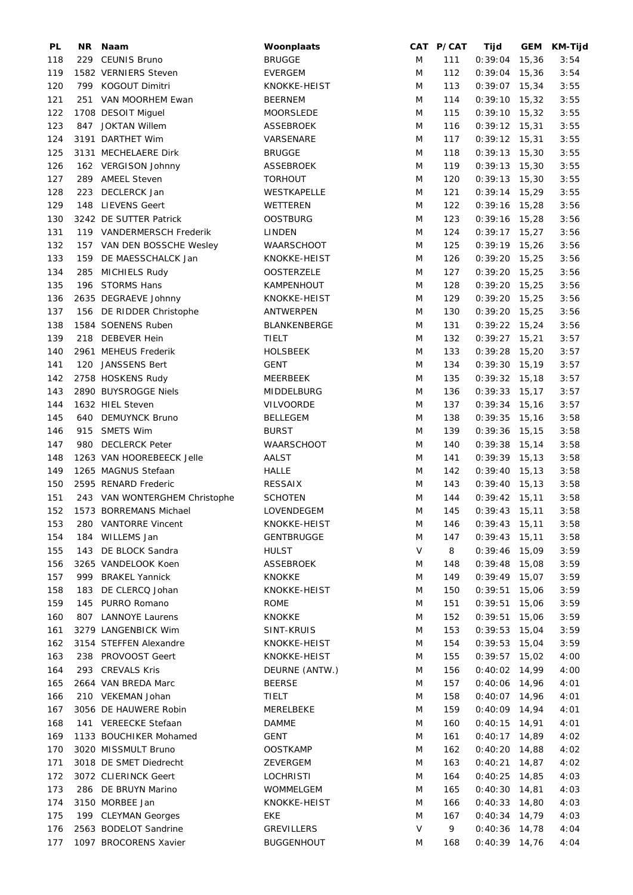| PL  | NR. | Naam                          | Woonplaats          |        | CAT P/CAT | Tijd            |       | GEM KM-Tijd |
|-----|-----|-------------------------------|---------------------|--------|-----------|-----------------|-------|-------------|
| 118 |     | 229 CEUNIS Bruno              | <b>BRUGGE</b>       | M      | 111       | 0:39:04         | 15,36 | 3:54        |
| 119 |     | 1582 VERNIERS Steven          | <b>EVERGEM</b>      | M      | 112       | $0:39:04$ 15,36 |       | 3:54        |
| 120 |     | 799 KOGOUT Dimitri            | KNOKKE-HEIST        | M      | 113       | $0:39:07$ 15,34 |       | 3:55        |
| 121 |     | 251 VAN MOORHEM Ewan          | <b>BEERNEM</b>      | M      | 114       | $0:39:10$ 15,32 |       | 3:55        |
| 122 |     | 1708 DESOIT Miguel            | MOORSLEDE           | M      | 115       | $0:39:10$ 15,32 |       | 3:55        |
| 123 |     | 847 JOKTAN Willem             | ASSEBROEK           | M      | 116       | $0:39:12$ 15,31 |       | 3:55        |
| 124 |     | 3191 DARTHET Wim              | VARSENARE           | M      | 117       | $0:39:12$ 15,31 |       | 3:55        |
|     |     |                               |                     |        |           |                 |       |             |
| 125 |     | 3131 MECHELAERE Dirk          | <b>BRUGGE</b>       | M      | 118       | $0:39:13$ 15,30 |       | 3:55        |
| 126 |     | 162 VERGISON Johnny           | ASSEBROEK           | M      | 119       | $0:39:13$ 15,30 |       | 3:55        |
| 127 |     | 289 AMEEL Steven              | <b>TORHOUT</b>      | M      | 120       | $0:39:13$ 15,30 |       | 3:55        |
| 128 | 223 | DECLERCK Jan                  | WESTKAPELLE         | M      | 121       | $0:39:14$ 15,29 |       | 3:55        |
| 129 | 148 | <b>LIEVENS Geert</b>          | WETTEREN            | M      | 122       | $0:39:16$ 15,28 |       | 3:56        |
| 130 |     | 3242 DE SUTTER Patrick        | <b>OOSTBURG</b>     | M      | 123       | $0:39:16$ 15,28 |       | 3:56        |
| 131 |     | 119 VANDERMERSCH Frederik     | LINDEN              | M      | 124       | $0:39:17$ 15,27 |       | 3:56        |
| 132 |     | 157 VAN DEN BOSSCHE Wesley    | <b>WAARSCHOOT</b>   | M      | 125       | $0:39:19$ 15,26 |       | 3:56        |
| 133 | 159 | DE MAESSCHALCK Jan            | KNOKKE-HEIST        | M      | 126       | $0:39:20$ 15,25 |       | 3:56        |
| 134 | 285 | <b>MICHIELS Rudy</b>          | <b>OOSTERZELE</b>   | M      | 127       | $0:39:20$ 15,25 |       | 3:56        |
| 135 | 196 | <b>STORMS Hans</b>            | KAMPENHOUT          | M      | 128       | $0:39:20$ 15,25 |       | 3:56        |
| 136 |     | 2635 DEGRAEVE Johnny          | KNOKKE-HEIST        | M      | 129       | $0:39:20$ 15,25 |       | 3:56        |
|     |     |                               |                     |        |           |                 |       |             |
| 137 |     | 156 DE RIDDER Christophe      | ANTWERPEN           | M      | 130       | $0:39:20$ 15,25 |       | 3:56        |
| 138 |     | 1584 SOENENS Ruben            | <b>BLANKENBERGE</b> | M      | 131       | $0:39:22$ 15,24 |       | 3:56        |
| 139 |     | 218 DEBEVER Hein              | TIELT               | M      | 132       | $0:39:27$ 15,21 |       | 3:57        |
| 140 |     | 2961 MEHEUS Frederik          | <b>HOLSBEEK</b>     | M      | 133       | $0:39:28$ 15,20 |       | 3:57        |
| 141 | 120 | JANSSENS Bert                 | <b>GENT</b>         | M      | 134       | $0:39:30$ 15,19 |       | 3:57        |
| 142 |     | 2758 HOSKENS Rudy             | MEERBEEK            | M      | 135       | $0:39:32$ 15,18 |       | 3:57        |
| 143 |     | 2890 BUYSROGGE Niels          | <b>MIDDELBURG</b>   | M      | 136       | $0:39:33$ 15,17 |       | 3:57        |
| 144 |     | 1632 HIEL Steven              | VILVOORDE           | M      | 137       | $0:39:34$ 15,16 |       | 3:57        |
| 145 |     | 640 DEMUYNCK Bruno            | <b>BELLEGEM</b>     | M      | 138       | $0:39:35$ 15,16 |       | 3:58        |
| 146 | 915 | <b>SMETS Wim</b>              | <b>BURST</b>        | M      | 139       | $0:39:36$ 15,15 |       | 3:58        |
| 147 |     | 980 DECLERCK Peter            | WAARSCHOOT          | M      | 140       | $0:39:38$ 15,14 |       | 3:58        |
| 148 |     | 1263 VAN HOOREBEECK Jelle     | AALST               | M      | 141       | $0:39:39$ 15,13 |       | 3:58        |
|     |     |                               |                     |        |           |                 |       |             |
| 149 |     | 1265 MAGNUS Stefaan           | <b>HALLE</b>        | M      | 142       | $0:39:40$ 15,13 |       | 3:58        |
| 150 |     | 2595 RENARD Frederic          | <b>RESSAIX</b>      | M      | 143       | $0:39:40$ 15,13 |       | 3:58        |
| 151 |     | 243 VAN WONTERGHEM Christophe | <b>SCHOTEN</b>      | M      | 144       | $0:39:42$ 15,11 |       | 3:58        |
| 152 |     | 1573 BORREMANS Michael        | LOVENDEGEM          | M      | 145       | $0:39:43$ 15,11 |       | 3:58        |
| 153 | 280 | <b>VANTORRE Vincent</b>       | KNOKKE-HEIST        | M      | 146       | $0:39:43$ 15,11 |       | 3:58        |
| 154 | 184 | WILLEMS Jan                   | <b>GENTBRUGGE</b>   | M      | 147       | $0:39:43$ 15,11 |       | 3:58        |
| 155 |     | 143 DE BLOCK Sandra           | HULST               | $\vee$ | 8         | $0:39:46$ 15,09 |       | 3:59        |
| 156 |     | 3265 VANDELOOK Koen           | <b>ASSEBROEK</b>    | M      | 148       | $0:39:48$ 15,08 |       | 3:59        |
| 157 |     | 999 BRAKEL Yannick            | <b>KNOKKE</b>       | M      | 149       | $0:39:49$ 15,07 |       | 3:59        |
| 158 | 183 | DE CLERCQ Johan               | KNOKKE-HEIST        | M      | 150       | $0:39:51$ 15,06 |       | 3:59        |
| 159 |     | 145 PURRO Romano              | ROME                | M      | 151       | 0:39:51         | 15,06 | 3:59        |
| 160 |     | 807 LANNOYE Laurens           | <b>KNOKKE</b>       | M      | 152       | 0:39:51         | 15,06 | 3:59        |
| 161 |     | 3279 LANGENBICK Wim           | SINT-KRUIS          | M      | 153       | 0:39:53         | 15,04 | 3:59        |
|     |     |                               |                     |        |           |                 |       |             |
| 162 |     | 3154 STEFFEN Alexandre        | KNOKKE-HEIST        | M      | 154       | 0:39:53         | 15,04 | 3:59        |
| 163 |     | 238 PROVOOST Geert            | KNOKKE-HEIST        | M      | 155       | $0:39:57$ 15,02 |       | 4:00        |
| 164 |     | 293 CREVALS Kris              | DEURNE (ANTW.)      | M      | 156       | $0:40:02$ 14,99 |       | 4:00        |
| 165 |     | 2664 VAN BREDA Marc           | <b>BEERSE</b>       | M      | 157       | $0:40:06$ 14,96 |       | 4:01        |
| 166 |     | 210 VEKEMAN Johan             | TIELT               | M      | 158       | 0:40:07         | 14,96 | 4:01        |
| 167 |     | 3056 DE HAUWERE Robin         | MERELBEKE           | M      | 159       | $0:40:09$ 14,94 |       | 4:01        |
| 168 |     | 141 VEREECKE Stefaan          | DAMME               | M      | 160       | $0:40:15$ 14,91 |       | 4:01        |
| 169 |     | 1133 BOUCHIKER Mohamed        | GENT                | M      | 161       | $0:40:17$ 14,89 |       | 4:02        |
| 170 |     | 3020 MISSMULT Bruno           | <b>OOSTKAMP</b>     | M      | 162       | $0:40:20$ 14,88 |       | 4:02        |
| 171 |     | 3018 DE SMET Diedrecht        | ZEVERGEM            | M      | 163       | 0:40:21         | 14,87 | 4:02        |
| 172 |     | 3072 CLIERINCK Geert          | <b>LOCHRISTI</b>    | M      | 164       | 0:40:25         | 14,85 | 4:03        |
| 173 |     | 286 DE BRUYN Marino           | WOMMELGEM           | M      | 165       | $0:40:30$ 14,81 |       | 4:03        |
| 174 |     | 3150 MORBEE Jan               | KNOKKE-HEIST        | M      | 166       | $0:40:33$ 14,80 |       | 4:03        |
|     |     |                               |                     |        |           |                 |       |             |
| 175 |     | 199 CLEYMAN Georges           | EKE                 | M      | 167       | $0:40:34$ 14,79 |       | 4:03        |
| 176 |     | 2563 BODELOT Sandrine         | <b>GREVILLERS</b>   | $\vee$ | 9         | 0:40:36         | 14,78 | 4:04        |
| 177 |     | 1097 BROCORENS Xavier         | <b>BUGGENHOUT</b>   | M      | 168       | $0:40:39$ 14,76 |       | 4:04        |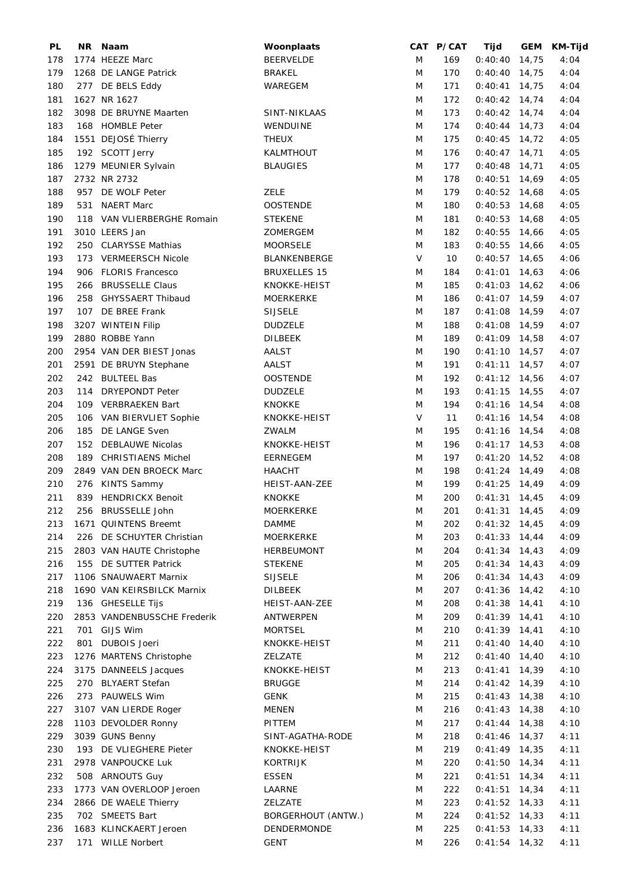| PL  |     | NR Naam                     | Woonplaats          |        | CAT P/CAT | Tijd            | GEM KM-Tijd |
|-----|-----|-----------------------------|---------------------|--------|-----------|-----------------|-------------|
| 178 |     | 1774 HEEZE Marc             | <b>BEERVELDE</b>    | M      | 169       | $0:40:40$ 14,75 | 4:04        |
| 179 |     | 1268 DE LANGE Patrick       | BRAKEL              | M      | 170       | $0:40:40$ 14,75 | 4:04        |
| 180 |     | 277 DE BELS Eddy            | WAREGEM             | M      | 171       | $0:40:41$ 14,75 | 4:04        |
| 181 |     | 1627 NR 1627                |                     | M      | 172       | $0:40:42$ 14,74 | 4:04        |
| 182 |     | 3098 DE BRUYNE Maarten      | SINT-NIKLAAS        | M      | 173       | $0:40:42$ 14,74 | 4:04        |
| 183 |     | 168 HOMBLE Peter            | WENDUINE            | M      | 174       | $0:40:44$ 14,73 | 4:04        |
| 184 |     | 1551 DEJOSÉ Thierry         | <b>THEUX</b>        | M      | 175       | $0:40:45$ 14,72 | 4:05        |
|     |     |                             |                     |        |           |                 |             |
| 185 |     | 192 SCOTT Jerry             | KALMTHOUT           | M      | 176       | $0:40:47$ 14,71 | 4:05        |
| 186 |     | 1279 MEUNIER Sylvain        | <b>BLAUGIES</b>     | M      | 177       | $0:40:48$ 14,71 | 4:05        |
| 187 |     | 2732 NR 2732                |                     | M      | 178       | $0:40:51$ 14,69 | 4:05        |
| 188 | 957 | DE WOLF Peter               | ZELE                | M      | 179       | $0:40:52$ 14,68 | 4:05        |
| 189 | 531 | <b>NAERT Marc</b>           | <b>OOSTENDE</b>     | M      | 180       | $0:40:53$ 14,68 | 4:05        |
| 190 |     | 118 VAN VLIERBERGHE Romain  | <b>STEKENE</b>      | M      | 181       | $0:40:53$ 14,68 | 4:05        |
| 191 |     | 3010 LEERS Jan              | ZOMERGEM            | M      | 182       | $0:40:55$ 14,66 | 4:05        |
| 192 |     | 250 CLARYSSE Mathias        | <b>MOORSELE</b>     | M      | 183       | $0:40:55$ 14,66 | 4:05        |
| 193 |     | 173 VERMEERSCH Nicole       | BLANKENBERGE        | $\vee$ | 10        | $0:40:57$ 14,65 | 4:06        |
| 194 |     | 906 FLORIS Francesco        | <b>BRUXELLES 15</b> | M      | 184       | $0:41:01$ 14,63 | 4:06        |
| 195 |     | 266 BRUSSELLE Claus         | KNOKKE-HEIST        | M      | 185       | $0:41:03$ 14,62 | 4:06        |
| 196 | 258 | <b>GHYSSAERT Thibaud</b>    | <b>MOERKERKE</b>    | M      | 186       | $0:41:07$ 14,59 | 4:07        |
| 197 | 107 | DE BREE Frank               | <b>SIJSELE</b>      | M      | 187       | $0:41:08$ 14,59 | 4:07        |
| 198 |     | 3207 WINTEIN Filip          | <b>DUDZELE</b>      | M      | 188       | $0:41:08$ 14,59 | 4:07        |
| 199 |     | 2880 ROBBE Yann             | <b>DILBEEK</b>      |        |           |                 |             |
|     |     |                             |                     | M      | 189       | $0:41:09$ 14,58 | 4:07        |
| 200 |     | 2954 VAN DER BIEST Jonas    | AALST               | M      | 190       | $0:41:10$ 14,57 | 4:07        |
| 201 |     | 2591 DE BRUYN Stephane      | <b>AALST</b>        | M      | 191       | $0:41:11$ 14,57 | 4:07        |
| 202 |     | 242 BULTEEL Bas             | <b>OOSTENDE</b>     | M      | 192       | $0:41:12$ 14,56 | 4:07        |
| 203 |     | 114 DRYEPONDT Peter         | <b>DUDZELE</b>      | M      | 193       | $0:41:15$ 14,55 | 4:07        |
| 204 |     | 109 VERBRAEKEN Bart         | KNOKKE              | M      | 194       | $0:41:16$ 14,54 | 4:08        |
| 205 |     | 106 VAN BIERVLIET Sophie    | KNOKKE-HEIST        | $\vee$ | 11        | $0:41:16$ 14,54 | 4:08        |
| 206 |     | 185 DE LANGE Sven           | ZWALM               | M      | 195       | $0:41:16$ 14,54 | 4:08        |
| 207 |     | 152 DEBLAUWE Nicolas        | KNOKKE-HEIST        | M      | 196       | $0:41:17$ 14,53 | 4:08        |
| 208 |     | 189 CHRISTIAENS Michel      | EERNEGEM            | M      | 197       | $0:41:20$ 14,52 | 4:08        |
| 209 |     | 2849 VAN DEN BROECK Marc    | HAACHT              | M      | 198       | $0:41:24$ 14,49 | 4:08        |
| 210 |     | 276 KINTS Sammy             | HEIST-AAN-ZEE       | M      | 199       | $0:41:25$ 14,49 | 4:09        |
| 211 |     | 839 HENDRICKX Benoit        | <b>KNOKKE</b>       | M      | 200       | $0:41:31$ 14,45 | 4:09        |
| 212 |     | 256 BRUSSELLE John          | <b>MOERKERKE</b>    | M      | 201       | $0:41:31$ 14,45 | 4:09        |
| 213 |     | 1671 QUINTENS Breemt        | <b>DAMME</b>        | M      | 202       | $0:41:32$ 14,45 | 4:09        |
|     |     |                             |                     |        |           |                 |             |
| 214 |     | 226 DE SCHUYTER Christian   | MOERKERKE           | M      | 203       | $0:41:33$ 14,44 | 4:09        |
| 215 |     | 2803 VAN HAUTE Christophe   | HERBEUMONT          | M      | 204       | $0:41:34$ 14,43 | 4:09        |
| 216 |     | 155 DE SUTTER Patrick       | <b>STEKENE</b>      | M      | 205       | $0:41:34$ 14,43 | 4:09        |
| 217 |     | 1106 SNAUWAERT Marnix       | <b>SIJSELE</b>      | M      | 206       | $0:41:34$ 14,43 | 4:09        |
| 218 |     | 1690 VAN KEIRSBILCK Marnix  | DILBEEK             | M      | 207       | $0:41:36$ 14,42 | 4:10        |
| 219 |     | 136 GHESELLE Tijs           | HEIST-AAN-ZEE       | M      | 208       | $0:41:38$ 14,41 | 4:10        |
| 220 |     | 2853 VANDENBUSSCHE Frederik | <b>ANTWERPEN</b>    | M      | 209       | $0:41:39$ 14,41 | 4:10        |
| 221 | 701 | GIJS Wim                    | <b>MORTSEL</b>      | M      | 210       | $0:41:39$ 14,41 | 4:10        |
| 222 | 801 | DUBOIS Joeri                | KNOKKE-HEIST        | M      | 211       | $0:41:40$ 14,40 | 4:10        |
| 223 |     | 1276 MARTENS Christophe     | ZELZATE             | M      | 212       | $0:41:40$ 14,40 | 4:10        |
| 224 |     | 3175 DANNEELS Jacques       | KNOKKE-HEIST        | M      | 213       | $0:41:41$ 14,39 | 4:10        |
| 225 |     | 270 BLYAERT Stefan          | <b>BRUGGE</b>       | M      | 214       | $0:41:42$ 14,39 | 4:10        |
| 226 |     | 273 PAUWELS Wim             | <b>GENK</b>         | M      | 215       | $0:41:43$ 14,38 | 4:10        |
| 227 |     | 3107 VAN LIERDE Roger       | <b>MENEN</b>        | M      | 216       | $0:41:43$ 14,38 | 4:10        |
| 228 |     | 1103 DEVOLDER Ronny         | PITTEM              | M      | 217       | $0:41:44$ 14,38 | 4:10        |
|     |     |                             |                     |        |           |                 |             |
| 229 |     | 3039 GUNS Benny             | SINT-AGATHA-RODE    | M      | 218       | $0:41:46$ 14,37 | 4:11        |
| 230 |     | 193 DE VLIEGHERE Pieter     | KNOKKE-HEIST        | M      | 219       | $0:41:49$ 14,35 | 4:11        |
| 231 |     | 2978 VANPOUCKE Luk          | <b>KORTRIJK</b>     | M      | 220       | $0:41:50$ 14,34 | 4:11        |
| 232 |     | 508 ARNOUTS Guy             | <b>ESSEN</b>        | M      | 221       | $0:41:51$ 14,34 | 4:11        |
| 233 |     | 1773 VAN OVERLOOP Jeroen    | LAARNE              | M      | 222       | $0:41:51$ 14,34 | 4:11        |
| 234 |     | 2866 DE WAELE Thierry       | ZELZATE             | M      | 223       | $0:41:52$ 14,33 | 4:11        |
| 235 |     | 702 SMEETS Bart             | BORGERHOUT (ANTW.)  | M      | 224       | $0:41:52$ 14,33 | 4:11        |
| 236 |     | 1683 KLINCKAERT Jeroen      | DENDERMONDE         | M      | 225       | $0:41:53$ 14,33 | 4:11        |
| 237 |     | 171 WILLE Norbert           | <b>GENT</b>         | M      | 226       | $0:41:54$ 14,32 | 4:11        |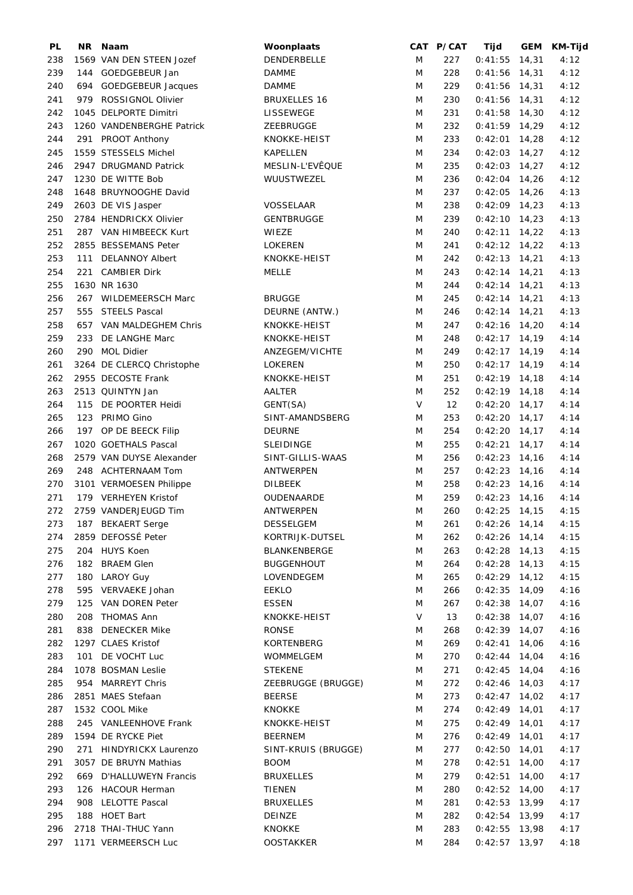| PL  | NR. | Naam                      | Woonplaats          |        | CAT P/CAT | Tijd            | GEM   | <b>KM-Tijd</b> |
|-----|-----|---------------------------|---------------------|--------|-----------|-----------------|-------|----------------|
| 238 |     | 1569 VAN DEN STEEN Jozef  | DENDERBELLE         | M      | 227       | $0:41:55$ 14,31 |       | 4:12           |
| 239 |     | 144 GOEDGEBEUR Jan        | <b>DAMME</b>        | M      | 228       | $0:41:56$ 14,31 |       | 4:12           |
| 240 |     | 694 GOEDGEBEUR Jacques    | <b>DAMME</b>        | M      | 229       | $0:41:56$ 14,31 |       | 4:12           |
| 241 |     | 979 ROSSIGNOL Olivier     | <b>BRUXELLES 16</b> | M      | 230       | $0:41:56$ 14,31 |       | 4:12           |
| 242 |     | 1045 DELPORTE Dimitri     | <b>LISSEWEGE</b>    | M      | 231       | $0:41:58$ 14,30 |       | 4:12           |
| 243 |     | 1260 VANDENBERGHE Patrick | ZEEBRUGGE           | M      | 232       | $0:41:59$ 14,29 |       | 4:12           |
|     |     |                           |                     |        |           |                 |       |                |
| 244 |     | 291 PROOT Anthony         | KNOKKE-HEIST        | M      | 233       | $0:42:01$ 14,28 |       | 4:12           |
| 245 |     | 1559 STESSELS Michel      | <b>KAPELLEN</b>     | M      | 234       | $0:42:03$ 14,27 |       | 4:12           |
| 246 |     | 2947 DRUGMAND Patrick     | MESLIN-L'EVÊQUE     | M      | 235       | $0:42:03$ 14,27 |       | 4:12           |
| 247 |     | 1230 DE WITTE Bob         | WUUSTWEZEL          | M      | 236       | $0:42:04$ 14,26 |       | 4:12           |
| 248 |     | 1648 BRUYNOOGHE David     |                     | M      | 237       | $0:42:05$ 14,26 |       | 4:13           |
| 249 |     | 2603 DE VIS Jasper        | <b>VOSSELAAR</b>    | M      | 238       | $0:42:09$ 14,23 |       | 4:13           |
| 250 |     | 2784 HENDRICKX Olivier    | <b>GENTBRUGGE</b>   | M      | 239       | $0:42:10$ 14,23 |       | 4:13           |
| 251 |     | 287 VAN HIMBEECK Kurt     | WIEZE               | M      | 240       | $0:42:11$ 14,22 |       | 4:13           |
| 252 |     | 2855 BESSEMANS Peter      | LOKEREN             | M      | 241       | $0:42:12$ 14,22 |       | 4:13           |
| 253 | 111 | <b>DELANNOY Albert</b>    | KNOKKE-HEIST        | M      | 242       | $0:42:13$ 14,21 |       | 4:13           |
| 254 | 221 | <b>CAMBIER Dirk</b>       | <b>MELLE</b>        | M      | 243       | $0:42:14$ 14,21 |       | 4:13           |
| 255 |     | 1630 NR 1630              |                     | M      | 244       | $0:42:14$ 14,21 |       | 4:13           |
| 256 |     | 267 WILDEMEERSCH Marc     | <b>BRUGGE</b>       | M      | 245       | $0:42:14$ 14,21 |       | 4:13           |
| 257 |     | 555 STEELS Pascal         | DEURNE (ANTW.)      | M      |           | $0:42:14$ 14,21 |       | 4:13           |
|     |     |                           |                     |        | 246       |                 |       |                |
| 258 |     | 657 VAN MALDEGHEM Chris   | KNOKKE-HEIST        | M      | 247       | $0:42:16$ 14,20 |       | 4:14           |
| 259 | 233 | DE LANGHE Marc            | KNOKKE-HEIST        | M      | 248       | $0:42:17$ 14,19 |       | 4:14           |
| 260 | 290 | <b>MOL Didier</b>         | ANZEGEM/VICHTE      | M      | 249       | $0:42:17$ 14,19 |       | 4:14           |
| 261 |     | 3264 DE CLERCQ Christophe | <b>LOKEREN</b>      | M      | 250       | $0:42:17$ 14,19 |       | 4:14           |
| 262 |     | 2955 DECOSTE Frank        | KNOKKE-HEIST        | M      | 251       | $0:42:19$ 14,18 |       | 4:14           |
| 263 |     | 2513 QUINTYN Jan          | AALTER              | M      | 252       | $0:42:19$ 14,18 |       | 4:14           |
| 264 | 115 | DE POORTER Heidi          | GENT(SA)            | $\vee$ | 12        | $0:42:20$ 14,17 |       | 4:14           |
| 265 |     | 123 PRIMO Gino            | SINT-AMANDSBERG     | M      | 253       | $0:42:20$ 14,17 |       | 4:14           |
| 266 |     | 197 OP DE BEECK Filip     | <b>DEURNE</b>       | M      | 254       | $0:42:20$ 14,17 |       | 4:14           |
| 267 |     | 1020 GOETHALS Pascal      | <b>SLEIDINGE</b>    | M      | 255       | $0:42:21$ 14,17 |       | 4:14           |
| 268 |     | 2579 VAN DUYSE Alexander  | SINT-GILLIS-WAAS    | M      | 256       | $0:42:23$ 14,16 |       | 4:14           |
| 269 |     | 248 ACHTERNAAM Tom        | ANTWERPEN           | M      | 257       | $0:42:23$ 14,16 |       | 4:14           |
| 270 |     |                           |                     | M      | 258       |                 |       | 4:14           |
|     |     | 3101 VERMOESEN Philippe   | <b>DILBEEK</b>      |        |           | $0:42:23$ 14,16 |       |                |
| 271 |     | 179 VERHEYEN Kristof      | OUDENAARDE          | M      | 259       | $0:42:23$ 14,16 |       | 4:14           |
| 272 |     | 2759 VANDERJEUGD Tim      | <b>ANTWERPEN</b>    | M      | 260       | $0:42:25$ 14,15 |       | 4:15           |
| 273 |     | 187 BEKAERT Serge         | <b>DESSELGEM</b>    | M      | 261       | $0:42:26$ 14,14 |       | 4:15           |
| 274 |     | 2859 DEFOSSÉ Peter        | KORTRIJK-DUTSEL     | M      | 262       | $0:42:26$ 14,14 |       | 4:15           |
| 275 |     | 204 HUYS Koen             | BLANKENBERGE        | M      | 263       | $0:42:28$ 14,13 |       | 4:15           |
| 276 | 182 | <b>BRAEM Glen</b>         | <b>BUGGENHOUT</b>   | M      | 264       | $0:42:28$ 14,13 |       | 4:15           |
| 277 |     | 180 LAROY Guy             | LOVENDEGEM          | M      | 265       | $0:42:29$ 14,12 |       | 4:15           |
| 278 | 595 | VERVAEKE Johan            | EEKLO               | M      | 266       | $0:42:35$ 14,09 |       | 4:16           |
| 279 | 125 | VAN DOREN Peter           | <b>ESSEN</b>        | M      | 267       | $0:42:38$ 14,07 |       | 4:16           |
| 280 | 208 | <b>THOMAS Ann</b>         | KNOKKE-HEIST        | V      | 13        | $0:42:38$ 14,07 |       | 4:16           |
| 281 |     | 838 DENECKER Mike         | <b>RONSE</b>        | M      | 268       | $0:42:39$ 14,07 |       | 4:16           |
| 282 |     | 1297 CLAES Kristof        | <b>KORTENBERG</b>   | M      | 269       | 0:42:41         | 14,06 | 4:16           |
| 283 |     | 101 DE VOCHT Luc          | WOMMELGEM           | M      | 270       | $0:42:44$ 14,04 |       | 4:16           |
| 284 |     | 1078 BOSMAN Leslie        | <b>STEKENE</b>      | M      | 271       | $0:42:45$ 14,04 |       | 4:16           |
|     |     |                           |                     |        |           |                 |       |                |
| 285 |     | 954 MARREYT Chris         | ZEEBRUGGE (BRUGGE)  | M      | 272       | $0:42:46$ 14,03 |       | 4:17           |
| 286 |     | 2851 MAES Stefaan         | <b>BEERSE</b>       | M      | 273       | $0:42:47$ 14,02 |       | 4:17           |
| 287 |     | 1532 COOL Mike            | <b>KNOKKE</b>       | M      | 274       | $0:42:49$ 14,01 |       | 4:17           |
| 288 |     | 245 VANLEENHOVE Frank     | KNOKKE-HEIST        | M      | 275       | $0:42:49$ 14,01 |       | 4:17           |
| 289 |     | 1594 DE RYCKE Piet        | <b>BEERNEM</b>      | M      | 276       | $0:42:49$ 14,01 |       | 4:17           |
| 290 |     | 271 HINDYRICKX Laurenzo   | SINT-KRUIS (BRUGGE) | M      | 277       | $0:42:50$ 14,01 |       | 4:17           |
| 291 |     | 3057 DE BRUYN Mathias     | <b>BOOM</b>         | M      | 278       | $0:42:51$ 14,00 |       | 4:17           |
| 292 |     | 669 D'HALLUWEYN Francis   | <b>BRUXELLES</b>    | M      | 279       | 0:42:51         | 14,00 | 4:17           |
| 293 |     | 126 HACOUR Herman         | <b>TIENEN</b>       | M      | 280       | $0:42:52$ 14,00 |       | 4:17           |
| 294 |     | 908 LELOTTE Pascal        | <b>BRUXELLES</b>    | M      | 281       | $0:42:53$ 13,99 |       | 4:17           |
| 295 |     | 188 HOET Bart             | DEINZE              | M      | 282       | $0:42:54$ 13,99 |       | 4:17           |
| 296 |     | 2718 THAI-THUC Yann       | <b>KNOKKE</b>       | M      | 283       | $0:42:55$ 13,98 |       | 4:17           |
| 297 |     | 1171 VERMEERSCH Luc       | <b>OOSTAKKER</b>    | M      | 284       | $0:42:57$ 13,97 |       | 4:18           |
|     |     |                           |                     |        |           |                 |       |                |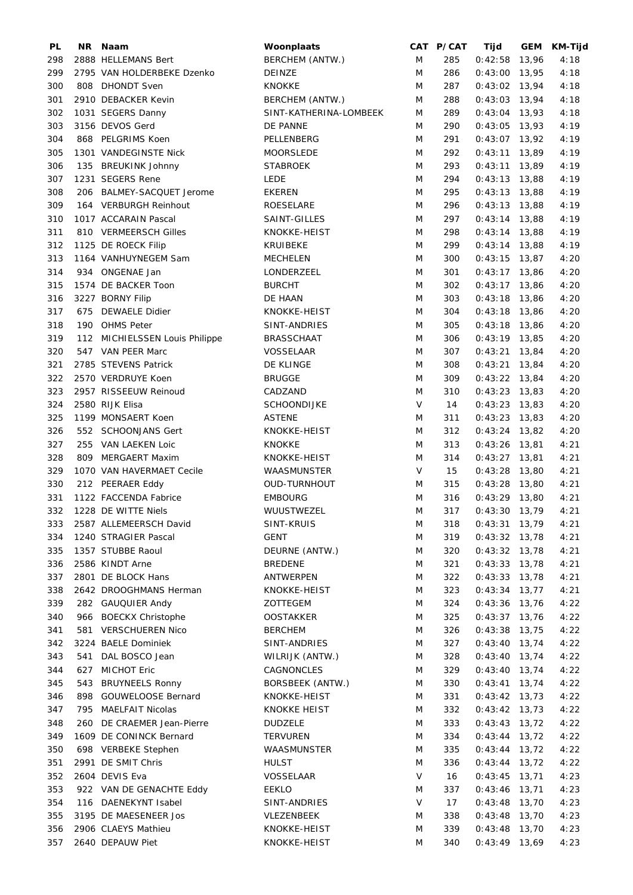| PL  |     | NR Naam                        | Woonplaats             |   | CAT P/CAT | Tijd            |       | GEM KM-Tijd |
|-----|-----|--------------------------------|------------------------|---|-----------|-----------------|-------|-------------|
| 298 |     | 2888 HELLEMANS Bert            | BERCHEM (ANTW.)        | M | 285       | $0:42:58$ 13,96 |       | 4:18        |
| 299 |     | 2795 VAN HOLDERBEKE Dzenko     | DEINZE                 | M | 286       | $0:43:00$ 13,95 |       | 4:18        |
| 300 |     | 808 DHONDT Sven                | KNOKKE                 | M | 287       | $0:43:02$ 13,94 |       | 4:18        |
| 301 |     | 2910 DEBACKER Kevin            | BERCHEM (ANTW.)        | M | 288       | $0:43:03$ 13,94 |       | 4:18        |
| 302 |     | 1031 SEGERS Danny              | SINT-KATHERINA-LOMBEEK | M | 289       | $0:43:04$ 13,93 |       | 4:18        |
| 303 |     | 3156 DEVOS Gerd                | DE PANNE               | M | 290       | $0:43:05$ 13,93 |       | 4:19        |
|     |     |                                |                        |   |           |                 |       |             |
| 304 |     | 868 PELGRIMS Koen              | PELLENBERG             | M | 291       | $0:43:07$ 13,92 |       | 4:19        |
| 305 |     | 1301 VANDEGINSTE Nick          | <b>MOORSLEDE</b>       | M | 292       | $0:43:11$ 13,89 |       | 4:19        |
| 306 |     | 135 BREUKINK Johnny            | <b>STABROEK</b>        | M | 293       | $0:43:11$ 13,89 |       | 4:19        |
| 307 |     | 1231 SEGERS Rene               | <b>LEDE</b>            | M | 294       | $0:43:13$ 13,88 |       | 4:19        |
| 308 |     | 206 BALMEY-SACQUET Jerome      | <b>EKEREN</b>          | M | 295       | $0:43:13$ 13,88 |       | 4:19        |
| 309 |     | 164 VERBURGH Reinhout          | ROESELARE              | M | 296       | $0:43:13$ 13,88 |       | 4:19        |
| 310 |     | 1017 ACCARAIN Pascal           | SAINT-GILLES           | M | 297       | $0:43:14$ 13,88 |       | 4:19        |
| 311 |     | 810 VERMEERSCH Gilles          | KNOKKE-HEIST           | M | 298       | $0:43:14$ 13,88 |       | 4:19        |
| 312 |     | 1125 DE ROECK Filip            | KRUIBEKE               | M | 299       | $0:43:14$ 13,88 |       | 4:19        |
| 313 |     | 1164 VANHUYNEGEM Sam           | <b>MECHELEN</b>        | M | 300       | $0:43:15$ 13,87 |       | 4:20        |
| 314 |     | 934 ONGENAE Jan                | LONDERZEEL             | M | 301       | $0:43:17$ 13,86 |       | 4:20        |
| 315 |     | 1574 DE BACKER Toon            | <b>BURCHT</b>          | M | 302       | $0:43:17$ 13,86 |       | 4:20        |
|     |     |                                |                        |   |           |                 |       |             |
| 316 |     | 3227 BORNY Filip               | DE HAAN                | M | 303       | $0:43:18$ 13,86 |       | 4:20        |
| 317 | 675 | <b>DEWAELE Didier</b>          | KNOKKE-HEIST           | M | 304       | $0:43:18$ 13,86 |       | 4:20        |
| 318 |     | 190 OHMS Peter                 | SINT-ANDRIES           | M | 305       | $0:43:18$ 13,86 |       | 4:20        |
| 319 |     | 112 MICHIELSSEN Louis Philippe | <b>BRASSCHAAT</b>      | M | 306       | $0:43:19$ 13,85 |       | 4:20        |
| 320 |     | 547 VAN PEER Marc              | VOSSELAAR              | M | 307       | $0:43:21$ 13,84 |       | 4:20        |
| 321 |     | 2785 STEVENS Patrick           | DE KLINGE              | M | 308       | $0:43:21$ 13,84 |       | 4:20        |
| 322 |     | 2570 VERDRUYE Koen             | <b>BRUGGE</b>          | M | 309       | $0:43:22$ 13,84 |       | 4:20        |
| 323 |     | 2957 RISSEEUW Reinoud          | CADZAND                | M | 310       | $0:43:23$ 13,83 |       | 4:20        |
| 324 |     | 2580 RIJK Elisa                | <b>SCHOONDIJKE</b>     | V | 14        | $0:43:23$ 13,83 |       | 4:20        |
| 325 |     | 1199 MONSAERT Koen             | <b>ASTENE</b>          | M | 311       | $0:43:23$ 13,83 |       | 4:20        |
| 326 |     | 552 SCHOONJANS Gert            | KNOKKE-HEIST           | M | 312       | $0:43:24$ 13,82 |       | 4:20        |
| 327 |     | 255 VAN LAEKEN Loic            | <b>KNOKKE</b>          | M | 313       | $0:43:26$ 13,81 |       | 4:21        |
|     |     |                                |                        |   |           |                 |       |             |
| 328 | 809 | <b>MERGAERT Maxim</b>          | KNOKKE-HEIST           | M | 314       | $0:43:27$ 13,81 |       | 4:21        |
| 329 |     | 1070 VAN HAVERMAET Cecile      | WAASMUNSTER            | V | 15        | $0:43:28$ 13,80 |       | 4:21        |
| 330 |     | 212 PEERAER Eddy               | OUD-TURNHOUT           | M | 315       | $0:43:28$ 13,80 |       | 4:21        |
| 331 |     | 1122 FACCENDA Fabrice          | <b>EMBOURG</b>         | M | 316       | $0:43:29$ 13,80 |       | 4:21        |
| 332 |     | 1228 DE WITTE Niels            | WUUSTWEZEL             | M | 317       | $0:43:30$ 13,79 |       | 4:21        |
| 333 |     | 2587 ALLEMEERSCH David         | SINT-KRUIS             | M | 318       | $0:43:31$ 13,79 |       | 4:21        |
| 334 |     | 1240 STRAGIER Pascal           | <b>GENT</b>            | M | 319       | $0:43:32$ 13,78 |       | 4:21        |
| 335 |     | 1357 STUBBE Raoul              | DEURNE (ANTW.)         | M | 320       | $0:43:32$ 13,78 |       | 4:21        |
| 336 |     | 2586 KINDT Arne                | <b>BREDENE</b>         | M | 321       | $0:43:33$ 13,78 |       | 4:21        |
| 337 |     | 2801 DE BLOCK Hans             | ANTWERPEN              | M | 322       | $0:43:33$ 13,78 |       | 4:21        |
| 338 |     | 2642 DROOGHMANS Herman         | KNOKKE-HEIST           | M | 323       | $0:43:34$ 13,77 |       | 4:21        |
| 339 |     | 282 GAUQUIER Andy              | ZOTTEGEM               | M | 324       | $0:43:36$ 13,76 |       | 4:22        |
| 340 |     | 966 BOECKX Christophe          | <b>OOSTAKKER</b>       | M | 325       | $0:43:37$ 13,76 |       | 4:22        |
|     |     | 581 VERSCHUEREN Nico           |                        | M |           |                 |       |             |
| 341 |     |                                | <b>BERCHEM</b>         |   | 326       | $0:43:38$ 13,75 |       | 4:22        |
| 342 |     | 3224 BAELE Dominiek            | SINT-ANDRIES           | M | 327       | $0:43:40$ 13,74 |       | 4:22        |
| 343 | 541 | DAL BOSCO Jean                 | WILRIJK (ANTW.)        | M | 328       | $0:43:40$ 13,74 |       | 4:22        |
| 344 | 627 | <b>MICHOT Eric</b>             | CAGNONCLES             | M | 329       | $0:43:40$ 13,74 |       | 4:22        |
| 345 | 543 | <b>BRUYNEELS Ronny</b>         | BORSBEEK (ANTW.)       | M | 330       | 0:43:41         | 13,74 | 4:22        |
| 346 | 898 | GOUWELOOSE Bernard             | KNOKKE-HEIST           | M | 331       | $0:43:42$ 13,73 |       | 4:22        |
| 347 | 795 | <b>MAELFAIT Nicolas</b>        | KNOKKE HEIST           | M | 332       | $0:43:42$ 13,73 |       | 4:22        |
| 348 | 260 | DE CRAEMER Jean-Pierre         | <b>DUDZELE</b>         | M | 333       | $0:43:43$ 13,72 |       | 4:22        |
| 349 |     | 1609 DE CONINCK Bernard        | TERVUREN               | M | 334       | $0:43:44$ 13,72 |       | 4:22        |
| 350 |     | 698 VERBEKE Stephen            | WAASMUNSTER            | M | 335       | $0:43:44$ 13,72 |       | 4:22        |
| 351 |     | 2991 DE SMIT Chris             | <b>HULST</b>           | M | 336       | $0:43:44$ 13,72 |       | 4:22        |
| 352 |     | 2604 DEVIS Eva                 | VOSSELAAR              | V | 16        | $0:43:45$ 13,71 |       | 4:23        |
| 353 |     | 922 VAN DE GENACHTE Eddy       | <b>EEKLO</b>           | M | 337       | $0:43:46$ 13,71 |       | 4:23        |
|     |     |                                |                        | V |           |                 |       |             |
| 354 | 116 | DAENEKYNT Isabel               | SINT-ANDRIES           |   | 17        | $0:43:48$ 13,70 |       | 4:23        |
| 355 |     | 3195 DE MAESENEER Jos          | VLEZENBEEK             | M | 338       | $0:43:48$ 13,70 |       | 4:23        |
| 356 |     | 2906 CLAEYS Mathieu            | KNOKKE-HEIST           | M | 339       | $0:43:48$ 13,70 |       | 4:23        |
| 357 |     | 2640 DEPAUW Piet               | KNOKKE-HEIST           | M | 340       | $0:43:49$ 13,69 |       | 4:23        |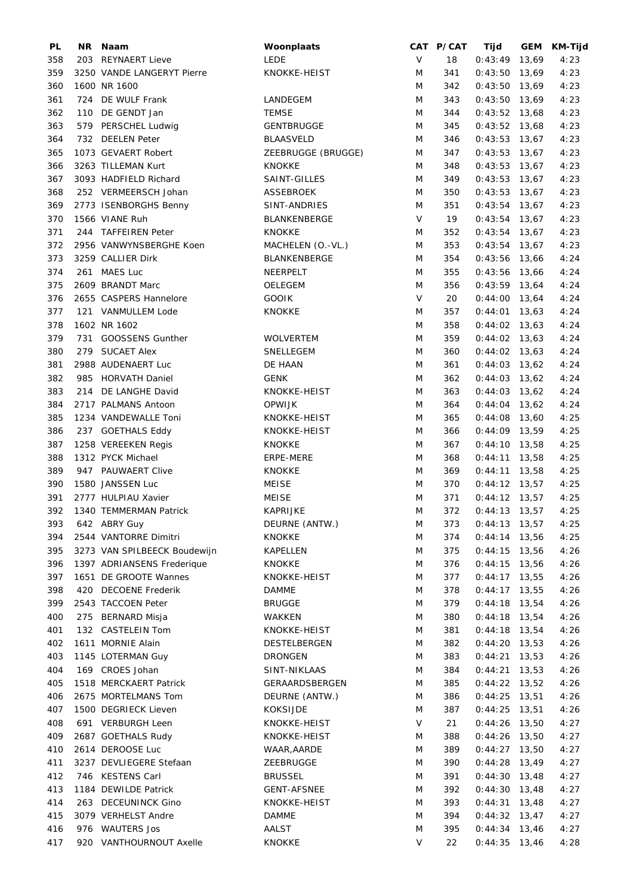| PL  | NR. | Naam                         | Woonplaats          |        | CAT P/CAT | Tijd            |       | GEM KM-Tijd |
|-----|-----|------------------------------|---------------------|--------|-----------|-----------------|-------|-------------|
| 358 |     | 203 REYNAERT Lieve           | LEDE                | V      | 18        | $0:43:49$ 13,69 |       | 4:23        |
| 359 |     | 3250 VANDE LANGERYT Pierre   | KNOKKE-HEIST        | M      | 341       | $0:43:50$ 13,69 |       | 4:23        |
| 360 |     | 1600 NR 1600                 |                     | M      | 342       | $0:43:50$ 13,69 |       | 4:23        |
| 361 |     | 724 DE WULF Frank            | LANDEGEM            | M      | 343       | $0:43:50$ 13,69 |       | 4:23        |
| 362 |     | 110 DE GENDT Jan             | <b>TEMSE</b>        | M      | 344       | $0:43:52$ 13,68 |       | 4:23        |
| 363 |     | 579 PERSCHEL Ludwig          | <b>GENTBRUGGE</b>   | M      | 345       | $0:43:52$ 13,68 |       | 4:23        |
| 364 |     | 732 DEELEN Peter             | <b>BLAASVELD</b>    | M      | 346       | $0:43:53$ 13,67 |       | 4:23        |
|     |     |                              |                     |        |           |                 |       |             |
| 365 |     | 1073 GEVAERT Robert          | ZEEBRUGGE (BRUGGE)  | M      | 347       | $0:43:53$ 13,67 |       | 4:23        |
| 366 |     | 3263 TILLEMAN Kurt           | <b>KNOKKE</b>       | M      | 348       | $0:43:53$ 13,67 |       | 4:23        |
| 367 |     | 3093 HADFIELD Richard        | SAINT-GILLES        | M      | 349       | $0:43:53$ 13,67 |       | 4:23        |
| 368 |     | 252 VERMEERSCH Johan         | <b>ASSEBROEK</b>    | M      | 350       | $0:43:53$ 13,67 |       | 4:23        |
| 369 |     | 2773 ISENBORGHS Benny        | SINT-ANDRIES        | M      | 351       | $0:43:54$ 13,67 |       | 4:23        |
| 370 |     | 1566 VIANE Ruh               | BLANKENBERGE        | $\vee$ | 19        | $0:43:54$ 13,67 |       | 4:23        |
| 371 |     | 244 TAFFEIREN Peter          | <b>KNOKKE</b>       | M      | 352       | $0:43:54$ 13,67 |       | 4:23        |
| 372 |     | 2956 VANWYNSBERGHE Koen      | MACHELEN (O.-VL.)   | M      | 353       | $0:43:54$ 13,67 |       | 4:23        |
| 373 |     | 3259 CALLIER Dirk            | <b>BLANKENBERGE</b> | M      | 354       | $0:43:56$ 13,66 |       | 4:24        |
| 374 |     | 261 MAES Luc                 | NEERPELT            | M      | 355       | 0:43:56 13,66   |       | 4:24        |
| 375 |     | 2609 BRANDT Marc             | OELEGEM             | M      | 356       | $0:43:59$ 13,64 |       | 4:24        |
| 376 |     | 2655 CASPERS Hannelore       | <b>GOOIK</b>        | $\vee$ | 20        | $0:44:00$ 13,64 |       | 4:24        |
| 377 |     | 121 VANMULLEM Lode           | <b>KNOKKE</b>       | M      | 357       | $0:44:01$ 13,63 |       | 4:24        |
| 378 |     | 1602 NR 1602                 |                     | M      | 358       | $0:44:02$ 13,63 |       | 4:24        |
| 379 |     | 731 GOOSSENS Gunther         | WOLVERTEM           | M      | 359       | $0:44:02$ 13,63 |       | 4:24        |
|     |     |                              |                     |        |           |                 |       |             |
| 380 |     | 279 SUCAET Alex              | SNELLEGEM           | M      | 360       | $0:44:02$ 13,63 |       | 4:24        |
| 381 |     | 2988 AUDENAERT Luc           | DE HAAN             | M      | 361       | $0:44:03$ 13,62 |       | 4:24        |
| 382 |     | 985 HORVATH Daniel           | <b>GENK</b>         | M      | 362       | $0:44:03$ 13,62 |       | 4:24        |
| 383 |     | 214 DE LANGHE David          | KNOKKE-HEIST        | M      | 363       | $0:44:03$ 13,62 |       | 4:24        |
| 384 |     | 2717 PALMANS Antoon          | <b>OPWIJK</b>       | M      | 364       | $0:44:04$ 13,62 |       | 4:24        |
| 385 |     | 1234 VANDEWALLE Toni         | KNOKKE-HEIST        | M      | 365       | $0:44:08$ 13,60 |       | 4:25        |
| 386 |     | 237 GOETHALS Eddy            | KNOKKE-HEIST        | M      | 366       | $0:44:09$ 13,59 |       | 4:25        |
| 387 |     | 1258 VEREEKEN Regis          | <b>KNOKKE</b>       | M      | 367       | $0:44:10$ 13,58 |       | 4:25        |
| 388 |     | 1312 PYCK Michael            | ERPE-MERE           | M      | 368       | $0:44:11$ 13,58 |       | 4:25        |
| 389 |     | 947 PAUWAERT Clive           | <b>KNOKKE</b>       | M      | 369       | $0:44:11$ 13,58 |       | 4:25        |
| 390 |     | 1580 JANSSEN Luc             | <b>MEISE</b>        | M      | 370       | $0:44:12$ 13,57 |       | 4:25        |
| 391 |     | 2777 HULPIAU Xavier          | <b>MEISE</b>        | M      | 371       | $0:44:12$ 13,57 |       | 4:25        |
| 392 |     | 1340 TEMMERMAN Patrick       | <b>KAPRIJKE</b>     | M      | 372       | $0:44:13$ 13,57 |       | 4:25        |
| 393 |     | 642 ABRY Guy                 | DEURNE (ANTW.)      | M      | 373       | $0:44:13$ 13,57 |       | 4:25        |
| 394 |     | 2544 VANTORRE Dimitri        | <b>KNOKKE</b>       | M      | 374       | $0:44:14$ 13,56 |       | 4:25        |
| 395 |     | 3273 VAN SPILBEECK Boudewijn | <b>KAPELLEN</b>     | M      | 375       | $0:44:15$ 13,56 |       | 4:26        |
| 396 |     | 1397 ADRIANSENS Frederique   | <b>KNOKKE</b>       | M      | 376       | $0:44:15$ 13,56 |       | 4:26        |
| 397 |     | 1651 DE GROOTE Wannes        | KNOKKE-HEIST        | M      |           | $0:44:17$ 13,55 |       |             |
|     |     | 420 DECOENE Frederik         |                     |        | 377       |                 |       | 4:26        |
| 398 |     |                              | <b>DAMME</b>        | M      | 378       | $0:44:17$ 13,55 |       | 4:26        |
| 399 |     | 2543 TACCOEN Peter           | <b>BRUGGE</b>       | M      | 379       | $0:44:18$ 13,54 |       | 4:26        |
| 400 |     | 275 BERNARD Misja            | WAKKEN              | M      | 380       | $0:44:18$ 13,54 |       | 4:26        |
| 401 |     | 132 CASTELEIN Tom            | KNOKKE-HEIST        | M      | 381       | $0:44:18$ 13,54 |       | 4:26        |
| 402 |     | 1611 MORNIE Alain            | DESTELBERGEN        | M      | 382       | $0:44:20$ 13,53 |       | 4:26        |
| 403 |     | 1145 LOTERMAN Guy            | <b>DRONGEN</b>      | M      | 383       | $0:44:21$ 13,53 |       | 4:26        |
| 404 |     | 169 CROES Johan              | SINT-NIKLAAS        | M      | 384       | $0:44:21$ 13,53 |       | 4:26        |
| 405 |     | 1518 MERCKAERT Patrick       | GERAARDSBERGEN      | M      | 385       | $0:44:22$ 13,52 |       | 4:26        |
| 406 |     | 2675 MORTELMANS Tom          | DEURNE (ANTW.)      | M      | 386       | $0:44:25$ 13,51 |       | 4:26        |
| 407 |     | 1500 DEGRIECK Lieven         | <b>KOKSIJDE</b>     | M      | 387       | $0:44:25$ 13,51 |       | 4:26        |
| 408 |     | 691 VERBURGH Leen            | KNOKKE-HEIST        | V      | 21        | $0:44:26$ 13,50 |       | 4:27        |
| 409 |     | 2687 GOETHALS Rudy           | KNOKKE-HEIST        | M      | 388       | $0:44:26$ 13,50 |       | 4:27        |
| 410 |     | 2614 DEROOSE Luc             | WAAR, AARDE         | M      | 389       | $0:44:27$ 13,50 |       | 4:27        |
| 411 |     | 3237 DEVLIEGERE Stefaan      | ZEEBRUGGE           | M      | 390       | $0:44:28$ 13,49 |       | 4:27        |
| 412 |     | 746 KESTENS Carl             | <b>BRUSSEL</b>      | M      | 391       | $0:44:30$ 13,48 |       | 4:27        |
| 413 |     | 1184 DEWILDE Patrick         | <b>GENT-AFSNEE</b>  | M      | 392       | $0:44:30$ 13,48 |       | 4:27        |
| 414 |     | 263 DECEUNINCK Gino          | KNOKKE-HEIST        | M      | 393       | $0:44:31$ 13,48 |       | 4:27        |
| 415 |     | 3079 VERHELST Andre          | DAMME               | M      | 394       | $0:44:32$ 13,47 |       | 4:27        |
| 416 |     | 976 WAUTERS Jos              | AALST               | M      |           | 0:44:34         | 13,46 | 4:27        |
|     |     |                              |                     |        | 395       |                 |       |             |
| 417 |     | 920 VANTHOURNOUT Axelle      | <b>KNOKKE</b>       | V      | 22        | $0:44:35$ 13,46 |       | 4:28        |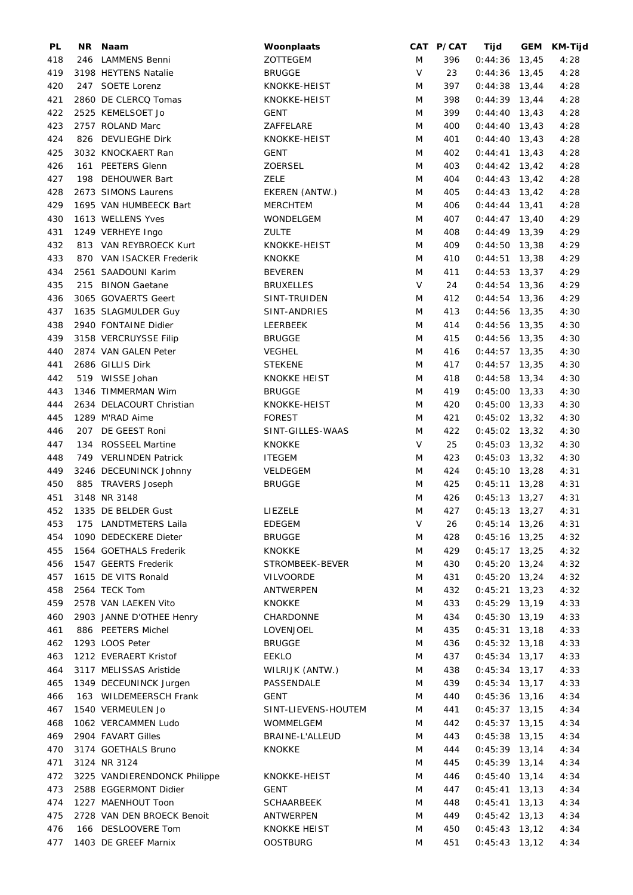| PL  | NR. | Naam                         | Woonplaats          |   | CAT P/CAT | Tijd            | GEM KM-Tijd |
|-----|-----|------------------------------|---------------------|---|-----------|-----------------|-------------|
| 418 |     | 246 LAMMENS Benni            | ZOTTEGEM            | M | 396       | $0:44:36$ 13,45 | 4:28        |
| 419 |     | 3198 HEYTENS Natalie         | <b>BRUGGE</b>       | V | 23        | $0:44:36$ 13,45 | 4:28        |
| 420 |     | 247 SOETE Lorenz             | KNOKKE-HEIST        | M | 397       | $0:44:38$ 13,44 | 4:28        |
| 421 |     | 2860 DE CLERCQ Tomas         | KNOKKE-HEIST        | M | 398       | $0:44:39$ 13,44 | 4:28        |
| 422 |     | 2525 KEMELSOET Jo            | <b>GENT</b>         | M | 399       | $0:44:40$ 13,43 | 4:28        |
| 423 |     | 2757 ROLAND Marc             | ZAFFELARE           | M | 400       | $0:44:40$ 13,43 | 4:28        |
| 424 |     | 826 DEVLIEGHE Dirk           | KNOKKE-HEIST        | M |           | $0:44:40$ 13,43 | 4:28        |
|     |     |                              |                     |   | 401       |                 |             |
| 425 |     | 3032 KNOCKAERT Ran           | <b>GENT</b>         | M | 402       | $0:44:41$ 13,43 | 4:28        |
| 426 |     | 161 PEETERS Glenn            | <b>ZOERSEL</b>      | M | 403       | $0:44:42$ 13,42 | 4:28        |
| 427 |     | 198 DEHOUWER Bart            | ZELE                | M | 404       | $0:44:43$ 13,42 | 4:28        |
| 428 |     | 2673 SIMONS Laurens          | EKEREN (ANTW.)      | M | 405       | $0:44:43$ 13,42 | 4:28        |
| 429 |     | 1695 VAN HUMBEECK Bart       | <b>MERCHTEM</b>     | M | 406       | $0:44:44$ 13,41 | 4:28        |
| 430 |     | 1613 WELLENS Yves            | WONDELGEM           | M | 407       | $0:44:47$ 13,40 | 4:29        |
| 431 |     | 1249 VERHEYE Ingo            | <b>ZULTE</b>        | M | 408       | $0:44:49$ 13,39 | 4:29        |
| 432 |     | 813 VAN REYBROECK Kurt       | KNOKKE-HEIST        | M | 409       | $0:44:50$ 13,38 | 4:29        |
| 433 |     | 870 VAN ISACKER Frederik     | <b>KNOKKE</b>       | M | 410       | $0:44:51$ 13,38 | 4:29        |
| 434 |     | 2561 SAADOUNI Karim          | <b>BEVEREN</b>      | M | 411       | $0:44:53$ 13,37 | 4:29        |
| 435 |     | 215 BINON Gaetane            | <b>BRUXELLES</b>    | V | 24        | $0:44:54$ 13,36 | 4:29        |
| 436 |     | 3065 GOVAERTS Geert          | SINT-TRUIDEN        | M | 412       | $0:44:54$ 13,36 | 4:29        |
|     |     |                              |                     |   |           |                 |             |
| 437 |     | 1635 SLAGMULDER Guy          | SINT-ANDRIES        | M | 413       | $0:44:56$ 13,35 | 4:30        |
| 438 |     | 2940 FONTAINE Didier         | LEERBEEK            | M | 414       | $0:44:56$ 13,35 | 4:30        |
| 439 |     | 3158 VERCRUYSSE Filip        | <b>BRUGGE</b>       | M | 415       | $0:44:56$ 13,35 | 4:30        |
| 440 |     | 2874 VAN GALEN Peter         | <b>VEGHEL</b>       | M | 416       | $0:44:57$ 13,35 | 4:30        |
| 441 |     | 2686 GILLIS Dirk             | <b>STEKENE</b>      | M | 417       | $0:44:57$ 13,35 | 4:30        |
| 442 |     | 519 WISSE Johan              | <b>KNOKKE HEIST</b> | M | 418       | $0:44:58$ 13,34 | 4:30        |
| 443 |     | 1346 TIMMERMAN Wim           | <b>BRUGGE</b>       | M | 419       | $0:45:00$ 13,33 | 4:30        |
| 444 |     | 2634 DELACOURT Christian     | KNOKKE-HEIST        | M | 420       | $0:45:00$ 13,33 | 4:30        |
| 445 |     | 1289 M'RAD Aime              | <b>FOREST</b>       | M | 421       | $0:45:02$ 13,32 | 4:30        |
| 446 |     | 207 DE GEEST Roni            | SINT-GILLES-WAAS    | M | 422       | $0:45:02$ 13,32 | 4:30        |
| 447 |     | 134 ROSSEEL Martine          | <b>KNOKKE</b>       | V | 25        | $0:45:03$ 13,32 | 4:30        |
| 448 |     | 749 VERLINDEN Patrick        | <b>ITEGEM</b>       | M | 423       | $0:45:03$ 13,32 | 4:30        |
|     |     |                              |                     |   |           |                 |             |
| 449 |     | 3246 DECEUNINCK Johnny       | VELDEGEM            | M | 424       | $0:45:10$ 13,28 | 4:31        |
| 450 |     | 885 TRAVERS Joseph           | <b>BRUGGE</b>       | M | 425       | $0:45:11$ 13,28 | 4:31        |
| 451 |     | 3148 NR 3148                 |                     | M | 426       | $0:45:13$ 13,27 | 4:31        |
| 452 |     | 1335 DE BELDER Gust          | LIEZELE             | M | 427       | $0:45:13$ 13,27 | 4:31        |
| 453 |     | 175 LANDTMETERS Laila        | EDEGEM              | V | 26        | $0:45:14$ 13,26 | 4:31        |
| 454 |     | 1090 DEDECKERE Dieter        | <b>BRUGGE</b>       | M | 428       | $0:45:16$ 13,25 | 4:32        |
| 455 |     | 1564 GOETHALS Frederik       | <b>KNOKKE</b>       | M | 429       | $0:45:17$ 13,25 | 4:32        |
| 456 |     | 1547 GEERTS Frederik         | STROMBEEK-BEVER     | M | 430       | $0:45:20$ 13,24 | 4:32        |
| 457 |     | 1615 DE VITS Ronald          | <b>VILVOORDE</b>    | M | 431       | $0:45:20$ 13,24 | 4:32        |
| 458 |     | 2564 TECK Tom                | ANTWERPEN           | M | 432       | $0:45:21$ 13,23 | 4:32        |
| 459 |     | 2578 VAN LAEKEN Vito         | <b>KNOKKE</b>       | M | 433       | $0:45:29$ 13,19 | 4:33        |
| 460 |     | 2903 JANNE D'OTHEE Henry     | CHARDONNE           | M | 434       | $0:45:30$ 13,19 | 4:33        |
|     |     |                              |                     |   |           |                 |             |
| 461 |     | 886 PEETERS Michel           | LOVENJOEL           | M | 435       | $0:45:31$ 13,18 | 4:33        |
| 462 |     | 1293 LOOS Peter              | <b>BRUGGE</b>       | M | 436       | $0:45:32$ 13,18 | 4:33        |
| 463 |     | 1212 EVERAERT Kristof        | <b>EEKLO</b>        | M | 437       | $0:45:34$ 13,17 | 4:33        |
| 464 |     | 3117 MELISSAS Aristide       | WILRIJK (ANTW.)     | M | 438       | $0:45:34$ 13,17 | 4:33        |
| 465 |     | 1349 DECEUNINCK Jurgen       | PASSENDALE          | M | 439       | $0:45:34$ 13,17 | 4:33        |
| 466 |     | 163 WILDEMEERSCH Frank       | <b>GENT</b>         | M | 440       | $0:45:36$ 13,16 | 4:34        |
| 467 |     | 1540 VERMEULEN Jo            | SINT-LIEVENS-HOUTEM | M | 441       | $0:45:37$ 13,15 | 4:34        |
| 468 |     | 1062 VERCAMMEN Ludo          | WOMMELGEM           | M | 442       | $0:45:37$ 13,15 | 4:34        |
| 469 |     | 2904 FAVART Gilles           | BRAINE-L'ALLEUD     | M | 443       | $0:45:38$ 13,15 | 4:34        |
| 470 |     | 3174 GOETHALS Bruno          | KNOKKE              | M | 444       | $0:45:39$ 13,14 | 4:34        |
| 471 |     | 3124 NR 3124                 |                     | M | 445       | $0:45:39$ 13,14 | 4:34        |
| 472 |     | 3225 VANDIERENDONCK Philippe | KNOKKE-HEIST        | M | 446       | $0:45:40$ 13,14 | 4:34        |
| 473 |     | 2588 EGGERMONT Didier        | <b>GENT</b>         | M | 447       | $0:45:41$ 13,13 | 4:34        |
|     |     |                              |                     |   |           |                 |             |
| 474 |     | 1227 MAENHOUT Toon           | SCHAARBEEK          | M | 448       | $0:45:41$ 13,13 | 4:34        |
| 475 |     | 2728 VAN DEN BROECK Benoit   | ANTWERPEN           | M | 449       | $0:45:42$ 13,13 | 4:34        |
| 476 |     | 166 DESLOOVERE Tom           | <b>KNOKKE HEIST</b> | M | 450       | $0:45:43$ 13,12 | 4:34        |
| 477 |     | 1403 DE GREEF Marnix         | <b>OOSTBURG</b>     | M | 451       | $0:45:43$ 13,12 | 4:34        |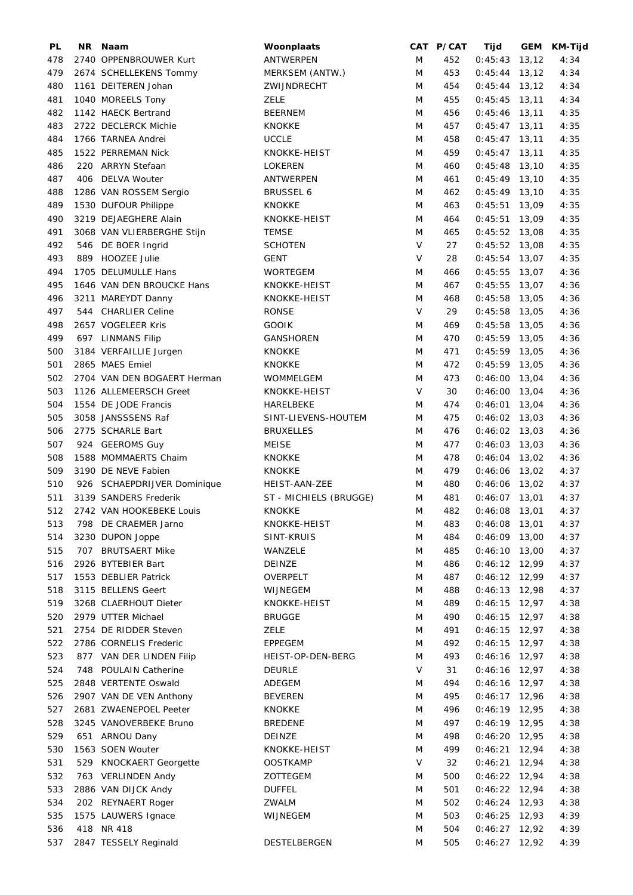| PL  |     | NR Naam                     | Woonplaats             |        | CAT P/CAT | Tijd            |       | GEM KM-Tijd |
|-----|-----|-----------------------------|------------------------|--------|-----------|-----------------|-------|-------------|
| 478 |     | 2740 OPPENBROUWER Kurt      | <b>ANTWERPEN</b>       | M      | 452       | $0:45:43$ 13,12 |       | 4:34        |
| 479 |     | 2674 SCHELLEKENS Tommy      | MERKSEM (ANTW.)        | M      | 453       | $0:45:44$ 13,12 |       | 4:34        |
| 480 |     | 1161 DEITEREN Johan         | ZWIJNDRECHT            | M      | 454       | $0:45:44$ 13,12 |       | 4:34        |
| 481 |     | 1040 MOREELS Tony           | ZELE                   | M      | 455       | $0:45:45$ 13,11 |       | 4:34        |
| 482 |     | 1142 HAECK Bertrand         | <b>BEERNEM</b>         | M      | 456       | $0:45:46$ 13,11 |       | 4:35        |
| 483 |     | 2722 DECLERCK Michie        | <b>KNOKKE</b>          | M      | 457       | $0:45:47$ 13,11 |       | 4:35        |
| 484 |     | 1766 TARNEA Andrei          | <b>UCCLE</b>           | M      | 458       | $0:45:47$ 13,11 |       | 4:35        |
| 485 |     | 1522 PERREMAN Nick          | KNOKKE-HEIST           | M      | 459       | $0:45:47$ 13,11 |       | 4:35        |
| 486 |     | 220 ARRYN Stefaan           | <b>LOKEREN</b>         | M      | 460       | $0:45:48$ 13,10 |       | 4:35        |
| 487 |     | 406 DELVA Wouter            | ANTWERPEN              | M      | 461       | $0:45:49$ 13,10 |       | 4:35        |
| 488 |     | 1286 VAN ROSSEM Sergio      | <b>BRUSSEL 6</b>       | M      | 462       | $0:45:49$ 13,10 |       | 4:35        |
| 489 |     | 1530 DUFOUR Philippe        | <b>KNOKKE</b>          | M      | 463       | 0:45:51         | 13,09 | 4:35        |
| 490 |     | 3219 DEJAEGHERE Alain       | KNOKKE-HEIST           | M      | 464       | $0:45:51$ 13,09 |       | 4:35        |
|     |     |                             |                        |        |           |                 |       |             |
| 491 |     | 3068 VAN VLIERBERGHE Stijn  | TEMSE                  | M      | 465       | $0:45:52$ 13,08 |       | 4:35        |
| 492 |     | 546 DE BOER Ingrid          | <b>SCHOTEN</b>         | $\vee$ | 27        | $0:45:52$ 13,08 |       | 4:35        |
| 493 |     | 889 HOOZEE Julie            | GENT                   | V      | 28        | $0:45:54$ 13,07 |       | 4:35        |
| 494 |     | 1705 DELUMULLE Hans         | <b>WORTEGEM</b>        | M      | 466       | $0:45:55$ 13,07 |       | 4:36        |
| 495 |     | 1646 VAN DEN BROUCKE Hans   | KNOKKE-HEIST           | M      | 467       | $0:45:55$ 13,07 |       | 4:36        |
| 496 |     | 3211 MAREYDT Danny          | KNOKKE-HEIST           | M      | 468       | $0:45:58$ 13,05 |       | 4:36        |
| 497 |     | 544 CHARLIER Celine         | <b>RONSE</b>           | V      | 29        | $0:45:58$ 13,05 |       | 4:36        |
| 498 |     | 2657 VOGELEER Kris          | <b>GOOIK</b>           | M      | 469       | $0:45:58$ 13,05 |       | 4:36        |
| 499 |     | 697 LINMANS Filip           | GANSHOREN              | M      | 470       | $0:45:59$ 13,05 |       | 4:36        |
| 500 |     | 3184 VERFAILLIE Jurgen      | <b>KNOKKE</b>          | M      | 471       | $0:45:59$ 13,05 |       | 4:36        |
| 501 |     | 2865 MAES Emiel             | <b>KNOKKE</b>          | M      | 472       | $0:45:59$ 13,05 |       | 4:36        |
| 502 |     | 2704 VAN DEN BOGAERT Herman | WOMMELGEM              | M      | 473       | $0:46:00$ 13,04 |       | 4:36        |
| 503 |     | 1126 ALLEMEERSCH Greet      | KNOKKE-HEIST           | V      | 30        | $0:46:00$ 13,04 |       | 4:36        |
| 504 |     | 1554 DE JODE Francis        | HARELBEKE              | M      | 474       | $0:46:01$ 13,04 |       | 4:36        |
| 505 |     | 3058 JANSSSENS Raf          | SINT-LIEVENS-HOUTEM    | M      | 475       | $0:46:02$ 13,03 |       | 4:36        |
| 506 |     | 2775 SCHARLE Bart           | <b>BRUXELLES</b>       | M      | 476       | $0:46:02$ 13,03 |       | 4:36        |
| 507 |     | 924 GEEROMS Guy             | <b>MEISE</b>           | M      | 477       | $0:46:03$ 13,03 |       | 4:36        |
| 508 |     | 1588 MOMMAERTS Chaim        | KNOKKE                 | M      | 478       | $0:46:04$ 13,02 |       | 4:36        |
| 509 |     | 3190 DE NEVE Fabien         | <b>KNOKKE</b>          | M      | 479       | $0:46:06$ 13,02 |       | 4:37        |
| 510 |     | 926 SCHAEPDRIJVER Dominique | HEIST-AAN-ZEE          | M      | 480       | $0:46:06$ 13,02 |       | 4:37        |
|     |     |                             |                        |        |           |                 |       |             |
| 511 |     | 3139 SANDERS Frederik       | ST - MICHIELS (BRUGGE) | M      | 481       | $0:46:07$ 13,01 |       | 4:37        |
| 512 |     | 2742 VAN HOOKEBEKE Louis    | <b>KNOKKE</b>          | M      | 482       | $0:46:08$ 13,01 |       | 4:37        |
| 513 | 798 | DE CRAEMER Jarno            | KNOKKE-HEIST           | M      | 483       | $0:46:08$ 13,01 |       | 4:37        |
| 514 |     | 3230 DUPON Joppe            | SINT-KRUIS             | M      | 484       | $0:46:09$ 13,00 |       | 4:37        |
| 515 |     | 707 BRUTSAERT Mike          | WANZELE                | M      | 485       | $0:46:10$ 13,00 |       | 4:37        |
| 516 |     | 2926 BYTEBIER Bart          | DEINZE                 | M      | 486       | $0:46:12$ 12,99 |       | 4:37        |
| 517 |     | 1553 DEBLIER Patrick        | OVERPELT               | M      | 487       | $0:46:12$ 12,99 |       | 4:37        |
| 518 |     | 3115 BELLENS Geert          | WIJNEGEM               | M      | 488       | $0:46:13$ 12,98 |       | 4:37        |
| 519 |     | 3268 CLAERHOUT Dieter       | KNOKKE-HEIST           | M      | 489       | $0:46:15$ 12,97 |       | 4:38        |
| 520 |     | 2979 UTTER Michael          | <b>BRUGGE</b>          | M      | 490       | $0:46:15$ 12,97 |       | 4:38        |
| 521 |     | 2754 DE RIDDER Steven       | <b>ZELE</b>            | M      | 491       | $0:46:15$ 12,97 |       | 4:38        |
| 522 |     | 2786 CORNELIS Frederic      | <b>EPPEGEM</b>         | M      | 492       | $0:46:15$ 12,97 |       | 4:38        |
| 523 |     | 877 VAN DER LINDEN Filip    | HEIST-OP-DEN-BERG      | M      | 493       | $0:46:16$ 12,97 |       | 4:38        |
| 524 |     | 748 POULAIN Catherine       | DEURLE                 | V      | 31        | $0:46:16$ 12,97 |       | 4:38        |
| 525 |     | 2848 VERTENTE Oswald        | ADEGEM                 | M      | 494       | $0:46:16$ 12,97 |       | 4:38        |
| 526 |     | 2907 VAN DE VEN Anthony     | <b>BEVEREN</b>         | M      | 495       | $0:46:17$ 12,96 |       | 4:38        |
| 527 |     | 2681 ZWAENEPOEL Peeter      | KNOKKE                 | M      | 496       | $0:46:19$ 12,95 |       | 4:38        |
| 528 |     | 3245 VANOVERBEKE Bruno      | <b>BREDENE</b>         | M      | 497       | $0:46:19$ 12,95 |       | 4:38        |
| 529 |     | 651 ARNOU Dany              | DEINZE                 | M      | 498       | $0:46:20$ 12,95 |       | 4:38        |
| 530 |     | 1563 SOEN Wouter            | KNOKKE-HEIST           | M      | 499       | 0:46:21         | 12,94 | 4:38        |
|     |     |                             |                        | V      |           |                 |       |             |
| 531 |     | 529 KNOCKAERT Georgette     | <b>OOSTKAMP</b>        |        | 32        | 0:46:21         | 12,94 | 4:38        |
| 532 |     | 763 VERLINDEN Andy          | ZOTTEGEM               | M      | 500       | $0:46:22$ 12,94 |       | 4:38        |
| 533 |     | 2886 VAN DIJCK Andy         | <b>DUFFEL</b>          | M      | 501       | $0:46:22$ 12,94 |       | 4:38        |
| 534 |     | 202 REYNAERT Roger          | ZWALM                  | M      | 502       | $0:46:24$ 12,93 |       | 4:38        |
| 535 |     | 1575 LAUWERS Ignace         | WIJNEGEM               | M      | 503       | $0:46:25$ 12,93 |       | 4:39        |
| 536 |     | 418 NR 418                  |                        | M      | 504       | 0:46:27         | 12,92 | 4:39        |
| 537 |     | 2847 TESSELY Reginald       | DESTELBERGEN           | M      | 505       | $0:46:27$ 12,92 |       | 4:39        |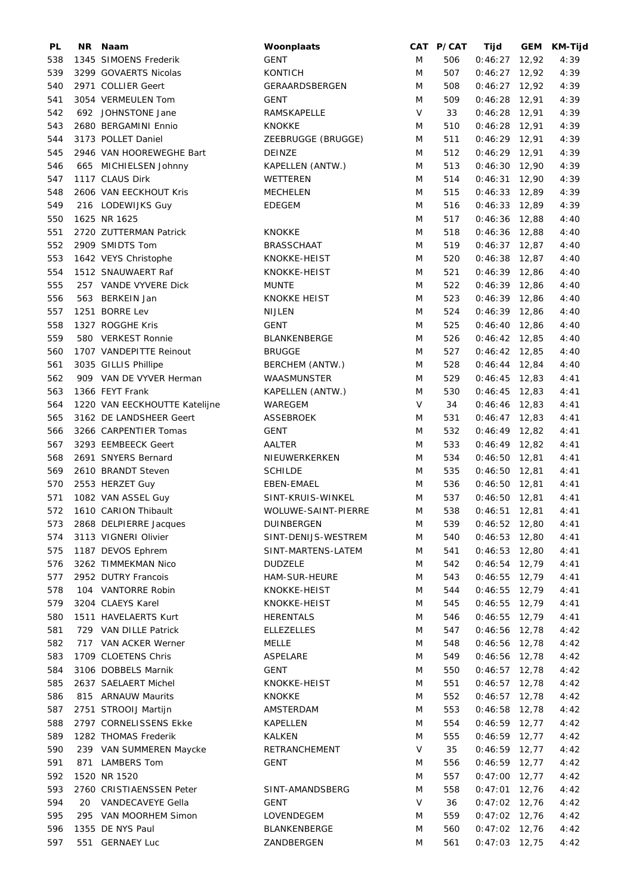| PL  | NR. | Naam                          | Woonplaats          |        | CAT P/CAT | Tijd            | GEM KM-Tijd |
|-----|-----|-------------------------------|---------------------|--------|-----------|-----------------|-------------|
| 538 |     | 1345 SIMOENS Frederik         | <b>GENT</b>         | M      | 506       | $0:46:27$ 12,92 | 4:39        |
| 539 |     | 3299 GOVAERTS Nicolas         | <b>KONTICH</b>      | M      | 507       | $0:46:27$ 12,92 | 4:39        |
| 540 |     | 2971 COLLIER Geert            | GERAARDSBERGEN      | M      | 508       | $0:46:27$ 12,92 | 4:39        |
| 541 |     | 3054 VERMEULEN Tom            | <b>GENT</b>         | M      | 509       | $0:46:28$ 12,91 | 4:39        |
| 542 |     | 692 JOHNSTONE Jane            | RAMSKAPELLE         | $\vee$ | 33        | $0:46:28$ 12,91 | 4:39        |
| 543 |     | 2680 BERGAMINI Ennio          | <b>KNOKKE</b>       | M      | 510       | $0:46:28$ 12,91 | 4:39        |
| 544 |     | 3173 POLLET Daniel            | ZEEBRUGGE (BRUGGE)  | M      | 511       | $0:46:29$ 12,91 | 4:39        |
| 545 |     | 2946 VAN HOOREWEGHE Bart      | <b>DEINZE</b>       | M      | 512       | $0:46:29$ 12,91 | 4:39        |
| 546 |     | 665 MICHIELSEN Johnny         | KAPELLEN (ANTW.)    | M      | 513       | $0:46:30$ 12,90 | 4:39        |
| 547 |     | 1117 CLAUS Dirk               | WETTEREN            | M      | 514       | $0:46:31$ 12,90 | 4:39        |
| 548 |     | 2606 VAN EECKHOUT Kris        | <b>MECHELEN</b>     | M      | 515       | $0:46:33$ 12,89 | 4:39        |
| 549 |     | 216 LODEWIJKS Guy             | <b>EDEGEM</b>       | M      | 516       | $0:46:33$ 12,89 | 4:39        |
| 550 |     | 1625 NR 1625                  |                     | M      | 517       | $0:46:36$ 12,88 | 4:40        |
| 551 |     | 2720 ZUTTERMAN Patrick        | <b>KNOKKE</b>       | M      | 518       | $0:46:36$ 12,88 | 4:40        |
| 552 |     | 2909 SMIDTS Tom               | <b>BRASSCHAAT</b>   | M      | 519       | $0:46:37$ 12,87 | 4:40        |
| 553 |     | 1642 VEYS Christophe          | KNOKKE-HEIST        | M      | 520       | $0:46:38$ 12,87 | 4:40        |
| 554 |     | 1512 SNAUWAERT Raf            | KNOKKE-HEIST        | M      | 521       | $0:46:39$ 12,86 | 4:40        |
| 555 |     | 257 VANDE VYVERE Dick         | <b>MUNTE</b>        | M      | 522       | $0:46:39$ 12,86 | 4:40        |
| 556 |     | 563 BERKEIN Jan               | <b>KNOKKE HEIST</b> | M      | 523       | $0:46:39$ 12,86 | 4:40        |
| 557 |     | 1251 BORRE Lev                | NIJLEN              | M      | 524       | $0:46:39$ 12,86 | 4:40        |
| 558 |     | 1327 ROGGHE Kris              | GENT                | M      | 525       | $0:46:40$ 12,86 | 4:40        |
| 559 |     | 580 VERKEST Ronnie            | BLANKENBERGE        | M      | 526       | $0:46:42$ 12,85 | 4:40        |
| 560 |     | 1707 VANDEPITTE Reinout       | <b>BRUGGE</b>       | M      | 527       | $0:46:42$ 12,85 | 4:40        |
| 561 |     | 3035 GILLIS Phillipe          | BERCHEM (ANTW.)     | M      | 528       | $0:46:44$ 12,84 | 4:40        |
| 562 |     | 909 VAN DE VYVER Herman       | WAASMUNSTER         | M      | 529       | $0:46:45$ 12,83 | 4:41        |
| 563 |     | 1366 FEYT Frank               | KAPELLEN (ANTW.)    | M      | 530       | $0:46:45$ 12,83 | 4:41        |
| 564 |     | 1220 VAN EECKHOUTTE Katelijne | WAREGEM             | V      | 34        | $0:46:46$ 12,83 | 4:41        |
| 565 |     | 3162 DE LANDSHEER Geert       | ASSEBROEK           | M      | 531       | $0:46:47$ 12,83 | 4:41        |
| 566 |     | 3266 CARPENTIER Tomas         | <b>GENT</b>         | M      | 532       | $0:46:49$ 12,82 | 4:41        |
| 567 |     | 3293 EEMBEECK Geert           | AALTER              | M      | 533       | $0:46:49$ 12,82 | 4:41        |
| 568 |     | 2691 SNYERS Bernard           | NIEUWERKERKEN       | M      | 534       | $0:46:50$ 12,81 | 4:41        |
| 569 |     | 2610 BRANDT Steven            | <b>SCHILDE</b>      | M      | 535       | $0:46:50$ 12,81 | 4:41        |
| 570 |     | 2553 HERZET Guy               | EBEN-EMAEL          | M      | 536       | $0:46:50$ 12,81 | 4:41        |
| 571 |     | 1082 VAN ASSEL Guy            | SINT-KRUIS-WINKEL   | M      | 537       | $0:46:50$ 12,81 | 4:41        |
| 572 |     | 1610 CARION Thibault          | WOLUWE-SAINT-PIERRE | M      | 538       | $0:46:51$ 12,81 | 4:41        |
| 573 |     | 2868 DELPIERRE Jacques        | DUINBERGEN          | M      | 539       | $0:46:52$ 12,80 | 4:41        |
| 574 |     | 3113 VIGNERI Olivier          | SINT-DENIJS-WESTREM | M      | 540       | $0:46:53$ 12,80 | 4:41        |
| 575 |     | 1187 DEVOS Ephrem             | SINT-MARTENS-LATEM  | M      | 541       | $0:46:53$ 12,80 | 4:41        |
| 576 |     | 3262 TIMMEKMAN Nico           | <b>DUDZELE</b>      | M      | 542       | $0:46:54$ 12,79 | 4:41        |
| 577 |     | 2952 DUTRY Francois           | HAM-SUR-HEURE       | M      | 543       | $0:46:55$ 12,79 | 4:41        |
| 578 |     | 104 VANTORRE Robin            | KNOKKE-HEIST        | M      | 544       | $0:46:55$ 12,79 | 4:41        |
| 579 |     | 3204 CLAEYS Karel             | KNOKKE-HEIST        | M      | 545       | $0:46:55$ 12,79 | 4:41        |
| 580 |     | 1511 HAVELAERTS Kurt          | <b>HERENTALS</b>    | M      | 546       | $0:46:55$ 12,79 | 4:41        |
| 581 |     | 729 VAN DILLE Patrick         | <b>ELLEZELLES</b>   | M      | 547       | $0:46:56$ 12,78 | 4:42        |
| 582 |     | 717 VAN ACKER Werner          | MELLE               | M      | 548       | $0:46:56$ 12,78 | 4:42        |
| 583 |     | 1709 CLOETENS Chris           | ASPELARE            | M      | 549       | $0:46:56$ 12,78 | 4:42        |
| 584 |     | 3106 DOBBELS Marnik           | <b>GENT</b>         | M      | 550       | $0:46:57$ 12,78 | 4:42        |
| 585 |     | 2637 SAELAERT Michel          | KNOKKE-HEIST        | M      | 551       | $0:46:57$ 12,78 | 4:42        |
| 586 |     | 815 ARNAUW Maurits            | <b>KNOKKE</b>       | M      | 552       | $0:46:57$ 12,78 | 4:42        |
| 587 |     | 2751 STROOIJ Martijn          | AMSTERDAM           | M      | 553       | $0:46:58$ 12,78 | 4:42        |
| 588 |     | 2797 CORNELISSENS Ekke        | KAPELLEN            | M      | 554       | $0:46:59$ 12,77 | 4:42        |
| 589 |     | 1282 THOMAS Frederik          | KALKEN              | M      | 555       | $0:46:59$ 12,77 | 4:42        |
| 590 |     | 239 VAN SUMMEREN Maycke       | RETRANCHEMENT       | V      | 35        | $0:46:59$ 12,77 | 4:42        |
| 591 |     | 871 LAMBERS Tom               | GENT                | M      | 556       | $0:46:59$ 12,77 | 4:42        |
| 592 |     | 1520 NR 1520                  |                     | M      | 557       | $0:47:00$ 12,77 | 4:42        |
| 593 |     | 2760 CRISTIAENSSEN Peter      | SINT-AMANDSBERG     | M      | 558       | $0:47:01$ 12,76 | 4:42        |
| 594 | 20  | VANDECAVEYE Gella             | GENT                | V      | 36        | $0:47:02$ 12,76 | 4:42        |
| 595 |     | 295 VAN MOORHEM Simon         | LOVENDEGEM          | M      | 559       | $0:47:02$ 12,76 | 4:42        |
| 596 |     | 1355 DE NYS Paul              | BLANKENBERGE        | M      | 560       | $0:47:02$ 12,76 | 4:42        |
| 597 |     | 551 GERNAEY Luc               | ZANDBERGEN          | M      | 561       | $0:47:03$ 12,75 | 4:42        |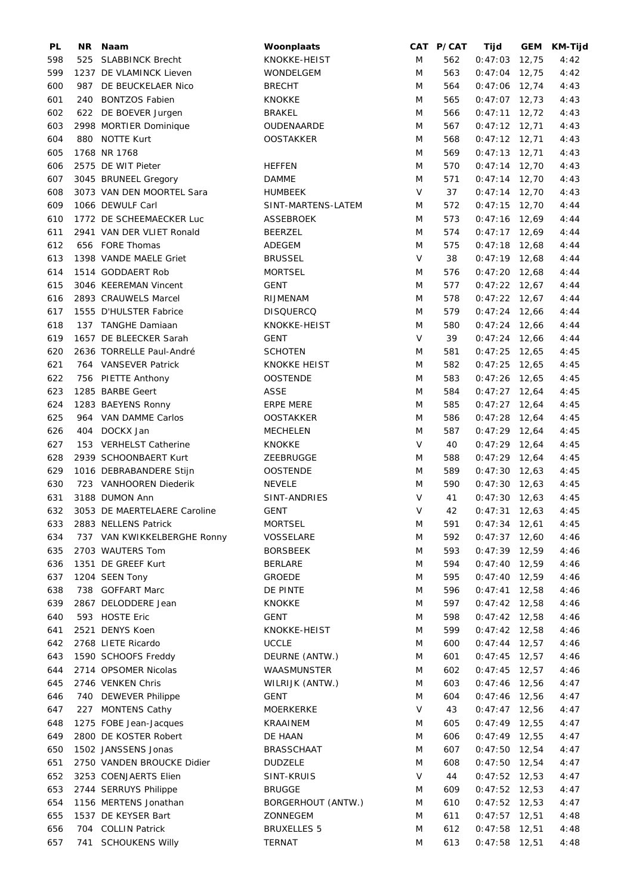| <b>PL</b> | NR. | Naam                         | Woonplaats          |        | CAT P/CAT | Tijd            |       | GEM KM-Tijd |
|-----------|-----|------------------------------|---------------------|--------|-----------|-----------------|-------|-------------|
| 598       | 525 | <b>SLABBINCK Brecht</b>      | KNOKKE-HEIST        | M      | 562       | $0:47:03$ 12,75 |       | 4:42        |
| 599       |     | 1237 DE VLAMINCK Lieven      | <b>WONDELGEM</b>    | M      | 563       | $0:47:04$ 12,75 |       | 4:42        |
| 600       |     | 987 DE BEUCKELAER Nico       | <b>BRECHT</b>       | M      | 564       | $0:47:06$ 12,74 |       | 4:43        |
| 601       |     | 240 BONTZOS Fabien           | <b>KNOKKE</b>       | M      | 565       | $0:47:07$ 12,73 |       | 4:43        |
| 602       |     | 622 DE BOEVER Jurgen         | <b>BRAKEL</b>       | M      | 566       | $0:47:11$ 12,72 |       | 4:43        |
| 603       |     | 2998 MORTIER Dominique       | OUDENAARDE          | M      | 567       | $0:47:12$ 12,71 |       | 4:43        |
| 604       |     | 880 NOTTE Kurt               | <b>OOSTAKKER</b>    | M      | 568       | $0:47:12$ 12,71 |       | 4:43        |
| 605       |     | 1768 NR 1768                 |                     | M      | 569       | $0:47:13$ 12,71 |       | 4:43        |
| 606       |     | 2575 DE WIT Pieter           | <b>HEFFEN</b>       | M      | 570       | $0:47:14$ 12,70 |       | 4:43        |
| 607       |     | 3045 BRUNEEL Gregory         | <b>DAMME</b>        | M      | 571       | $0:47:14$ 12,70 |       | 4:43        |
|           |     |                              | <b>HUMBEEK</b>      | V      |           |                 |       |             |
| 608       |     | 3073 VAN DEN MOORTEL Sara    |                     |        | 37        | $0:47:14$ 12,70 |       | 4:43        |
| 609       |     | 1066 DEWULF Carl             | SINT-MARTENS-LATEM  | M      | 572       | $0:47:15$ 12,70 |       | 4:44        |
| 610       |     | 1772 DE SCHEEMAECKER Luc     | <b>ASSEBROEK</b>    | M      | 573       | $0:47:16$ 12,69 |       | 4:44        |
| 611       |     | 2941 VAN DER VLIET Ronald    | <b>BEERZEL</b>      | M      | 574       | $0:47:17$ 12,69 |       | 4:44        |
| 612       |     | 656 FORE Thomas              | ADEGEM              | M      | 575       | $0:47:18$ 12,68 |       | 4:44        |
| 613       |     | 1398 VANDE MAELE Griet       | <b>BRUSSEL</b>      | $\vee$ | 38        | $0:47:19$ 12,68 |       | 4:44        |
| 614       |     | 1514 GODDAERT Rob            | <b>MORTSEL</b>      | M      | 576       | $0:47:20$ 12,68 |       | 4:44        |
| 615       |     | 3046 KEEREMAN Vincent        | <b>GENT</b>         | M      | 577       | $0:47:22$ 12,67 |       | 4:44        |
| 616       |     | 2893 CRAUWELS Marcel         | RIJMENAM            | M      | 578       | $0:47:22$ 12,67 |       | 4:44        |
| 617       |     | 1555 D'HULSTER Fabrice       | <b>DISQUERCQ</b>    | M      | 579       | $0:47:24$ 12,66 |       | 4:44        |
| 618       |     | 137 TANGHE Damiaan           | KNOKKE-HEIST        | M      | 580       | $0:47:24$ 12,66 |       | 4:44        |
| 619       |     | 1657 DE BLEECKER Sarah       | <b>GENT</b>         | V      | 39        | $0:47:24$ 12,66 |       | 4:44        |
| 620       |     | 2636 TORRELLE Paul-André     | <b>SCHOTEN</b>      | M      | 581       | $0:47:25$ 12,65 |       | 4:45        |
| 621       |     | 764 VANSEVER Patrick         | <b>KNOKKE HEIST</b> | M      | 582       | $0:47:25$ 12,65 |       | 4:45        |
| 622       |     | 756 PIETTE Anthony           | <b>OOSTENDE</b>     | M      | 583       | $0:47:26$ 12,65 |       | 4:45        |
| 623       |     | 1285 BARBE Geert             | ASSE                | M      | 584       | $0:47:27$ 12,64 |       | 4:45        |
| 624       |     | 1283 BAEYENS Ronny           | <b>ERPE MERE</b>    | M      | 585       | $0:47:27$ 12,64 |       | 4:45        |
| 625       |     | 964 VAN DAMME Carlos         | <b>OOSTAKKER</b>    | M      | 586       | $0:47:28$ 12,64 |       | 4:45        |
| 626       |     | 404 DOCKX Jan                | <b>MECHELEN</b>     | M      | 587       | $0:47:29$ 12,64 |       | 4:45        |
| 627       |     | 153 VERHELST Catherine       | <b>KNOKKE</b>       | V      | 40        | $0:47:29$ 12,64 |       | 4:45        |
| 628       |     | 2939 SCHOONBAERT Kurt        | ZEEBRUGGE           | M      | 588       | $0:47:29$ 12,64 |       | 4:45        |
| 629       |     | 1016 DEBRABANDERE Stijn      | <b>OOSTENDE</b>     | M      | 589       | $0:47:30$ 12,63 |       | 4:45        |
| 630       |     | 723 VANHOOREN Diederik       | <b>NEVELE</b>       | M      | 590       | $0:47:30$ 12,63 |       | 4:45        |
| 631       |     | 3188 DUMON Ann               | SINT-ANDRIES        | V      | 41        | $0:47:30$ 12,63 |       | 4:45        |
| 632       |     | 3053 DE MAERTELAERE Caroline | <b>GENT</b>         | V      | 42        | $0:47:31$ 12,63 |       | 4:45        |
| 633       |     | 2883 NELLENS Patrick         | <b>MORTSEL</b>      | M      | 591       | $0:47:34$ 12,61 |       | 4:45        |
| 634       |     | 737 VAN KWIKKELBERGHE Ronny  | VOSSELARE           | M      | 592       | $0:47:37$ 12,60 |       | 4:46        |
| 635       |     | 2703 WAUTERS Tom             | <b>BORSBEEK</b>     | M      | 593       | $0:47:39$ 12,59 |       | 4:46        |
| 636       |     | 1351 DE GREEF Kurt           | <b>BERLARE</b>      | M      | 594       | $0:47:40$ 12,59 |       | 4:46        |
| 637       |     | 1204 SEEN Tony               | <b>GROEDE</b>       | M      | 595       | $0:47:40$ 12,59 |       | 4:46        |
| 638       |     | 738 GOFFART Marc             | DE PINTE            | M      | 596       | $0:47:41$ 12,58 |       | 4:46        |
| 639       |     | 2867 DELODDERE Jean          | <b>KNOKKE</b>       |        |           | $0:47:42$ 12,58 |       | 4:46        |
|           |     |                              |                     | M      | 597       | $0:47:42$ 12,58 |       |             |
| 640       |     | 593 HOSTE Eric               | <b>GENT</b>         | M      | 598       |                 |       | 4:46        |
| 641       |     | 2521 DENYS Koen              | KNOKKE-HEIST        | M      | 599       | $0:47:42$ 12,58 |       | 4:46        |
| 642       |     | 2768 LIETE Ricardo           | <b>UCCLE</b>        | M      | 600       | $0:47:44$ 12,57 |       | 4:46        |
| 643       |     | 1590 SCHOOFS Freddy          | DEURNE (ANTW.)      | M      | 601       | $0:47:45$ 12,57 |       | 4:46        |
| 644       |     | 2714 OPSOMER Nicolas         | WAASMUNSTER         | M      | 602       | $0:47:45$ 12,57 |       | 4:46        |
| 645       |     | 2746 VENKEN Chris            | WILRIJK (ANTW.)     | M      | 603       | $0:47:46$ 12,56 |       | 4:47        |
| 646       | 740 | <b>DEWEVER Philippe</b>      | <b>GENT</b>         | M      | 604       | $0:47:46$ 12,56 |       | 4:47        |
| 647       |     | 227 MONTENS Cathy            | <b>MOERKERKE</b>    | V      | 43        | $0:47:47$ 12,56 |       | 4:47        |
| 648       |     | 1275 FOBE Jean-Jacques       | KRAAINEM            | M      | 605       | $0:47:49$ 12,55 |       | 4:47        |
| 649       |     | 2800 DE KOSTER Robert        | DE HAAN             | M      | 606       | $0:47:49$ 12,55 |       | 4:47        |
| 650       |     | 1502 JANSSENS Jonas          | <b>BRASSCHAAT</b>   | M      | 607       | $0:47:50$ 12,54 |       | 4:47        |
| 651       |     | 2750 VANDEN BROUCKE Didier   | <b>DUDZELE</b>      | M      | 608       | $0:47:50$ 12,54 |       | 4:47        |
| 652       |     | 3253 COENJAERTS Elien        | SINT-KRUIS          | V      | 44        | $0:47:52$ 12,53 |       | 4:47        |
| 653       |     | 2744 SERRUYS Philippe        | <b>BRUGGE</b>       | M      | 609       | $0:47:52$ 12,53 |       | 4:47        |
| 654       |     | 1156 MERTENS Jonathan        | BORGERHOUT (ANTW.)  | M      | 610       | $0:47:52$ 12,53 |       | 4:47        |
| 655       |     | 1537 DE KEYSER Bart          | ZONNEGEM            | M      | 611       | $0:47:57$ 12,51 |       | 4:48        |
| 656       |     | 704 COLLIN Patrick           | <b>BRUXELLES 5</b>  | M      | 612       | 0:47:58         | 12,51 | 4:48        |
| 657       |     | 741 SCHOUKENS Willy          | <b>TERNAT</b>       | M      | 613       | $0:47:58$ 12,51 |       | 4:48        |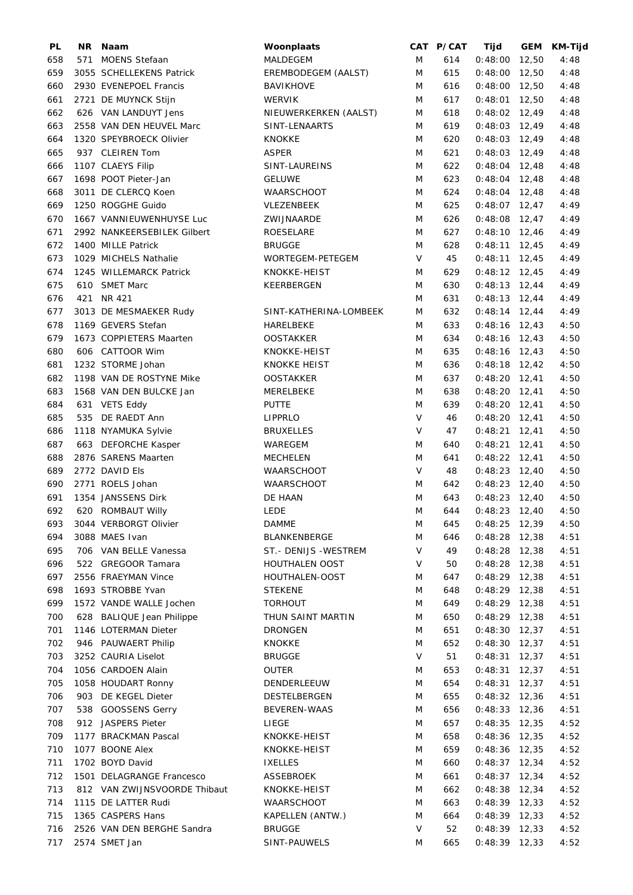| PL  | NR. | Naam                         | Woonplaats             |        | CAT P/CAT | Tijd            |       | GEM KM-Tijd |
|-----|-----|------------------------------|------------------------|--------|-----------|-----------------|-------|-------------|
| 658 | 571 | <b>MOENS Stefaan</b>         | MALDEGEM               | M      | 614       | $0:48:00$ 12,50 |       | 4:48        |
| 659 |     | 3055 SCHELLEKENS Patrick     | EREMBODEGEM (AALST)    | M      | 615       | $0:48:00$ 12,50 |       | 4:48        |
| 660 |     | 2930 EVENEPOEL Francis       | <b>BAVIKHOVE</b>       | M      | 616       | $0:48:00$ 12,50 |       | 4:48        |
| 661 |     | 2721 DE MUYNCK Stijn         | <b>WERVIK</b>          | M      | 617       | $0:48:01$ 12,50 |       | 4:48        |
| 662 |     | 626 VAN LANDUYT Jens         | NIEUWERKERKEN (AALST)  | M      | 618       | $0:48:02$ 12,49 |       | 4:48        |
| 663 |     | 2558 VAN DEN HEUVEL Marc     | SINT-LENAARTS          | M      | 619       | $0:48:03$ 12,49 |       | 4:48        |
| 664 |     | 1320 SPEYBROECK Olivier      | KNOKKE                 | M      | 620       | $0:48:03$ 12,49 |       | 4:48        |
| 665 |     | 937 CLEIREN Tom              | <b>ASPER</b>           | M      | 621       | $0:48:03$ 12,49 |       | 4:48        |
| 666 |     | 1107 CLAEYS Filip            | SINT-LAUREINS          | M      | 622       | $0:48:04$ 12,48 |       | 4:48        |
| 667 |     | 1698 POOT Pieter-Jan         | <b>GELUWE</b>          | M      | 623       | $0:48:04$ 12,48 |       | 4:48        |
| 668 |     | 3011 DE CLERCQ Koen          | WAARSCHOOT             | M      | 624       | $0:48:04$ 12,48 |       | 4:48        |
| 669 |     | 1250 ROGGHE Guido            | VLEZENBEEK             | M      | 625       | $0:48:07$ 12,47 |       | 4:49        |
| 670 |     | 1667 VANNIEUWENHUYSE Luc     | ZWIJNAARDE             | M      | 626       | $0:48:08$ 12,47 |       | 4:49        |
| 671 |     | 2992 NANKEERSEBILEK Gilbert  | ROESELARE              | M      | 627       | $0:48:10$ 12,46 |       | 4:49        |
| 672 |     | 1400 MILLE Patrick           | <b>BRUGGE</b>          | M      | 628       | $0:48:11$ 12,45 |       | 4:49        |
|     |     | 1029 MICHELS Nathalie        | WORTEGEM-PETEGEM       | $\vee$ | 45        | $0:48:11$ 12,45 |       |             |
| 673 |     |                              |                        |        |           |                 |       | 4:49        |
| 674 |     | 1245 WILLEMARCK Patrick      | KNOKKE-HEIST           | M      | 629       | $0:48:12$ 12,45 |       | 4:49        |
| 675 |     | 610 SMET Marc                | KEERBERGEN             | M      | 630       | $0:48:13$ 12,44 |       | 4:49        |
| 676 |     | 421 NR 421                   |                        | M      | 631       | $0:48:13$ 12,44 |       | 4:49        |
| 677 |     | 3013 DE MESMAEKER Rudy       | SINT-KATHERINA-LOMBEEK | M      | 632       | $0:48:14$ 12,44 |       | 4:49        |
| 678 |     | 1169 GEVERS Stefan           | HARELBEKE              | M      | 633       | $0:48:16$ 12,43 |       | 4:50        |
| 679 |     | 1673 COPPIETERS Maarten      | <b>OOSTAKKER</b>       | M      | 634       | $0:48:16$ 12,43 |       | 4:50        |
| 680 |     | 606 CATTOOR Wim              | KNOKKE-HEIST           | M      | 635       | $0:48:16$ 12,43 |       | 4:50        |
| 681 |     | 1232 STORME Johan            | <b>KNOKKE HEIST</b>    | M      | 636       | $0:48:18$ 12,42 |       | 4:50        |
| 682 |     | 1198 VAN DE ROSTYNE Mike     | <b>OOSTAKKER</b>       | M      | 637       | $0:48:20$ 12,41 |       | 4:50        |
| 683 |     | 1568 VAN DEN BULCKE Jan      | MERELBEKE              | M      | 638       | $0:48:20$ 12,41 |       | 4:50        |
| 684 |     | 631 VETS Eddy                | <b>PUTTE</b>           | M      | 639       | $0:48:20$ 12,41 |       | 4:50        |
| 685 |     | 535 DE RAEDT Ann             | <b>LIPPRLO</b>         | $\vee$ | 46        | $0:48:20$ 12,41 |       | 4:50        |
| 686 |     | 1118 NYAMUKA Sylvie          | <b>BRUXELLES</b>       | $\vee$ | 47        | $0:48:21$ 12,41 |       | 4:50        |
| 687 |     | 663 DEFORCHE Kasper          | WAREGEM                | M      | 640       | $0:48:21$ 12,41 |       | 4:50        |
| 688 |     | 2876 SARENS Maarten          | <b>MECHELEN</b>        | M      | 641       | $0:48:22$ 12,41 |       | 4:50        |
| 689 |     | 2772 DAVID Els               | WAARSCHOOT             | V      | 48        | $0:48:23$ 12,40 |       | 4:50        |
| 690 |     | 2771 ROELS Johan             | WAARSCHOOT             | M      | 642       | $0:48:23$ 12,40 |       | 4:50        |
| 691 |     | 1354 JANSSENS Dirk           | DE HAAN                | M      | 643       | $0:48:23$ 12,40 |       | 4:50        |
| 692 |     | 620 ROMBAUT Willy            | <b>LEDE</b>            | M      | 644       | $0:48:23$ 12,40 |       | 4:50        |
| 693 |     | 3044 VERBORGT Olivier        | <b>DAMME</b>           | M      | 645       | $0:48:25$ 12,39 |       | 4:50        |
| 694 |     | 3088 MAES Ivan               | BLANKENBERGE           | M      | 646       | $0:48:28$ 12,38 |       | 4:51        |
| 695 |     | 706 VAN BELLE Vanessa        | ST.- DENIJS - WESTREM  | V      | 49        | $0:48:28$ 12,38 |       | 4:51        |
| 696 |     | 522 GREGOOR Tamara           | HOUTHALEN OOST         | V      | 50        | $0:48:28$ 12,38 |       | 4:51        |
| 697 |     | 2556 FRAEYMAN Vince          | HOUTHALEN-OOST         | M      | 647       | $0:48:29$ 12,38 |       | 4:51        |
|     |     | 1693 STROBBE Yvan            |                        | M      |           | $0:48:29$ 12,38 |       |             |
| 698 |     |                              | <b>STEKENE</b>         |        | 648       |                 |       | 4:51        |
| 699 |     | 1572 VANDE WALLE Jochen      | <b>TORHOUT</b>         | M      | 649       | $0:48:29$ 12,38 |       | 4:51        |
| 700 |     | 628 BALIQUE Jean Philippe    | THUN SAINT MARTIN      | M      | 650       | $0:48:29$ 12,38 |       | 4:51        |
| 701 |     | 1146 LOTERMAN Dieter         | DRONGEN                | M      | 651       | $0:48:30$ 12,37 |       | 4:51        |
| 702 |     | 946 PAUWAERT Philip          | KNOKKE                 | M      | 652       | $0:48:30$ 12,37 |       | 4:51        |
| 703 |     | 3252 CAURIA Liselot          | <b>BRUGGE</b>          | V      | 51        | $0:48:31$ 12,37 |       | 4:51        |
| 704 |     | 1056 CARDOEN Alain           | <b>OUTER</b>           | M      | 653       | $0:48:31$ 12,37 |       | 4:51        |
| 705 |     | 1058 HOUDART Ronny           | DENDERLEEUW            | M      | 654       | 0:48:31         | 12,37 | 4:51        |
| 706 |     | 903 DE KEGEL Dieter          | DESTELBERGEN           | M      | 655       | $0:48:32$ 12,36 |       | 4:51        |
| 707 |     | 538 GOOSSENS Gerry           | <b>BEVEREN-WAAS</b>    | M      | 656       | $0:48:33$ 12,36 |       | 4:51        |
| 708 |     | 912 JASPERS Pieter           | LIEGE                  | M      | 657       | $0:48:35$ 12,35 |       | 4:52        |
| 709 |     | 1177 BRACKMAN Pascal         | KNOKKE-HEIST           | M      | 658       | $0:48:36$ 12,35 |       | 4:52        |
| 710 |     | 1077 BOONE Alex              | KNOKKE-HEIST           | M      | 659       | $0:48:36$ 12,35 |       | 4:52        |
| 711 |     | 1702 BOYD David              | <b>IXELLES</b>         | M      | 660       | $0:48:37$ 12,34 |       | 4:52        |
| 712 |     | 1501 DELAGRANGE Francesco    | <b>ASSEBROEK</b>       | M      | 661       | $0:48:37$ 12,34 |       | 4:52        |
| 713 |     | 812 VAN ZWIJNSVOORDE Thibaut | KNOKKE-HEIST           | M      | 662       | $0:48:38$ 12,34 |       | 4:52        |
| 714 |     | 1115 DE LATTER Rudi          | WAARSCHOOT             | M      | 663       | $0:48:39$ 12,33 |       | 4:52        |
| 715 |     | 1365 CASPERS Hans            | KAPELLEN (ANTW.)       | M      | 664       | $0:48:39$ 12,33 |       | 4:52        |
| 716 |     | 2526 VAN DEN BERGHE Sandra   | <b>BRUGGE</b>          | V      | 52        | $0:48:39$ 12,33 |       | 4:52        |
| 717 |     | 2574 SMET Jan                | SINT-PAUWELS           | M      | 665       | $0:48:39$ 12,33 |       | 4:52        |
|     |     |                              |                        |        |           |                 |       |             |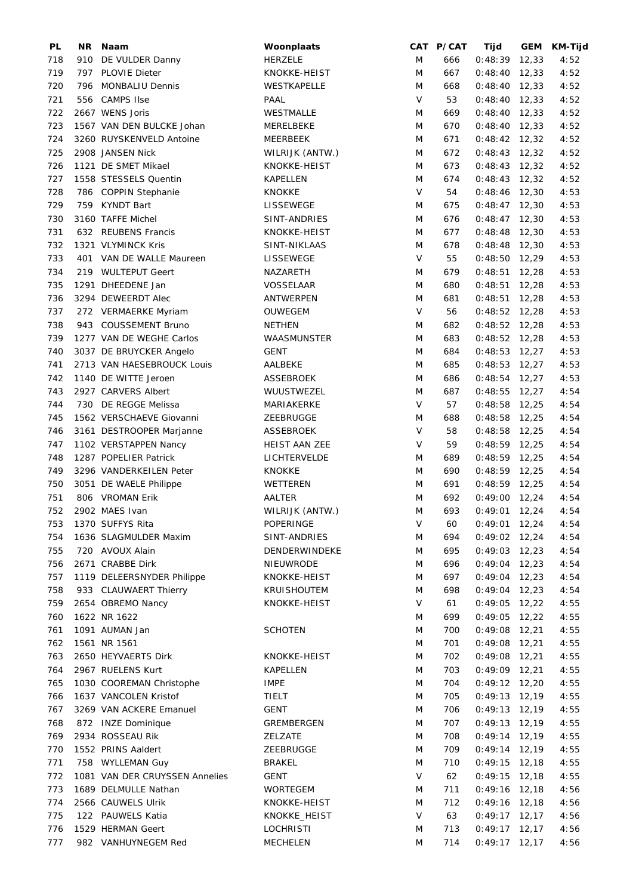| PL  |     | NR Naam                        | Woonplaats       |        | CAT P/CAT | Tijd            | GEM KM-Tijd |
|-----|-----|--------------------------------|------------------|--------|-----------|-----------------|-------------|
| 718 |     | 910 DE VULDER Danny            | <b>HERZELE</b>   | M      | 666       | $0:48:39$ 12,33 | 4:52        |
| 719 | 797 | <b>PLOVIE Dieter</b>           | KNOKKE-HEIST     | M      | 667       | $0:48:40$ 12,33 | 4:52        |
| 720 |     | 796 MONBALIU Dennis            | WESTKAPELLE      | M      | 668       | $0:48:40$ 12,33 | 4:52        |
| 721 |     | 556 CAMPS IIse                 | PAAL             | $\vee$ | 53        | $0:48:40$ 12,33 | 4:52        |
| 722 |     | 2667 WENS Joris                | WESTMALLE        | M      | 669       | $0:48:40$ 12,33 | 4:52        |
| 723 |     | 1567 VAN DEN BULCKE Johan      | MERELBEKE        | M      | 670       | $0:48:40$ 12,33 | 4:52        |
| 724 |     | 3260 RUYSKENVELD Antoine       | MEERBEEK         | M      | 671       | $0:48:42$ 12,32 | 4:52        |
| 725 |     | 2908 JANSEN Nick               | WILRIJK (ANTW.)  | M      | 672       | $0:48:43$ 12,32 | 4:52        |
| 726 |     | 1121 DE SMET Mikael            | KNOKKE-HEIST     | M      | 673       | $0:48:43$ 12,32 | 4:52        |
| 727 |     | 1558 STESSELS Quentin          | KAPELLEN         | M      | 674       | $0:48:43$ 12,32 | 4:52        |
| 728 |     | 786 COPPIN Stephanie           | <b>KNOKKE</b>    | $\vee$ | 54        | $0:48:46$ 12,30 | 4:53        |
| 729 |     | 759 KYNDT Bart                 | LISSEWEGE        | M      | 675       | $0:48:47$ 12,30 | 4:53        |
| 730 |     | 3160 TAFFE Michel              | SINT-ANDRIES     | M      | 676       | $0:48:47$ 12,30 | 4:53        |
| 731 |     | 632 REUBENS Francis            | KNOKKE-HEIST     | M      | 677       | $0:48:48$ 12,30 | 4:53        |
| 732 |     | 1321 VLYMINCK Kris             | SINT-NIKLAAS     | M      | 678       | $0:48:48$ 12,30 | 4:53        |
| 733 |     | 401 VAN DE WALLE Maureen       | LISSEWEGE        | $\vee$ | 55        | $0:48:50$ 12,29 | 4:53        |
| 734 |     | 219 WULTEPUT Geert             | NAZARETH         | M      | 679       | $0:48:51$ 12,28 | 4:53        |
| 735 |     | 1291 DHEEDENE Jan              | VOSSELAAR        | M      | 680       | $0:48:51$ 12,28 | 4:53        |
| 736 |     | 3294 DEWEERDT Alec             | <b>ANTWERPEN</b> | M      | 681       | $0:48:51$ 12,28 | 4:53        |
| 737 |     | 272 VERMAERKE Myriam           | OUWEGEM          | V      | 56        | $0:48:52$ 12,28 | 4:53        |
| 738 |     | 943 COUSSEMENT Bruno           | <b>NETHEN</b>    | M      | 682       | $0:48:52$ 12,28 | 4:53        |
| 739 |     | 1277 VAN DE WEGHE Carlos       | WAASMUNSTER      | M      | 683       | $0:48:52$ 12,28 | 4:53        |
| 740 |     | 3037 DE BRUYCKER Angelo        | <b>GENT</b>      | M      | 684       | $0:48:53$ 12,27 | 4:53        |
| 741 |     | 2713 VAN HAESEBROUCK Louis     | AALBEKE          | M      | 685       | $0:48:53$ 12,27 | 4:53        |
| 742 |     | 1140 DE WITTE Jeroen           | <b>ASSEBROEK</b> | M      | 686       | $0:48:54$ 12,27 | 4:53        |
| 743 |     | 2927 CARVERS Albert            | WUUSTWEZEL       | M      | 687       | $0:48:55$ 12,27 | 4:54        |
| 744 |     | 730 DE REGGE Melissa           | MARIAKERKE       | $\vee$ | 57        | $0:48:58$ 12,25 | 4:54        |
| 745 |     | 1562 VERSCHAEVE Giovanni       | ZEEBRUGGE        | M      | 688       | $0:48:58$ 12,25 | 4:54        |
| 746 |     | 3161 DESTROOPER Marjanne       | <b>ASSEBROEK</b> | $\vee$ | 58        | $0:48:58$ 12,25 | 4:54        |
| 747 |     | 1102 VERSTAPPEN Nancy          | HEIST AAN ZEE    | $\vee$ | 59        | $0:48:59$ 12,25 | 4:54        |
| 748 |     | 1287 POPELIER Patrick          | LICHTERVELDE     | M      | 689       | $0:48:59$ 12,25 | 4:54        |
| 749 |     | 3296 VANDERKEILEN Peter        | <b>KNOKKE</b>    | M      | 690       | $0:48:59$ 12,25 | 4:54        |
| 750 |     | 3051 DE WAELE Philippe         | WETTEREN         | M      | 691       | $0:48:59$ 12,25 | 4:54        |
| 751 |     | 806 VROMAN Erik                | AALTER           | M      | 692       | $0:49:00$ 12,24 | 4:54        |
| 752 |     | 2902 MAES Ivan                 | WILRIJK (ANTW.)  | M      | 693       | $0:49:01$ 12,24 | 4:54        |
| 753 |     | 1370 SUFFYS Rita               | POPERINGE        | $\vee$ | 60        | $0:49:01$ 12,24 | 4:54        |
| 754 |     | 1636 SLAGMULDER Maxim          | SINT-ANDRIES     | M      | 694       | $0:49:02$ 12,24 | 4:54        |
| 755 |     | 720 AVOUX Alain                | DENDERWINDEKE    | M      | 695       | $0:49:03$ 12,23 | 4:54        |
| 756 |     | 2671 CRABBE Dirk               | NIEUWRODE        | M      | 696       | $0:49:04$ 12,23 | 4:54        |
| 757 |     | 1119 DELEERSNYDER Philippe     | KNOKKE-HEIST     | M      | 697       | $0:49:04$ 12,23 | 4:54        |
| 758 |     | 933 CLAUWAERT Thierry          | KRUISHOUTEM      | M      | 698       | $0:49:04$ 12,23 | 4:54        |
| 759 |     | 2654 OBREMO Nancy              | KNOKKE-HEIST     | V      | 61        | $0:49:05$ 12,22 | 4:55        |
| 760 |     | 1622 NR 1622                   |                  | M      | 699       | $0:49:05$ 12,22 | 4:55        |
| 761 |     | 1091 AUMAN Jan                 | <b>SCHOTEN</b>   | M      | 700       | $0:49:08$ 12,21 | 4:55        |
| 762 |     | 1561 NR 1561                   |                  | M      | 701       | $0:49:08$ 12,21 | 4:55        |
| 763 |     | 2650 HEYVAERTS Dirk            | KNOKKE-HEIST     | M      | 702       | $0:49:08$ 12,21 | 4:55        |
| 764 |     | 2967 RUELENS Kurt              | <b>KAPELLEN</b>  | M      | 703       | $0:49:09$ 12,21 | 4:55        |
| 765 |     | 1030 COOREMAN Christophe       | <b>IMPE</b>      | M      | 704       | $0:49:12$ 12,20 | 4:55        |
| 766 |     | 1637 VANCOLEN Kristof          | TIELT            | M      | 705       | $0:49:13$ 12,19 | 4:55        |
|     |     | 3269 VAN ACKERE Emanuel        |                  | M      | 706       |                 |             |
| 767 |     |                                | GENT             |        |           | $0:49:13$ 12,19 | 4:55        |
| 768 |     | 872 INZE Dominique             | GREMBERGEN       | M      | 707       | $0:49:13$ 12,19 | 4:55        |
| 769 |     | 2934 ROSSEAU Rik               | ZELZATE          | M      | 708       | $0:49:14$ 12,19 | 4:55        |
| 770 |     | 1552 PRINS Aaldert             | ZEEBRUGGE        | M      | 709       | $0:49:14$ 12,19 | 4:55        |
| 771 |     | 758 WYLLEMAN Guy               | <b>BRAKEL</b>    | M      | 710       | $0:49:15$ 12,18 | 4:55        |
| 772 |     | 1081 VAN DER CRUYSSEN Annelies | <b>GENT</b>      | V      | 62        | $0:49:15$ 12,18 | 4:55        |
| 773 |     | 1689 DELMULLE Nathan           | <b>WORTEGEM</b>  | M      | 711       | $0:49:16$ 12,18 | 4:56        |
| 774 |     | 2566 CAUWELS Ulrik             | KNOKKE-HEIST     | M      | 712       | $0:49:16$ 12,18 | 4:56        |
| 775 |     | 122 PAUWELS Katia              | KNOKKE_HEIST     | V      | 63        | $0:49:17$ 12,17 | 4:56        |
| 776 |     | 1529 HERMAN Geert              | <b>LOCHRISTI</b> | M      | 713       | $0:49:17$ 12,17 | 4:56        |
| 777 |     | 982 VANHUYNEGEM Red            | <b>MECHELEN</b>  | M      | 714       | $0:49:17$ 12,17 | 4:56        |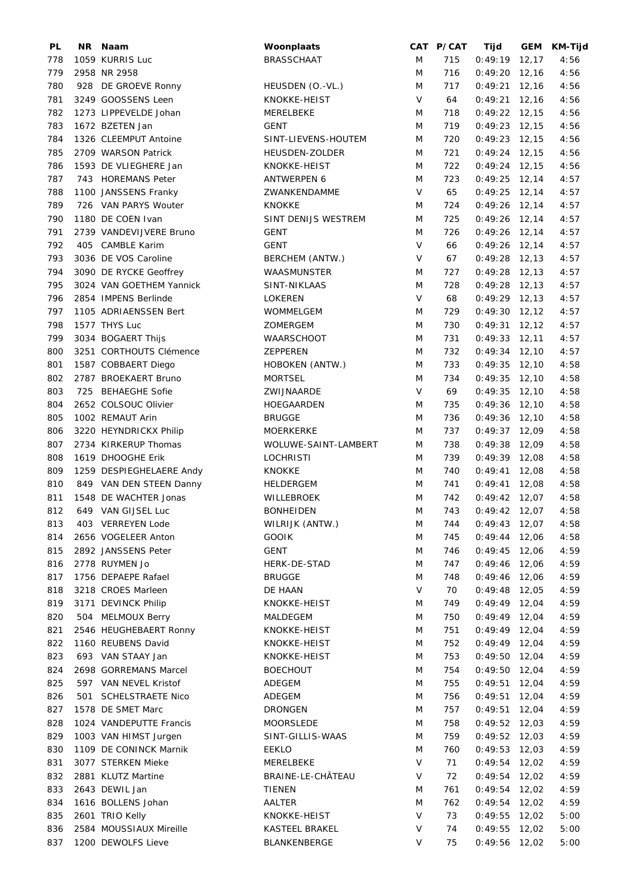| PL  | NR. | Naam                     | Woonplaats           |        | CAT P/CAT | Tijd            | GEM   | KM-Tijd |
|-----|-----|--------------------------|----------------------|--------|-----------|-----------------|-------|---------|
| 778 |     | 1059 KURRIS Luc          | <b>BRASSCHAAT</b>    | M      | 715       | $0:49:19$ 12,17 |       | 4:56    |
| 779 |     | 2958 NR 2958             |                      | M      | 716       | $0:49:20$ 12,16 |       | 4:56    |
| 780 |     | 928 DE GROEVE Ronny      | HEUSDEN (O.-VL.)     | M      | 717       | $0:49:21$ 12,16 |       | 4:56    |
| 781 |     | 3249 GOOSSENS Leen       | KNOKKE-HEIST         | $\vee$ | 64        | $0:49:21$ 12,16 |       | 4:56    |
| 782 |     | 1273 LIPPEVELDE Johan    | MERELBEKE            | M      | 718       | $0:49:22$ 12,15 |       | 4:56    |
| 783 |     | 1672 BZETEN Jan          | <b>GENT</b>          | M      | 719       | $0:49:23$ 12,15 |       | 4:56    |
| 784 |     | 1326 CLEEMPUT Antoine    | SINT-LIEVENS-HOUTEM  | M      | 720       | $0:49:23$ 12,15 |       | 4:56    |
| 785 |     | 2709 WARSON Patrick      | HEUSDEN-ZOLDER       | M      | 721       | $0:49:24$ 12,15 |       | 4:56    |
|     |     |                          |                      | M      |           |                 |       |         |
| 786 |     | 1593 DE VLIEGHERE Jan    | KNOKKE-HEIST         |        | 722       | $0:49:24$ 12,15 |       | 4:56    |
| 787 |     | 743 HOREMANS Peter       | <b>ANTWERPEN 6</b>   | M      | 723       | $0:49:25$ 12,14 |       | 4:57    |
| 788 |     | 1100 JANSSENS Franky     | ZWANKENDAMME         | $\vee$ | 65        | $0:49:25$ 12,14 |       | 4:57    |
| 789 |     | 726 VAN PARYS Wouter     | <b>KNOKKE</b>        | M      | 724       | $0:49:26$ 12,14 |       | 4:57    |
| 790 |     | 1180 DE COEN Ivan        | SINT DENIJS WESTREM  | M      | 725       | $0:49:26$ 12,14 |       | 4:57    |
| 791 |     | 2739 VANDEVIJVERE Bruno  | <b>GENT</b>          | M      | 726       | $0:49:26$ 12,14 |       | 4:57    |
| 792 |     | 405 CAMBLE Karim         | <b>GENT</b>          | $\vee$ | 66        | $0:49:26$ 12,14 |       | 4:57    |
| 793 |     | 3036 DE VOS Caroline     | BERCHEM (ANTW.)      | V      | 67        | $0:49:28$ 12,13 |       | 4:57    |
| 794 |     | 3090 DE RYCKE Geoffrey   | <b>WAASMUNSTER</b>   | M      | 727       | $0:49:28$ 12,13 |       | 4:57    |
| 795 |     | 3024 VAN GOETHEM Yannick | SINT-NIKLAAS         | M      | 728       | $0:49:28$ 12,13 |       | 4:57    |
| 796 |     | 2854 IMPENS Berlinde     | LOKEREN              | $\vee$ | 68        | $0:49:29$ 12,13 |       | 4:57    |
| 797 |     | 1105 ADRIAENSSEN Bert    | WOMMELGEM            | M      | 729       | $0:49:30$ 12,12 |       | 4:57    |
| 798 |     | 1577 THYS Luc            | ZOMERGEM             | M      | 730       | $0:49:31$ 12,12 |       | 4:57    |
| 799 |     | 3034 BOGAERT Thijs       | <b>WAARSCHOOT</b>    | M      | 731       | $0:49:33$ 12,11 |       | 4:57    |
| 800 |     | 3251 CORTHOUTS Clémence  | <b>ZEPPEREN</b>      | M      | 732       | $0:49:34$ 12,10 |       | 4:57    |
| 801 |     | 1587 COBBAERT Diego      | HOBOKEN (ANTW.)      | M      | 733       | $0:49:35$ 12,10 |       | 4:58    |
| 802 |     | 2787 BROEKAERT Bruno     | <b>MORTSEL</b>       | M      | 734       | $0:49:35$ 12,10 |       | 4:58    |
| 803 | 725 | <b>BEHAEGHE Sofie</b>    | ZWIJNAARDE           | $\vee$ | 69        | $0:49:35$ 12,10 |       | 4:58    |
| 804 |     | 2652 COLSOUC Olivier     | HOEGAARDEN           | M      | 735       | $0:49:36$ 12,10 |       | 4:58    |
| 805 |     | 1002 REMAUT Arin         | <b>BRUGGE</b>        | M      | 736       | $0:49:36$ 12,10 |       | 4:58    |
| 806 |     | 3220 HEYNDRICKX Philip   | <b>MOERKERKE</b>     | M      | 737       | $0:49:37$ 12,09 |       | 4:58    |
| 807 |     | 2734 KIRKERUP Thomas     | WOLUWE-SAINT-LAMBERT | M      | 738       | $0:49:38$ 12,09 |       | 4:58    |
|     |     | 1619 DHOOGHE Erik        | <b>LOCHRISTI</b>     |        |           |                 |       |         |
| 808 |     |                          |                      | M      | 739       | $0:49:39$ 12,08 |       | 4:58    |
| 809 |     | 1259 DESPIEGHELAERE Andy | <b>KNOKKE</b>        | M      | 740       | $0:49:41$ 12,08 |       | 4:58    |
| 810 |     | 849 VAN DEN STEEN Danny  | HELDERGEM            | M      | 741       | $0:49:41$ 12,08 |       | 4:58    |
| 811 |     | 1548 DE WACHTER Jonas    | WILLEBROEK           | M      | 742       | $0:49:42$ 12,07 |       | 4:58    |
| 812 |     | 649 VAN GIJSEL Luc       | <b>BONHEIDEN</b>     | M      | 743       | $0:49:42$ 12,07 |       | 4:58    |
| 813 |     | 403 VERREYEN Lode        | WILRIJK (ANTW.)      | M      | 744       | $0:49:43$ 12,07 |       | 4:58    |
| 814 |     | 2656 VOGELEER Anton      | <b>GOOIK</b>         | M      | 745       | $0:49:44$ 12,06 |       | 4:58    |
| 815 |     | 2892 JANSSENS Peter      | <b>GENT</b>          | M      | 746       | $0:49:45$ 12,06 |       | 4:59    |
| 816 |     | 2778 RUYMEN Jo           | HERK-DE-STAD         | M      | 747       | $0:49:46$ 12,06 |       | 4:59    |
| 817 |     | 1756 DEPAEPE Rafael      | <b>BRUGGE</b>        | M      | 748       | $0:49:46$ 12,06 |       | 4:59    |
| 818 |     | 3218 CROES Marleen       | DE HAAN              | V      | 70        | $0:49:48$ 12,05 |       | 4:59    |
| 819 |     | 3171 DEVINCK Philip      | KNOKKE-HEIST         | M      | 749       | $0:49:49$ 12,04 |       | 4:59    |
| 820 |     | 504 MELMOUX Berry        | MALDEGEM             | M      | 750       | $0:49:49$ 12,04 |       | 4:59    |
| 821 |     | 2546 HEUGHEBAERT Ronny   | KNOKKE-HEIST         | M      | 751       | $0:49:49$ 12,04 |       | 4:59    |
| 822 |     | 1160 REUBENS David       | KNOKKE-HEIST         | M      | 752       | $0:49:49$ 12,04 |       | 4:59    |
| 823 |     | 693 VAN STAAY Jan        | KNOKKE-HEIST         | M      | 753       | $0:49:50$ 12,04 |       | 4:59    |
| 824 |     | 2698 GORREMANS Marcel    | <b>BOECHOUT</b>      | M      | 754       | $0:49:50$ 12,04 |       | 4:59    |
| 825 |     | 597 VAN NEVEL Kristof    | ADEGEM               | M      | 755       | $0:49:51$ 12,04 |       | 4:59    |
| 826 | 501 | <b>SCHELSTRAETE Nico</b> | ADEGEM               | M      | 756       | 0:49:51         | 12,04 | 4:59    |
| 827 |     | 1578 DE SMET Marc        | <b>DRONGEN</b>       | M      | 757       | 0:49:51         | 12,04 | 4:59    |
| 828 |     | 1024 VANDEPUTTE Francis  | MOORSLEDE            | M      | 758       | $0:49:52$ 12,03 |       | 4:59    |
|     |     |                          |                      |        |           |                 |       |         |
| 829 |     | 1003 VAN HIMST Jurgen    | SINT-GILLIS-WAAS     | M      | 759       | $0:49:52$ 12,03 |       | 4:59    |
| 830 |     | 1109 DE CONINCK Marnik   | <b>EEKLO</b>         | M      | 760       | $0:49:53$ 12,03 |       | 4:59    |
| 831 |     | 3077 STERKEN Mieke       | MERELBEKE            | V      | 71        | $0:49:54$ 12,02 |       | 4:59    |
| 832 |     | 2881 KLUTZ Martine       | BRAINE-LE-CHÂTEAU    | $\vee$ | 72        | $0:49:54$ 12,02 |       | 4:59    |
| 833 |     | 2643 DEWIL Jan           | <b>TIENEN</b>        | M      | 761       | $0:49:54$ 12,02 |       | 4:59    |
| 834 |     | 1616 BOLLENS Johan       | AALTER               | M      | 762       | $0:49:54$ 12,02 |       | 4:59    |
| 835 |     | 2601 TRIO Kelly          | KNOKKE-HEIST         | V      | 73        | $0:49:55$ 12,02 |       | 5:00    |
| 836 |     | 2584 MOUSSIAUX Mireille  | KASTEEL BRAKEL       | V      | 74        | 0:49:55         | 12,02 | 5:00    |
| 837 |     | 1200 DEWOLFS Lieve       | BLANKENBERGE         | V      | 75        | $0:49:56$ 12,02 |       | 5:00    |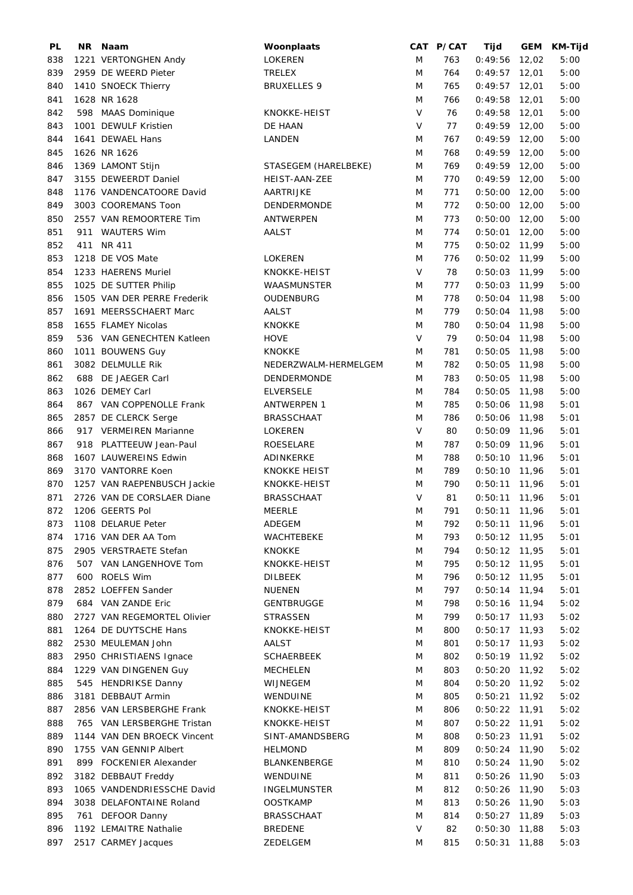| PL  | NR Naam                     | Woonplaats           |        | CAT P/CAT | Tijd            | <b>GEM</b> | <b>KM-Tijd</b> |
|-----|-----------------------------|----------------------|--------|-----------|-----------------|------------|----------------|
| 838 | 1221 VERTONGHEN Andy        | LOKEREN              | M      | 763       | 0:49:56         | 12,02      | 5:00           |
| 839 | 2959 DE WEERD Pieter        | <b>TRELEX</b>        | M      | 764       | $0:49:57$ 12,01 |            | 5:00           |
| 840 | 1410 SNOECK Thierry         | <b>BRUXELLES 9</b>   | M      | 765       | $0:49:57$ 12,01 |            | 5:00           |
| 841 | 1628 NR 1628                |                      | M      | 766       | $0:49:58$ 12,01 |            | 5:00           |
| 842 | 598 MAAS Dominique          | KNOKKE-HEIST         | $\vee$ | 76        | $0:49:58$ 12,01 |            | 5:00           |
| 843 | 1001 DEWULF Kristien        | DE HAAN              | $\vee$ | 77        | $0:49:59$ 12,00 |            | 5:00           |
| 844 | 1641 DEWAEL Hans            | LANDEN               | M      | 767       | $0:49:59$ 12,00 |            | 5:00           |
| 845 | 1626 NR 1626                |                      | M      | 768       | $0:49:59$ 12,00 |            | 5:00           |
| 846 | 1369 LAMONT Stijn           | STASEGEM (HARELBEKE) | M      | 769       | $0:49:59$ 12,00 |            | 5:00           |
| 847 | 3155 DEWEERDT Daniel        | HEIST-AAN-ZEE        | M      | 770       | $0:49:59$ 12,00 |            | 5:00           |
| 848 | 1176 VANDENCATOORE David    | AARTRIJKE            | M      | 771       | $0:50:00$ 12,00 |            | 5:00           |
| 849 | 3003 COOREMANS Toon         | DENDERMONDE          | M      | 772       | $0:50:00$ 12,00 |            | 5:00           |
| 850 | 2557 VAN REMOORTERE Tim     | ANTWERPEN            | M      | 773       | $0:50:00$ 12,00 |            | 5:00           |
| 851 | 911 WAUTERS Wim             | AALST                | M      | 774       | $0:50:01$ 12,00 |            | 5:00           |
| 852 | 411 NR 411                  |                      | M      | 775       | $0:50:02$ 11,99 |            |                |
| 853 | 1218 DE VOS Mate            | <b>LOKEREN</b>       | M      | 776       | $0:50:02$ 11,99 |            | 5:00           |
|     |                             |                      | $\vee$ |           |                 |            | 5:00           |
| 854 | 1233 HAERENS Muriel         | KNOKKE-HEIST         |        | 78        | $0:50:03$ 11,99 |            | 5:00           |
| 855 | 1025 DE SUTTER Philip       | WAASMUNSTER          | M      | 777       | $0:50:03$ 11,99 |            | 5:00           |
| 856 | 1505 VAN DER PERRE Frederik | OUDENBURG            | M      | 778       | $0:50:04$ 11,98 |            | 5:00           |
| 857 | 1691 MEERSSCHAERT Marc      | AALST                | M      | 779       | $0:50:04$ 11,98 |            | 5:00           |
| 858 | 1655 FLAMEY Nicolas         | <b>KNOKKE</b>        | M      | 780       | $0:50:04$ 11,98 |            | 5:00           |
| 859 | 536 VAN GENECHTEN Katleen   | <b>HOVE</b>          | $\vee$ | 79        | $0:50:04$ 11,98 |            | 5:00           |
| 860 | 1011 BOUWENS Guy            | <b>KNOKKE</b>        | M      | 781       | $0:50:05$ 11,98 |            | 5:00           |
| 861 | 3082 DELMULLE Rik           | NEDERZWALM-HERMELGEM | M      | 782       | $0:50:05$ 11,98 |            | 5:00           |
| 862 | 688 DE JAEGER Carl          | DENDERMONDE          | M      | 783       | $0:50:05$ 11,98 |            | 5:00           |
| 863 | 1026 DEMEY Carl             | <b>ELVERSELE</b>     | M      | 784       | $0:50:05$ 11,98 |            | 5:00           |
| 864 | 867 VAN COPPENOLLE Frank    | <b>ANTWERPEN 1</b>   | M      | 785       | $0:50:06$ 11,98 |            | 5:01           |
| 865 | 2857 DE CLERCK Serge        | <b>BRASSCHAAT</b>    | M      | 786       | $0:50:06$ 11,98 |            | 5:01           |
| 866 | 917 VERMEIREN Marianne      | LOKEREN              | $\vee$ | 80        | $0:50:09$ 11,96 |            | 5:01           |
| 867 | 918 PLATTEEUW Jean-Paul     | ROESELARE            | M      | 787       | $0:50:09$ 11,96 |            | 5:01           |
| 868 | 1607 LAUWEREINS Edwin       | ADINKERKE            | M      | 788       | $0:50:10$ 11,96 |            | 5:01           |
| 869 | 3170 VANTORRE Koen          | <b>KNOKKE HEIST</b>  | M      | 789       | $0:50:10$ 11,96 |            | 5:01           |
| 870 | 1257 VAN RAEPENBUSCH Jackie | KNOKKE-HEIST         | M      | 790       | $0:50:11$ 11,96 |            | 5:01           |
| 871 | 2726 VAN DE CORSLAER Diane  | <b>BRASSCHAAT</b>    | V      | 81        | $0:50:11$ 11,96 |            | 5:01           |
| 872 | 1206 GEERTS Pol             | <b>MEERLE</b>        | M      | 791       | $0:50:11$ 11,96 |            | 5:01           |
| 873 | 1108 DELARUE Peter          | ADEGEM               | M      | 792       | $0:50:11$ 11,96 |            | 5:01           |
| 874 | 1716 VAN DER AA Tom         | WACHTEBEKE           | M      | 793       | $0:50:12$ 11,95 |            | 5:01           |
| 875 | 2905 VERSTRAETE Stefan      | <b>KNOKKE</b>        | M      | 794       | $0:50:12$ 11,95 |            | 5:01           |
| 876 | 507 VAN LANGENHOVE Tom      | KNOKKE-HEIST         | M      | 795       | $0:50:12$ 11,95 |            | 5:01           |
| 877 | 600 ROELS Wim               | <b>DILBEEK</b>       | M      | 796       | $0:50:12$ 11,95 |            | 5:01           |
| 878 | 2852 LOEFFEN Sander         | NUENEN               | M      | 797       | $0:50:14$ 11,94 |            | 5:01           |
|     |                             | <b>GENTBRUGGE</b>    |        |           | $0:50:16$ 11,94 |            |                |
| 879 | 684 VAN ZANDE Eric          | <b>STRASSEN</b>      | M      | 798       |                 |            | 5:02           |
| 880 | 2727 VAN REGEMORTEL Olivier |                      | M      | 799       | $0:50:17$ 11,93 |            | 5:02           |
| 881 | 1264 DE DUYTSCHE Hans       | KNOKKE-HEIST         | M      | 800       | $0:50:17$ 11,93 |            | 5:02           |
| 882 | 2530 MEULEMAN John          | AALST                | M      | 801       | $0:50:17$ 11,93 |            | 5:02           |
| 883 | 2950 CHRISTIAENS Ignace     | <b>SCHAERBEEK</b>    | M      | 802       | $0:50:19$ 11,92 |            | 5:02           |
| 884 | 1229 VAN DINGENEN Guy       | MECHELEN             | M      | 803       | $0:50:20$ 11,92 |            | 5:02           |
| 885 | 545 HENDRIKSE Danny         | WIJNEGEM             | M      | 804       | $0:50:20$ 11,92 |            | 5:02           |
| 886 | 3181 DEBBAUT Armin          | WENDUINE             | M      | 805       | 0:50:21         | 11,92      | 5:02           |
| 887 | 2856 VAN LERSBERGHE Frank   | KNOKKE-HEIST         | M      | 806       | $0:50:22$ 11,91 |            | 5:02           |
| 888 | 765 VAN LERSBERGHE Tristan  | KNOKKE-HEIST         | M      | 807       | $0:50:22$ 11,91 |            | 5:02           |
| 889 | 1144 VAN DEN BROECK Vincent | SINT-AMANDSBERG      | M      | 808       | $0:50:23$ 11,91 |            | 5:02           |
| 890 | 1755 VAN GENNIP Albert      | <b>HELMOND</b>       | M      | 809       | $0:50:24$ 11,90 |            | 5:02           |
| 891 | 899 FOCKENIER Alexander     | <b>BLANKENBERGE</b>  | M      | 810       | $0:50:24$ 11,90 |            | 5:02           |
| 892 | 3182 DEBBAUT Freddy         | WENDUINE             | M      | 811       | $0:50:26$ 11,90 |            | 5:03           |
| 893 | 1065 VANDENDRIESSCHE David  | INGELMUNSTER         | M      | 812       | $0:50:26$ 11,90 |            | 5:03           |
| 894 | 3038 DELAFONTAINE Roland    | <b>OOSTKAMP</b>      | M      | 813       | $0:50:26$ 11,90 |            | 5:03           |
| 895 | 761 DEFOOR Danny            | <b>BRASSCHAAT</b>    | M      | 814       | $0:50:27$ 11,89 |            | 5:03           |
| 896 | 1192 LEMAITRE Nathalie      | <b>BREDENE</b>       | V      | 82        | 0:50:30         | 11,88      | 5:03           |
| 897 | 2517 CARMEY Jacques         | ZEDELGEM             | M      | 815       | 0:50:31         | 11,88      | 5:03           |
|     |                             |                      |        |           |                 |            |                |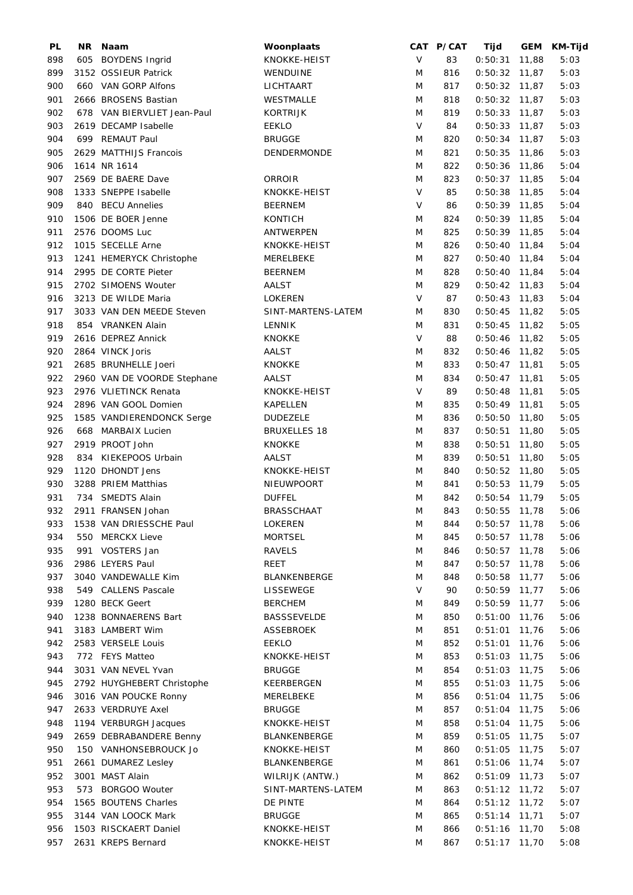| PL  | NR. | Naam                        | Woonplaats          |        | CAT P/CAT | Tijd            |       | GEM KM-Tijd |
|-----|-----|-----------------------------|---------------------|--------|-----------|-----------------|-------|-------------|
| 898 |     | 605 BOYDENS Ingrid          | KNOKKE-HEIST        | V      | 83        | $0:50:31$ 11,88 |       | 5:03        |
| 899 |     | 3152 OSSIEUR Patrick        | WENDUINE            | M      | 816       | $0:50:32$ 11,87 |       | 5:03        |
| 900 |     | 660 VAN GORP Alfons         | LICHTAART           | M      | 817       | $0:50:32$ 11,87 |       | 5:03        |
| 901 |     | 2666 BROSENS Bastian        | WESTMALLE           | M      | 818       | $0:50:32$ 11,87 |       | 5:03        |
| 902 |     | 678 VAN BIERVLIET Jean-Paul | <b>KORTRIJK</b>     | M      | 819       | $0:50:33$ 11,87 |       | 5:03        |
| 903 |     | 2619 DECAMP Isabelle        | <b>EEKLO</b>        | $\vee$ | 84        | $0:50:33$ 11,87 |       | 5:03        |
| 904 |     | 699 REMAUT Paul             | <b>BRUGGE</b>       | M      | 820       | $0:50:34$ 11,87 |       | 5:03        |
| 905 |     | 2629 MATTHIJS Francois      | <b>DENDERMONDE</b>  | M      | 821       | $0:50:35$ 11,86 |       | 5:03        |
| 906 |     | 1614 NR 1614                |                     | M      | 822       | $0:50:36$ 11,86 |       | 5:04        |
| 907 |     | 2569 DE BAERE Dave          | ORROIR              | M      | 823       | $0:50:37$ 11,85 |       | 5:04        |
| 908 |     | 1333 SNEPPE Isabelle        | KNOKKE-HEIST        | V      | 85        | $0:50:38$ 11,85 |       | 5:04        |
| 909 |     | 840 BECU Annelies           | <b>BEERNEM</b>      | $\vee$ | 86        | $0:50:39$ 11,85 |       | 5:04        |
| 910 |     | 1506 DE BOER Jenne          | <b>KONTICH</b>      | M      | 824       | $0:50:39$ 11,85 |       | 5:04        |
|     |     |                             |                     |        |           |                 |       |             |
| 911 |     | 2576 DOOMS Luc              | ANTWERPEN           | M      | 825       | $0:50:39$ 11,85 |       | 5:04        |
| 912 |     | 1015 SECELLE Arne           | KNOKKE-HEIST        | M      | 826       | $0:50:40$ 11,84 |       | 5:04        |
| 913 |     | 1241 HEMERYCK Christophe    | MERELBEKE           | M      | 827       | $0:50:40$ 11,84 |       | 5:04        |
| 914 |     | 2995 DE CORTE Pieter        | <b>BEERNEM</b>      | M      | 828       | $0:50:40$ 11,84 |       | 5:04        |
| 915 |     | 2702 SIMOENS Wouter         | <b>AALST</b>        | M      | 829       | $0:50:42$ 11,83 |       | 5:04        |
| 916 |     | 3213 DE WILDE Maria         | LOKEREN             | $\vee$ | 87        | $0:50:43$ 11,83 |       | 5:04        |
| 917 |     | 3033 VAN DEN MEEDE Steven   | SINT-MARTENS-LATEM  | M      | 830       | $0:50:45$ 11,82 |       | 5:05        |
| 918 |     | 854 VRANKEN Alain           | <b>LENNIK</b>       | M      | 831       | $0:50:45$ 11,82 |       | 5:05        |
| 919 |     | 2616 DEPREZ Annick          | <b>KNOKKE</b>       | V      | 88        | $0:50:46$ 11,82 |       | 5:05        |
| 920 |     | 2864 VINCK Joris            | AALST               | M      | 832       | $0:50:46$ 11,82 |       | 5:05        |
| 921 |     | 2685 BRUNHELLE Joeri        | <b>KNOKKE</b>       | M      | 833       | $0:50:47$ 11,81 |       | 5:05        |
| 922 |     | 2960 VAN DE VOORDE Stephane | AALST               | M      | 834       | $0:50:47$ 11,81 |       | 5:05        |
| 923 |     | 2976 VLIETINCK Renata       | KNOKKE-HEIST        | V      | 89        | $0:50:48$ 11,81 |       | 5:05        |
| 924 |     | 2896 VAN GOOL Domien        | KAPELLEN            | M      | 835       | $0:50:49$ 11,81 |       | 5:05        |
| 925 |     | 1585 VANDIERENDONCK Serge   | <b>DUDEZELE</b>     | M      | 836       | $0:50:50$ 11,80 |       | 5:05        |
| 926 |     | 668 MARBAIX Lucien          | <b>BRUXELLES 18</b> | M      | 837       | 0:50:51         | 11,80 | 5:05        |
| 927 |     | 2919 PROOT John             | <b>KNOKKE</b>       | M      | 838       | 0:50:51         | 11,80 | 5:05        |
| 928 |     | 834 KIEKEPOOS Urbain        | <b>AALST</b>        | M      | 839       | $0:50:51$ 11,80 |       | 5:05        |
| 929 |     | 1120 DHONDT Jens            | KNOKKE-HEIST        | M      | 840       | $0:50:52$ 11,80 |       | 5:05        |
| 930 |     | 3288 PRIEM Matthias         | NIEUWPOORT          | M      | 841       | $0:50:53$ 11,79 |       | 5:05        |
| 931 |     | 734 SMEDTS Alain            | <b>DUFFEL</b>       | M      | 842       | $0:50:54$ 11,79 |       | 5:05        |
|     |     |                             |                     |        |           | $0:50:55$ 11,78 |       |             |
| 932 |     | 2911 FRANSEN Johan          | <b>BRASSCHAAT</b>   | M      | 843       |                 |       | 5:06        |
| 933 |     | 1538 VAN DRIESSCHE Paul     | LOKEREN             | M      | 844       | $0:50:57$ 11,78 |       | 5:06        |
| 934 |     | 550 MERCKX Lieve            | <b>MORTSEL</b>      | M      | 845       | $0:50:57$ 11,78 |       | 5:06        |
| 935 |     | 991 VOSTERS Jan             | <b>RAVELS</b>       | M      | 846       | $0:50:57$ 11,78 |       | 5:06        |
| 936 |     | 2986 LEYERS Paul            | REET                | M      | 847       | $0:50:57$ 11,78 |       | 5:06        |
| 937 |     | 3040 VANDEWALLE Kim         | BLANKENBERGE        | M      | 848       | $0:50:58$ 11,77 |       | 5:06        |
| 938 |     | 549 CALLENS Pascale         | LISSEWEGE           | V      | 90        | $0:50:59$ 11,77 |       | 5:06        |
| 939 |     | 1280 BECK Geert             | <b>BERCHEM</b>      | M      | 849       | $0:50:59$ 11,77 |       | 5:06        |
| 940 |     | 1238 BONNAERENS Bart        | <b>BASSSEVELDE</b>  | M      | 850       | $0:51:00$ 11,76 |       | 5:06        |
| 941 |     | 3183 LAMBERT Wim            | ASSEBROEK           | M      | 851       | $0:51:01$ 11,76 |       | 5:06        |
| 942 |     | 2583 VERSELE Louis          | <b>EEKLO</b>        | M      | 852       | $0:51:01$ 11,76 |       | 5:06        |
| 943 |     | 772 FEYS Matteo             | KNOKKE-HEIST        | M      | 853       | $0:51:03$ 11,75 |       | 5:06        |
| 944 |     | 3031 VAN NEVEL Yvan         | <b>BRUGGE</b>       | M      | 854       | $0:51:03$ 11,75 |       | 5:06        |
| 945 |     | 2792 HUYGHEBERT Christophe  | KEERBERGEN          | M      | 855       | $0:51:03$ 11,75 |       | 5:06        |
| 946 |     | 3016 VAN POUCKE Ronny       | MERELBEKE           | M      | 856       | $0:51:04$ 11,75 |       | 5:06        |
| 947 |     | 2633 VERDRUYE Axel          | <b>BRUGGE</b>       | M      | 857       | $0:51:04$ 11,75 |       | 5:06        |
| 948 |     | 1194 VERBURGH Jacques       | KNOKKE-HEIST        | M      | 858       | $0:51:04$ 11,75 |       | 5:06        |
| 949 |     | 2659 DEBRABANDERE Benny     | BLANKENBERGE        | M      | 859       | $0:51:05$ 11,75 |       | 5:07        |
| 950 |     | 150 VANHONSEBROUCK Jo       | KNOKKE-HEIST        | M      | 860       | $0:51:05$ 11,75 |       | 5:07        |
| 951 |     | 2661 DUMAREZ Lesley         | BLANKENBERGE        | M      | 861       | $0:51:06$ 11,74 |       | 5:07        |
|     |     |                             |                     |        |           |                 |       |             |
| 952 |     | 3001 MAST Alain             | WILRIJK (ANTW.)     | M      | 862       | $0:51:09$ 11,73 |       | 5:07        |
| 953 |     | 573 BORGOO Wouter           | SINT-MARTENS-LATEM  | M      | 863       | $0:51:12$ 11,72 |       | 5:07        |
| 954 |     | 1565 BOUTENS Charles        | DE PINTE            | M      | 864       | $0:51:12$ 11,72 |       | 5:07        |
| 955 |     | 3144 VAN LOOCK Mark         | <b>BRUGGE</b>       | M      | 865       | $0:51:14$ 11,71 |       | 5:07        |
| 956 |     | 1503 RISCKAERT Daniel       | KNOKKE-HEIST        | M      | 866       | 0:51:16         | 11,70 | 5:08        |
| 957 |     | 2631 KREPS Bernard          | KNOKKE-HEIST        | M      | 867       | $0:51:17$ 11,70 |       | 5:08        |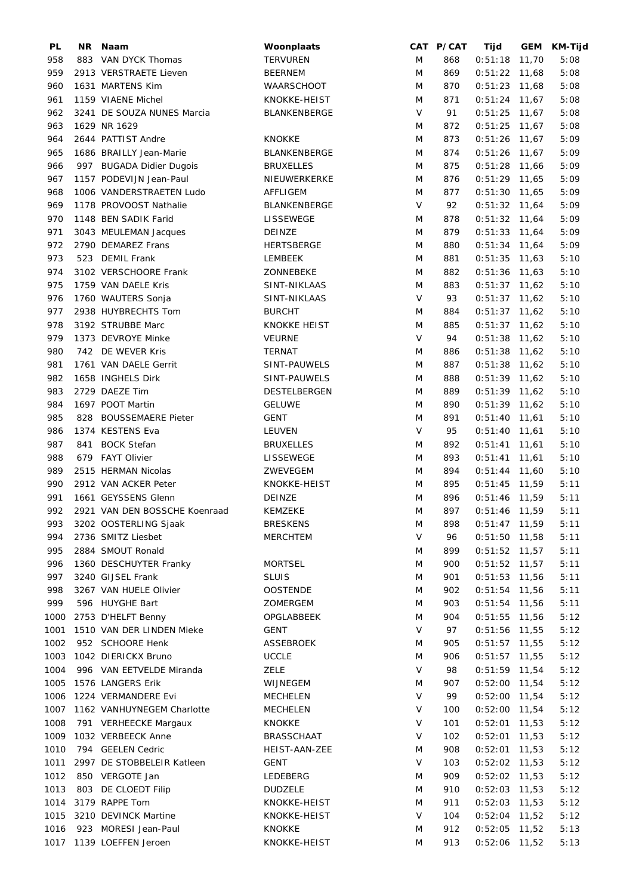| PL   | NR Naam                       | Woonplaats          |        | CAT P/CAT | Tijd            |       | GEM KM-Tijd |
|------|-------------------------------|---------------------|--------|-----------|-----------------|-------|-------------|
| 958  | 883 VAN DYCK Thomas           | <b>TERVUREN</b>     | M      | 868       | $0:51:18$ 11,70 |       | 5:08        |
| 959  | 2913 VERSTRAETE Lieven        | <b>BEERNEM</b>      | M      | 869       | $0:51:22$ 11,68 |       | 5:08        |
| 960  | 1631 MARTENS Kim              | WAARSCHOOT          | M      | 870       | $0:51:23$ 11,68 |       | 5:08        |
| 961  | 1159 VIAENE Michel            | KNOKKE-HEIST        | M      | 871       | $0:51:24$ 11,67 |       | 5:08        |
| 962  | 3241 DE SOUZA NUNES Marcia    | BLANKENBERGE        | $\vee$ | 91        | $0:51:25$ 11,67 |       | 5:08        |
| 963  | 1629 NR 1629                  |                     | M      | 872       | $0:51:25$ 11,67 |       | 5:08        |
| 964  | 2644 PATTIST Andre            | <b>KNOKKE</b>       | M      | 873       | $0:51:26$ 11,67 |       | 5:09        |
| 965  | 1686 BRAILLY Jean-Marie       | BLANKENBERGE        | M      | 874       | $0:51:26$ 11,67 |       | 5:09        |
| 966  | 997 BUGADA Didier Dugois      | <b>BRUXELLES</b>    | M      | 875       | $0:51:28$ 11,66 |       | 5:09        |
| 967  | 1157 PODEVIJN Jean-Paul       | NIEUWERKERKE        | M      | 876       | $0:51:29$ 11,65 |       | 5:09        |
| 968  | 1006 VANDERSTRAETEN Ludo      | AFFLIGEM            | M      | 877       | $0:51:30$ 11,65 |       | 5:09        |
| 969  | 1178 PROVOOST Nathalie        | <b>BLANKENBERGE</b> | $\vee$ | 92        | $0:51:32$ 11,64 |       | 5:09        |
| 970  | 1148 BEN SADIK Farid          | LISSEWEGE           | M      | 878       | $0:51:32$ 11,64 |       | 5:09        |
| 971  | 3043 MEULEMAN Jacques         | DEINZE              | M      | 879       | $0:51:33$ 11,64 |       | 5:09        |
| 972  | 2790 DEMAREZ Frans            | <b>HERTSBERGE</b>   | M      | 880       | $0:51:34$ 11,64 |       | 5:09        |
| 973  | 523 DEMIL Frank               | LEMBEEK             | M      | 881       | $0:51:35$ 11,63 |       | 5:10        |
| 974  | 3102 VERSCHOORE Frank         | ZONNEBEKE           | M      | 882       | $0:51:36$ 11,63 |       | 5:10        |
|      |                               |                     |        |           |                 |       |             |
| 975  | 1759 VAN DAELE Kris           | SINT-NIKLAAS        | M      | 883       | $0:51:37$ 11,62 |       | 5:10        |
| 976  | 1760 WAUTERS Sonja            | SINT-NIKLAAS        | V      | 93        | $0:51:37$ 11,62 |       | 5:10        |
| 977  | 2938 HUYBRECHTS Tom           | <b>BURCHT</b>       | M      | 884       | $0:51:37$ 11,62 |       | 5:10        |
| 978  | 3192 STRUBBE Marc             | <b>KNOKKE HEIST</b> | M      | 885       | $0:51:37$ 11,62 |       | 5:10        |
| 979  | 1373 DEVROYE Minke            | <b>VEURNE</b>       | V      | 94        | $0:51:38$ 11,62 |       | 5:10        |
| 980  | 742 DE WEVER Kris             | <b>TERNAT</b>       | M      | 886       | $0:51:38$ 11,62 |       | 5:10        |
| 981  | 1761 VAN DAELE Gerrit         | SINT-PAUWELS        | M      | 887       | $0:51:38$ 11,62 |       | 5:10        |
| 982  | 1658 INGHELS Dirk             | SINT-PAUWELS        | M      | 888       | $0:51:39$ 11,62 |       | 5:10        |
| 983  | 2729 DAEZE Tim                | DESTELBERGEN        | M      | 889       | $0:51:39$ 11,62 |       | 5:10        |
| 984  | 1697 POOT Martin              | <b>GELUWE</b>       | M      | 890       | $0:51:39$ 11,62 |       | 5:10        |
| 985  | 828 BOUSSEMAERE Pieter        | <b>GENT</b>         | M      | 891       | $0:51:40$ 11,61 |       | 5:10        |
| 986  | 1374 KESTENS Eva              | LEUVEN              | $\vee$ | 95        | $0:51:40$ 11,61 |       | 5:10        |
| 987  | 841 BOCK Stefan               | <b>BRUXELLES</b>    | M      | 892       | $0:51:41$ 11,61 |       | 5:10        |
| 988  | 679 FAYT Olivier              | LISSEWEGE           | M      | 893       | $0:51:41$ 11,61 |       | 5:10        |
| 989  | 2515 HERMAN Nicolas           | ZWEVEGEM            | M      | 894       | $0:51:44$ 11,60 |       | 5:10        |
| 990  | 2912 VAN ACKER Peter          | KNOKKE-HEIST        | M      | 895       | $0:51:45$ 11,59 |       | 5:11        |
| 991  | 1661 GEYSSENS Glenn           | DEINZE              | M      | 896       | $0:51:46$ 11,59 |       | 5:11        |
| 992  | 2921 VAN DEN BOSSCHE Koenraad | <b>KEMZEKE</b>      | M      | 897       | $0:51:46$ 11,59 |       | 5:11        |
| 993  | 3202 OOSTERLING Sjaak         | <b>BRESKENS</b>     | M      | 898       | $0:51:47$ 11,59 |       | 5:11        |
| 994  | 2736 SMITZ Liesbet            | <b>MERCHTEM</b>     | V      | 96        | $0:51:50$ 11,58 |       | 5:11        |
| 995  | 2884 SMOUT Ronald             |                     | M      | 899       | $0:51:52$ 11,57 |       | 5:11        |
| 996  | 1360 DESCHUYTER Franky        | <b>MORTSEL</b>      | M      | 900       | $0:51:52$ 11,57 |       | 5:11        |
| 997  | 3240 GIJSEL Frank             | <b>SLUIS</b>        | M      | 901       | $0:51:53$ 11,56 |       | 5:11        |
| 998  | 3267 VAN HUELE Olivier        | <b>OOSTENDE</b>     | M      | 902       | $0:51:54$ 11,56 |       | 5:11        |
| 999  | 596 HUYGHE Bart               | ZOMERGEM            | M      | 903       | $0:51:54$ 11,56 |       | 5:11        |
| 1000 | 2753 D'HELFT Benny            | OPGLABBEEK          | M      | 904       | $0:51:55$ 11,56 |       | 5:12        |
| 1001 | 1510 VAN DER LINDEN Mieke     | GENT                | V      | 97        | $0:51:56$ 11,55 |       | 5:12        |
| 1002 | 952 SCHOORE Henk              | <b>ASSEBROEK</b>    | M      | 905       | $0:51:57$ 11,55 |       | 5:12        |
| 1003 | 1042 DIERICKX Bruno           | <b>UCCLE</b>        | M      | 906       |                 |       |             |
|      |                               |                     | V      |           | $0:51:57$ 11,55 |       | 5:12        |
| 1004 | 996 VAN EETVELDE Miranda      | <b>ZELE</b>         |        | 98        | $0:51:59$ 11,54 |       | 5:12        |
| 1005 | 1576 LANGERS Erik             | WIJNEGEM            | M      | 907       | $0:52:00$ 11,54 |       | 5:12        |
| 1006 | 1224 VERMANDERE Evi           | <b>MECHELEN</b>     | $\vee$ | 99        | $0:52:00$ 11,54 |       | 5:12        |
| 1007 | 1162 VANHUYNEGEM Charlotte    | MECHELEN            | V      | 100       | $0:52:00$ 11,54 |       | 5:12        |
| 1008 | 791 VERHEECKE Margaux         | KNOKKE              | V      | 101       | $0:52:01$ 11,53 |       | 5:12        |
| 1009 | 1032 VERBEECK Anne            | BRASSCHAAT          | V      | 102       | $0:52:01$ 11,53 |       | 5:12        |
| 1010 | 794 GEELEN Cedric             | HEIST-AAN-ZEE       | M      | 908       | $0:52:01$ 11,53 |       | 5:12        |
| 1011 | 2997 DE STOBBELEIR Katleen    | GENT                | V      | 103       | $0:52:02$ 11,53 |       | 5:12        |
| 1012 | 850 VERGOTE Jan               | LEDEBERG            | M      | 909       | $0:52:02$ 11,53 |       | 5:12        |
| 1013 | 803 DE CLOEDT Filip           | <b>DUDZELE</b>      | M      | 910       | $0:52:03$ 11,53 |       | 5:12        |
| 1014 | 3179 RAPPE Tom                | KNOKKE-HEIST        | M      | 911       | $0:52:03$ 11,53 |       | 5:12        |
| 1015 | 3210 DEVINCK Martine          | KNOKKE-HEIST        | V      | 104       | $0:52:04$ 11,52 |       | 5:12        |
| 1016 | 923 MORESI Jean-Paul          | <b>KNOKKE</b>       | M      | 912       | 0:52:05         | 11,52 | 5:13        |
|      | 1017 1139 LOEFFEN Jeroen      | KNOKKE-HEIST        | M      | 913       | $0:52:06$ 11,52 |       | 5:13        |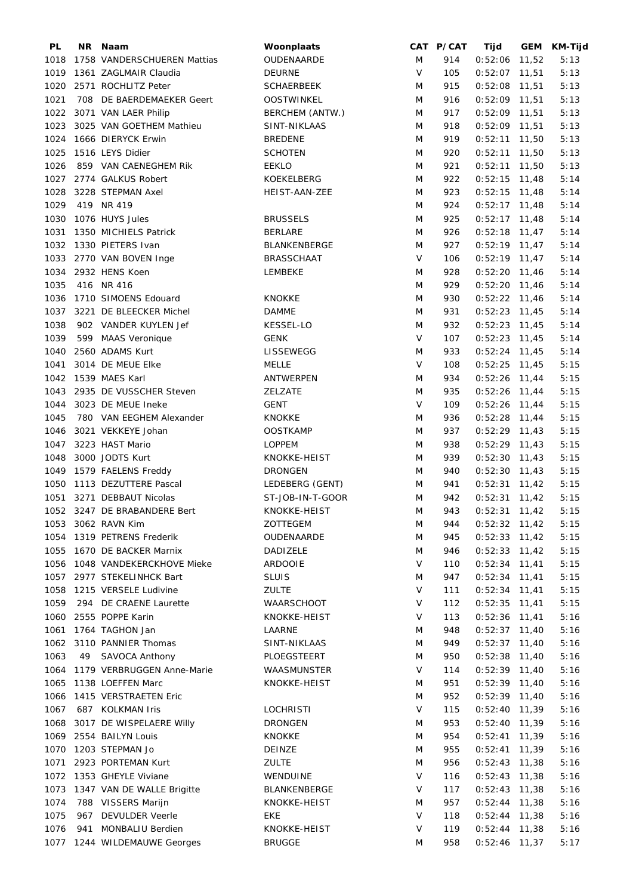| PL   |     | NR Naam                         | Woonplaats          |        | CAT P/CAT | Tijd            |       | GEM KM-Tijd |
|------|-----|---------------------------------|---------------------|--------|-----------|-----------------|-------|-------------|
| 1018 |     | 1758 VANDERSCHUEREN Mattias     | OUDENAARDE          | M      | 914       | $0:52:06$ 11,52 |       | 5:13        |
| 1019 |     | 1361 ZAGLMAIR Claudia           | <b>DEURNE</b>       | $\vee$ | 105       | $0:52:07$ 11,51 |       | 5:13        |
| 1020 |     | 2571 ROCHLITZ Peter             | <b>SCHAERBEEK</b>   | M      | 915       | $0:52:08$ 11,51 |       | 5:13        |
| 1021 |     | 708 DE BAERDEMAEKER Geert       | <b>OOSTWINKEL</b>   | M      | 916       | $0:52:09$ 11,51 |       | 5:13        |
| 1022 |     | 3071 VAN LAER Philip            | BERCHEM (ANTW.)     | M      | 917       | $0:52:09$ 11,51 |       | 5:13        |
| 1023 |     | 3025 VAN GOETHEM Mathieu        | SINT-NIKLAAS        | M      | 918       | $0:52:09$ 11,51 |       | 5:13        |
| 1024 |     | 1666 DIERYCK Erwin              | <b>BREDENE</b>      | M      | 919       | $0:52:11$ 11,50 |       | 5:13        |
| 1025 |     | 1516 LEYS Didier                | <b>SCHOTEN</b>      | M      | 920       | $0:52:11$ 11,50 |       | 5:13        |
| 1026 |     | 859 VAN CAENEGHEM RIK           | <b>EEKLO</b>        | M      | 921       | $0:52:11$ 11,50 |       | 5:13        |
| 1027 |     | 2774 GALKUS Robert              | KOEKELBERG          | M      | 922       | $0:52:15$ 11,48 |       | 5:14        |
| 1028 |     | 3228 STEPMAN Axel               | HEIST-AAN-ZEE       | M      | 923       | $0:52:15$ 11,48 |       | 5:14        |
| 1029 |     | 419 NR 419                      |                     | M      | 924       | $0:52:17$ 11,48 |       | 5:14        |
| 1030 |     | 1076 HUYS Jules                 | <b>BRUSSELS</b>     | M      | 925       | $0:52:17$ 11,48 |       | 5:14        |
| 1031 |     | 1350 MICHIELS Patrick           | <b>BERLARE</b>      | M      | 926       | $0:52:18$ 11,47 |       | 5:14        |
| 1032 |     | 1330 PIETERS Ivan               | <b>BLANKENBERGE</b> | M      | 927       | $0:52:19$ 11,47 |       | 5:14        |
|      |     | 1033 2770 VAN BOVEN Inge        | <b>BRASSCHAAT</b>   | V      | 106       | $0:52:19$ 11,47 |       | 5:14        |
|      |     | 1034 2932 HENS Koen             | LEMBEKE             | M      | 928       |                 |       | 5:14        |
|      |     |                                 |                     |        |           | $0:52:20$ 11,46 |       |             |
| 1035 |     | 416 NR 416                      |                     | M      | 929       | $0:52:20$ 11,46 |       | 5:14        |
| 1036 |     | 1710 SIMOENS Edouard            | <b>KNOKKE</b>       | M      | 930       | $0:52:22$ 11,46 |       | 5:14        |
| 1037 |     | 3221 DE BLEECKER Michel         | <b>DAMME</b>        | M      | 931       | $0:52:23$ 11,45 |       | 5:14        |
| 1038 |     | 902 VANDER KUYLEN Jef           | KESSEL-LO           | M      | 932       | $0:52:23$ 11,45 |       | 5:14        |
| 1039 |     | 599 MAAS Veronique              | <b>GENK</b>         | V      | 107       | $0:52:23$ 11,45 |       | 5:14        |
| 1040 |     | 2560 ADAMS Kurt                 | LISSEWEGG           | M      | 933       | $0:52:24$ 11,45 |       | 5:14        |
| 1041 |     | 3014 DE MEUE Elke               | MELLE               | $\vee$ | 108       | $0:52:25$ 11,45 |       | 5:15        |
| 1042 |     | 1539 MAES Karl                  | ANTWERPEN           | M      | 934       | $0:52:26$ 11,44 |       | 5:15        |
| 1043 |     | 2935 DE VUSSCHER Steven         | ZELZATE             | M      | 935       | $0:52:26$ 11,44 |       | 5:15        |
| 1044 |     | 3023 DE MEUE Ineke              | <b>GENT</b>         | $\vee$ | 109       | $0:52:26$ 11,44 |       | 5:15        |
| 1045 |     | 780 VAN EEGHEM Alexander        | <b>KNOKKE</b>       | M      | 936       | $0:52:28$ 11,44 |       | 5:15        |
| 1046 |     | 3021 VEKKEYE Johan              | <b>OOSTKAMP</b>     | M      | 937       | $0:52:29$ 11,43 |       | 5:15        |
| 1047 |     | 3223 HAST Mario                 | <b>LOPPEM</b>       | M      | 938       | $0:52:29$ 11,43 |       | 5:15        |
| 1048 |     | 3000 JODTS Kurt                 | KNOKKE-HEIST        | M      | 939       | $0:52:30$ 11,43 |       | 5:15        |
| 1049 |     | 1579 FAELENS Freddy             | <b>DRONGEN</b>      | M      | 940       | $0:52:30$ 11,43 |       | 5:15        |
| 1050 |     | 1113 DEZUTTERE Pascal           | LEDEBERG (GENT)     | M      | 941       | $0:52:31$ 11,42 |       | 5:15        |
| 1051 |     | 3271 DEBBAUT Nicolas            | ST-JOB-IN-T-GOOR    | M      | 942       | $0:52:31$ 11,42 |       | 5:15        |
|      |     | 1052 3247 DE BRABANDERE Bert    | KNOKKE-HEIST        | M      | 943       | $0:52:31$ 11,42 |       | 5:15        |
|      |     | 1053 3062 RAVN Kim              | ZOTTEGEM            | M      | 944       | $0:52:32$ 11,42 |       | 5:15        |
| 1054 |     | 1319 PETRENS Frederik           | OUDENAARDE          | M      | 945       | $0:52:33$ 11,42 |       | 5:15        |
| 1055 |     | 1670 DE BACKER Marnix           | <b>DADIZELE</b>     | M      | 946       | $0:52:33$ 11,42 |       | 5:15        |
| 1056 |     | 1048 VANDEKERCKHOVE Mieke       | <b>ARDOOIE</b>      | V      | 110       | $0:52:34$ 11,41 |       | 5:15        |
| 1057 |     | 2977 STEKELINHCK Bart           | <b>SLUIS</b>        | M      | 947       | $0:52:34$ 11,41 |       | 5:15        |
| 1058 |     | 1215 VERSELE Ludivine           | <b>ZULTE</b>        | V      | 111       | $0:52:34$ 11,41 |       | 5:15        |
| 1059 |     | 294 DE CRAENE Laurette          | <b>WAARSCHOOT</b>   | V      | 112       | 0:52:35         | 11,41 | 5:15        |
| 1060 |     | 2555 POPPE Karin                | KNOKKE-HEIST        | V      | 113       | 0:52:36         | 11,41 | 5:16        |
| 1061 |     | 1764 TAGHON Jan                 | LAARNE              | M      | 948       | $0:52:37$ 11,40 |       | 5:16        |
|      |     | 1062 3110 PANNIER Thomas        | SINT-NIKLAAS        | M      | 949       | $0:52:37$ 11,40 |       | 5:16        |
|      |     |                                 |                     |        |           |                 |       |             |
| 1063 | 49  | SAVOCA Anthony                  | PLOEGSTEERT         | M      | 950       | 0:52:38         | 11,40 | 5:16        |
|      |     | 1064 1179 VERBRUGGEN Anne-Marie | WAASMUNSTER         | V      | 114       | $0:52:39$ 11,40 |       | 5:16        |
| 1065 |     | 1138 LOEFFEN Marc               | KNOKKE-HEIST        | M      | 951       | $0:52:39$ 11,40 |       | 5:16        |
| 1066 |     | 1415 VERSTRAETEN Eric           |                     | M      | 952       | $0:52:39$ 11,40 |       | 5:16        |
| 1067 |     | 687 KOLKMAN Iris                | <b>LOCHRISTI</b>    | V      | 115       | $0:52:40$ 11,39 |       | 5:16        |
| 1068 |     | 3017 DE WISPELAERE Willy        | <b>DRONGEN</b>      | M      | 953       | $0:52:40$ 11,39 |       | 5:16        |
| 1069 |     | 2554 BAILYN Louis               | <b>KNOKKE</b>       | M      | 954       | 0:52:41         | 11,39 | 5:16        |
| 1070 |     | 1203 STEPMAN Jo                 | DEINZE              | M      | 955       | 0:52:41         | 11,39 | 5:16        |
| 1071 |     | 2923 PORTEMAN Kurt              | <b>ZULTE</b>        | M      | 956       | 0:52:43         | 11,38 | 5:16        |
| 1072 |     | 1353 GHEYLE Viviane             | WENDUINE            | V      | 116       | 0:52:43         | 11,38 | 5:16        |
| 1073 |     | 1347 VAN DE WALLE Brigitte      | BLANKENBERGE        | V      | 117       | 0:52:43         | 11,38 | 5:16        |
| 1074 |     | 788 VISSERS Marijn              | KNOKKE-HEIST        | M      | 957       | 0:52:44         | 11,38 | 5:16        |
| 1075 |     | 967 DEVULDER Veerle             | EKE                 | $\vee$ | 118       | 0:52:44         | 11,38 | 5:16        |
| 1076 | 941 | MONBALIU Berdien                | KNOKKE-HEIST        | V      | 119       | 0:52:44         | 11,38 | 5:16        |
| 1077 |     | 1244 WILDEMAUWE Georges         | <b>BRUGGE</b>       | M      | 958       | $0:52:46$ 11,37 |       | 5:17        |
|      |     |                                 |                     |        |           |                 |       |             |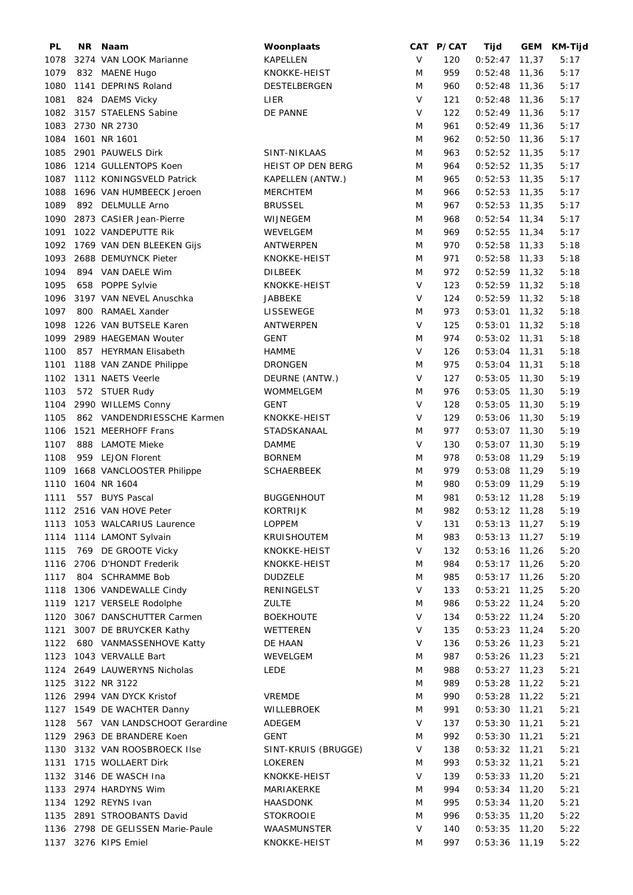| PL   | NR. | Naam                              | Woonplaats          |        | CAT P/CAT | Tijd            |       | GEM KM-Tijd |
|------|-----|-----------------------------------|---------------------|--------|-----------|-----------------|-------|-------------|
| 1078 |     | 3274 VAN LOOK Marianne            | KAPELLEN            | $\vee$ | 120       | $0:52:47$ 11,37 |       | 5:17        |
| 1079 |     | 832 MAENE Hugo                    | KNOKKE-HEIST        | M      | 959       | $0:52:48$ 11,36 |       | 5:17        |
| 1080 |     | 1141 DEPRINS Roland               | DESTELBERGEN        | M      | 960       | $0:52:48$ 11,36 |       | 5:17        |
| 1081 |     | 824 DAEMS Vicky                   | LIER                | $\vee$ | 121       | $0:52:48$ 11,36 |       | 5:17        |
| 1082 |     | 3157 STAELENS Sabine              | DE PANNE            | $\vee$ | 122       | $0:52:49$ 11,36 |       | 5:17        |
| 1083 |     | 2730 NR 2730                      |                     | M      | 961       | $0:52:49$ 11,36 |       | 5:17        |
|      |     |                                   |                     |        |           |                 |       |             |
| 1084 |     | 1601 NR 1601                      |                     | M      | 962       | $0:52:50$ 11,36 |       | 5:17        |
| 1085 |     | 2901 PAUWELS Dirk                 | SINT-NIKLAAS        | M      | 963       | $0:52:52$ 11,35 |       | 5:17        |
| 1086 |     | 1214 GULLENTOPS Koen              | HEIST OP DEN BERG   | M      | 964       | $0:52:52$ 11,35 |       | 5:17        |
| 1087 |     | 1112 KONINGSVELD Patrick          | KAPELLEN (ANTW.)    | M      | 965       | $0:52:53$ 11,35 |       | 5:17        |
| 1088 |     | 1696 VAN HUMBEECK Jeroen          | <b>MERCHTEM</b>     | M      | 966       | $0:52:53$ 11,35 |       | 5:17        |
| 1089 |     | 892 DELMULLE Arno                 | <b>BRUSSEL</b>      | M      | 967       | $0:52:53$ 11,35 |       | 5:17        |
| 1090 |     | 2873 CASIER Jean-Pierre           | WIJNEGEM            | M      | 968       | $0:52:54$ 11,34 |       | 5:17        |
| 1091 |     | 1022 VANDEPUTTE Rik               | WEVELGEM            | M      | 969       | $0:52:55$ 11,34 |       | 5:17        |
| 1092 |     | 1769 VAN DEN BLEEKEN Gijs         | ANTWERPEN           | M      | 970       | $0:52:58$ 11,33 |       | 5:18        |
| 1093 |     | 2688 DEMUYNCK Pieter              | KNOKKE-HEIST        | M      | 971       | $0:52:58$ 11,33 |       | 5:18        |
| 1094 |     | 894 VAN DAELE Wim                 | DILBEEK             | M      | 972       | $0:52:59$ 11,32 |       | 5:18        |
| 1095 |     | 658 POPPE Sylvie                  | KNOKKE-HEIST        | V      | 123       | $0:52:59$ 11,32 |       | 5:18        |
|      |     |                                   |                     | $\vee$ |           |                 |       |             |
| 1096 |     | 3197 VAN NEVEL Anuschka           | JABBEKE             |        | 124       | $0:52:59$ 11,32 |       | 5:18        |
| 1097 |     | 800 RAMAEL Xander                 | <b>LISSEWEGE</b>    | M      | 973       | $0:53:01$ 11,32 |       | 5:18        |
| 1098 |     | 1226 VAN BUTSELE Karen            | ANTWERPEN           | V      | 125       | $0:53:01$ 11,32 |       | 5:18        |
| 1099 |     | 2989 HAEGEMAN Wouter              | <b>GENT</b>         | M      | 974       | $0:53:02$ 11,31 |       | 5:18        |
| 1100 |     | 857 HEYRMAN Elisabeth             | <b>HAMME</b>        | V      | 126       | $0:53:04$ 11,31 |       | 5:18        |
| 1101 |     | 1188 VAN ZANDE Philippe           | <b>DRONGEN</b>      | M      | 975       | $0:53:04$ 11,31 |       | 5:18        |
| 1102 |     | 1311 NAETS Veerle                 | DEURNE (ANTW.)      | $\vee$ | 127       | $0:53:05$ 11,30 |       | 5:19        |
| 1103 |     | 572 STUER Rudy                    | WOMMELGEM           | M      | 976       | $0:53:05$ 11,30 |       | 5:19        |
| 1104 |     | 2990 WILLEMS Conny                | GENT                | $\vee$ | 128       | 0:53:05         | 11,30 | 5:19        |
| 1105 |     | 862 VANDENDRIESSCHE Karmen        | KNOKKE-HEIST        | $\vee$ | 129       | $0:53:06$ 11,30 |       | 5:19        |
| 1106 |     | 1521 MEERHOFF Frans               | STADSKANAAL         | M      | 977       | $0:53:07$ 11,30 |       | 5:19        |
| 1107 | 888 | <b>LAMOTE Mieke</b>               | <b>DAMME</b>        | $\vee$ | 130       | $0:53:07$ 11,30 |       | 5:19        |
|      |     |                                   |                     | M      |           | $0:53:08$ 11,29 |       |             |
| 1108 |     | 959 LEJON Florent                 | <b>BORNEM</b>       |        | 978       |                 |       | 5:19        |
| 1109 |     | 1668 VANCLOOSTER Philippe         | <b>SCHAERBEEK</b>   | M      | 979       | $0:53:08$ 11,29 |       | 5:19        |
| 1110 |     | 1604 NR 1604                      |                     | M      | 980       | $0:53:09$ 11,29 |       | 5:19        |
| 1111 |     | 557 BUYS Pascal                   | <b>BUGGENHOUT</b>   | M      | 981       | $0:53:12$ 11,28 |       | 5:19        |
|      |     | 1112 2516 VAN HOVE Peter          | <b>KORTRIJK</b>     | M      | 982       | $0:53:12$ 11,28 |       | 5:19        |
|      |     | 1113 1053 WALCARIUS Laurence      | <b>LOPPEM</b>       | V      | 131       | $0:53:13$ 11,27 |       | 5:19        |
|      |     | 1114 1114 LAMONT Sylvain          | KRUISHOUTEM         | M      | 983       | $0:53:13$ 11,27 |       | 5:19        |
| 1115 |     | 769 DE GROOTE Vicky               | KNOKKE-HEIST        | V      | 132       | $0:53:16$ 11,26 |       | 5:20        |
|      |     | 1116 2706 D'HONDT Frederik        | KNOKKE-HEIST        | M      | 984       | $0:53:17$ 11,26 |       | 5:20        |
| 1117 |     | 804 SCHRAMME Bob                  | <b>DUDZELE</b>      | M      | 985       | $0:53:17$ 11,26 |       | 5:20        |
| 1118 |     | 1306 VANDEWALLE Cindy             | RENINGELST          | V      | 133       | $0:53:21$ 11,25 |       | 5:20        |
| 1119 |     | 1217 VERSELE Rodolphe             | <b>ZULTE</b>        | M      | 986       | $0:53:22$ 11,24 |       | 5:20        |
| 1120 |     | 3067 DANSCHUTTER Carmen           | <b>BOEKHOUTE</b>    | V      | 134       | $0:53:22$ 11,24 |       | 5:20        |
| 1121 |     | 3007 DE BRUYCKER Kathy            | WETTEREN            | V      | 135       | $0:53:23$ 11,24 |       | 5:20        |
|      |     |                                   |                     |        |           |                 |       |             |
| 1122 |     | 680 VANMASSENHOVE Katty           | DE HAAN             | V      | 136       | $0:53:26$ 11,23 |       | 5:21        |
|      |     | 1123 1043 VERVALLE Bart           | WEVELGEM            | M      | 987       | $0:53:26$ 11,23 |       | 5:21        |
|      |     | 1124 2649 LAUWERYNS Nicholas      | <b>LEDE</b>         | M      | 988       | $0:53:27$ 11,23 |       | 5:21        |
|      |     | 1125 3122 NR 3122                 |                     | M      | 989       | $0:53:28$ 11,22 |       | 5:21        |
|      |     | 1126 2994 VAN DYCK Kristof        | <b>VREMDE</b>       | M      | 990       | $0:53:28$ 11,22 |       | 5:21        |
|      |     | 1127 1549 DE WACHTER Danny        | WILLEBROEK          | M      | 991       | $0:53:30$ 11,21 |       | 5:21        |
| 1128 |     | 567 VAN LANDSCHOOT Gerardine      | ADEGEM              | V      | 137       | $0:53:30$ 11,21 |       | 5:21        |
|      |     | 1129 2963 DE BRANDERE Koen        | GENT                | M      | 992       | $0:53:30$ 11,21 |       | 5:21        |
| 1130 |     | 3132 VAN ROOSBROECK Ilse          | SINT-KRUIS (BRUGGE) | V      | 138       | $0:53:32$ 11,21 |       | 5:21        |
| 1131 |     | 1715 WOLLAERT Dirk                | LOKEREN             | M      | 993       | $0:53:32$ 11,21 |       | 5:21        |
|      |     | 1132 3146 DE WASCH Ina            | KNOKKE-HEIST        | V      | 139       | $0:53:33$ 11,20 |       | 5:21        |
|      |     | 1133 2974 HARDYNS Wim             | MARIAKERKE          | M      | 994       | $0:53:34$ 11,20 |       | 5:21        |
|      |     | 1134 1292 REYNS Ivan              | HAASDONK            | M      | 995       | $0:53:34$ 11,20 |       | 5:21        |
|      |     | 1135 2891 STROOBANTS David        | <b>STOKROOIE</b>    | M      | 996       |                 |       |             |
|      |     |                                   |                     |        |           | $0:53:35$ 11,20 |       | 5:22        |
|      |     | 1136 2798 DE GELISSEN Marie-Paule | WAASMUNSTER         | V      | 140       | 0:53:35         | 11,20 | 5:22        |
|      |     | 1137 3276 KIPS Emiel              | KNOKKE-HEIST        | M      | 997       | $0:53:36$ 11,19 |       | 5:22        |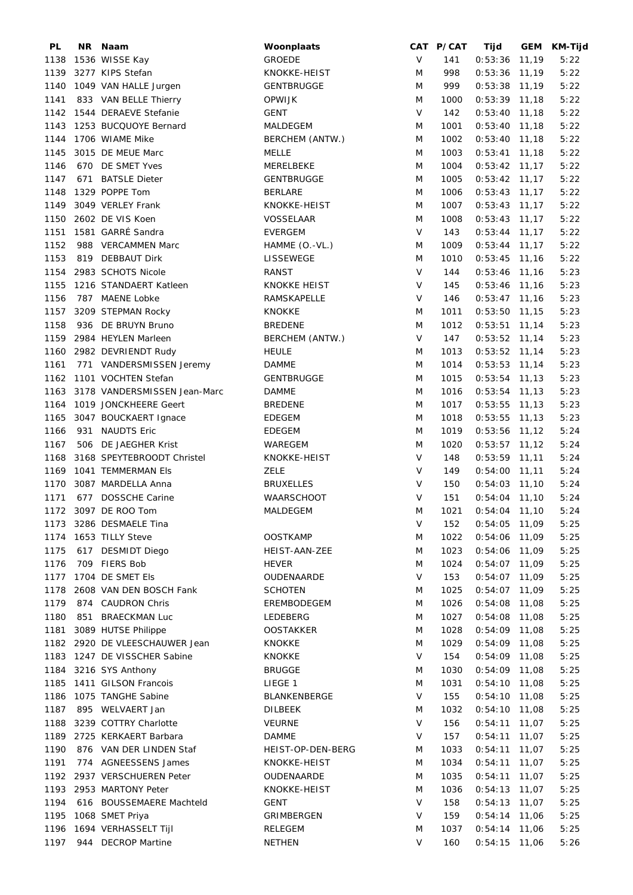| PL   | <b>NR</b> | Naam                         | Woonplaats          |              | CAT P/CAT | Tijd            |       | GEM KM-Tijd |
|------|-----------|------------------------------|---------------------|--------------|-----------|-----------------|-------|-------------|
| 1138 |           | 1536 WISSE Kay               | GROEDE              | $\vee$       | 141       | $0:53:36$ 11,19 |       | 5:22        |
| 1139 |           | 3277 KIPS Stefan             | KNOKKE-HEIST        | M            | 998       | $0:53:36$ 11,19 |       | 5:22        |
| 1140 |           | 1049 VAN HALLE Jurgen        | GENTBRUGGE          | M            | 999       | $0:53:38$ 11,19 |       | 5:22        |
| 1141 |           | 833 VAN BELLE Thierry        | <b>OPWIJK</b>       | M            | 1000      | $0:53:39$ 11,18 |       | 5:22        |
| 1142 |           | 1544 DERAEVE Stefanie        | <b>GENT</b>         | $\mathsf{V}$ | 142       | $0:53:40$ 11,18 |       | 5:22        |
| 1143 |           | 1253 BUCQUOYE Bernard        | MALDEGEM            | M            | 1001      | $0:53:40$ 11,18 |       | 5:22        |
| 1144 |           | 1706 WIAME Mike              | BERCHEM (ANTW.)     | M            | 1002      | $0:53:40$ 11,18 |       | 5:22        |
|      |           |                              |                     | M            | 1003      |                 |       |             |
| 1145 |           | 3015 DE MEUE Marc            | MELLE               |              |           | $0:53:41$ 11,18 |       | 5:22        |
| 1146 |           | 670 DE SMET Yves             | MERELBEKE           | M            | 1004      | $0:53:42$ 11,17 |       | 5:22        |
| 1147 |           | 671 BATSLE Dieter            | GENTBRUGGE          | M            | 1005      | $0:53:42$ 11,17 |       | 5:22        |
| 1148 |           | 1329 POPPE Tom               | <b>BERLARE</b>      | M            | 1006      | $0:53:43$ 11,17 |       | 5:22        |
| 1149 |           | 3049 VERLEY Frank            | KNOKKE-HEIST        | M            | 1007      | $0:53:43$ 11,17 |       | 5:22        |
| 1150 |           | 2602 DE VIS Koen             | VOSSELAAR           | M            | 1008      | $0:53:43$ 11,17 |       | 5:22        |
| 1151 |           | 1581 GARRÉ Sandra            | <b>EVERGEM</b>      | $\vee$       | 143       | $0:53:44$ 11,17 |       | 5:22        |
| 1152 |           | 988 VERCAMMEN Marc           | HAMME (O.-VL.)      | M            | 1009      | $0:53:44$ 11,17 |       | 5:22        |
| 1153 |           | 819 DEBBAUT Dirk             | LISSEWEGE           | M            | 1010      | $0:53:45$ 11,16 |       | 5:22        |
| 1154 |           | 2983 SCHOTS Nicole           | RANST               | $\vee$       | 144       | $0:53:46$ 11,16 |       | 5:23        |
| 1155 |           | 1216 STANDAERT Katleen       | <b>KNOKKE HEIST</b> | $\vee$       | 145       | $0:53:46$ 11,16 |       | 5:23        |
| 1156 |           | 787 MAENE Lobke              | RAMSKAPELLE         | V            | 146       | $0:53:47$ 11,16 |       | 5:23        |
| 1157 |           | 3209 STEPMAN Rocky           | <b>KNOKKE</b>       | M            | 1011      | $0:53:50$ 11,15 |       | 5:23        |
| 1158 |           | 936 DE BRUYN Bruno           | <b>BREDENE</b>      | M            | 1012      | $0:53:51$ 11,14 |       | 5:23        |
| 1159 |           | 2984 HEYLEN Marleen          | BERCHEM (ANTW.)     | V            | 147       | $0:53:52$ 11,14 |       | 5:23        |
|      |           | 1160 2982 DEVRIENDT Rudy     | <b>HEULE</b>        | M            | 1013      | $0:53:52$ 11,14 |       | 5:23        |
| 1161 |           | 771 VANDERSMISSEN Jeremy     | <b>DAMME</b>        | M            | 1014      | $0:53:53$ 11,14 |       | 5:23        |
| 1162 |           | 1101 VOCHTEN Stefan          | <b>GENTBRUGGE</b>   | M            | 1015      | $0:53:54$ 11,13 |       | 5:23        |
| 1163 |           | 3178 VANDERSMISSEN Jean-Marc | <b>DAMME</b>        | M            | 1016      | $0:53:54$ 11,13 |       | 5:23        |
| 1164 |           | 1019 JONCKHEERE Geert        | <b>BREDENE</b>      | M            | 1017      | $0:53:55$ 11,13 |       | 5:23        |
| 1165 |           | 3047 BOUCKAERT Ignace        | <b>EDEGEM</b>       | M            | 1018      | $0:53:55$ 11,13 |       | 5:23        |
| 1166 |           | 931 NAUDTS Eric              |                     | M            | 1019      | $0:53:56$ 11,12 |       | 5:24        |
|      |           |                              | EDEGEM              | M            |           |                 |       |             |
| 1167 |           | 506 DE JAEGHER Krist         | WAREGEM             |              | 1020      | $0:53:57$ 11,12 |       | 5:24        |
| 1168 |           | 3168 SPEYTEBROODT Christel   | KNOKKE-HEIST        | $\vee$       | 148       | $0:53:59$ 11,11 |       | 5:24        |
| 1169 |           | 1041 TEMMERMAN Els           | <b>ZELE</b>         | $\vee$       | 149       | $0:54:00$ 11,11 |       | 5:24        |
| 1170 |           | 3087 MARDELLA Anna           | <b>BRUXELLES</b>    | $\vee$       | 150       | $0:54:03$ 11,10 |       | 5:24        |
| 1171 | 677       | <b>DOSSCHE Carine</b>        | <b>WAARSCHOOT</b>   | V            | 151       | $0:54:04$ 11,10 |       | 5:24        |
|      |           | 1172 3097 DE ROO Tom         | MALDEGEM            | M            | 1021      | $0:54:04$ 11,10 |       | 5:24        |
| 1173 |           | 3286 DESMAELE Tina           |                     | $\sf V$      | 152       | 0:54:05         | 11,09 | 5:25        |
| 1174 |           | 1653 TILLY Steve             | <b>OOSTKAMP</b>     | M            | 1022      | 0:54:06         | 11,09 | 5:25        |
| 1175 |           | 617 DESMIDT Diego            | HEIST-AAN-ZEE       | M            | 1023      | 0:54:06         | 11,09 | 5:25        |
| 1176 |           | 709 FIERS Bob                | <b>HEVER</b>        | M            | 1024      | $0:54:07$ 11,09 |       | 5:25        |
| 1177 |           | 1704 DE SMET Els             | OUDENAARDE          | V            | 153       | $0:54:07$ 11,09 |       | 5:25        |
| 1178 |           | 2608 VAN DEN BOSCH Fank      | <b>SCHOTEN</b>      | M            | 1025      | $0:54:07$ 11,09 |       | 5:25        |
| 1179 |           | 874 CAUDRON Chris            | EREMBODEGEM         | M            | 1026      | 0:54:08         | 11,08 | 5:25        |
| 1180 | 851       | <b>BRAECKMAN Luc</b>         | LEDEBERG            | M            | 1027      | 0:54:08         | 11,08 | 5:25        |
| 1181 |           | 3089 HUTSE Philippe          | <b>OOSTAKKER</b>    | M            | 1028      | 0:54:09         | 11,08 | 5:25        |
| 1182 |           | 2920 DE VLEESCHAUWER Jean    | <b>KNOKKE</b>       | M            | 1029      | 0:54:09         | 11,08 | 5:25        |
| 1183 |           | 1247 DE VISSCHER Sabine      | <b>KNOKKE</b>       | V            | 154       | 0:54:09         | 11,08 | 5:25        |
| 1184 |           | 3216 SYS Anthony             | <b>BRUGGE</b>       | M            | 1030      | 0:54:09         | 11,08 | 5:25        |
| 1185 |           | 1411 GILSON Francois         | LIEGE 1             | M            | 1031      | $0:54:10$ 11,08 |       | 5:25        |
| 1186 |           | 1075 TANGHE Sabine           | BLANKENBERGE        | V            | 155       | $0:54:10$ 11,08 |       | 5:25        |
| 1187 |           | 895 WELVAERT Jan             | <b>DILBEEK</b>      | M            | 1032      | 0:54:10         | 11,08 | 5:25        |
| 1188 |           | 3239 COTTRY Charlotte        | <b>VEURNE</b>       | V            | 156       | 0:54:11         | 11,07 | 5:25        |
|      |           |                              |                     | V            |           |                 |       |             |
| 1189 |           | 2725 KERKAERT Barbara        | <b>DAMME</b>        |              | 157       | 0:54:11         | 11,07 | 5:25        |
| 1190 |           | 876 VAN DER LINDEN Staf      | HEIST-OP-DEN-BERG   | M            | 1033      | 0:54:11         | 11,07 | 5:25        |
| 1191 |           | 774 AGNEESSENS James         | KNOKKE-HEIST        | M            | 1034      | 0:54:11         | 11,07 | 5:25        |
| 1192 |           | 2937 VERSCHUEREN Peter       | OUDENAARDE          | M            | 1035      | 0:54:11         | 11,07 | 5:25        |
| 1193 |           | 2953 MARTONY Peter           | KNOKKE-HEIST        | M            | 1036      | 0:54:13         | 11,07 | 5:25        |
| 1194 | 616       | <b>BOUSSEMAERE Machteld</b>  | <b>GENT</b>         | V            | 158       | 0:54:13         | 11,07 | 5:25        |
| 1195 |           | 1068 SMET Priya              | GRIMBERGEN          | V            | 159       | 0:54:14         | 11,06 | 5:25        |
| 1196 |           | 1694 VERHASSELT Tijl         | <b>RELEGEM</b>      | M            | 1037      | 0:54:14         | 11,06 | 5:25        |
| 1197 |           | 944 DECROP Martine           | <b>NETHEN</b>       | V            | 160       | $0:54:15$ 11,06 |       | 5:26        |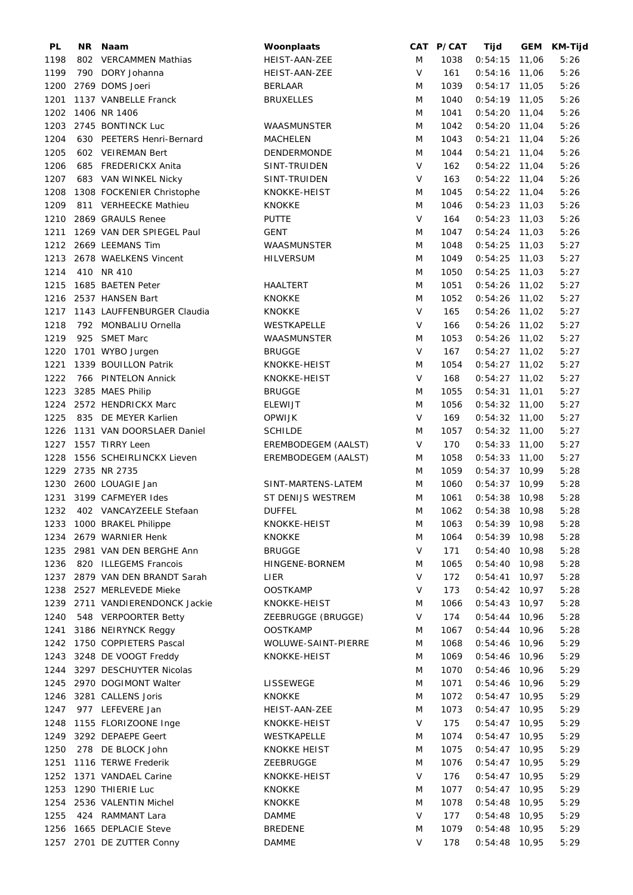| PL   | NR. | Naam                         | Woonplaats          |        | CAT P/CAT | Tijd            |       | GEM KM-Tijd |
|------|-----|------------------------------|---------------------|--------|-----------|-----------------|-------|-------------|
| 1198 |     | 802 VERCAMMEN Mathias        | HEIST-AAN-ZEE       | M      | 1038      | $0:54:15$ 11,06 |       | 5:26        |
| 1199 |     | 790 DORY Johanna             | HEIST-AAN-ZEE       | $\vee$ | 161       | $0:54:16$ 11,06 |       | 5:26        |
| 1200 |     | 2769 DOMS Joeri              | <b>BERLAAR</b>      | M      | 1039      | $0:54:17$ 11,05 |       | 5:26        |
| 1201 |     | 1137 VANBELLE Franck         | <b>BRUXELLES</b>    | M      | 1040      | $0:54:19$ 11,05 |       | 5:26        |
| 1202 |     | 1406 NR 1406                 |                     | M      | 1041      | $0:54:20$ 11,04 |       | 5:26        |
| 1203 |     | 2745 BONTINCK Luc            | WAASMUNSTER         | M      | 1042      | $0:54:20$ 11,04 |       | 5:26        |
| 1204 |     | 630 PEETERS Henri-Bernard    | <b>MACHELEN</b>     | M      | 1043      | $0:54:21$ 11,04 |       | 5:26        |
| 1205 |     | 602 VEIREMAN Bert            | <b>DENDERMONDE</b>  | M      | 1044      | $0:54:21$ 11,04 |       | 5:26        |
| 1206 |     | 685 FREDERICKX Anita         | SINT-TRUIDEN        | V      | 162       | $0:54:22$ 11,04 |       | 5:26        |
| 1207 |     | 683 VAN WINKEL Nicky         | SINT-TRUIDEN        | $\vee$ | 163       | $0:54:22$ 11,04 |       | 5:26        |
| 1208 |     | 1308 FOCKENIER Christophe    | KNOKKE-HEIST        | M      | 1045      | $0:54:22$ 11,04 |       | 5:26        |
| 1209 |     | 811 VERHEECKE Mathieu        | <b>KNOKKE</b>       | M      | 1046      | $0:54:23$ 11,03 |       | 5:26        |
| 1210 |     | 2869 GRAULS Renee            | <b>PUTTE</b>        | $\vee$ | 164       | $0:54:23$ 11,03 |       | 5:26        |
| 1211 |     | 1269 VAN DER SPIEGEL Paul    | GENT                | M      | 1047      | $0:54:24$ 11,03 |       | 5:26        |
|      |     | 1212 2669 LEEMANS Tim        | WAASMUNSTER         | M      | 1048      | $0:54:25$ 11,03 |       | 5:27        |
| 1213 |     | 2678 WAELKENS Vincent        | <b>HILVERSUM</b>    | M      | 1049      | $0:54:25$ 11,03 |       | 5:27        |
| 1214 |     | 410 NR 410                   |                     | M      | 1050      | $0:54:25$ 11,03 |       | 5:27        |
|      |     |                              |                     |        |           |                 |       |             |
| 1215 |     | 1685 BAETEN Peter            | <b>HAALTERT</b>     | M      | 1051      | $0:54:26$ 11,02 |       | 5:27        |
| 1216 |     | 2537 HANSEN Bart             | <b>KNOKKE</b>       | M      | 1052      | $0:54:26$ 11,02 |       | 5:27        |
| 1217 |     | 1143 LAUFFENBURGER Claudia   | <b>KNOKKE</b>       | V      | 165       | $0:54:26$ 11,02 |       | 5:27        |
| 1218 |     | 792 MONBALIU Ornella         | WESTKAPELLE         | $\vee$ | 166       | $0:54:26$ 11,02 |       | 5:27        |
| 1219 | 925 | <b>SMET Marc</b>             | WAASMUNSTER         | M      | 1053      | $0:54:26$ 11,02 |       | 5:27        |
| 1220 |     | 1701 WYBO Jurgen             | <b>BRUGGE</b>       | V      | 167       | $0:54:27$ 11,02 |       | 5:27        |
| 1221 |     | 1339 BOUILLON Patrik         | KNOKKE-HEIST        | M      | 1054      | $0:54:27$ 11,02 |       | 5:27        |
| 1222 |     | 766 PINTELON Annick          | KNOKKE-HEIST        | $\vee$ | 168       | $0:54:27$ 11,02 |       | 5:27        |
| 1223 |     | 3285 MAES Philip             | <b>BRUGGE</b>       | M      | 1055      | $0:54:31$ 11,01 |       | 5:27        |
| 1224 |     | 2572 HENDRICKX Marc          | <b>ELEWIJT</b>      | M      | 1056      | $0:54:32$ 11,00 |       | 5:27        |
| 1225 |     | 835 DE MEYER Karlien         | <b>OPWIJK</b>       | $\vee$ | 169       | $0:54:32$ 11,00 |       | 5:27        |
| 1226 |     | 1131 VAN DOORSLAER Daniel    | <b>SCHILDE</b>      | M      | 1057      | $0:54:32$ 11,00 |       | 5:27        |
| 1227 |     | 1557 TIRRY Leen              | EREMBODEGEM (AALST) | $\vee$ | 170       | $0:54:33$ 11,00 |       | 5:27        |
| 1228 |     | 1556 SCHEIRLINCKX Lieven     | EREMBODEGEM (AALST) | M      | 1058      | $0:54:33$ 11,00 |       | 5:27        |
| 1229 |     | 2735 NR 2735                 |                     | M      | 1059      | $0:54:37$ 10,99 |       | 5:28        |
| 1230 |     | 2600 LOUAGIE Jan             | SINT-MARTENS-LATEM  | M      | 1060      | $0:54:37$ 10,99 |       | 5:28        |
| 1231 |     | 3199 CAFMEYER Ides           | ST DENIJS WESTREM   | M      | 1061      | $0:54:38$ 10,98 |       | 5:28        |
| 1232 |     | 402 VANCAYZEELE Stefaan      | <b>DUFFEL</b>       | M      | 1062      | $0:54:38$ 10,98 |       | 5:28        |
| 1233 |     | 1000 BRAKEL Philippe         | KNOKKE-HEIST        | M      | 1063      | $0:54:39$ 10,98 |       | 5:28        |
| 1234 |     | 2679 WARNIER Henk            | <b>KNOKKE</b>       | M      | 1064      | $0:54:39$ 10,98 |       | 5:28        |
| 1235 |     | 2981 VAN DEN BERGHE Ann      | <b>BRUGGE</b>       | V      | 171       | $0:54:40$ 10,98 |       | 5:28        |
| 1236 |     | 820 ILLEGEMS Francois        | HINGENE-BORNEM      | M      | 1065      | $0:54:40$ 10,98 |       | 5:28        |
| 1237 |     | 2879 VAN DEN BRANDT Sarah    | LIER                | $\vee$ | 172       | 0:54:41         | 10,97 | 5:28        |
| 1238 |     | 2527 MERLEVEDE Mieke         | <b>OOSTKAMP</b>     | $\vee$ | 173       | $0:54:42$ 10,97 |       | 5:28        |
| 1239 |     | 2711 VANDIERENDONCK Jackie   | KNOKKE-HEIST        | M      | 1066      | 0:54:43         | 10,97 | 5:28        |
| 1240 |     | 548 VERPOORTER Betty         | ZEEBRUGGE (BRUGGE)  | V      | 174       | 0:54:44         | 10,96 |             |
| 1241 |     | 3186 NEIRYNCK Reggy          | <b>OOSTKAMP</b>     | M      |           | 0:54:44         | 10,96 | 5:28        |
|      |     |                              |                     |        | 1067      |                 |       | 5:28        |
|      |     | 1242 1750 COPPIETERS Pascal  | WOLUWE-SAINT-PIERRE | M      | 1068      | $0:54:46$ 10,96 |       | 5:29        |
|      |     | 1243 3248 DE VOOGT Freddy    | KNOKKE-HEIST        | M      | 1069      | 0:54:46         | 10,96 | 5:29        |
|      |     | 1244 3297 DESCHUYTER Nicolas |                     | M      | 1070      | $0:54:46$ 10,96 |       | 5:29        |
|      |     | 1245 2970 DOGIMONT Walter    | LISSEWEGE           | M      | 1071      | $0:54:46$ 10,96 |       | 5:29        |
| 1246 |     | 3281 CALLENS Joris           | <b>KNOKKE</b>       | M      | 1072      | 0:54:47         | 10,95 | 5:29        |
| 1247 |     | 977 LEFEVERE Jan             | HEIST-AAN-ZEE       | M      | 1073      | $0:54:47$ 10,95 |       | 5:29        |
| 1248 |     | 1155 FLORIZOONE Inge         | KNOKKE-HEIST        | V      | 175       | $0:54:47$ 10,95 |       | 5:29        |
| 1249 |     | 3292 DEPAEPE Geert           | WESTKAPELLE         | M      | 1074      | $0:54:47$ 10,95 |       | 5:29        |
| 1250 |     | 278 DE BLOCK John            | <b>KNOKKE HEIST</b> | M      | 1075      | $0:54:47$ 10,95 |       | 5:29        |
| 1251 |     | 1116 TERWE Frederik          | ZEEBRUGGE           | M      | 1076      | $0:54:47$ 10,95 |       | 5:29        |
| 1252 |     | 1371 VANDAEL Carine          | KNOKKE-HEIST        | $\vee$ | 176       | $0:54:47$ 10,95 |       | 5:29        |
| 1253 |     | 1290 THIERIE Luc             | <b>KNOKKE</b>       | M      | 1077      | $0:54:47$ 10,95 |       | 5:29        |
| 1254 |     | 2536 VALENTIN Michel         | <b>KNOKKE</b>       | M      | 1078      | $0:54:48$ 10,95 |       | 5:29        |
| 1255 |     | 424 RAMMANT Lara             | <b>DAMME</b>        | V      | 177       | $0:54:48$ 10,95 |       | 5:29        |
| 1256 |     | 1665 DEPLACIE Steve          | <b>BREDENE</b>      | M      | 1079      | 0:54:48         | 10,95 | 5:29        |
|      |     | 1257 2701 DE ZUTTER Conny    | <b>DAMME</b>        | V      | 178       | $0:54:48$ 10,95 |       | 5:29        |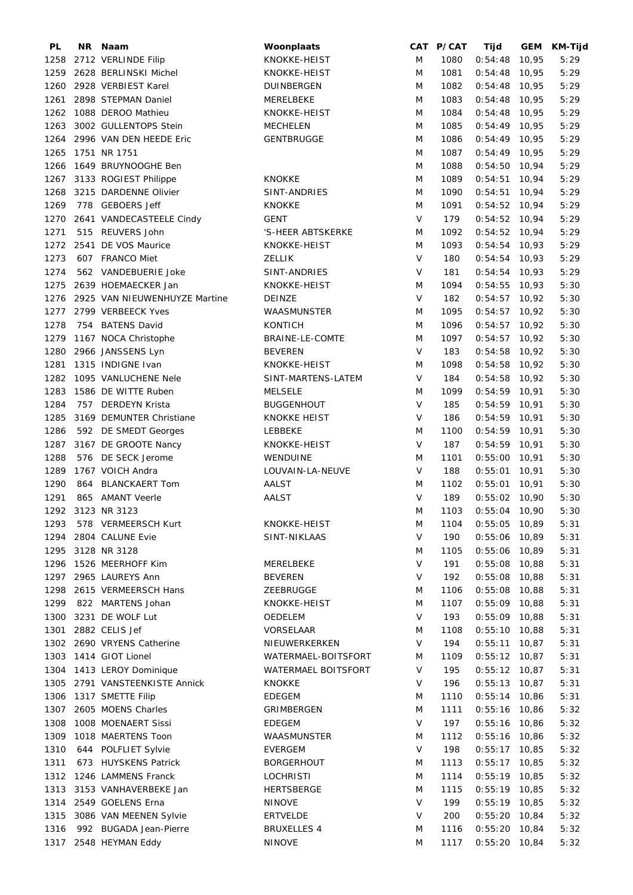| PL   | NR Naam                        | Woonplaats          |        | CAT P/CAT | Tijd            |       | GEM KM-Tijd |
|------|--------------------------------|---------------------|--------|-----------|-----------------|-------|-------------|
| 1258 | 2712 VERLINDE Filip            | KNOKKE-HEIST        | M      | 1080      | 0:54:48         | 10,95 | 5:29        |
| 1259 | 2628 BERLINSKI Michel          | KNOKKE-HEIST        | M      | 1081      | $0:54:48$ 10,95 |       | 5:29        |
| 1260 | 2928 VERBIEST Karel            | DUINBERGEN          | M      | 1082      | $0:54:48$ 10,95 |       | 5:29        |
| 1261 | 2898 STEPMAN Daniel            | MERELBEKE           | M      | 1083      | $0:54:48$ 10,95 |       | 5:29        |
| 1262 | 1088 DEROO Mathieu             | KNOKKE-HEIST        | M      | 1084      | $0:54:48$ 10,95 |       | 5:29        |
| 1263 | 3002 GULLENTOPS Stein          | <b>MECHELEN</b>     | M      | 1085      | $0:54:49$ 10,95 |       | 5:29        |
| 1264 | 2996 VAN DEN HEEDE Eric        | <b>GENTBRUGGE</b>   | M      | 1086      | $0:54:49$ 10,95 |       | 5:29        |
|      |                                |                     |        |           |                 |       |             |
| 1265 | 1751 NR 1751                   |                     | M      | 1087      | $0:54:49$ 10,95 |       | 5:29        |
| 1266 | 1649 BRUYNOOGHE Ben            |                     | M      | 1088      | $0:54:50$ 10,94 |       | 5:29        |
|      | 1267 3133 ROGIEST Philippe     | <b>KNOKKE</b>       | M      | 1089      | $0:54:51$ 10,94 |       | 5:29        |
| 1268 | 3215 DARDENNE Olivier          | SINT-ANDRIES        | M      | 1090      | $0:54:51$ 10,94 |       | 5:29        |
| 1269 | 778 GEBOERS Jeff               | <b>KNOKKE</b>       | M      | 1091      | $0:54:52$ 10,94 |       | 5:29        |
| 1270 | 2641 VANDECASTEELE Cindy       | <b>GENT</b>         | $\vee$ | 179       | $0:54:52$ 10,94 |       | 5:29        |
| 1271 | 515 REUVERS John               | 'S-HEER ABTSKERKE   | M      | 1092      | $0:54:52$ 10,94 |       | 5:29        |
| 1272 | 2541 DE VOS Maurice            | KNOKKE-HEIST        | M      | 1093      | $0:54:54$ 10,93 |       | 5:29        |
| 1273 | 607 FRANCO Miet                | <b>ZELLIK</b>       | $\vee$ | 180       | $0:54:54$ 10,93 |       | 5:29        |
| 1274 | 562 VANDEBUERIE Joke           | SINT-ANDRIES        | $\vee$ | 181       | $0:54:54$ 10,93 |       | 5:29        |
| 1275 | 2639 HOEMAECKER Jan            | KNOKKE-HEIST        | M      | 1094      | $0:54:55$ 10,93 |       | 5:30        |
| 1276 | 2925 VAN NIEUWENHUYZE Martine  | DEINZE              | $\vee$ | 182       | $0:54:57$ 10,92 |       | 5:30        |
| 1277 | 2799 VERBEECK Yves             | WAASMUNSTER         | M      | 1095      | $0:54:57$ 10,92 |       | 5:30        |
| 1278 | 754 BATENS David               | KONTICH             | M      | 1096      | $0:54:57$ 10,92 |       | 5:30        |
|      |                                |                     | M      | 1097      |                 |       |             |
| 1279 | 1167 NOCA Christophe           | BRAINE-LE-COMTE     |        |           | $0:54:57$ 10,92 |       | 5:30        |
| 1280 | 2966 JANSSENS Lyn              | <b>BEVEREN</b>      | V      | 183       | $0:54:58$ 10,92 |       | 5:30        |
| 1281 | 1315 INDIGNE Ivan              | KNOKKE-HEIST        | M      | 1098      | $0:54:58$ 10,92 |       | 5:30        |
| 1282 | 1095 VANLUCHENE Nele           | SINT-MARTENS-LATEM  | $\vee$ | 184       | $0:54:58$ 10,92 |       | 5:30        |
| 1283 | 1586 DE WITTE Ruben            | <b>MELSELE</b>      | M      | 1099      | $0:54:59$ 10,91 |       | 5:30        |
| 1284 | 757 DERDEYN Krista             | <b>BUGGENHOUT</b>   | $\vee$ | 185       | $0:54:59$ 10,91 |       | 5:30        |
| 1285 | 3169 DEMUNTER Christiane       | <b>KNOKKE HEIST</b> | $\vee$ | 186       | $0:54:59$ 10,91 |       | 5:30        |
| 1286 | 592 DE SMEDT Georges           | LEBBEKE             | M      | 1100      | $0:54:59$ 10,91 |       | 5:30        |
| 1287 | 3167 DE GROOTE Nancy           | KNOKKE-HEIST        | $\vee$ | 187       | $0:54:59$ 10,91 |       | 5:30        |
| 1288 | 576 DE SECK Jerome             | WENDUINE            | M      | 1101      | $0:55:00$ 10,91 |       | 5:30        |
| 1289 | 1767 VOICH Andra               | LOUVAIN-LA-NEUVE    | $\vee$ | 188       | $0:55:01$ 10,91 |       | 5:30        |
| 1290 | 864 BLANCKAERT Tom             | AALST               | M      | 1102      | $0:55:01$ 10,91 |       | 5:30        |
| 1291 | 865 AMANT Veerle               | <b>AALST</b>        | V      | 189       | $0:55:02$ 10,90 |       | 5:30        |
|      | 1292 3123 NR 3123              |                     | M      | 1103      | $0:55:04$ 10,90 |       | 5:30        |
| 1293 | 578 VERMEERSCH Kurt            | KNOKKE-HEIST        | M      | 1104      | 0:55:05         | 10,89 | 5:31        |
| 1294 |                                | SINT-NIKLAAS        | V      | 190       | 0:55:06         |       | 5:31        |
|      | 2804 CALUNE Evie               |                     |        |           |                 | 10,89 |             |
| 1295 | 3128 NR 3128                   |                     | M      | 1105      | 0:55:06         | 10,89 | 5:31        |
| 1296 | 1526 MEERHOFF Kim              | MERELBEKE           | V      | 191       | $0:55:08$ 10,88 |       | 5:31        |
| 1297 | 2965 LAUREYS Ann               | <b>BEVEREN</b>      | V      | 192       | $0:55:08$ 10,88 |       | 5:31        |
| 1298 | 2615 VERMEERSCH Hans           | ZEEBRUGGE           | M      | 1106      | $0:55:08$ 10,88 |       | 5:31        |
| 1299 | 822 MARTENS Johan              | KNOKKE-HEIST        | M      | 1107      | $0:55:09$ 10,88 |       | 5:31        |
| 1300 | 3231 DE WOLF Lut               | OEDELEM             | V      | 193       | $0:55:09$ 10,88 |       | 5:31        |
| 1301 | 2882 CELIS Jef                 | VORSELAAR           | M      | 1108      | $0:55:10$ 10,88 |       | 5:31        |
|      | 1302 2690 VRYENS Catherine     | NIEUWERKERKEN       | V      | 194       | $0:55:11$ 10,87 |       | 5:31        |
| 1303 | 1414 GIOT Lionel               | WATERMAEL-BOITSFORT | M      | 1109      | $0:55:12$ 10,87 |       | 5:31        |
|      | 1304 1413 LEROY Dominique      | WATERMAEL BOITSFORT | V      | 195       | $0:55:12$ 10,87 |       | 5:31        |
|      | 1305 2791 VANSTEENKISTE Annick | <b>KNOKKE</b>       | V      | 196       | $0:55:13$ 10,87 |       | 5:31        |
| 1306 | 1317 SMETTE Filip              | <b>EDEGEM</b>       | M      | 1110      | $0:55:14$ 10,86 |       | 5:31        |
|      | 1307 2605 MOENS Charles        | GRIMBERGEN          | M      | 1111      | $0:55:16$ 10,86 |       | 5:32        |
| 1308 | 1008 MOENAERT Sissi            | <b>EDEGEM</b>       | $\vee$ | 197       | $0:55:16$ 10,86 |       | 5:32        |
| 1309 | 1018 MAERTENS Toon             | WAASMUNSTER         | M      | 1112      | $0:55:16$ 10,86 |       | 5:32        |
|      |                                |                     | V      | 198       |                 |       |             |
| 1310 | 644 POLFLIET Sylvie            | EVERGEM             |        |           | $0:55:17$ 10,85 |       | 5:32        |
| 1311 | 673 HUYSKENS Patrick           | BORGERHOUT          | M      | 1113      | $0:55:17$ 10,85 |       | 5:32        |
| 1312 | 1246 LAMMENS Franck            | <b>LOCHRISTI</b>    | M      | 1114      | $0:55:19$ 10,85 |       | 5:32        |
| 1313 | 3153 VANHAVERBEKE Jan          | <b>HERTSBERGE</b>   | M      | 1115      | $0:55:19$ 10,85 |       | 5:32        |
|      | 1314 2549 GOELENS Erna         | NINOVE              | V      | 199       | $0:55:19$ 10,85 |       | 5:32        |
| 1315 | 3086 VAN MEENEN Sylvie         | <b>ERTVELDE</b>     | V      | 200       | $0:55:20$ 10,84 |       | 5:32        |
| 1316 | 992 BUGADA Jean-Pierre         | <b>BRUXELLES 4</b>  | M      | 1116      | $0:55:20$ 10,84 |       | 5:32        |
|      | 1317 2548 HEYMAN Eddy          | <b>NINOVE</b>       | M      | 1117      | $0:55:20$ 10,84 |       | 5:32        |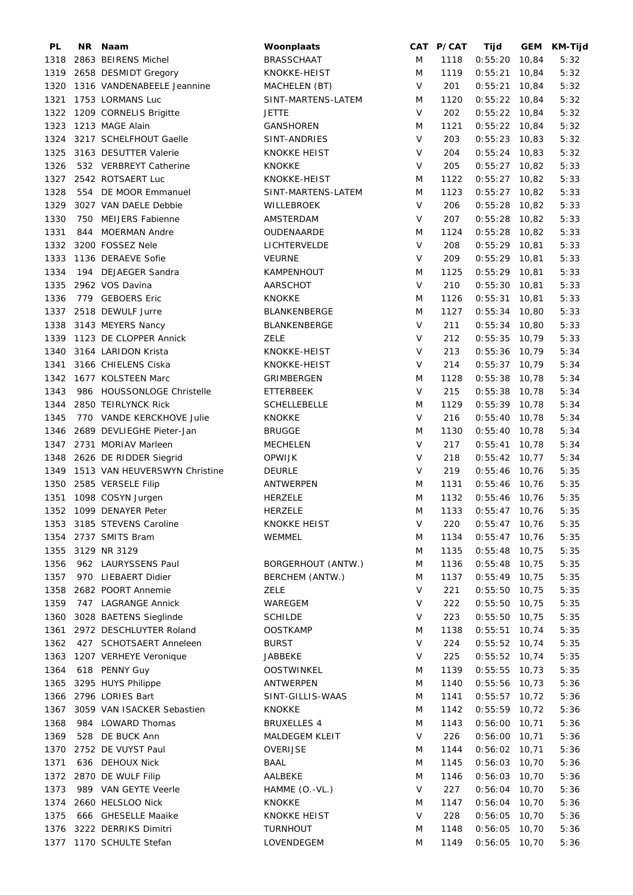| PL   | NR. | Naam                          | Woonplaats                |           | CAT P/CAT | Tijd            |       | GEM KM-Tijd |
|------|-----|-------------------------------|---------------------------|-----------|-----------|-----------------|-------|-------------|
| 1318 |     | 2863 BEIRENS Michel           | <b>BRASSCHAAT</b>         | M         | 1118      | $0:55:20$ 10,84 |       | 5:32        |
| 1319 |     | 2658 DESMIDT Gregory          | KNOKKE-HEIST              | ${\sf M}$ | 1119      | $0:55:21$ 10,84 |       | 5:32        |
| 1320 |     | 1316 VANDENABEELE Jeannine    | MACHELEN (BT)             | $\vee$    | 201       | $0:55:21$ 10,84 |       | 5:32        |
| 1321 |     | 1753 LORMANS Luc              | SINT-MARTENS-LATEM        | M         | 1120      | $0:55:22$ 10,84 |       | 5:32        |
| 1322 |     | 1209 CORNELIS Brigitte        | <b>JETTE</b>              | $\vee$    | 202       | $0:55:22$ 10,84 |       | 5:32        |
| 1323 |     | 1213 MAGE Alain               | <b>GANSHOREN</b>          | M         | 1121      | $0:55:22$ 10,84 |       | 5:32        |
| 1324 |     | 3217 SCHELFHOUT Gaelle        | SINT-ANDRIES              | $\vee$    | 203       | $0:55:23$ 10,83 |       | 5:32        |
| 1325 |     | 3163 DESUTTER Valerie         | <b>KNOKKE HEIST</b>       | V         | 204       | $0:55:24$ 10,83 |       | 5:32        |
| 1326 |     | 532 VERBREYT Catherine        | <b>KNOKKE</b>             | V         | 205       | $0:55:27$ 10,82 |       | 5:33        |
| 1327 |     | 2542 ROTSAERT Luc             | KNOKKE-HEIST              | M         | 1122      | $0:55:27$ 10,82 |       | 5:33        |
| 1328 |     | 554 DE MOOR Emmanuel          | SINT-MARTENS-LATEM        | M         | 1123      | $0:55:27$ 10,82 |       | 5:33        |
| 1329 |     | 3027 VAN DAELE Debbie         | WILLEBROEK                | $\vee$    | 206       | $0:55:28$ 10,82 |       | 5:33        |
| 1330 |     | 750 MEIJERS Fabienne          | AMSTERDAM                 | $\vee$    | 207       | $0:55:28$ 10,82 |       |             |
|      |     |                               |                           |           |           |                 |       | 5:33        |
| 1331 | 844 | <b>MOERMAN Andre</b>          | OUDENAARDE                | M         | 1124      | $0:55:28$ 10,82 |       | 5:33        |
| 1332 |     | 3200 FOSSEZ Nele              | LICHTERVELDE              | $\vee$    | 208       | $0:55:29$ 10,81 |       | 5:33        |
| 1333 |     | 1136 DERAEVE Sofie            | <b>VEURNE</b>             | $\vee$    | 209       | $0:55:29$ 10,81 |       | 5:33        |
| 1334 |     | 194 DEJAEGER Sandra           | KAMPENHOUT                | M         | 1125      | $0:55:29$ 10,81 |       | 5:33        |
| 1335 |     | 2962 VOS Davina               | AARSCHOT                  | $\vee$    | 210       | $0:55:30$ 10,81 |       | 5:33        |
| 1336 |     | 779 GEBOERS Eric              | <b>KNOKKE</b>             | M         | 1126      | $0:55:31$ 10,81 |       | 5:33        |
|      |     | 1337 2518 DEWULF Jurre        | BLANKENBERGE              | M         | 1127      | $0:55:34$ 10,80 |       | 5:33        |
| 1338 |     | 3143 MEYERS Nancy             | BLANKENBERGE              | $\vee$    | 211       | $0:55:34$ 10,80 |       | 5:33        |
| 1339 |     | 1123 DE CLOPPER Annick        | ZELE                      | V         | 212       | $0:55:35$ 10,79 |       | 5:33        |
| 1340 |     | 3164 LARIDON Krista           | KNOKKE-HEIST              | $\vee$    | 213       | $0:55:36$ 10,79 |       | 5:34        |
| 1341 |     | 3166 CHIELENS Ciska           | KNOKKE-HEIST              | $\vee$    | 214       | $0:55:37$ 10,79 |       | 5:34        |
| 1342 |     | 1677 KOLSTEEN Marc            | GRIMBERGEN                | M         | 1128      | $0:55:38$ 10,78 |       | 5:34        |
| 1343 |     | 986 HOUSSONLOGE Christelle    | <b>ETTERBEEK</b>          | $\vee$    | 215       | $0:55:38$ 10,78 |       | 5:34        |
| 1344 |     | 2850 TEIRLYNCK Rick           | <b>SCHELLEBELLE</b>       | M         | 1129      | $0:55:39$ 10,78 |       | 5:34        |
| 1345 |     | 770 VANDE KERCKHOVE Julie     | <b>KNOKKE</b>             | $\vee$    | 216       | $0:55:40$ 10,78 |       | 5:34        |
| 1346 |     | 2689 DEVLIEGHE Pieter-Jan     | <b>BRUGGE</b>             | M         | 1130      | $0:55:40$ 10,78 |       | 5:34        |
| 1347 |     | 2731 MORIAV Marleen           | MECHELEN                  | $\vee$    | 217       | $0:55:41$ 10,78 |       | 5:34        |
| 1348 |     | 2626 DE RIDDER Siegrid        | <b>OPWIJK</b>             | $\sf V$   | 218       | $0:55:42$ 10,77 |       | 5:34        |
| 1349 |     | 1513 VAN HEUVERSWYN Christine | <b>DEURLE</b>             | $\vee$    | 219       | $0:55:46$ 10,76 |       | 5:35        |
|      |     |                               |                           |           |           | $0:55:46$ 10,76 |       |             |
| 1350 |     | 2585 VERSELE Filip            | ANTWERPEN                 | M         | 1131      |                 |       | 5:35        |
| 1351 |     | 1098 COSYN Jurgen             | <b>HERZELE</b>            | M         | 1132      | $0:55:46$ 10,76 |       | 5:35        |
|      |     | 1352 1099 DENAYER Peter       | <b>HERZELE</b>            | M         | 1133      | $0:55:47$ 10,76 |       | 5:35        |
|      |     | 1353 3185 STEVENS Caroline    | <b>KNOKKE HEIST</b>       | V         | 220       | $0:55:47$ 10,76 |       | 5:35        |
|      |     | 1354 2737 SMITS Bram          | WEMMEL                    | M         | 1134      | $0:55:47$ 10,76 |       | 5:35        |
| 1355 |     | 3129 NR 3129                  |                           | M         | 1135      | 0:55:48         | 10,75 | 5:35        |
| 1356 |     | 962 LAURYSSENS Paul           | <b>BORGERHOUT (ANTW.)</b> | M         | 1136      | $0:55:48$ 10,75 |       | 5:35        |
| 1357 |     | 970 LIEBAERT Didier           | BERCHEM (ANTW.)           | M         | 1137      | $0:55:49$ 10,75 |       | 5:35        |
| 1358 |     | 2682 POORT Annemie            | <b>ZELE</b>               | $\vee$    | 221       | $0:55:50$ 10,75 |       | 5:35        |
| 1359 |     | 747 LAGRANGE Annick           | WAREGEM                   | V         | 222       | $0:55:50$ 10,75 |       | 5:35        |
| 1360 |     | 3028 BAETENS Sieglinde        | <b>SCHILDE</b>            | V         | 223       | $0:55:50$ 10,75 |       | 5:35        |
| 1361 |     | 2972 DESCHLUYTER Roland       | <b>OOSTKAMP</b>           | M         | 1138      | $0:55:51$ 10,74 |       | 5:35        |
| 1362 |     | 427 SCHOTSAERT Anneleen       | <b>BURST</b>              | V         | 224       | $0:55:52$ 10,74 |       | 5:35        |
| 1363 |     | 1207 VERHEYE Veronique        | JABBEKE                   | V         | 225       | $0:55:52$ 10,74 |       | 5:35        |
| 1364 |     | 618 PENNY Guy                 | <b>OOSTWINKEL</b>         | M         | 1139      | 0:55:55         | 10,73 | 5:35        |
| 1365 |     | 3295 HUYS Philippe            | ANTWERPEN                 | M         | 1140      | $0:55:56$ 10,73 |       | 5:36        |
|      |     | 1366 2796 LORIES Bart         | SINT-GILLIS-WAAS          | M         | 1141      | $0:55:57$ 10,72 |       | 5:36        |
| 1367 |     | 3059 VAN ISACKER Sebastien    | <b>KNOKKE</b>             | M         | 1142      | $0:55:59$ 10,72 |       | 5:36        |
| 1368 |     | 984 LOWARD Thomas             | <b>BRUXELLES 4</b>        | M         | 1143      | $0:56:00$ 10,71 |       | 5:36        |
|      |     |                               |                           |           |           |                 |       |             |
| 1369 |     | 528 DE BUCK Ann               | <b>MALDEGEM KLEIT</b>     | $\vee$    | 226       | $0:56:00$ 10,71 |       | 5:36        |
| 1370 |     | 2752 DE VUYST Paul            | OVERIJSE                  | M         | 1144      | $0:56:02$ 10,71 |       | 5:36        |
| 1371 |     | 636 DEHOUX Nick               | <b>BAAL</b>               | M         | 1145      | $0:56:03$ 10,70 |       | 5:36        |
| 1372 |     | 2870 DE WULF Filip            | AALBEKE                   | M         | 1146      | 0:56:03         | 10,70 | 5:36        |
| 1373 |     | 989 VAN GEYTE Veerle          | HAMME (O.-VL.)            | $\vee$    | 227       | 0:56:04         | 10,70 | 5:36        |
| 1374 |     | 2660 HELSLOO Nick             | <b>KNOKKE</b>             | M         | 1147      | $0:56:04$ 10,70 |       | 5:36        |
| 1375 |     | 666 GHESELLE Maaike           | <b>KNOKKE HEIST</b>       | V         | 228       | $0:56:05$ 10,70 |       | 5:36        |
| 1376 |     | 3222 DERRIKS Dimitri          | <b>TURNHOUT</b>           | M         | 1148      | 0:56:05         | 10,70 | 5:36        |
|      |     | 1377 1170 SCHULTE Stefan      | LOVENDEGEM                | M         | 1149      | $0:56:05$ 10,70 |       | 5:36        |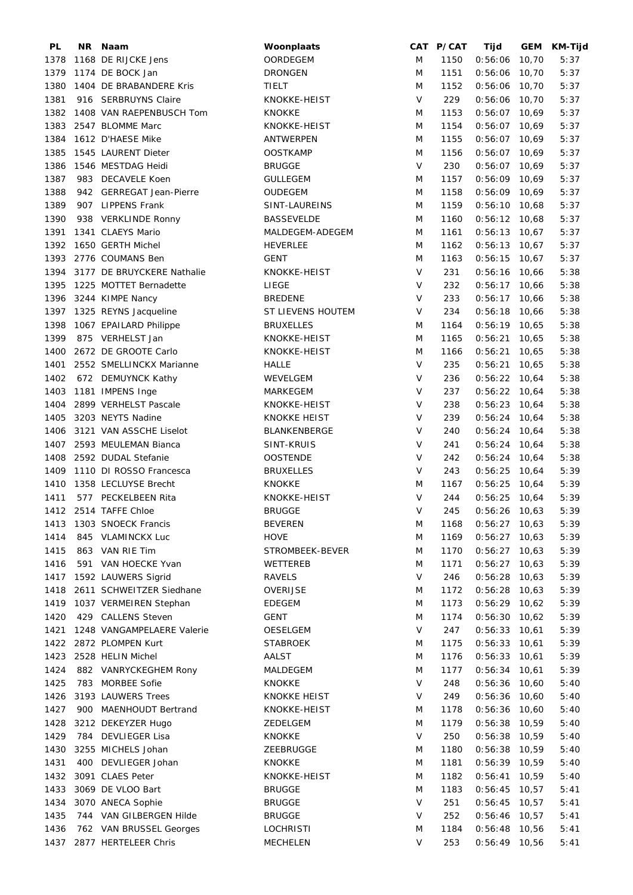| PL   | NR Naam                    | Woonplaats          |         | CAT P/CAT | Tijd            |       | GEM KM-Tijd |
|------|----------------------------|---------------------|---------|-----------|-----------------|-------|-------------|
| 1378 | 1168 DE RIJCKE Jens        | OORDEGEM            | M       | 1150      | $0:56:06$ 10,70 |       | 5:37        |
| 1379 | 1174 DE BOCK Jan           | <b>DRONGEN</b>      | M       | 1151      | $0:56:06$ 10,70 |       | 5:37        |
| 1380 | 1404 DE BRABANDERE Kris    | TIELT               | M       | 1152      | $0:56:06$ 10,70 |       | 5:37        |
| 1381 | 916 SERBRUYNS Claire       | KNOKKE-HEIST        | $\vee$  | 229       | $0:56:06$ 10,70 |       | 5:37        |
| 1382 | 1408 VAN RAEPENBUSCH Tom   | <b>KNOKKE</b>       | M       | 1153      | $0:56:07$ 10,69 |       | 5:37        |
| 1383 | 2547 BLOMME Marc           | KNOKKE-HEIST        | M       | 1154      | $0:56:07$ 10,69 |       | 5:37        |
| 1384 | 1612 D'HAESE Mike          | ANTWERPEN           | M       | 1155      | $0:56:07$ 10,69 |       | 5:37        |
| 1385 | 1545 LAURENT Dieter        | <b>OOSTKAMP</b>     | M       | 1156      | $0:56:07$ 10,69 |       | 5:37        |
| 1386 | 1546 MESTDAG Heidi         | <b>BRUGGE</b>       | V       | 230       | $0:56:07$ 10,69 |       | 5:37        |
| 1387 | 983 DECAVELE Koen          | <b>GULLEGEM</b>     | M       | 1157      | $0:56:09$ 10.69 |       | 5:37        |
| 1388 | 942 GERREGAT Jean-Pierre   | OUDEGEM             | M       | 1158      | $0:56:09$ 10,69 |       | 5:37        |
| 1389 | 907 LIPPENS Frank          | SINT-LAUREINS       | M       | 1159      | $0:56:10$ 10,68 |       | 5:37        |
| 1390 | 938 VERKLINDE Ronny        | <b>BASSEVELDE</b>   | M       | 1160      | $0:56:12$ 10,68 |       | 5:37        |
| 1391 | 1341 CLAEYS Mario          | MALDEGEM-ADEGEM     | M       | 1161      | $0:56:13$ 10,67 |       | 5:37        |
| 1392 | 1650 GERTH Michel          | <b>HEVERLEE</b>     | M       | 1162      | $0:56:13$ 10,67 |       | 5:37        |
| 1393 | 2776 COUMANS Ben           | GENT                | M       | 1163      | $0:56:15$ 10,67 |       | 5:37        |
| 1394 | 3177 DE BRUYCKERE Nathalie | KNOKKE-HEIST        | $\vee$  | 231       | $0:56:16$ 10,66 |       |             |
|      |                            |                     | $\vee$  |           |                 |       | 5:38        |
| 1395 | 1225 MOTTET Bernadette     | LIEGE               |         | 232       | $0:56:17$ 10,66 |       | 5:38        |
| 1396 | 3244 KIMPE Nancy           | <b>BREDENE</b>      | $\sf V$ | 233       | $0:56:17$ 10,66 |       | 5:38        |
| 1397 | 1325 REYNS Jacqueline      | ST LIEVENS HOUTEM   | V       | 234       | $0:56:18$ 10,66 |       | 5:38        |
| 1398 | 1067 EPAILARD Philippe     | <b>BRUXELLES</b>    | M       | 1164      | $0:56:19$ 10,65 |       | 5:38        |
| 1399 | 875 VERHELST Jan           | KNOKKE-HEIST        | M       | 1165      | 0:56:21         | 10,65 | 5:38        |
| 1400 | 2672 DE GROOTE Carlo       | KNOKKE-HEIST        | M       | 1166      | 0:56:21         | 10,65 | 5:38        |
| 1401 | 2552 SMELLINCKX Marianne   | HALLE               | $\vee$  | 235       | 0:56:21         | 10,65 | 5:38        |
| 1402 | 672 DEMUYNCK Kathy         | WEVELGEM            | $\vee$  | 236       | $0:56:22$ 10,64 |       | 5:38        |
| 1403 | 1181 IMPENS Inge           | MARKEGEM            | $\vee$  | 237       | $0:56:22$ 10,64 |       | 5:38        |
| 1404 | 2899 VERHELST Pascale      | KNOKKE-HEIST        | $\vee$  | 238       | $0:56:23$ 10,64 |       | 5:38        |
| 1405 | 3203 NEYTS Nadine          | <b>KNOKKE HEIST</b> | $\vee$  | 239       | $0:56:24$ 10,64 |       | 5:38        |
| 1406 | 3121 VAN ASSCHE Liselot    | BLANKENBERGE        | $\vee$  | 240       | $0:56:24$ 10,64 |       | 5:38        |
| 1407 | 2593 MEULEMAN Bianca       | SINT-KRUIS          | $\vee$  | 241       | $0:56:24$ 10,64 |       | 5:38        |
| 1408 | 2592 DUDAL Stefanie        | <b>OOSTENDE</b>     | $\vee$  | 242       | $0:56:24$ 10,64 |       | 5:38        |
| 1409 | 1110 DI ROSSO Francesca    | <b>BRUXELLES</b>    | V       | 243       | $0:56:25$ 10,64 |       | 5:39        |
| 1410 | 1358 LECLUYSE Brecht       | KNOKKE              | M       | 1167      | $0:56:25$ 10,64 |       | 5:39        |
| 1411 | 577 PECKELBEEN Rita        | KNOKKE-HEIST        | V       | 244       | $0:56:25$ 10,64 |       | 5:39        |
|      | 1412 2514 TAFFE Chloe      | <b>BRUGGE</b>       | V       | 245       | $0:56:26$ 10,63 |       | 5:39        |
| 1413 | 1303 SNOECK Francis        | <b>BEVEREN</b>      | M       | 1168      | $0:56:27$ 10,63 |       | 5:39        |
| 1414 | 845 VLAMINCKX Luc          | <b>HOVE</b>         | M       | 1169      | $0:56:27$ 10,63 |       | 5:39        |
| 1415 | 863 VAN RIE Tim            | STROMBEEK-BEVER     | M       | 1170      | $0:56:27$ 10,63 |       | 5:39        |
| 1416 | 591 VAN HOECKE Yvan        | WETTEREB            | M       | 1171      | $0:56:27$ 10,63 |       | 5:39        |
| 1417 | 1592 LAUWERS Sigrid        | <b>RAVELS</b>       | $\vee$  | 246       | $0:56:28$ 10,63 |       | 5:39        |
| 1418 | 2611 SCHWEITZER Siedhane   | OVERIJSE            | M       | 1172      | 0:56:28         | 10,63 | 5:39        |
| 1419 | 1037 VERMEIREN Stephan     | <b>EDEGEM</b>       | M       | 1173      | $0:56:29$ 10,62 |       | 5:39        |
| 1420 | 429 CALLENS Steven         | <b>GENT</b>         | M       | 1174      | 0:56:30         | 10,62 | 5:39        |
| 1421 | 1248 VANGAMPELAERE Valerie | OESELGEM            | $\vee$  | 247       | $0:56:33$ 10,61 |       | 5:39        |
| 1422 | 2872 PLOMPEN Kurt          | <b>STABROEK</b>     | M       | 1175      | $0:56:33$ 10,61 |       | 5:39        |
|      | 1423 2528 HELIN Michel     | AALST               | M       | 1176      | $0:56:33$ 10,61 |       | 5:39        |
| 1424 | 882 VANRYCKEGHEM Rony      | MALDEGEM            | M       | 1177      | $0:56:34$ 10,61 |       | 5:39        |
| 1425 | 783 MORBEE Sofie           | <b>KNOKKE</b>       | V       | 248       | 0:56:36         | 10,60 | 5:40        |
| 1426 | 3193 LAUWERS Trees         | <b>KNOKKE HEIST</b> | V       | 249       | $0:56:36$ 10,60 |       | 5:40        |
|      |                            |                     |         | 1178      |                 |       |             |
| 1427 | 900 MAENHOUDT Bertrand     | KNOKKE-HEIST        | M       |           | $0:56:36$ 10,60 |       | 5:40        |
| 1428 | 3212 DEKEYZER Hugo         | ZEDELGEM            | M       | 1179      | $0:56:38$ 10,59 |       | 5:40        |
| 1429 | 784 DEVLIEGER Lisa         | KNOKKE              | $\vee$  | 250       | $0:56:38$ 10,59 |       | 5:40        |
| 1430 | 3255 MICHELS Johan         | ZEEBRUGGE           | M       | 1180      | $0:56:38$ 10,59 |       | 5:40        |
| 1431 | 400 DEVLIEGER Johan        | <b>KNOKKE</b>       | M       | 1181      | $0:56:39$ 10,59 |       | 5:40        |
| 1432 | 3091 CLAES Peter           | KNOKKE-HEIST        | M       | 1182      | 0:56:41         | 10,59 | 5:40        |
| 1433 | 3069 DE VLOO Bart          | <b>BRUGGE</b>       | M       | 1183      | $0:56:45$ 10,57 |       | 5:41        |
| 1434 | 3070 ANECA Sophie          | <b>BRUGGE</b>       | $\vee$  | 251       | 0:56:45         | 10,57 | 5:41        |
| 1435 | 744 VAN GILBERGEN Hilde    | <b>BRUGGE</b>       | V       | 252       | $0:56:46$ 10,57 |       | 5:41        |
| 1436 | 762 VAN BRUSSEL Georges    | <b>LOCHRISTI</b>    | M       | 1184      | $0:56:48$ 10,56 |       | 5:41        |
| 1437 | 2877 HERTELEER Chris       | MECHELEN            | V       | 253       | $0:56:49$ 10,56 |       | 5:41        |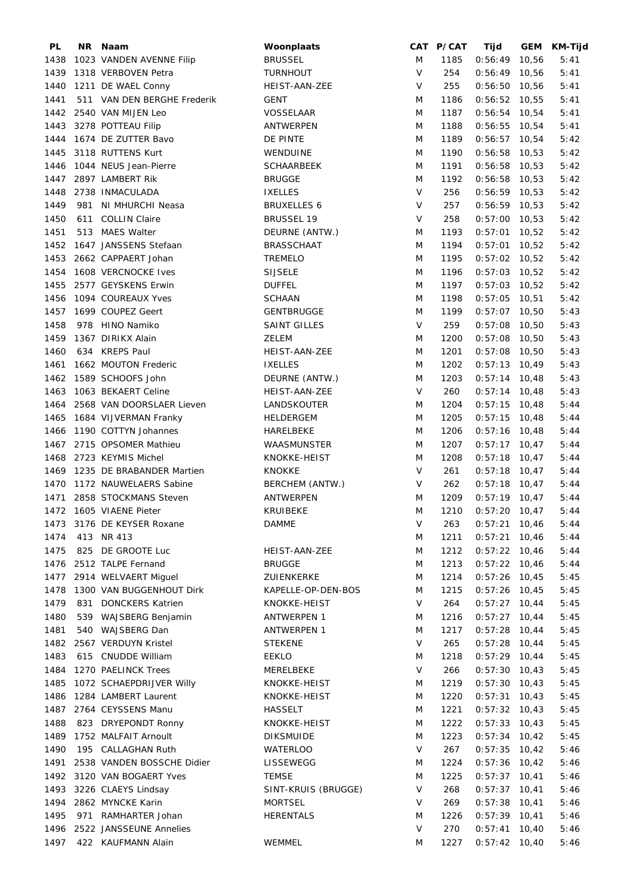| PL   |     | NR Naam                     | Woonplaats                          |        | CAT P/CAT | Tijd                               | <b>GEM</b> | <b>KM-Tijd</b> |
|------|-----|-----------------------------|-------------------------------------|--------|-----------|------------------------------------|------------|----------------|
| 1438 |     | 1023 VANDEN AVENNE Filip    | <b>BRUSSEL</b>                      | M      | 1185      | $0:56:49$ 10,56                    |            | 5:41           |
| 1439 |     | 1318 VERBOVEN Petra         | <b>TURNHOUT</b>                     | $\vee$ | 254       | $0:56:49$ 10,56                    |            | 5:41           |
| 1440 |     | 1211 DE WAEL Conny          | HEIST-AAN-ZEE                       | $\vee$ | 255       | $0:56:50$ 10,56                    |            | 5:41           |
| 1441 |     | 511 VAN DEN BERGHE Frederik | <b>GENT</b>                         | M      | 1186      | $0:56:52$ 10,55                    |            | 5:41           |
| 1442 |     | 2540 VAN MIJEN Leo          | VOSSELAAR                           | M      | 1187      | $0:56:54$ 10,54                    |            | 5:41           |
| 1443 |     | 3278 POTTEAU Filip          | ANTWERPEN                           | M      | 1188      | $0:56:55$ 10,54                    |            | 5:41           |
| 1444 |     | 1674 DE ZUTTER Bavo         | DE PINTE                            | M      | 1189      | $0:56:57$ 10,54                    |            | 5:42           |
| 1445 |     | 3118 RUTTENS Kurt           | WENDUINE                            | M      | 1190      | $0:56:58$ 10,53                    |            | 5:42           |
| 1446 |     | 1044 NEUS Jean-Pierre       | <b>SCHAARBEEK</b>                   | M      | 1191      | $0:56:58$ 10,53                    |            | 5:42           |
|      |     | 1447 2897 LAMBERT Rik       | <b>BRUGGE</b>                       | M      | 1192      | $0:56:58$ 10,53                    |            | 5:42           |
| 1448 |     | 2738 INMACULADA             | <b>IXELLES</b>                      | $\vee$ | 256       | $0:56:59$ 10,53                    |            | 5:42           |
| 1449 | 981 | NI MHURCHI Neasa            | <b>BRUXELLES 6</b>                  | V      | 257       | $0:56:59$ 10,53                    |            | 5:42           |
| 1450 | 611 | <b>COLLIN Claire</b>        | <b>BRUSSEL 19</b>                   | $\vee$ | 258       | $0:57:00$ 10,53                    |            | 5:42           |
| 1451 |     | 513 MAES Walter             | DEURNE (ANTW.)                      | M      | 1193      | $0:57:01$ 10,52                    |            | 5:42           |
| 1452 |     | 1647 JANSSENS Stefaan       | <b>BRASSCHAAT</b>                   | M      | 1194      | $0:57:01$ 10,52                    |            | 5:42           |
| 1453 |     | 2662 CAPPAERT Johan         | <b>TREMELO</b>                      | M      | 1195      | $0:57:02$ 10,52                    |            | 5:42           |
| 1454 |     | 1608 VERCNOCKE Ives         | <b>SIJSELE</b>                      | M      | 1196      | $0:57:03$ 10,52                    |            | 5:42           |
| 1455 |     | 2577 GEYSKENS Erwin         | <b>DUFFEL</b>                       | M      | 1197      | $0:57:03$ 10,52                    |            | 5:42           |
| 1456 |     | 1094 COUREAUX Yves          | <b>SCHAAN</b>                       | M      | 1198      | $0:57:05$ 10,51                    |            | 5:42           |
| 1457 |     | 1699 COUPEZ Geert           | <b>GENTBRUGGE</b>                   | M      | 1199      | $0:57:07$ 10,50                    |            | 5:43           |
|      |     | 978 HINO Namiko             |                                     | V      | 259       |                                    |            |                |
| 1458 |     | 1367 DIRIKX Alain           | <b>SAINT GILLES</b><br><b>ZELEM</b> |        |           | $0:57:08$ 10,50<br>$0:57:08$ 10,50 |            | 5:43           |
| 1459 |     |                             |                                     | M      | 1200      |                                    |            | 5:43           |
| 1460 |     | 634 KREPS Paul              | HEIST-AAN-ZEE                       | M      | 1201      | $0:57:08$ 10,50                    |            | 5:43           |
| 1461 |     | 1662 MOUTON Frederic        | <b>IXELLES</b>                      | M      | 1202      | $0:57:13$ 10,49                    |            | 5:43           |
| 1462 |     | 1589 SCHOOFS John           | DEURNE (ANTW.)                      | M      | 1203      | $0:57:14$ 10,48                    |            | 5:43           |
| 1463 |     | 1063 BEKAERT Celine         | HEIST-AAN-ZEE                       | $\vee$ | 260       | $0:57:14$ 10,48                    |            | 5:43           |
| 1464 |     | 2568 VAN DOORSLAER Lieven   | LANDSKOUTER                         | M      | 1204      | $0:57:15$ 10,48                    |            | 5:44           |
| 1465 |     | 1684 VIJVERMAN Franky       | <b>HELDERGEM</b>                    | M      | 1205      | $0:57:15$ 10,48                    |            | 5:44           |
| 1466 |     | 1190 COTTYN Johannes        | HARELBEKE                           | M      | 1206      | $0:57:16$ 10,48                    |            | 5:44           |
| 1467 |     | 2715 OPSOMER Mathieu        | WAASMUNSTER                         | M      | 1207      | $0:57:17$ 10,47                    |            | 5:44           |
| 1468 |     | 2723 KEYMIS Michel          | KNOKKE-HEIST                        | M      | 1208      | $0:57:18$ 10,47                    |            | 5:44           |
| 1469 |     | 1235 DE BRABANDER Martien   | <b>KNOKKE</b>                       | V      | 261       | $0:57:18$ 10,47                    |            | 5:44           |
| 1470 |     | 1172 NAUWELAERS Sabine      | BERCHEM (ANTW.)                     | V      | 262       | $0:57:18$ 10,47                    |            | 5:44           |
| 1471 |     | 2858 STOCKMANS Steven       | ANTWERPEN                           | M      | 1209      | $0:57:19$ 10,47                    |            | 5:44           |
|      |     | 1472 1605 VIAENE Pieter     | <b>KRUIBEKE</b>                     | M      | 1210      | $0:57:20$ 10,47                    |            | 5:44           |
| 1473 |     | 3176 DE KEYSER Roxane       | <b>DAMME</b>                        | V      | 263       | $0:57:21$ 10,46                    |            | 5:44           |
| 1474 |     | 413 NR 413                  |                                     | M      | 1211      | $0:57:21$ 10,46                    |            | 5:44           |
| 1475 |     | 825 DE GROOTE Luc           | HEIST-AAN-ZEE                       | M      | 1212      | $0:57:22$ 10,46                    |            | 5:44           |
|      |     | 1476 2512 TALPE Fernand     | <b>BRUGGE</b>                       | M      | 1213      | $0:57:22$ 10,46                    |            | 5:44           |
| 1477 |     | 2914 WELVAERT Miguel        | ZUIENKERKE                          | M      | 1214      | $0:57:26$ 10,45                    |            | 5:45           |
| 1478 |     | 1300 VAN BUGGENHOUT Dirk    | KAPELLE-OP-DEN-BOS                  | M      | 1215      | $0:57:26$ 10,45                    |            | 5:45           |
| 1479 | 831 | <b>DONCKERS Katrien</b>     | KNOKKE-HEIST                        | V      | 264       | $0:57:27$ 10,44                    |            | 5:45           |
| 1480 |     | 539 WAJSBERG Benjamin       | <b>ANTWERPEN 1</b>                  | M      | 1216      | $0:57:27$ 10,44                    |            | 5:45           |
| 1481 |     | 540 WAJSBERG Dan            | <b>ANTWERPEN 1</b>                  | M      | 1217      | $0:57:28$ 10,44                    |            | 5:45           |
| 1482 |     | 2567 VERDUYN Kristel        | <b>STEKENE</b>                      | V      | 265       | $0:57:28$ 10,44                    |            | 5:45           |
| 1483 |     | 615 CNUDDE William          | <b>EEKLO</b>                        | M      | 1218      | $0:57:29$ 10,44                    |            | 5:45           |
|      |     | 1484 1270 PAELINCK Trees    | MERELBEKE                           | V      | 266       | $0:57:30$ 10,43                    |            | 5:45           |
| 1485 |     | 1072 SCHAEPDRIJVER Willy    | KNOKKE-HEIST                        | M      | 1219      | $0:57:30$ 10,43                    |            | 5:45           |
| 1486 |     | 1284 LAMBERT Laurent        | KNOKKE-HEIST                        | M      | 1220      | 0:57:31                            | 10,43      | 5:45           |
|      |     | 1487 2764 CEYSSENS Manu     | HASSELT                             | M      | 1221      | $0:57:32$ 10,43                    |            | 5:45           |
| 1488 |     | 823 DRYEPONDT Ronny         | KNOKKE-HEIST                        | M      | 1222      | $0:57:33$ 10,43                    |            | 5:45           |
| 1489 |     | 1752 MALFAIT Arnoult        | <b>DIKSMUIDE</b>                    | M      | 1223      | $0:57:34$ 10,42                    |            | 5:45           |
| 1490 |     | 195 CALLAGHAN Ruth          | WATERLOO                            | V      | 267       | $0:57:35$ 10,42                    |            | 5:46           |
| 1491 |     | 2538 VANDEN BOSSCHE Didier  | LISSEWEGG                           | M      | 1224      | $0:57:36$ 10,42                    |            | 5:46           |
|      |     | 1492 3120 VAN BOGAERT Yves  | <b>TEMSE</b>                        | M      | 1225      | $0:57:37$ 10,41                    |            | 5:46           |
|      |     | 1493 3226 CLAEYS Lindsay    | SINT-KRUIS (BRUGGE)                 | V      | 268       | $0:57:37$ 10,41                    |            | 5:46           |
| 1494 |     | 2862 MYNCKE Karin           | <b>MORTSEL</b>                      | V      | 269       | $0:57:38$ 10,41                    |            | 5:46           |
| 1495 |     | 971 RAMHARTER Johan         | <b>HERENTALS</b>                    | M      | 1226      | $0:57:39$ 10,41                    |            | 5:46           |
| 1496 |     | 2522 JANSSEUNE Annelies     |                                     | V      | 270       | 0:57:41                            | 10,40      | 5:46           |
| 1497 |     | 422 KAUFMANN Alain          | WEMMEL                              | M      | 1227      | $0:57:42$ 10,40                    |            | 5:46           |
|      |     |                             |                                     |        |           |                                    |            |                |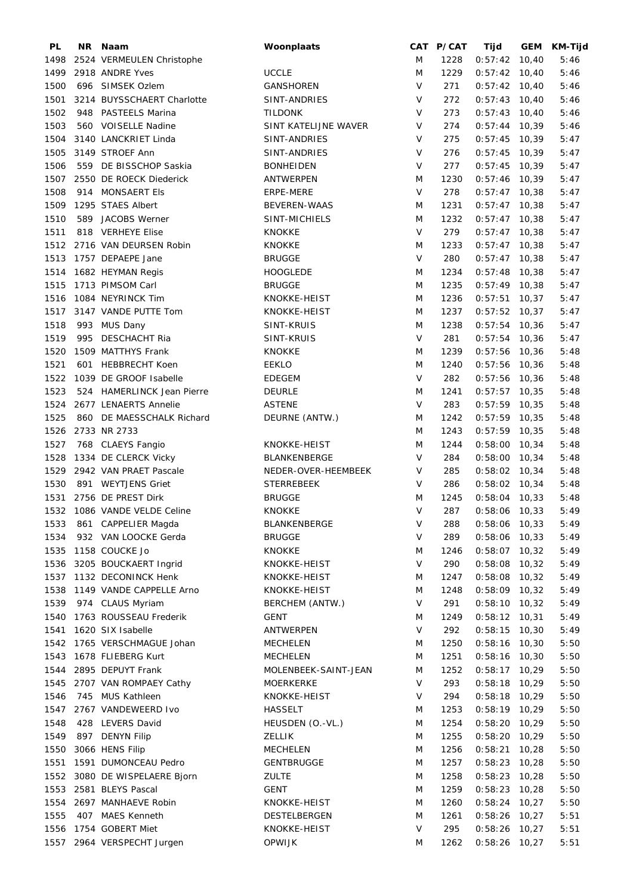| <b>PL</b> | NR. | Naam                         | Woonplaats           |         | CAT P/CAT | Tijd            |       | GEM KM-Tijd |
|-----------|-----|------------------------------|----------------------|---------|-----------|-----------------|-------|-------------|
| 1498      |     | 2524 VERMEULEN Christophe    |                      | M       | 1228      | $0:57:42$ 10,40 |       | 5:46        |
| 1499      |     | 2918 ANDRE Yves              | <b>UCCLE</b>         | M       | 1229      | $0:57:42$ 10,40 |       | 5:46        |
| 1500      |     | 696 SIMSEK Ozlem             | <b>GANSHOREN</b>     | $\vee$  | 271       | $0:57:42$ 10,40 |       | 5:46        |
| 1501      |     | 3214 BUYSSCHAERT Charlotte   | SINT-ANDRIES         | $\vee$  | 272       | $0:57:43$ 10,40 |       | 5:46        |
| 1502      |     | 948 PASTEELS Marina          | <b>TILDONK</b>       | $\vee$  | 273       | $0:57:43$ 10,40 |       | 5:46        |
| 1503      |     | 560 VOISELLE Nadine          | SINT KATELIJNE WAVER | $\vee$  | 274       | $0:57:44$ 10,39 |       | 5:46        |
| 1504      |     | 3140 LANCKRIET Linda         | SINT-ANDRIES         | $\vee$  | 275       | $0:57:45$ 10,39 |       | 5:47        |
| 1505      |     | 3149 STROEF Ann              | SINT-ANDRIES         | $\vee$  | 276       | $0:57:45$ 10,39 |       | 5:47        |
| 1506      |     | 559 DE BISSCHOP Saskia       | <b>BONHEIDEN</b>     | V       | 277       | $0:57:45$ 10,39 |       | 5:47        |
| 1507      |     | 2550 DE ROECK Diederick      | ANTWERPEN            | M       | 1230      | $0:57:46$ 10,39 |       | 5:47        |
| 1508      |     | 914 MONSAERT Els             | ERPE-MERE            | V       | 278       | $0:57:47$ 10,38 |       | 5:47        |
| 1509      |     | 1295 STAES Albert            | <b>BEVEREN-WAAS</b>  | M       | 1231      | $0:57:47$ 10,38 |       | 5:47        |
| 1510      |     | 589 JACOBS Werner            | SINT-MICHIELS        | M       | 1232      | $0:57:47$ 10,38 |       | 5:47        |
|           |     |                              |                      | $\vee$  |           |                 |       |             |
| 1511      |     | 818 VERHEYE Elise            | <b>KNOKKE</b>        |         | 279       | $0:57:47$ 10,38 |       | 5:47        |
| 1512      |     | 2716 VAN DEURSEN Robin       | <b>KNOKKE</b>        | M       | 1233      | $0:57:47$ 10,38 |       | 5:47        |
| 1513      |     | 1757 DEPAEPE Jane            | <b>BRUGGE</b>        | $\vee$  | 280       | $0:57:47$ 10,38 |       | 5:47        |
| 1514      |     | 1682 HEYMAN Regis            | <b>HOOGLEDE</b>      | M       | 1234      | $0:57:48$ 10,38 |       | 5:47        |
| 1515      |     | 1713 PIMSOM Carl             | <b>BRUGGE</b>        | M       | 1235      | $0:57:49$ 10,38 |       | 5:47        |
| 1516      |     | 1084 NEYRINCK Tim            | KNOKKE-HEIST         | M       | 1236      | 0:57:51         | 10,37 | 5:47        |
| 1517      |     | 3147 VANDE PUTTE Tom         | KNOKKE-HEIST         | M       | 1237      | $0:57:52$ 10,37 |       | 5:47        |
| 1518      |     | 993 MUS Dany                 | SINT-KRUIS           | M       | 1238      | $0:57:54$ 10,36 |       | 5:47        |
| 1519      | 995 | DESCHACHT Ria                | SINT-KRUIS           | V       | 281       | $0:57:54$ 10,36 |       | 5:47        |
| 1520      |     | 1509 MATTHYS Frank           | <b>KNOKKE</b>        | M       | 1239      | $0:57:56$ 10,36 |       | 5:48        |
| 1521      | 601 | <b>HEBBRECHT Koen</b>        | <b>EEKLO</b>         | M       | 1240      | $0:57:56$ 10,36 |       | 5:48        |
| 1522      |     | 1039 DE GROOF Isabelle       | <b>EDEGEM</b>        | V       | 282       | $0:57:56$ 10,36 |       | 5:48        |
| 1523      |     | 524 HAMERLINCK Jean Pierre   | <b>DEURLE</b>        | M       | 1241      | $0:57:57$ 10,35 |       | 5:48        |
| 1524      |     | 2677 LENAERTS Annelie        | <b>ASTENE</b>        | $\vee$  | 283       | $0:57:59$ 10,35 |       | 5:48        |
| 1525      |     | 860 DE MAESSCHALK Richard    | DEURNE (ANTW.)       | M       | 1242      | $0:57:59$ 10,35 |       | 5:48        |
| 1526      |     | 2733 NR 2733                 |                      | M       | 1243      | $0:57:59$ 10,35 |       | 5:48        |
| 1527      |     | 768 CLAEYS Fangio            | KNOKKE-HEIST         | M       | 1244      | $0:58:00$ 10,34 |       | 5:48        |
| 1528      |     | 1334 DE CLERCK Vicky         | BLANKENBERGE         | $\vee$  | 284       | $0:58:00$ 10,34 |       | 5:48        |
| 1529      |     | 2942 VAN PRAET Pascale       | NEDER-OVER-HEEMBEEK  | V       | 285       | $0:58:02$ 10,34 |       | 5:48        |
| 1530      |     | 891 WEYTJENS Griet           | <b>STERREBEEK</b>    | $\vee$  | 286       | $0:58:02$ 10,34 |       | 5:48        |
| 1531      |     | 2756 DE PREST Dirk           | <b>BRUGGE</b>        | M       | 1245      | $0:58:04$ 10,33 |       | 5:48        |
|           |     | 1532 1086 VANDE VELDE Celine | <b>KNOKKE</b>        | V       | 287       | $0:58:06$ 10,33 |       | 5:49        |
| 1533      |     | 861 CAPPELIER Magda          | BLANKENBERGE         | $\sf V$ | 288       | 0:58:06         | 10,33 | 5:49        |
| 1534      |     | 932 VAN LOOCKE Gerda         | <b>BRUGGE</b>        | V       | 289       | 0:58:06         | 10,33 | 5:49        |
| 1535      |     | 1158 COUCKE Jo               | <b>KNOKKE</b>        | M       | 1246      | $0:58:07$ 10,32 |       | 5:49        |
| 1536      |     | 3205 BOUCKAERT Ingrid        | KNOKKE-HEIST         | $\vee$  | 290       | 0:58:08         | 10,32 | 5:49        |
| 1537      |     | 1132 DECONINCK Henk          | KNOKKE-HEIST         | M       | 1247      | $0:58:08$ 10,32 |       | 5:49        |
| 1538      |     | 1149 VANDE CAPPELLE Arno     | KNOKKE-HEIST         | M       | 1248      | $0:58:09$ 10,32 |       | 5:49        |
| 1539      |     | 974 CLAUS Myriam             | BERCHEM (ANTW.)      | V       | 291       | $0:58:10$ 10,32 |       | 5:49        |
| 1540      |     | 1763 ROUSSEAU Frederik       | GENT                 | M       | 1249      | $0:58:12$ 10,31 |       | 5:49        |
| 1541      |     | 1620 SIX Isabelle            | ANTWERPEN            | V       | 292       | 0:58:15         | 10,30 | 5:49        |
| 1542      |     | 1765 VERSCHMAGUE Johan       | <b>MECHELEN</b>      | M       | 1250      | 0:58:16         | 10,30 | 5:50        |
| 1543      |     | 1678 FLIEBERG Kurt           | <b>MECHELEN</b>      | M       | 1251      | 0:58:16         |       |             |
|           |     |                              |                      |         |           |                 | 10,30 | 5:50        |
| 1544      |     | 2895 DEPUYT Frank            | MOLENBEEK-SAINT-JEAN | M       | 1252      | $0:58:17$ 10,29 |       | 5:50        |
| 1545      |     | 2707 VAN ROMPAEY Cathy       | <b>MOERKERKE</b>     | V       | 293       | 0:58:18         | 10,29 | 5:50        |
| 1546      |     | 745 MUS Kathleen             | KNOKKE-HEIST         | V       | 294       | 0:58:18         | 10,29 | 5:50        |
| 1547      |     | 2767 VANDEWEERD Ivo          | <b>HASSELT</b>       | M       | 1253      | $0:58:19$ 10,29 |       | 5:50        |
| 1548      |     | 428 LEVERS David             | HEUSDEN (O.-VL.)     | M       | 1254      | $0:58:20$ 10,29 |       | 5:50        |
| 1549      |     | 897 DENYN Filip              | <b>ZELLIK</b>        | M       | 1255      | $0:58:20$ 10,29 |       | 5:50        |
| 1550      |     | 3066 HENS Filip              | <b>MECHELEN</b>      | M       | 1256      | 0:58:21         | 10,28 | 5:50        |
| 1551      |     | 1591 DUMONCEAU Pedro         | GENTBRUGGE           | M       | 1257      | $0:58:23$ 10,28 |       | 5:50        |
| 1552      |     | 3080 DE WISPELAERE Bjorn     | <b>ZULTE</b>         | M       | 1258      | 0:58:23         | 10,28 | 5:50        |
| 1553      |     | 2581 BLEYS Pascal            | <b>GENT</b>          | M       | 1259      | 0:58:23         | 10,28 | 5:50        |
| 1554      |     | 2697 MANHAEVE Robin          | KNOKKE-HEIST         | M       | 1260      | $0:58:24$ 10,27 |       | 5:50        |
| 1555      |     | 407 MAES Kenneth             | DESTELBERGEN         | M       | 1261      | 0:58:26         | 10,27 | 5:51        |
| 1556      |     | 1754 GOBERT Miet             | KNOKKE-HEIST         | V       | 295       | 0:58:26         | 10,27 | 5:51        |
|           |     | 1557 2964 VERSPECHT Jurgen   | <b>OPWIJK</b>        | M       | 1262      | 0:58:26         | 10,27 | 5:51        |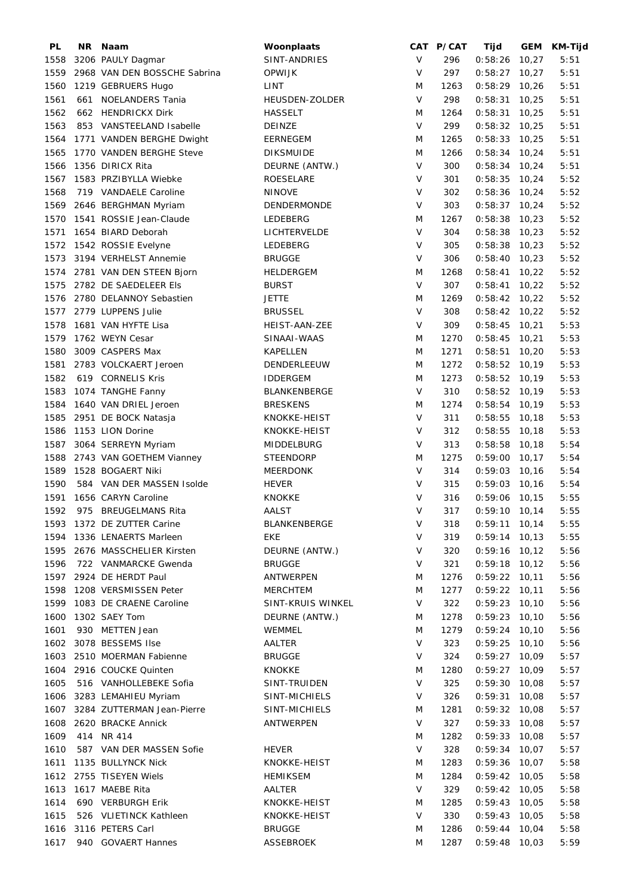| PL   | NR. | Naam                            | Woonplaats            |         | CAT P/CAT | Tijd            | GEM   | <b>KM-Tijd</b> |
|------|-----|---------------------------------|-----------------------|---------|-----------|-----------------|-------|----------------|
| 1558 |     | 3206 PAULY Dagmar               | SINT-ANDRIES          | V       | 296       | $0:58:26$ 10,27 |       | 5:51           |
| 1559 |     | 2968 VAN DEN BOSSCHE Sabrina    | OPWIJK                | $\vee$  | 297       | $0:58:27$ 10,27 |       | 5:51           |
| 1560 |     | 1219 GEBRUERS Hugo              | LINT                  | M       | 1263      | $0:58:29$ 10,26 |       | 5:51           |
| 1561 |     | 661 NOELANDERS Tania            | <b>HEUSDEN-ZOLDER</b> | $\vee$  | 298       | 0:58:31         | 10,25 | 5:51           |
| 1562 |     | 662 HENDRICKX Dirk              | <b>HASSELT</b>        | M       | 1264      | $0:58:31$ 10,25 |       | 5:51           |
| 1563 |     | 853 VANSTEELAND Isabelle        | DEINZE                | $\vee$  | 299       | $0:58:32$ 10,25 |       | 5:51           |
|      |     |                                 |                       |         |           |                 |       |                |
| 1564 |     | 1771 VANDEN BERGHE Dwight       | EERNEGEM              | M       | 1265      | $0:58:33$ 10,25 |       | 5:51           |
| 1565 |     | 1770 VANDEN BERGHE Steve        | <b>DIKSMUIDE</b>      | M       | 1266      | $0:58:34$ 10,24 |       | 5:51           |
| 1566 |     | 1356 DIRICX Rita                | DEURNE (ANTW.)        | $\vee$  | 300       | $0:58:34$ 10,24 |       | 5:51           |
| 1567 |     | 1583 PRZIBYLLA Wiebke           | ROESELARE             | V       | 301       | $0:58:35$ 10,24 |       | 5:52           |
| 1568 |     | 719 VANDAELE Caroline           | <b>NINOVE</b>         | $\vee$  | 302       | $0:58:36$ 10,24 |       | 5:52           |
| 1569 |     | 2646 BERGHMAN Myriam            | DENDERMONDE           | V       | 303       | $0:58:37$ 10,24 |       | 5:52           |
| 1570 |     | 1541 ROSSIE Jean-Claude         | LEDEBERG              | M       | 1267      | $0:58:38$ 10,23 |       | 5:52           |
| 1571 |     | 1654 BIARD Deborah              | LICHTERVELDE          | $\vee$  | 304       | $0:58:38$ 10,23 |       | 5:52           |
| 1572 |     | 1542 ROSSIE Evelyne             | LEDEBERG              | $\vee$  | 305       | $0:58:38$ 10,23 |       | 5:52           |
| 1573 |     | 3194 VERHELST Annemie           | BRUGGE                | $\vee$  | 306       | $0:58:40$ 10,23 |       | 5:52           |
|      |     | 1574 2781 VAN DEN STEEN Bjorn   | HELDERGEM             | M       | 1268      | $0:58:41$ 10,22 |       | 5:52           |
| 1575 |     | 2782 DE SAEDELEER Els           | <b>BURST</b>          | $\vee$  | 307       | $0:58:41$ 10,22 |       | 5:52           |
|      |     |                                 |                       | M       |           | $0:58:42$ 10,22 |       |                |
| 1576 |     | 2780 DELANNOY Sebastien         | <b>JETTE</b>          |         | 1269      |                 |       | 5:52           |
|      |     | 1577 2779 LUPPENS Julie         | <b>BRUSSEL</b>        | $\vee$  | 308       | $0:58:42$ 10,22 |       | 5:52           |
| 1578 |     | 1681 VAN HYFTE Lisa             | HEIST-AAN-ZEE         | V       | 309       | $0:58:45$ 10,21 |       | 5:53           |
| 1579 |     | 1762 WEYN Cesar                 | SINAAI-WAAS           | M       | 1270      | $0:58:45$ 10,21 |       | 5:53           |
| 1580 |     | 3009 CASPERS Max                | KAPELLEN              | M       | 1271      | $0:58:51$ 10,20 |       | 5:53           |
| 1581 |     | 2783 VOLCKAERT Jeroen           | DENDERLEEUW           | M       | 1272      | $0:58:52$ 10,19 |       | 5:53           |
| 1582 |     | 619 CORNELIS Kris               | <b>IDDERGEM</b>       | M       | 1273      | $0:58:52$ 10,19 |       | 5:53           |
| 1583 |     | 1074 TANGHE Fanny               | <b>BLANKENBERGE</b>   | $\vee$  | 310       | $0:58:52$ 10,19 |       | 5:53           |
| 1584 |     | 1640 VAN DRIEL Jeroen           | <b>BRESKENS</b>       | M       | 1274      | $0:58:54$ 10,19 |       | 5:53           |
| 1585 |     | 2951 DE BOCK Natasja            | KNOKKE-HEIST          | $\sf V$ | 311       | $0:58:55$ 10,18 |       | 5:53           |
| 1586 |     | 1153 LION Dorine                | KNOKKE-HEIST          | $\vee$  | 312       | $0:58:55$ 10,18 |       | 5:53           |
| 1587 |     | 3064 SERREYN Myriam             | MIDDELBURG            | $\vee$  | 313       | $0:58:58$ 10,18 |       | 5:54           |
| 1588 |     | 2743 VAN GOETHEM Vianney        | <b>STEENDORP</b>      | M       | 1275      | $0:59:00$ 10,17 |       | 5:54           |
|      |     |                                 |                       |         |           |                 |       |                |
| 1589 |     | 1528 BOGAERT Niki               | <b>MEERDONK</b>       | V       | 314       | $0:59:03$ 10,16 |       | 5:54           |
| 1590 |     | 584 VAN DER MASSEN Isolde       | <b>HEVER</b>          | V       | 315       | $0:59:03$ 10,16 |       | 5:54           |
| 1591 |     | 1656 CARYN Caroline             | KNOKKE                | V       | 316       | $0:59:06$ 10,15 |       | 5:55           |
| 1592 |     | 975 BREUGELMANS Rita            | AALST                 | $\vee$  | 317       | $0:59:10$ 10,14 |       | 5:55           |
|      |     | 1593 1372 DE ZUTTER Carine      | BLANKENBERGE          | V       | 318       | $0:59:11$ 10,14 |       | 5:55           |
|      |     | 1594 1336 LENAERTS Marleen      | EKE                   | V       | 319       | $0:59:14$ 10,13 |       | 5:55           |
|      |     | 1595 2676 MASSCHELIER Kirsten   | DEURNE (ANTW.)        | V       | 320       | $0:59:16$ 10,12 |       | 5:56           |
| 1596 |     | 722 VANMARCKE Gwenda            | <b>BRUGGE</b>         | V       | 321       | $0:59:18$ 10,12 |       | 5:56           |
|      |     | 1597 2924 DE HERDT Paul         | ANTWERPEN             | M       | 1276      | $0:59:22$ 10,11 |       | 5:56           |
| 1598 |     | 1208 VERSMISSEN Peter           | MERCHTEM              | M       | 1277      | $0:59:22$ 10,11 |       | 5:56           |
| 1599 |     | 1083 DE CRAENE Caroline         | SINT-KRUIS WINKEL     | V       | 322       | $0:59:23$ 10,10 |       | 5:56           |
| 1600 |     | 1302 SAEY Tom                   | DEURNE (ANTW.)        | M       | 1278      | $0:59:23$ 10,10 |       | 5:56           |
| 1601 |     | 930 METTEN Jean                 | WEMMEL                | M       | 1279      | $0:59:24$ 10,10 |       | 5:56           |
|      |     |                                 |                       |         |           |                 |       |                |
|      |     | 1602 3078 BESSEMS Ilse          | <b>AALTER</b>         | V       | 323       | $0:59:25$ 10,10 |       | 5:56           |
|      |     | 1603 2510 MOERMAN Fabienne      | <b>BRUGGE</b>         | V       | 324       | $0:59:27$ 10,09 |       | 5:57           |
|      |     | 1604 2916 COUCKE Quinten        | <b>KNOKKE</b>         | M       | 1280      | $0:59:27$ 10,09 |       | 5:57           |
| 1605 |     | 516 VANHOLLEBEKE Sofia          | SINT-TRUIDEN          | V       | 325       | $0:59:30$ 10,08 |       | 5:57           |
|      |     | 1606 3283 LEMAHIEU Myriam       | SINT-MICHIELS         | V       | 326       | $0:59:31$ 10,08 |       | 5:57           |
|      |     | 1607 3284 ZUTTERMAN Jean-Pierre | SINT-MICHIELS         | M       | 1281      | $0:59:32$ 10,08 |       | 5:57           |
| 1608 |     | 2620 BRACKE Annick              | ANTWERPEN             | V       | 327       | $0:59:33$ 10,08 |       | 5:57           |
| 1609 |     | 414 NR 414                      |                       | M       | 1282      | $0:59:33$ 10,08 |       | 5:57           |
| 1610 |     | 587 VAN DER MASSEN Sofie        | <b>HEVER</b>          | V       | 328       | $0:59:34$ 10,07 |       | 5:57           |
| 1611 |     | 1135 BULLYNCK Nick              | KNOKKE-HEIST          | M       | 1283      | $0:59:36$ 10,07 |       | 5:58           |
|      |     | 1612 2755 TISEYEN Wiels         | <b>HEMIKSEM</b>       | M       | 1284      | $0:59:42$ 10,05 |       | 5:58           |
| 1613 |     | 1617 MAEBE Rita                 | AALTER                | V       | 329       | $0:59:42$ 10,05 |       | 5:58           |
| 1614 |     | 690 VERBURGH Erik               | KNOKKE-HEIST          | M       | 1285      | $0:59:43$ 10,05 |       | 5:58           |
|      |     |                                 |                       |         |           |                 |       |                |
| 1615 |     | 526 VLIETINCK Kathleen          | KNOKKE-HEIST          | V       | 330       | $0:59:43$ 10,05 |       | 5:58           |
| 1616 |     | 3116 PETERS Carl                | <b>BRUGGE</b>         | M       | 1286      | $0:59:44$ 10,04 |       | 5:58           |
| 1617 |     | 940 GOVAERT Hannes              | <b>ASSEBROEK</b>      | M       | 1287      | $0:59:48$ 10,03 |       | 5:59           |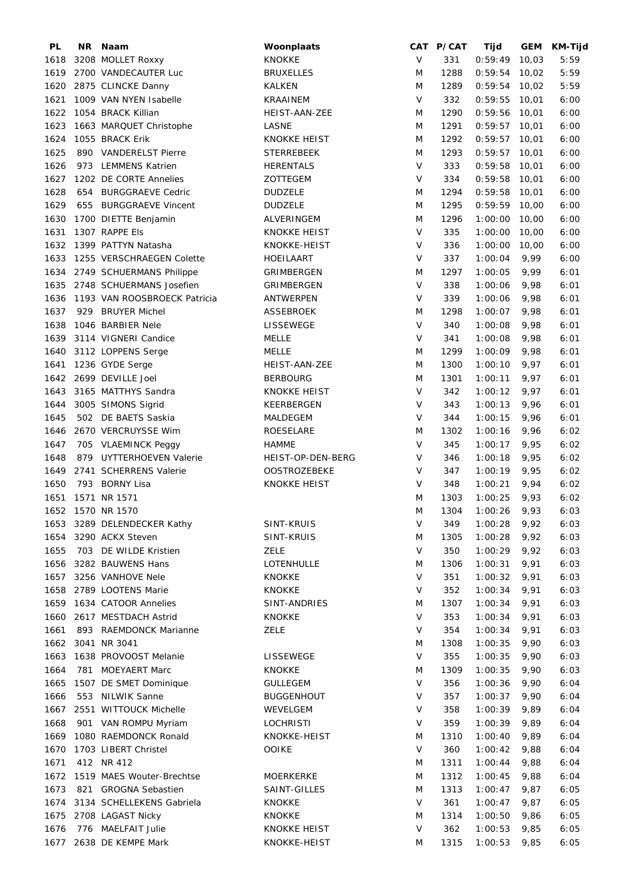| PL   |     | NR Naam                      | Woonplaats          |        | CAT P/CAT | Tijd            |       | GEM KM-Tijd |
|------|-----|------------------------------|---------------------|--------|-----------|-----------------|-------|-------------|
| 1618 |     | 3208 MOLLET Roxxy            | <b>KNOKKE</b>       | V      | 331       | 0:59:49         | 10,03 | 5:59        |
| 1619 |     | 2700 VANDECAUTER Luc         | <b>BRUXELLES</b>    | M      | 1288      | $0:59:54$ 10,02 |       | 5:59        |
| 1620 |     | 2875 CLINCKE Danny           | KALKEN              | M      | 1289      | $0:59:54$ 10,02 |       | 5:59        |
| 1621 |     | 1009 VAN NYEN Isabelle       | <b>KRAAINEM</b>     | $\vee$ | 332       | 0:59:55         | 10,01 | 6:00        |
| 1622 |     | 1054 BRACK Killian           | HEIST-AAN-ZEE       | M      | 1290      | 0:59:56         | 10,01 | 6:00        |
| 1623 |     | 1663 MARQUET Christophe      | LASNE               | M      | 1291      | $0:59:57$ 10,01 |       | 6:00        |
|      |     |                              |                     |        |           |                 |       |             |
| 1624 |     | 1055 BRACK Erik              | <b>KNOKKE HEIST</b> | M      | 1292      | $0:59:57$ 10,01 |       | 6:00        |
| 1625 |     | 890 VANDERELST Pierre        | <b>STERREBEEK</b>   | M      | 1293      | $0:59:57$ 10,01 |       | 6:00        |
| 1626 |     | 973 LEMMENS Katrien          | <b>HERENTALS</b>    | V      | 333       | $0:59:58$ 10,01 |       | 6:00        |
| 1627 |     | 1202 DE CORTE Annelies       | ZOTTEGEM            | V      | 334       | $0:59:58$ 10,01 |       | 6:00        |
| 1628 | 654 | <b>BURGGRAEVE Cedric</b>     | <b>DUDZELE</b>      | M      | 1294      | 0:59:58         | 10,01 | 6:00        |
| 1629 |     | 655 BURGGRAEVE Vincent       | <b>DUDZELE</b>      | M      | 1295      | $0:59:59$ 10,00 |       | 6:00        |
| 1630 |     | 1700 DIETTE Benjamin         | ALVERINGEM          | M      | 1296      | 1:00:00         | 10,00 | 6:00        |
| 1631 |     | 1307 RAPPE Els               | <b>KNOKKE HEIST</b> | $\vee$ | 335       | 1:00:00         | 10,00 | 6:00        |
| 1632 |     | 1399 PATTYN Natasha          | KNOKKE-HEIST        | V      | 336       | 1:00:00         | 10,00 | 6:00        |
| 1633 |     | 1255 VERSCHRAEGEN Colette    | HOEILAART           | $\vee$ | 337       | 1:00:04         | 9,99  | 6:00        |
| 1634 |     | 2749 SCHUERMANS Philippe     | GRIMBERGEN          | M      | 1297      | 1:00:05         | 9,99  | 6:01        |
| 1635 |     | 2748 SCHUERMANS Josefien     | GRIMBERGEN          | $\vee$ | 338       | 1:00:06         | 9,98  | 6:01        |
| 1636 |     | 1193 VAN ROOSBROECK Patricia | ANTWERPEN           | $\vee$ | 339       | 1:00:06         | 9,98  | 6:01        |
| 1637 |     | 929 BRUYER Michel            | <b>ASSEBROEK</b>    | M      | 1298      | 1:00:07         | 9,98  | 6:01        |
| 1638 |     | 1046 BARBIER Nele            | <b>LISSEWEGE</b>    | $\vee$ | 340       | 1:00:08         | 9,98  | 6:01        |
|      |     |                              |                     |        |           |                 |       |             |
| 1639 |     | 3114 VIGNERI Candice         | <b>MELLE</b>        | V      | 341       | 1:00:08         | 9,98  | 6:01        |
| 1640 |     | 3112 LOPPENS Serge           | MELLE               | M      | 1299      | 1:00:09         | 9,98  | 6:01        |
| 1641 |     | 1236 GYDE Serge              | HEIST-AAN-ZEE       | M      | 1300      | 1:00:10         | 9,97  | 6:01        |
| 1642 |     | 2699 DEVILLE Joel            | <b>BERBOURG</b>     | M      | 1301      | 1:00:11         | 9,97  | 6:01        |
| 1643 |     | 3165 MATTHYS Sandra          | KNOKKE HEIST        | $\vee$ | 342       | 1:00:12         | 9,97  | 6:01        |
| 1644 |     | 3005 SIMONS Sigrid           | KEERBERGEN          | V      | 343       | 1:00:13         | 9,96  | 6:01        |
| 1645 |     | 502 DE BAETS Saskia          | MALDEGEM            | $\vee$ | 344       | 1:00:15         | 9,96  | 6:01        |
| 1646 |     | 2670 VERCRUYSSE Wim          | ROESELARE           | M      | 1302      | 1:00:16         | 9,96  | 6:02        |
| 1647 |     | 705 VLAEMINCK Peggy          | HAMME               | $\vee$ | 345       | 1:00:17         | 9,95  | 6:02        |
| 1648 |     | 879 UYTTERHOEVEN Valerie     | HEIST-OP-DEN-BERG   | $\vee$ | 346       | 1:00:18         | 9,95  | 6:02        |
| 1649 |     | 2741 SCHERRENS Valerie       | <b>OOSTROZEBEKE</b> | V      | 347       | 1:00:19         | 9,95  | 6:02        |
| 1650 |     | 793 BORNY Lisa               | <b>KNOKKE HEIST</b> | V      | 348       | 1:00:21         | 9,94  | 6:02        |
| 1651 |     | 1571 NR 1571                 |                     | M      | 1303      | 1:00:25         | 9,93  | 6:02        |
|      |     | 1652 1570 NR 1570            |                     | M      | 1304      | 1:00:26         | 9,93  | 6:03        |
| 1653 |     | 3289 DELENDECKER Kathy       | SINT-KRUIS          | $\vee$ | 349       | 1:00:28         | 9,92  | 6:03        |
| 1654 |     | 3290 ACKX Steven             | SINT-KRUIS          | M      | 1305      | 1:00:28         | 9,92  | 6:03        |
|      |     |                              |                     |        |           |                 |       |             |
| 1655 |     | 703 DE WILDE Kristien        | <b>ZELE</b>         | $\vee$ | 350       | 1:00:29         | 9,92  | 6:03        |
| 1656 |     | 3282 BAUWENS Hans            | LOTENHULLE          | M      | 1306      | 1:00:31         | 9,91  | 6:03        |
| 1657 |     | 3256 VANHOVE Nele            | <b>KNOKKE</b>       | $\vee$ | 351       | 1:00:32         | 9,91  | 6:03        |
| 1658 |     | 2789 LOOTENS Marie           | <b>KNOKKE</b>       | $\vee$ | 352       | 1:00:34         | 9,91  | 6:03        |
| 1659 |     | 1634 CATOOR Annelies         | SINT-ANDRIES        | M      | 1307      | 1:00:34         | 9,91  | 6:03        |
| 1660 |     | 2617 MESTDACH Astrid         | <b>KNOKKE</b>       | $\vee$ | 353       | 1:00:34         | 9,91  | 6:03        |
| 1661 |     | 893 RAEMDONCK Marianne       | <b>ZELE</b>         | V      | 354       | 1:00:34         | 9,91  | 6:03        |
| 1662 |     | 3041 NR 3041                 |                     | M      | 1308      | 1:00:35         | 9,90  | 6:03        |
| 1663 |     | 1638 PROVOOST Melanie        | LISSEWEGE           | V      | 355       | 1:00:35         | 9,90  | 6:03        |
| 1664 |     | 781 MOEYAERT Marc            | <b>KNOKKE</b>       | M      | 1309      | 1:00:35         | 9,90  | 6:03        |
| 1665 |     | 1507 DE SMET Dominique       | <b>GULLEGEM</b>     | V      | 356       | 1:00:36         | 9,90  | 6:04        |
| 1666 |     | 553 NILWIK Sanne             | <b>BUGGENHOUT</b>   | V      | 357       | 1:00:37         | 9,90  | 6:04        |
| 1667 |     | 2551 WITTOUCK Michelle       | WEVELGEM            | V      | 358       | 1:00:39         | 9,89  | 6:04        |
| 1668 |     | 901 VAN ROMPU Myriam         | <b>LOCHRISTI</b>    | V      | 359       | 1:00:39         | 9,89  | 6:04        |
| 1669 |     | 1080 RAEMDONCK Ronald        | KNOKKE-HEIST        | M      | 1310      | 1:00:40         | 9,89  | 6:04        |
| 1670 |     | 1703 LIBERT Christel         | <b>OOIKE</b>        | $\vee$ | 360       | 1:00:42         | 9,88  | 6:04        |
|      |     | 412 NR 412                   |                     |        | 1311      | 1:00:44         |       | 6:04        |
| 1671 |     |                              |                     | M      |           |                 | 9,88  |             |
| 1672 |     | 1519 MAES Wouter-Brechtse    | <b>MOERKERKE</b>    | M      | 1312      | 1:00:45         | 9,88  | 6:04        |
| 1673 |     | 821 GROGNA Sebastien         | SAINT-GILLES        | M      | 1313      | 1:00:47         | 9,87  | 6:05        |
| 1674 |     | 3134 SCHELLEKENS Gabriela    | <b>KNOKKE</b>       | V      | 361       | 1:00:47         | 9,87  | 6:05        |
| 1675 |     | 2708 LAGAST Nicky            | <b>KNOKKE</b>       | M      | 1314      | 1:00:50         | 9,86  | 6:05        |
| 1676 |     | 776 MAELFAIT Julie           | <b>KNOKKE HEIST</b> | $\vee$ | 362       | 1:00:53         | 9,85  | 6:05        |
| 1677 |     | 2638 DE KEMPE Mark           | KNOKKE-HEIST        | M      | 1315      | 1:00:53         | 9,85  | 6:05        |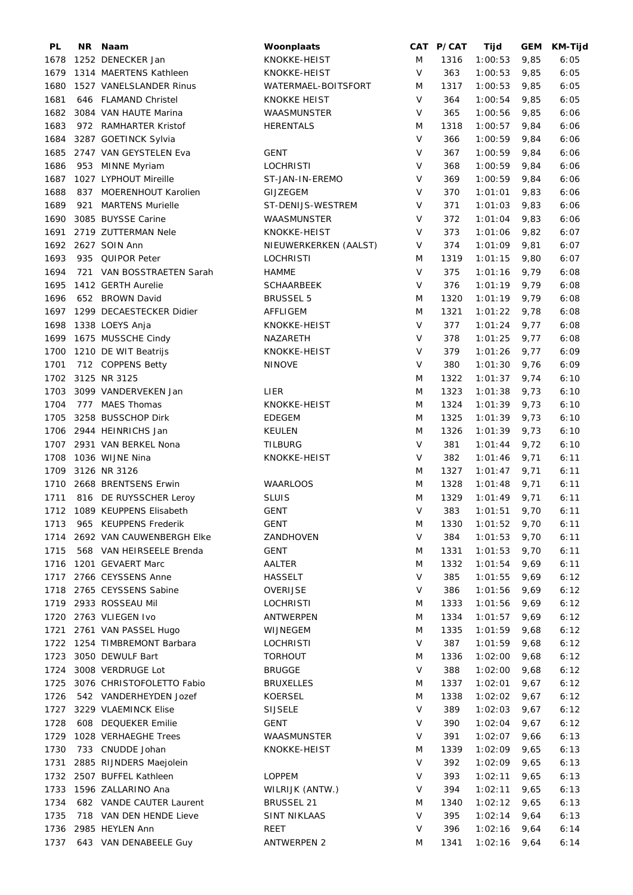| PL   |     | NR Naam                      | Woonplaats            |        | CAT P/CAT | Tijd    |      | GEM KM-Tijd |
|------|-----|------------------------------|-----------------------|--------|-----------|---------|------|-------------|
| 1678 |     | 1252 DENECKER Jan            | KNOKKE-HEIST          | M      | 1316      | 1:00:53 | 9,85 | 6:05        |
| 1679 |     | 1314 MAERTENS Kathleen       | KNOKKE-HEIST          | $\vee$ | 363       | 1:00:53 | 9,85 | 6:05        |
| 1680 |     | 1527 VANELSLANDER Rinus      | WATERMAEL-BOITSFORT   | M      | 1317      | 1:00:53 | 9,85 | 6:05        |
| 1681 |     | 646 FLAMAND Christel         | <b>KNOKKE HEIST</b>   | $\vee$ | 364       | 1:00:54 | 9,85 | 6:05        |
| 1682 |     | 3084 VAN HAUTE Marina        | WAASMUNSTER           | V      | 365       | 1:00:56 | 9,85 | 6:06        |
| 1683 |     | 972 RAMHARTER Kristof        | <b>HERENTALS</b>      | M      | 1318      | 1:00:57 | 9,84 | 6:06        |
| 1684 |     | 3287 GOETINCK Sylvia         |                       | $\vee$ | 366       | 1:00:59 | 9,84 | 6:06        |
| 1685 |     | 2747 VAN GEYSTELEN Eva       | <b>GENT</b>           | V      | 367       | 1:00:59 | 9,84 | 6:06        |
| 1686 |     | 953 MINNE Myriam             | <b>LOCHRISTI</b>      | V      | 368       | 1:00:59 | 9,84 | 6:06        |
| 1687 |     | 1027 LYPHOUT Mireille        | ST-JAN-IN-EREMO       | V      | 369       | 1:00:59 | 9,84 | 6:06        |
| 1688 | 837 | MOERENHOUT Karolien          | <b>GIJZEGEM</b>       | V      | 370       | 1:01:01 | 9,83 | 6:06        |
| 1689 | 921 | <b>MARTENS Murielle</b>      | ST-DENIJS-WESTREM     | $\vee$ | 371       | 1:01:03 | 9,83 | 6:06        |
|      |     |                              |                       | V      |           |         |      |             |
| 1690 |     | 3085 BUYSSE Carine           | WAASMUNSTER           | V      | 372       | 1:01:04 | 9,83 | 6:06        |
| 1691 |     | 2719 ZUTTERMAN Nele          | KNOKKE-HEIST          |        | 373       | 1:01:06 | 9,82 | 6:07        |
| 1692 |     | 2627 SOIN Ann                | NIEUWERKERKEN (AALST) | $\vee$ | 374       | 1:01:09 | 9,81 | 6:07        |
| 1693 | 935 | <b>QUIPOR Peter</b>          | <b>LOCHRISTI</b>      | M      | 1319      | 1:01:15 | 9,80 | 6:07        |
| 1694 | 721 | VAN BOSSTRAETEN Sarah        | <b>HAMME</b>          | $\vee$ | 375       | 1:01:16 | 9,79 | 6:08        |
| 1695 |     | 1412 GERTH Aurelie           | <b>SCHAARBEEK</b>     | $\vee$ | 376       | 1:01:19 | 9,79 | 6:08        |
| 1696 |     | 652 BROWN David              | <b>BRUSSEL 5</b>      | M      | 1320      | 1:01:19 | 9,79 | 6:08        |
| 1697 |     | 1299 DECAESTECKER Didier     | AFFLIGEM              | M      | 1321      | 1:01:22 | 9,78 | 6:08        |
| 1698 |     | 1338 LOEYS Anja              | KNOKKE-HEIST          | $\vee$ | 377       | 1:01:24 | 9,77 | 6:08        |
| 1699 |     | 1675 MUSSCHE Cindy           | NAZARETH              | V      | 378       | 1:01:25 | 9,77 | 6:08        |
| 1700 |     | 1210 DE WIT Beatrijs         | KNOKKE-HEIST          | V      | 379       | 1:01:26 | 9,77 | 6:09        |
| 1701 |     | 712 COPPENS Betty            | <b>NINOVE</b>         | $\vee$ | 380       | 1:01:30 | 9,76 | 6:09        |
| 1702 |     | 3125 NR 3125                 |                       | M      | 1322      | 1:01:37 | 9,74 | 6:10        |
| 1703 |     | 3099 VANDERVEKEN Jan         | LIER                  | M      | 1323      | 1:01:38 | 9,73 | 6:10        |
| 1704 |     | 777 MAES Thomas              | KNOKKE-HEIST          | M      | 1324      | 1:01:39 | 9,73 | 6:10        |
| 1705 |     | 3258 BUSSCHOP Dirk           | <b>EDEGEM</b>         | M      | 1325      | 1:01:39 | 9,73 | 6:10        |
| 1706 |     | 2944 HEINRICHS Jan           | <b>KEULEN</b>         | M      | 1326      | 1:01:39 | 9,73 | 6:10        |
| 1707 |     | 2931 VAN BERKEL Nona         | <b>TILBURG</b>        | $\vee$ | 381       | 1:01:44 | 9,72 | 6:10        |
| 1708 |     | 1036 WIJNE Nina              | KNOKKE-HEIST          | $\vee$ | 382       | 1:01:46 | 9,71 | 6:11        |
| 1709 |     | 3126 NR 3126                 |                       | M      | 1327      | 1:01:47 | 9,71 | 6:11        |
| 1710 |     | 2668 BRENTSENS Erwin         | <b>WAARLOOS</b>       | M      | 1328      | 1:01:48 | 9,71 | 6:11        |
| 1711 |     | 816 DE RUYSSCHER Leroy       | <b>SLUIS</b>          | M      | 1329      | 1:01:49 | 9,71 | 6:11        |
| 1712 |     | 1089 KEUPPENS Elisabeth      | <b>GENT</b>           | V      | 383       | 1:01:51 | 9,70 | 6:11        |
| 1713 |     | 965 KEUPPENS Frederik        | <b>GENT</b>           | M      | 1330      | 1:01:52 | 9,70 | 6:11        |
| 1714 |     | 2692 VAN CAUWENBERGH Elke    | ZANDHOVEN             | V      | 384       | 1:01:53 | 9,70 | 6:11        |
| 1715 |     | 568 VAN HEIRSEELE Brenda     | <b>GENT</b>           | M      | 1331      | 1:01:53 | 9,70 | 6:11        |
| 1716 |     | 1201 GEVAERT Marc            | AALTER                | M      | 1332      | 1:01:54 | 9,69 | 6:11        |
| 1717 |     | 2766 CEYSSENS Anne           | <b>HASSELT</b>        | V      | 385       | 1:01:55 | 9,69 | 6:12        |
| 1718 |     | 2765 CEYSSENS Sabine         | OVERIJSE              | V      | 386       | 1:01:56 | 9,69 |             |
|      |     |                              |                       |        |           |         |      | 6:12        |
| 1719 |     | 2933 ROSSEAU Mil             | <b>LOCHRISTI</b>      | M      | 1333      | 1:01:56 | 9,69 | 6:12        |
| 1720 |     | 2763 VLIEGEN Ivo             | ANTWERPEN             | M      | 1334      | 1:01:57 | 9,69 | 6:12        |
| 1721 |     | 2761 VAN PASSEL Hugo         | WIJNEGEM              | M      | 1335      | 1:01:59 | 9,68 | 6:12        |
|      |     | 1722 1254 TIMBREMONT Barbara | <b>LOCHRISTI</b>      | V      | 387       | 1:01:59 | 9,68 | 6:12        |
| 1723 |     | 3050 DEWULF Bart             | <b>TORHOUT</b>        | M      | 1336      | 1:02:00 | 9,68 | 6:12        |
| 1724 |     | 3008 VERDRUGE Lot            | <b>BRUGGE</b>         | V      | 388       | 1:02:00 | 9,68 | 6:12        |
| 1725 |     | 3076 CHRISTOFOLETTO Fabio    | <b>BRUXELLES</b>      | M      | 1337      | 1:02:01 | 9,67 | 6:12        |
| 1726 |     | 542 VANDERHEYDEN Jozef       | <b>KOERSEL</b>        | M      | 1338      | 1:02:02 | 9,67 | 6:12        |
| 1727 |     | 3229 VLAEMINCK Elise         | <b>SIJSELE</b>        | V      | 389       | 1:02:03 | 9,67 | 6:12        |
| 1728 |     | 608 DEQUEKER Emilie          | <b>GENT</b>           | V      | 390       | 1:02:04 | 9,67 | 6:12        |
| 1729 |     | 1028 VERHAEGHE Trees         | WAASMUNSTER           | V      | 391       | 1:02:07 | 9,66 | 6:13        |
| 1730 |     | 733 CNUDDE Johan             | KNOKKE-HEIST          | M      | 1339      | 1:02:09 | 9,65 | 6:13        |
| 1731 |     | 2885 RIJNDERS Maejolein      |                       | V      | 392       | 1:02:09 | 9,65 | 6:13        |
| 1732 |     | 2507 BUFFEL Kathleen         | LOPPEM                | V      | 393       | 1:02:11 | 9,65 | 6:13        |
| 1733 |     | 1596 ZALLARINO Ana           | WILRIJK (ANTW.)       | V      | 394       | 1:02:11 | 9,65 | 6:13        |
| 1734 |     | 682 VANDE CAUTER Laurent     | <b>BRUSSEL 21</b>     | M      | 1340      | 1:02:12 | 9,65 | 6:13        |
| 1735 |     | 718 VAN DEN HENDE Lieve      | SINT NIKLAAS          | $\vee$ | 395       | 1:02:14 | 9,64 | 6:13        |
| 1736 |     | 2985 HEYLEN Ann              | REET                  | V      | 396       | 1:02:16 | 9,64 | 6:14        |
| 1737 |     | 643 VAN DENABEELE Guy        | <b>ANTWERPEN 2</b>    | M      | 1341      | 1:02:16 | 9,64 | 6:14        |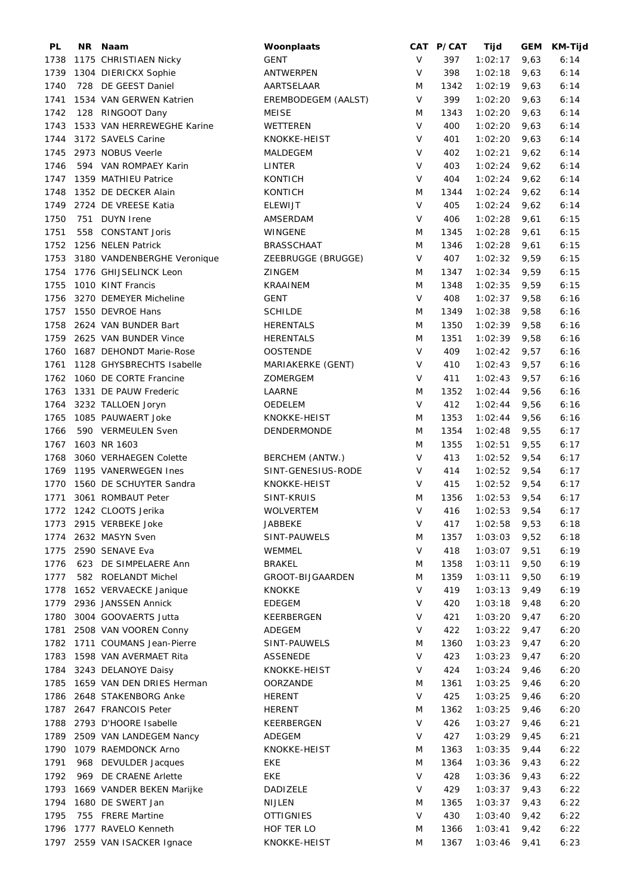| PL   | NR. | Naam                        | Woonplaats          |         | CAT P/CAT | Tijd    | <b>GEM</b> | <b>KM-Tijd</b> |
|------|-----|-----------------------------|---------------------|---------|-----------|---------|------------|----------------|
| 1738 |     | 1175 CHRISTIAEN Nicky       | <b>GENT</b>         | $\vee$  | 397       | 1:02:17 | 9,63       | 6:14           |
| 1739 |     | 1304 DIERICKX Sophie        | <b>ANTWERPEN</b>    | V       | 398       | 1:02:18 | 9,63       | 6:14           |
| 1740 |     | 728 DE GEEST Daniel         | AARTSELAAR          | M       | 1342      | 1:02:19 | 9,63       | 6:14           |
| 1741 |     | 1534 VAN GERWEN Katrien     | EREMBODEGEM (AALST) | $\sf V$ | 399       | 1:02:20 | 9,63       | 6:14           |
| 1742 |     | 128 RINGOOT Dany            | <b>MEISE</b>        | M       | 1343      | 1:02:20 | 9,63       | 6:14           |
| 1743 |     | 1533 VAN HERREWEGHE Karine  | WETTEREN            | $\vee$  | 400       | 1:02:20 | 9,63       | 6:14           |
| 1744 |     | 3172 SAVELS Carine          | KNOKKE-HEIST        | $\sf V$ | 401       | 1:02:20 | 9,63       | 6:14           |
| 1745 |     | 2973 NOBUS Veerle           | MALDEGEM            | V       | 402       | 1:02:21 | 9,62       | 6:14           |
| 1746 |     | 594 VAN ROMPAEY Karin       | <b>LINTER</b>       | V       | 403       | 1:02:24 | 9,62       | 6:14           |
| 1747 |     | 1359 MATHIEU Patrice        | <b>KONTICH</b>      | V       | 404       | 1:02:24 | 9,62       | 6:14           |
| 1748 |     | 1352 DE DECKER Alain        | <b>KONTICH</b>      | M       | 1344      | 1:02:24 | 9,62       | 6:14           |
| 1749 |     | 2724 DE VREESE Katia        | <b>ELEWIJT</b>      | $\vee$  | 405       | 1:02:24 | 9,62       | 6:14           |
| 1750 | 751 | DUYN Irene                  | AMSERDAM            | V       | 406       | 1:02:28 | 9,61       | 6:15           |
| 1751 |     | 558 CONSTANT Joris          | WINGENE             | M       | 1345      | 1:02:28 | 9,61       | 6:15           |
| 1752 |     | 1256 NELEN Patrick          | <b>BRASSCHAAT</b>   | M       | 1346      | 1:02:28 | 9,61       | 6:15           |
| 1753 |     | 3180 VANDENBERGHE Veronique | ZEEBRUGGE (BRUGGE)  | $\vee$  | 407       | 1:02:32 | 9,59       | 6:15           |
| 1754 |     | 1776 GHIJSELINCK Leon       | <b>ZINGEM</b>       | M       | 1347      |         | 9,59       | 6:15           |
|      |     |                             |                     |         |           | 1:02:34 |            |                |
| 1755 |     | 1010 KINT Francis           | <b>KRAAINEM</b>     | M       | 1348      | 1:02:35 | 9,59       | 6:15           |
| 1756 |     | 3270 DEMEYER Micheline      | <b>GENT</b>         | $\vee$  | 408       | 1:02:37 | 9,58       | 6:16           |
| 1757 |     | 1550 DEVROE Hans            | <b>SCHILDE</b>      | M       | 1349      | 1:02:38 | 9,58       | 6:16           |
| 1758 |     | 2624 VAN BUNDER Bart        | <b>HERENTALS</b>    | M       | 1350      | 1:02:39 | 9,58       | 6:16           |
| 1759 |     | 2625 VAN BUNDER Vince       | <b>HERENTALS</b>    | M       | 1351      | 1:02:39 | 9,58       | 6:16           |
| 1760 |     | 1687 DEHONDT Marie-Rose     | <b>OOSTENDE</b>     | $\vee$  | 409       | 1:02:42 | 9,57       | 6:16           |
| 1761 |     | 1128 GHYSBRECHTS Isabelle   | MARIAKERKE (GENT)   | V       | 410       | 1:02:43 | 9,57       | 6:16           |
| 1762 |     | 1060 DE CORTE Francine      | ZOMERGEM            | $\vee$  | 411       | 1:02:43 | 9,57       | 6:16           |
| 1763 |     | 1331 DE PAUW Frederic       | LAARNE              | M       | 1352      | 1:02:44 | 9,56       | 6:16           |
| 1764 |     | 3232 TALLOEN Joryn          | <b>OEDELEM</b>      | $\vee$  | 412       | 1:02:44 | 9,56       | 6:16           |
| 1765 |     | 1085 PAUWAERT Joke          | KNOKKE-HEIST        | M       | 1353      | 1:02:44 | 9,56       | 6:16           |
| 1766 |     | 590 VERMEULEN Sven          | DENDERMONDE         | M       | 1354      | 1:02:48 | 9,55       | 6:17           |
| 1767 |     | 1603 NR 1603                |                     | M       | 1355      | 1:02:51 | 9,55       | 6:17           |
| 1768 |     | 3060 VERHAEGEN Colette      | BERCHEM (ANTW.)     | V       | 413       | 1:02:52 | 9,54       | 6:17           |
| 1769 |     | 1195 VANERWEGEN Ines        | SINT-GENESIUS-RODE  | V       | 414       | 1:02:52 | 9,54       | 6:17           |
| 1770 |     | 1560 DE SCHUYTER Sandra     | KNOKKE-HEIST        | V       | 415       | 1:02:52 | 9,54       | 6:17           |
| 1771 |     | 3061 ROMBAUT Peter          | SINT-KRUIS          | M       | 1356      | 1:02:53 | 9,54       | 6:17           |
|      |     | 1772 1242 CLOOTS Jerika     | <b>WOLVERTEM</b>    | $\vee$  | 416       | 1:02:53 | 9,54       | 6:17           |
| 1773 |     | 2915 VERBEKE Joke           | JABBEKE             | V       | 417       | 1:02:58 | 9,53       | 6:18           |
| 1774 |     | 2632 MASYN Sven             | SINT-PAUWELS        | M       | 1357      | 1:03:03 | 9,52       | 6:18           |
| 1775 |     | 2590 SENAVE Eva             | WEMMEL              | $\vee$  | 418       | 1:03:07 | 9,51       | 6:19           |
| 1776 |     | 623 DE SIMPELAERE Ann       | <b>BRAKEL</b>       | M       | 1358      | 1:03:11 | 9,50       | 6:19           |
| 1777 |     | 582 ROELANDT Michel         | GROOT-BIJGAARDEN    | M       | 1359      | 1:03:11 | 9,50       | 6:19           |
| 1778 |     | 1652 VERVAECKE Janique      | KNOKKE              | V       | 419       | 1:03:13 | 9,49       | 6:19           |
| 1779 |     | 2936 JANSSEN Annick         | <b>EDEGEM</b>       | $\vee$  | 420       | 1:03:18 | 9,48       | 6:20           |
| 1780 |     | 3004 GOOVAERTS Jutta        | KEERBERGEN          | $\vee$  | 421       | 1:03:20 | 9,47       | 6:20           |
| 1781 |     | 2508 VAN VOOREN Conny       | ADEGEM              | $\vee$  | 422       | 1:03:22 | 9,47       | 6:20           |
|      |     |                             |                     |         |           |         |            |                |
| 1782 |     | 1711 COUMANS Jean-Pierre    | SINT-PAUWELS        | M       | 1360      | 1:03:23 | 9,47       | 6:20           |
| 1783 |     | 1598 VAN AVERMAET Rita      | <b>ASSENEDE</b>     | V       | 423       | 1:03:23 | 9,47       | 6:20           |
| 1784 |     | 3243 DELANOYE Daisy         | KNOKKE-HEIST        | V       | 424       | 1:03:24 | 9,46       | 6:20           |
| 1785 |     | 1659 VAN DEN DRIES Herman   | <b>OORZANDE</b>     | M       | 1361      | 1:03:25 | 9,46       | 6:20           |
| 1786 |     | 2648 STAKENBORG Anke        | <b>HERENT</b>       | V       | 425       | 1:03:25 | 9,46       | 6:20           |
| 1787 |     | 2647 FRANCOIS Peter         | <b>HERENT</b>       | M       | 1362      | 1:03:25 | 9,46       | 6:20           |
| 1788 |     | 2793 D'HOORE Isabelle       | KEERBERGEN          | V       | 426       | 1:03:27 | 9,46       | 6:21           |
| 1789 |     | 2509 VAN LANDEGEM Nancy     | ADEGEM              | V       | 427       | 1:03:29 | 9,45       | 6:21           |
| 1790 |     | 1079 RAEMDONCK Arno         | KNOKKE-HEIST        | M       | 1363      | 1:03:35 | 9,44       | 6:22           |
| 1791 | 968 | DEVULDER Jacques            | EKE                 | M       | 1364      | 1:03:36 | 9,43       | 6:22           |
| 1792 | 969 | DE CRAENE Arlette           | EKE                 | $\vee$  | 428       | 1:03:36 | 9,43       | 6:22           |
| 1793 |     | 1669 VANDER BEKEN Marijke   | DADIZELE            | $\vee$  | 429       | 1:03:37 | 9,43       | 6:22           |
| 1794 |     | 1680 DE SWERT Jan           | <b>NIJLEN</b>       | M       | 1365      | 1:03:37 | 9,43       | 6:22           |
| 1795 |     | 755 FRERE Martine           | <b>OTTIGNIES</b>    | V       | 430       | 1:03:40 | 9,42       | 6:22           |
| 1796 |     | 1777 RAVELO Kenneth         | HOF TER LO          | M       | 1366      | 1:03:41 | 9,42       | 6:22           |
| 1797 |     | 2559 VAN ISACKER Ignace     | KNOKKE-HEIST        | M       | 1367      | 1:03:46 | 9,41       | 6:23           |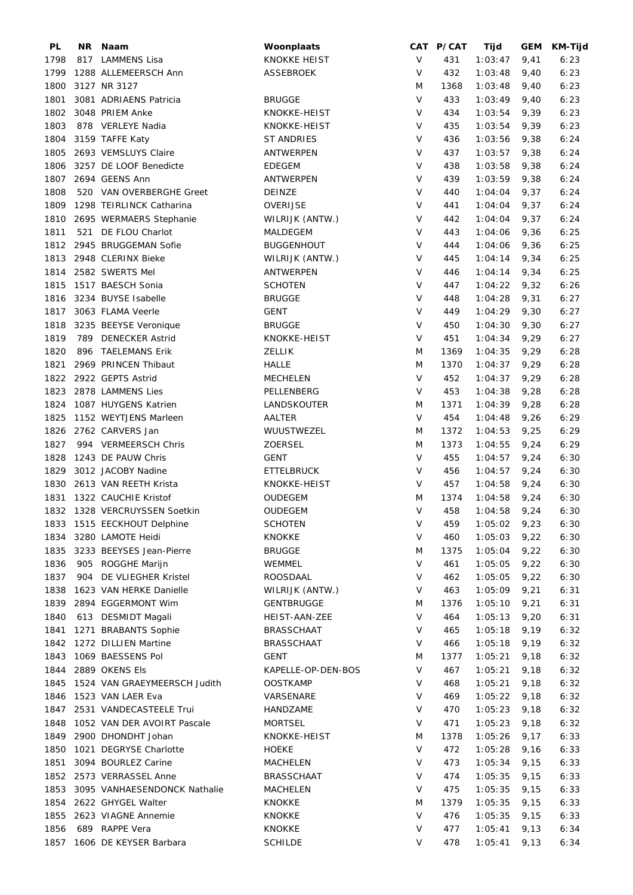| PL   | <b>NR</b> | Naam                          | Woonplaats          |         | CAT P/CAT | Tijd    | <b>GEM</b> | KM-Tijd |
|------|-----------|-------------------------------|---------------------|---------|-----------|---------|------------|---------|
| 1798 |           | 817 LAMMENS Lisa              | <b>KNOKKE HEIST</b> | $\vee$  | 431       | 1:03:47 | 9,41       | 6:23    |
| 1799 |           | 1288 ALLEMEERSCH Ann          | <b>ASSEBROEK</b>    | $\vee$  | 432       | 1:03:48 | 9,40       | 6:23    |
| 1800 |           | 3127 NR 3127                  |                     | M       | 1368      | 1:03:48 | 9,40       | 6:23    |
| 1801 |           | 3081 ADRIAENS Patricia        | <b>BRUGGE</b>       | $\vee$  | 433       | 1:03:49 | 9,40       | 6:23    |
| 1802 |           | 3048 PRIEM Anke               | KNOKKE-HEIST        | $\vee$  | 434       | 1:03:54 | 9,39       | 6:23    |
| 1803 |           | 878 VERLEYE Nadia             | KNOKKE-HEIST        | $\vee$  | 435       | 1:03:54 | 9,39       | 6:23    |
| 1804 |           | 3159 TAFFE Katy               | <b>ST ANDRIES</b>   | $\vee$  | 436       | 1:03:56 | 9,38       | 6:24    |
| 1805 |           | 2693 VEMSLUYS Claire          | <b>ANTWERPEN</b>    | $\vee$  |           |         |            |         |
|      |           |                               |                     | $\vee$  | 437       | 1:03:57 | 9,38       | 6:24    |
| 1806 |           | 3257 DE LOOF Benedicte        | <b>EDEGEM</b>       |         | 438       | 1:03:58 | 9,38       | 6:24    |
| 1807 |           | 2694 GEENS Ann                | <b>ANTWERPEN</b>    | V       | 439       | 1:03:59 | 9,38       | 6:24    |
| 1808 |           | 520 VAN OVERBERGHE Greet      | <b>DEINZE</b>       | V       | 440       | 1:04:04 | 9,37       | 6:24    |
| 1809 |           | 1298 TEIRLINCK Catharina      | OVERIJSE            | V       | 441       | 1:04:04 | 9,37       | 6:24    |
| 1810 |           | 2695 WERMAERS Stephanie       | WILRIJK (ANTW.)     | V       | 442       | 1:04:04 | 9,37       | 6:24    |
| 1811 |           | 521 DE FLOU Charlot           | MALDEGEM            | $\vee$  | 443       | 1:04:06 | 9,36       | 6:25    |
| 1812 |           | 2945 BRUGGEMAN Sofie          | <b>BUGGENHOUT</b>   | $\vee$  | 444       | 1:04:06 | 9,36       | 6:25    |
| 1813 |           | 2948 CLERINX Bieke            | WILRIJK (ANTW.)     | $\vee$  | 445       | 1:04:14 | 9,34       | 6:25    |
| 1814 |           | 2582 SWERTS Mel               | ANTWERPEN           | V       | 446       | 1:04:14 | 9,34       | 6:25    |
| 1815 |           | 1517 BAESCH Sonia             | <b>SCHOTEN</b>      | $\vee$  | 447       | 1:04:22 | 9,32       | 6:26    |
| 1816 |           | 3234 BUYSE Isabelle           | <b>BRUGGE</b>       | $\vee$  | 448       | 1:04:28 | 9,31       | 6:27    |
| 1817 |           | 3063 FLAMA Veerle             | <b>GENT</b>         | $\vee$  | 449       | 1:04:29 | 9,30       | 6:27    |
| 1818 |           | 3235 BEEYSE Veronique         | <b>BRUGGE</b>       | $\sf V$ | 450       | 1:04:30 | 9,30       | 6:27    |
| 1819 | 789       | <b>DENECKER Astrid</b>        | KNOKKE-HEIST        | V       | 451       | 1:04:34 | 9,29       | 6:27    |
| 1820 | 896       | <b>TAELEMANS Erik</b>         | <b>ZELLIK</b>       | M       | 1369      | 1:04:35 | 9,29       | 6:28    |
| 1821 |           | 2969 PRINCEN Thibaut          | <b>HALLE</b>        | M       | 1370      | 1:04:37 | 9,29       | 6:28    |
| 1822 |           | 2922 GEPTS Astrid             | <b>MECHELEN</b>     | $\vee$  | 452       | 1:04:37 | 9,29       | 6:28    |
| 1823 |           | 2878 LAMMENS Lies             | PELLENBERG          | V       | 453       | 1:04:38 | 9,28       | 6:28    |
| 1824 |           | 1087 HUYGENS Katrien          | LANDSKOUTER         | M       | 1371      | 1:04:39 | 9,28       | 6:28    |
|      |           |                               |                     | $\vee$  | 454       |         |            |         |
| 1825 |           | 1152 WEYTJENS Marleen         | AALTER              |         |           | 1:04:48 | 9,26       | 6:29    |
| 1826 |           | 2762 CARVERS Jan              | WUUSTWEZEL          | M       | 1372      | 1:04:53 | 9,25       | 6:29    |
| 1827 |           | 994 VERMEERSCH Chris          | <b>ZOERSEL</b>      | M       | 1373      | 1:04:55 | 9,24       | 6:29    |
| 1828 |           | 1243 DE PAUW Chris            | <b>GENT</b>         | $\vee$  | 455       | 1:04:57 | 9,24       | 6:30    |
| 1829 |           | 3012 JACOBY Nadine            | <b>ETTELBRUCK</b>   | V       | 456       | 1:04:57 | 9,24       | 6:30    |
| 1830 |           | 2613 VAN REETH Krista         | KNOKKE-HEIST        | $\vee$  | 457       | 1:04:58 | 9,24       | 6:30    |
| 1831 |           | 1322 CAUCHIE Kristof          | OUDEGEM             | M       | 1374      | 1:04:58 | 9,24       | 6:30    |
|      |           | 1832 1328 VERCRUYSSEN Soetkin | OUDEGEM             | V       | 458       | 1:04:58 | 9,24       | 6:30    |
| 1833 |           | 1515 EECKHOUT Delphine        | <b>SCHOTEN</b>      | $\sf V$ | 459       | 1:05:02 | 9,23       | 6:30    |
| 1834 |           | 3280 LAMOTE Heidi             | <b>KNOKKE</b>       | V       | 460       | 1:05:03 | 9,22       | 6:30    |
| 1835 |           | 3233 BEEYSES Jean-Pierre      | <b>BRUGGE</b>       | M       | 1375      | 1:05:04 | 9,22       | 6:30    |
| 1836 |           | 905 ROGGHE Marijn             | WEMMEL              | $\vee$  | 461       | 1:05:05 | 9,22       | 6:30    |
| 1837 | 904       | DE VLIEGHER Kristel           | <b>ROOSDAAL</b>     | V       | 462       | 1:05:05 | 9,22       | 6:30    |
| 1838 |           | 1623 VAN HERKE Danielle       | WILRIJK (ANTW.)     | V       | 463       | 1:05:09 | 9,21       | 6:31    |
| 1839 |           | 2894 EGGERMONT Wim            | <b>GENTBRUGGE</b>   | M       | 1376      | 1:05:10 | 9,21       | 6:31    |
| 1840 |           | 613 DESMIDT Magali            | HEIST-AAN-ZEE       | V       | 464       | 1:05:13 | 9,20       | 6:31    |
| 1841 |           | 1271 BRABANTS Sophie          | <b>BRASSCHAAT</b>   | V       | 465       | 1:05:18 | 9,19       | 6:32    |
| 1842 |           | 1272 DILLIEN Martine          | <b>BRASSCHAAT</b>   | V       | 466       | 1:05:18 | 9,19       | 6:32    |
| 1843 |           | 1069 BAESSENS Pol             | GENT                | M       | 1377      | 1:05:21 | 9,18       | 6:32    |
| 1844 |           | 2889 OKENS Els                | KAPELLE-OP-DEN-BOS  | V       | 467       | 1:05:21 | 9,18       | 6:32    |
| 1845 |           | 1524 VAN GRAEYMEERSCH Judith  | <b>OOSTKAMP</b>     | V       | 468       | 1:05:21 | 9,18       | 6:32    |
| 1846 |           | 1523 VAN LAER Eva             | VARSENARE           | V       | 469       | 1:05:22 | 9,18       | 6:32    |
| 1847 |           | 2531 VANDECASTEELE Trui       |                     | V       | 470       | 1:05:23 |            |         |
|      |           |                               | HANDZAME            |         |           |         | 9,18       | 6:32    |
| 1848 |           | 1052 VAN DER AVOIRT Pascale   | <b>MORTSEL</b>      | V       | 471       | 1:05:23 | 9,18       | 6:32    |
| 1849 |           | 2900 DHONDHT Johan            | KNOKKE-HEIST        | M       | 1378      | 1:05:26 | 9,17       | 6:33    |
| 1850 |           | 1021 DEGRYSE Charlotte        | HOEKE               | V       | 472       | 1:05:28 | 9,16       | 6:33    |
| 1851 |           | 3094 BOURLEZ Carine           | MACHELEN            | V       | 473       | 1:05:34 | 9,15       | 6:33    |
| 1852 |           | 2573 VERRASSEL Anne           | <b>BRASSCHAAT</b>   | V       | 474       | 1:05:35 | 9,15       | 6:33    |
| 1853 |           | 3095 VANHAESENDONCK Nathalie  | MACHELEN            | V       | 475       | 1:05:35 | 9,15       | 6:33    |
| 1854 |           | 2622 GHYGEL Walter            | <b>KNOKKE</b>       | M       | 1379      | 1:05:35 | 9,15       | 6:33    |
| 1855 |           | 2623 VIAGNE Annemie           | <b>KNOKKE</b>       | $\vee$  | 476       | 1:05:35 | 9,15       | 6:33    |
| 1856 |           | 689 RAPPE Vera                | <b>KNOKKE</b>       | V       | 477       | 1:05:41 | 9,13       | 6:34    |
| 1857 |           | 1606 DE KEYSER Barbara        | <b>SCHILDE</b>      | V       | 478       | 1:05:41 | 9,13       | 6:34    |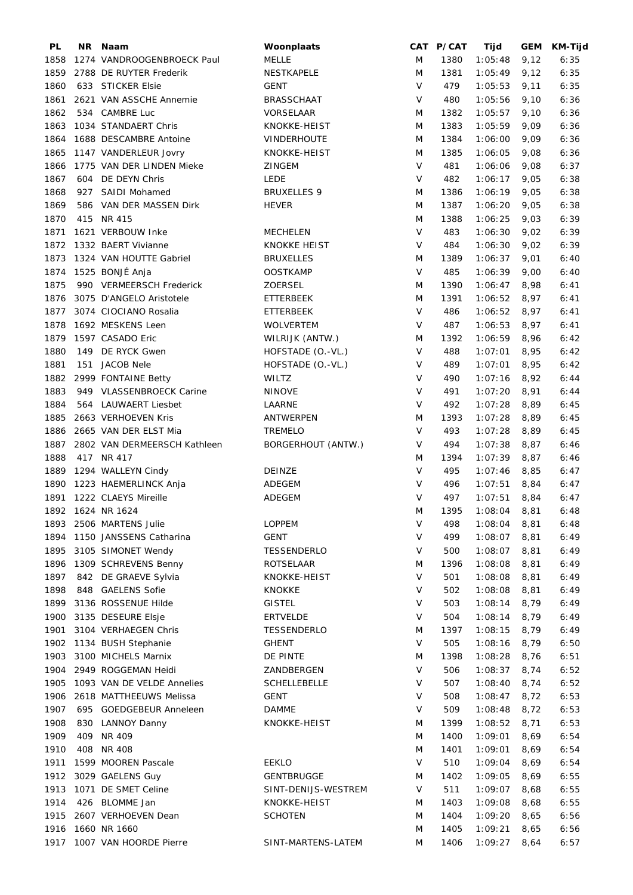| PL   |     | NR Naam                      | Woonplaats          |         | CAT P/CAT | Tijd    |      | GEM KM-Tijd |
|------|-----|------------------------------|---------------------|---------|-----------|---------|------|-------------|
| 1858 |     | 1274 VANDROOGENBROECK Paul   | MELLE               | M       | 1380      | 1:05:48 | 9,12 | 6:35        |
| 1859 |     | 2788 DE RUYTER Frederik      | NESTKAPELE          | M       | 1381      | 1:05:49 | 9,12 | 6:35        |
| 1860 |     | 633 STICKER Elsie            | <b>GENT</b>         | $\vee$  | 479       | 1:05:53 | 9,11 | 6:35        |
| 1861 |     | 2621 VAN ASSCHE Annemie      | <b>BRASSCHAAT</b>   | V       | 480       | 1:05:56 | 9,10 | 6:36        |
| 1862 | 534 | CAMBRE Luc                   | VORSELAAR           | M       | 1382      | 1:05:57 | 9,10 | 6:36        |
| 1863 |     | 1034 STANDAERT Chris         | KNOKKE-HEIST        | M       | 1383      | 1:05:59 | 9,09 | 6:36        |
| 1864 |     | 1688 DESCAMBRE Antoine       | <b>VINDERHOUTE</b>  | M       | 1384      | 1:06:00 | 9,09 | 6:36        |
| 1865 |     | 1147 VANDERLEUR Jovry        | KNOKKE-HEIST        | M       | 1385      | 1:06:05 | 9,08 | 6:36        |
| 1866 |     | 1775 VAN DER LINDEN Mieke    | ZINGEM              | V       | 481       | 1:06:06 | 9,08 | 6:37        |
| 1867 |     | 604 DE DEYN Chris            | <b>LEDE</b>         | V       | 482       | 1:06:17 | 9,05 | 6:38        |
| 1868 | 927 | SAIDI Mohamed                | <b>BRUXELLES 9</b>  | M       | 1386      | 1:06:19 | 9,05 | 6:38        |
| 1869 | 586 | VAN DER MASSEN Dirk          | <b>HEVER</b>        | M       | 1387      | 1:06:20 | 9,05 | 6:38        |
| 1870 |     | 415 NR 415                   |                     | M       | 1388      | 1:06:25 | 9,03 | 6:39        |
| 1871 |     | 1621 VERBOUW Inke            | <b>MECHELEN</b>     | $\vee$  | 483       | 1:06:30 | 9,02 | 6:39        |
| 1872 |     | 1332 BAERT Vivianne          | <b>KNOKKE HEIST</b> | V       | 484       | 1:06:30 | 9,02 | 6:39        |
| 1873 |     | 1324 VAN HOUTTE Gabriel      | <b>BRUXELLES</b>    | M       | 1389      | 1:06:37 | 9,01 | 6:40        |
| 1874 |     | 1525 BONJÉ Anja              | <b>OOSTKAMP</b>     | $\vee$  | 485       | 1:06:39 | 9,00 | 6:40        |
|      |     |                              |                     | M       |           |         |      |             |
| 1875 |     | 990 VERMEERSCH Frederick     | <b>ZOERSEL</b>      |         | 1390      | 1:06:47 | 8,98 | 6:41        |
| 1876 |     | 3075 D'ANGELO Aristotele     | <b>ETTERBEEK</b>    | M       | 1391      | 1:06:52 | 8,97 | 6:41        |
| 1877 |     | 3074 CIOCIANO Rosalia        | <b>ETTERBEEK</b>    | V       | 486       | 1:06:52 | 8,97 | 6:41        |
| 1878 |     | 1692 MESKENS Leen            | <b>WOLVERTEM</b>    | V       | 487       | 1:06:53 | 8,97 | 6:41        |
| 1879 |     | 1597 CASADO Eric             | WILRIJK (ANTW.)     | M       | 1392      | 1:06:59 | 8,96 | 6:42        |
| 1880 |     | 149 DE RYCK Gwen             | HOFSTADE (O.-VL.)   | V       | 488       | 1:07:01 | 8,95 | 6:42        |
| 1881 | 151 | <b>JACOB Nele</b>            | HOFSTADE (O.-VL.)   | $\vee$  | 489       | 1:07:01 | 8,95 | 6:42        |
| 1882 |     | 2999 FONTAINE Betty          | WILTZ               | $\vee$  | 490       | 1:07:16 | 8,92 | 6:44        |
| 1883 |     | 949 VLASSENBROECK Carine     | <b>NINOVE</b>       | $\vee$  | 491       | 1:07:20 | 8,91 | 6:44        |
| 1884 |     | 564 LAUWAERT Liesbet         | LAARNE              | $\vee$  | 492       | 1:07:28 | 8,89 | 6:45        |
| 1885 |     | 2663 VERHOEVEN Kris          | ANTWERPEN           | M       | 1393      | 1:07:28 | 8,89 | 6:45        |
| 1886 |     | 2665 VAN DER ELST Mia        | <b>TREMELO</b>      | $\vee$  | 493       | 1:07:28 | 8,89 | 6:45        |
| 1887 |     | 2802 VAN DERMEERSCH Kathleen | BORGERHOUT (ANTW.)  | V       | 494       | 1:07:38 | 8,87 | 6:46        |
| 1888 |     | 417 NR 417                   |                     | M       | 1394      | 1:07:39 | 8,87 | 6:46        |
| 1889 |     | 1294 WALLEYN Cindy           | DEINZE              | V       | 495       | 1:07:46 | 8,85 | 6:47        |
| 1890 |     | 1223 HAEMERLINCK Anja        | ADEGEM              | V       | 496       | 1:07:51 | 8,84 | 6:47        |
| 1891 |     | 1222 CLAEYS Mireille         | ADEGEM              | V       | 497       | 1:07:51 | 8,84 | 6:47        |
|      |     | 1892 1624 NR 1624            |                     | M       | 1395      | 1:08:04 | 8,81 | 6:48        |
| 1893 |     | 2506 MARTENS Julie           | <b>LOPPEM</b>       | V       | 498       | 1:08:04 | 8,81 | 6:48        |
| 1894 |     | 1150 JANSSENS Catharina      | <b>GENT</b>         | V       | 499       | 1:08:07 | 8,81 | 6:49        |
| 1895 |     | 3105 SIMONET Wendy           | TESSENDERLO         | V       | 500       | 1:08:07 | 8,81 | 6:49        |
| 1896 |     | 1309 SCHREVENS Benny         | <b>ROTSELAAR</b>    | M       | 1396      | 1:08:08 | 8,81 | 6:49        |
| 1897 |     | 842 DE GRAEVE Sylvia         | KNOKKE-HEIST        | $\sf V$ | 501       | 1:08:08 | 8,81 | 6:49        |
| 1898 |     | 848 GAELENS Sofie            | <b>KNOKKE</b>       | V       | 502       | 1:08:08 | 8,81 | 6:49        |
| 1899 |     | 3136 ROSSENUE Hilde          | <b>GISTEL</b>       | V       | 503       | 1:08:14 | 8,79 | 6:49        |
| 1900 |     | 3135 DESEURE Elsje           | <b>ERTVELDE</b>     | $\vee$  | 504       | 1:08:14 | 8,79 | 6:49        |
| 1901 |     | 3104 VERHAEGEN Chris         | <b>TESSENDERLO</b>  | M       | 1397      | 1:08:15 | 8,79 | 6:49        |
| 1902 |     | 1134 BUSH Stephanie          | <b>GHENT</b>        | V       | 505       | 1:08:16 | 8,79 | 6:50        |
| 1903 |     | 3100 MICHELS Marnix          | DE PINTE            | M       | 1398      | 1:08:28 | 8,76 | 6:51        |
| 1904 |     | 2949 ROGGEMAN Heidi          | ZANDBERGEN          | V       | 506       | 1:08:37 | 8,74 | 6:52        |
| 1905 |     | 1093 VAN DE VELDE Annelies   | <b>SCHELLEBELLE</b> | V       | 507       | 1:08:40 | 8,74 | 6:52        |
|      |     |                              |                     | V       |           |         |      |             |
| 1906 |     | 2618 MATTHEEUWS Melissa      | <b>GENT</b>         |         | 508       | 1:08:47 | 8,72 | 6:53        |
| 1907 |     | 695 GOEDGEBEUR Anneleen      | <b>DAMME</b>        | V       | 509       | 1:08:48 | 8,72 | 6:53        |
| 1908 | 830 | <b>LANNOY Danny</b>          | KNOKKE-HEIST        | M       | 1399      | 1:08:52 | 8,71 | 6:53        |
| 1909 | 409 | NR 409                       |                     | M       | 1400      | 1:09:01 | 8,69 | 6:54        |
| 1910 | 408 | NR 408                       |                     | M       | 1401      | 1:09:01 | 8,69 | 6:54        |
| 1911 |     | 1599 MOOREN Pascale          | <b>EEKLO</b>        | V       | 510       | 1:09:04 | 8,69 | 6:54        |
| 1912 |     | 3029 GAELENS Guy             | <b>GENTBRUGGE</b>   | M       | 1402      | 1:09:05 | 8,69 | 6:55        |
| 1913 |     | 1071 DE SMET Celine          | SINT-DENIJS-WESTREM | V       | 511       | 1:09:07 | 8,68 | 6:55        |
| 1914 |     | 426 BLOMME Jan               | KNOKKE-HEIST        | M       | 1403      | 1:09:08 | 8,68 | 6:55        |
| 1915 |     | 2607 VERHOEVEN Dean          | <b>SCHOTEN</b>      | M       | 1404      | 1:09:20 | 8,65 | 6:56        |
| 1916 |     | 1660 NR 1660                 |                     | M       | 1405      | 1:09:21 | 8,65 | 6:56        |
| 1917 |     | 1007 VAN HOORDE Pierre       | SINT-MARTENS-LATEM  | M       | 1406      | 1:09:27 | 8,64 | 6:57        |